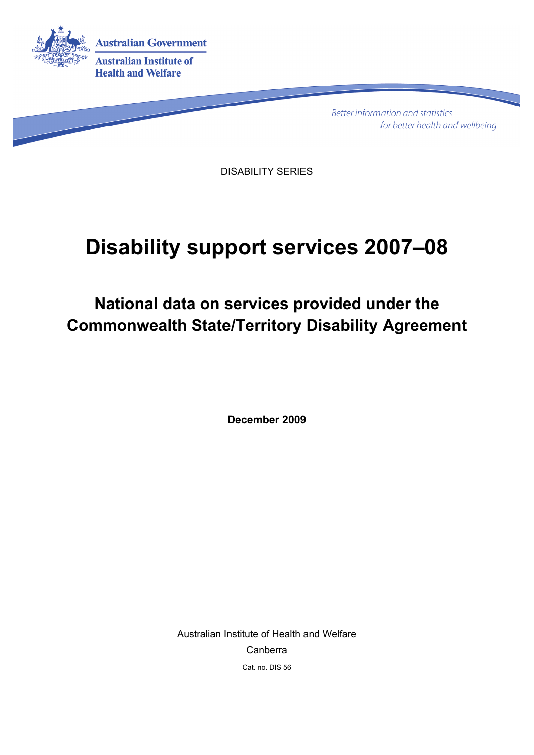

**Better information and statistics** for better health and wellbeing

DISABILITY SERIES

# **Disability support services 2007–08**

**National data on services provided under the Commonwealth State/Territory Disability Agreement** 

**December 2009**

Australian Institute of Health and Welfare Canberra Cat. no. DIS 56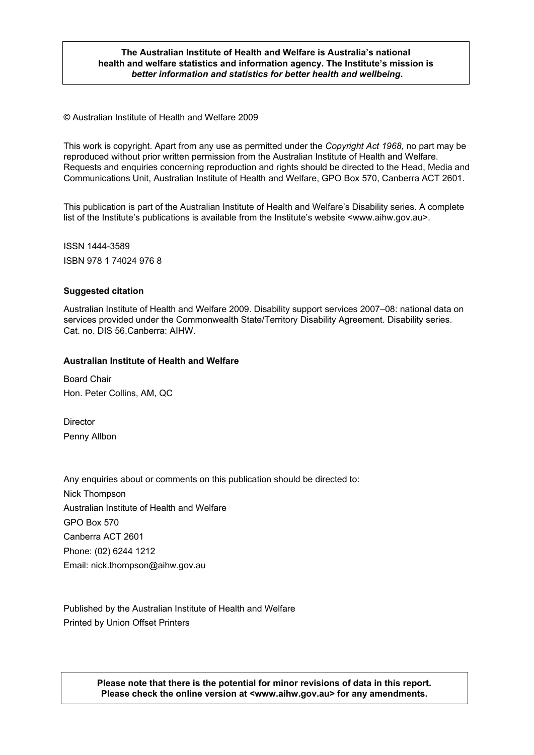#### **The Australian Institute of Health and Welfare is Australia's national health and welfare statistics and information agency. The Institute's mission is**  *better information and statistics for better health and wellbeing***.**

© Australian Institute of Health and Welfare 2009

This work is copyright. Apart from any use as permitted under the *Copyright Act 1968*, no part may be reproduced without prior written permission from the Australian Institute of Health and Welfare. Requests and enquiries concerning reproduction and rights should be directed to the Head, Media and Communications Unit, Australian Institute of Health and Welfare, GPO Box 570, Canberra ACT 2601.

This publication is part of the Australian Institute of Health and Welfare's Disability series. A complete list of the Institute's publications is available from the Institute's website <www.aihw.gov.au>.

ISSN 1444-3589 ISBN 978 1 74024 976 8

#### **Suggested citation**

Australian Institute of Health and Welfare 2009. Disability support services 2007–08: national data on services provided under the Commonwealth State/Territory Disability Agreement. Disability series. Cat. no. DIS 56.Canberra: AIHW.

#### **Australian Institute of Health and Welfare**

Board Chair Hon. Peter Collins, AM, QC

**Director** Penny Allbon

Any enquiries about or comments on this publication should be directed to: Nick Thompson Australian Institute of Health and Welfare GPO Box 570 Canberra ACT 2601 Phone: (02) 6244 1212 Email: nick.thompson@aihw.gov.au

Published by the Australian Institute of Health and Welfare Printed by Union Offset Printers

> **Please note that there is the potential for minor revisions of data in this report. Please check the online version at <www.aihw.gov.au> for any amendments.**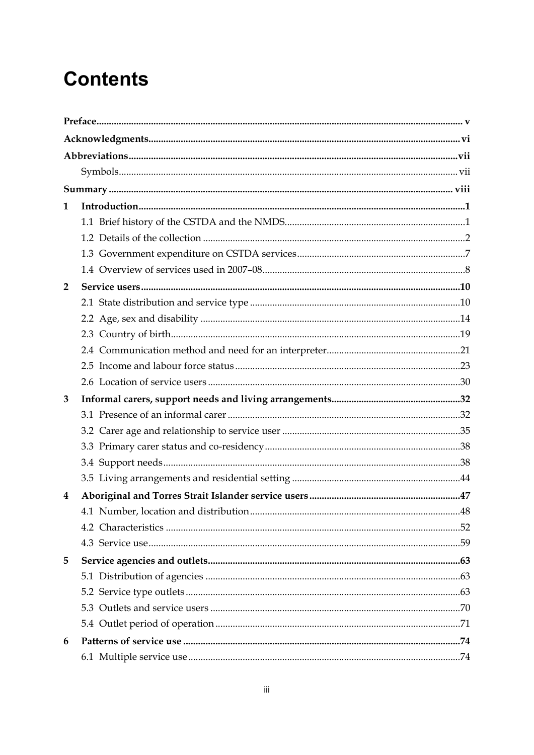# **Contents**

| 1              |  |
|----------------|--|
|                |  |
|                |  |
|                |  |
|                |  |
| $\overline{2}$ |  |
|                |  |
|                |  |
|                |  |
|                |  |
|                |  |
|                |  |
| 3              |  |
|                |  |
|                |  |
|                |  |
|                |  |
|                |  |
|                |  |
| 4              |  |
|                |  |
|                |  |
|                |  |
| 5              |  |
|                |  |
|                |  |
|                |  |
|                |  |
| 6              |  |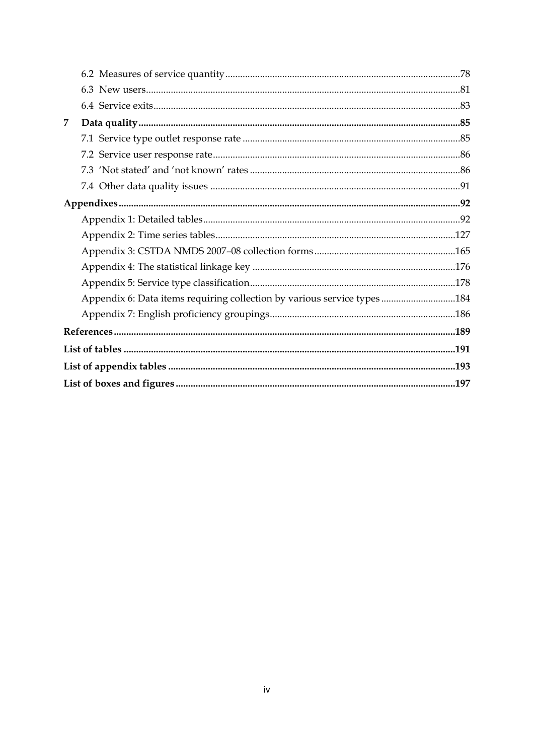| Appendix 6: Data items requiring collection by various service types184 |
|-------------------------------------------------------------------------|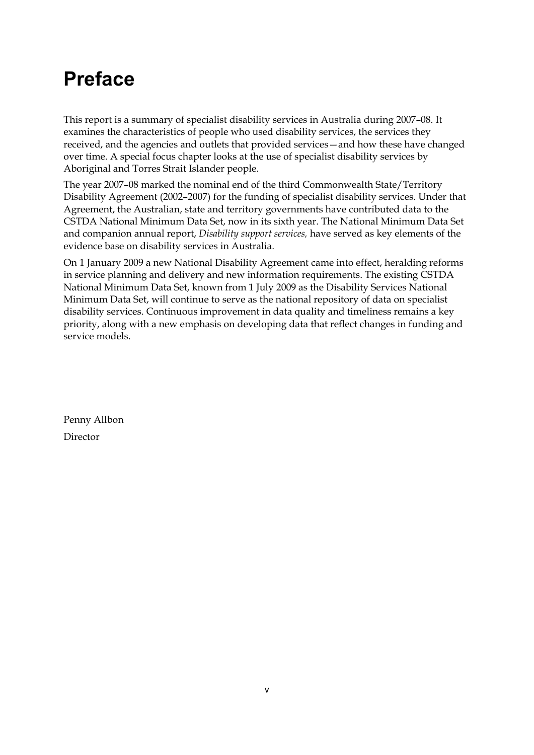# <span id="page-4-0"></span>**Preface**

This report is a summary of specialist disability services in Australia during 2007–08. It examines the characteristics of people who used disability services, the services they received, and the agencies and outlets that provided services—and how these have changed over time. A special focus chapter looks at the use of specialist disability services by Aboriginal and Torres Strait Islander people.

The year 2007–08 marked the nominal end of the third Commonwealth State/Territory Disability Agreement (2002–2007) for the funding of specialist disability services. Under that Agreement, the Australian, state and territory governments have contributed data to the CSTDA National Minimum Data Set, now in its sixth year. The National Minimum Data Set and companion annual report, *Disability support services,* have served as key elements of the evidence base on disability services in Australia.

On 1 January 2009 a new National Disability Agreement came into effect, heralding reforms in service planning and delivery and new information requirements. The existing CSTDA National Minimum Data Set, known from 1 July 2009 as the Disability Services National Minimum Data Set, will continue to serve as the national repository of data on specialist disability services. Continuous improvement in data quality and timeliness remains a key priority, along with a new emphasis on developing data that reflect changes in funding and service models.

Penny Allbon Director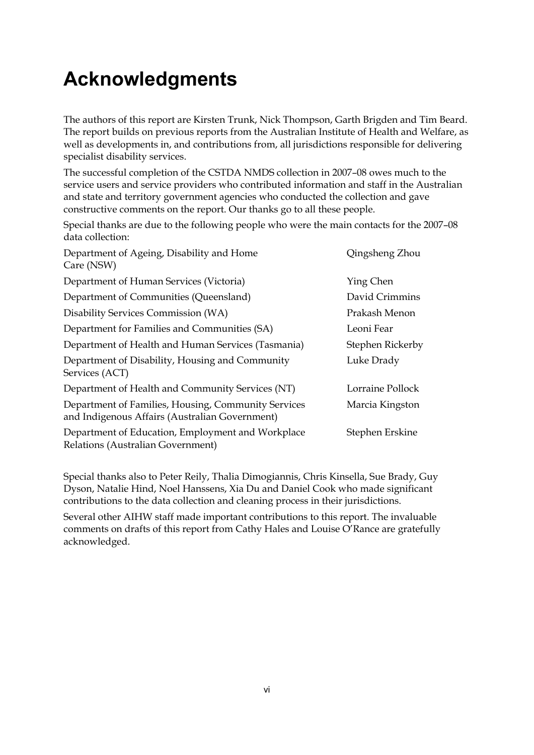# <span id="page-5-0"></span>**Acknowledgments**

The authors of this report are Kirsten Trunk, Nick Thompson, Garth Brigden and Tim Beard. The report builds on previous reports from the Australian Institute of Health and Welfare, as well as developments in, and contributions from, all jurisdictions responsible for delivering specialist disability services.

The successful completion of the CSTDA NMDS collection in 2007–08 owes much to the service users and service providers who contributed information and staff in the Australian and state and territory government agencies who conducted the collection and gave constructive comments on the report. Our thanks go to all these people.

Special thanks are due to the following people who were the main contacts for the 2007–08 data collection:

| Department of Ageing, Disability and Home<br>Care (NSW)                                               | Qingsheng Zhou   |
|-------------------------------------------------------------------------------------------------------|------------------|
| Department of Human Services (Victoria)                                                               | Ying Chen        |
| Department of Communities (Queensland)                                                                | David Crimmins   |
| Disability Services Commission (WA)                                                                   | Prakash Menon    |
| Department for Families and Communities (SA)                                                          | Leoni Fear       |
| Department of Health and Human Services (Tasmania)                                                    | Stephen Rickerby |
| Department of Disability, Housing and Community<br>Services (ACT)                                     | Luke Drady       |
| Department of Health and Community Services (NT)                                                      | Lorraine Pollock |
| Department of Families, Housing, Community Services<br>and Indigenous Affairs (Australian Government) | Marcia Kingston  |
| Department of Education, Employment and Workplace<br>Relations (Australian Government)                | Stephen Erskine  |

Special thanks also to Peter Reily, Thalia Dimogiannis, Chris Kinsella, Sue Brady, Guy Dyson, Natalie Hind, Noel Hanssens, Xia Du and Daniel Cook who made significant contributions to the data collection and cleaning process in their jurisdictions.

Several other AIHW staff made important contributions to this report. The invaluable comments on drafts of this report from Cathy Hales and Louise O'Rance are gratefully acknowledged.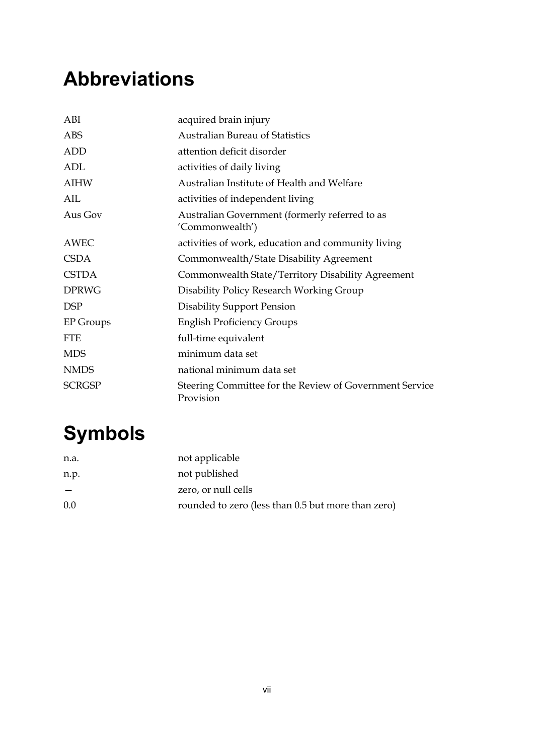# <span id="page-6-0"></span>**Abbreviations**

| ABI              | acquired brain injury                                                |
|------------------|----------------------------------------------------------------------|
| ABS              | <b>Australian Bureau of Statistics</b>                               |
| <b>ADD</b>       | attention deficit disorder                                           |
| ADL              | activities of daily living                                           |
| <b>AIHW</b>      | Australian Institute of Health and Welfare                           |
| AIL              | activities of independent living                                     |
| Aus Gov          | Australian Government (formerly referred to as<br>'Commonwealth')    |
| <b>AWEC</b>      | activities of work, education and community living                   |
| <b>CSDA</b>      | Commonwealth/State Disability Agreement                              |
| <b>CSTDA</b>     | Commonwealth State/Territory Disability Agreement                    |
| <b>DPRWG</b>     | Disability Policy Research Working Group                             |
| <b>DSP</b>       | <b>Disability Support Pension</b>                                    |
| <b>EP</b> Groups | <b>English Proficiency Groups</b>                                    |
| <b>FTE</b>       | full-time equivalent                                                 |
| <b>MDS</b>       | minimum data set                                                     |
| <b>NMDS</b>      | national minimum data set                                            |
| <b>SCRGSP</b>    | Steering Committee for the Review of Government Service<br>Provision |

# <span id="page-6-1"></span>**Symbols**

| n.a. | not applicable                                     |
|------|----------------------------------------------------|
| n.p. | not published                                      |
|      | zero, or null cells                                |
| 0.0  | rounded to zero (less than 0.5 but more than zero) |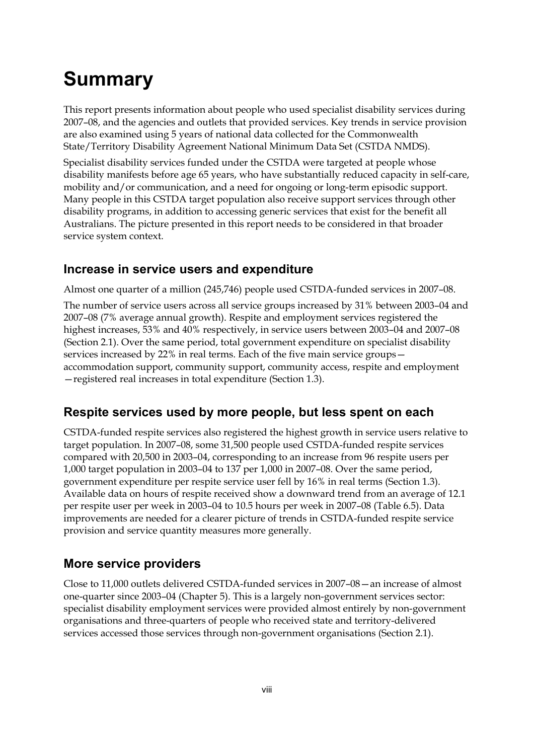# <span id="page-7-0"></span>**Summary**

This report presents information about people who used specialist disability services during 2007–08, and the agencies and outlets that provided services. Key trends in service provision are also examined using 5 years of national data collected for the Commonwealth State/Territory Disability Agreement National Minimum Data Set (CSTDA NMDS).

Specialist disability services funded under the CSTDA were targeted at people whose disability manifests before age 65 years, who have substantially reduced capacity in self-care, mobility and/or communication, and a need for ongoing or long-term episodic support. Many people in this CSTDA target population also receive support services through other disability programs, in addition to accessing generic services that exist for the benefit all Australians. The picture presented in this report needs to be considered in that broader service system context.

### **Increase in service users and expenditure**

Almost one quarter of a million (245,746) people used CSTDA-funded services in 2007–08.

The number of service users across all service groups increased by 31% between 2003–04 and 2007–08 (7% average annual growth). Respite and employment services registered the highest increases, 53% and 40% respectively, in service users between 2003–04 and 2007–08 (Section 2.1). Over the same period, total government expenditure on specialist disability services increased by 22% in real terms. Each of the five main service groups accommodation support, community support, community access, respite and employment —registered real increases in total expenditure (Section 1.3).

### **Respite services used by more people, but less spent on each**

CSTDA-funded respite services also registered the highest growth in service users relative to target population. In 2007–08, some 31,500 people used CSTDA-funded respite services compared with 20,500 in 2003–04, corresponding to an increase from 96 respite users per 1,000 target population in 2003–04 to 137 per 1,000 in 2007–08. Over the same period, government expenditure per respite service user fell by 16% in real terms (Section 1.3). Available data on hours of respite received show a downward trend from an average of 12.1 per respite user per week in 2003–04 to 10.5 hours per week in 2007–08 (Table 6.5). Data improvements are needed for a clearer picture of trends in CSTDA-funded respite service provision and service quantity measures more generally.

### **More service providers**

Close to 11,000 outlets delivered CSTDA-funded services in 2007–08—an increase of almost one-quarter since 2003–04 (Chapter 5). This is a largely non-government services sector: specialist disability employment services were provided almost entirely by non-government organisations and three-quarters of people who received state and territory-delivered services accessed those services through non-government organisations (Section 2.1).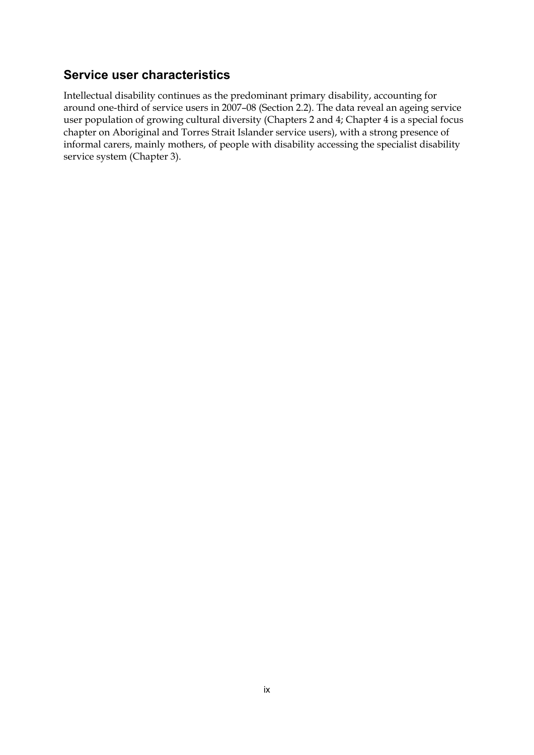### **Service user characteristics**

Intellectual disability continues as the predominant primary disability, accounting for around one-third of service users in 2007–08 (Section 2.2). The data reveal an ageing service user population of growing cultural diversity (Chapters 2 and 4; Chapter 4 is a special focus chapter on Aboriginal and Torres Strait Islander service users), with a strong presence of informal carers, mainly mothers, of people with disability accessing the specialist disability service system (Chapter 3).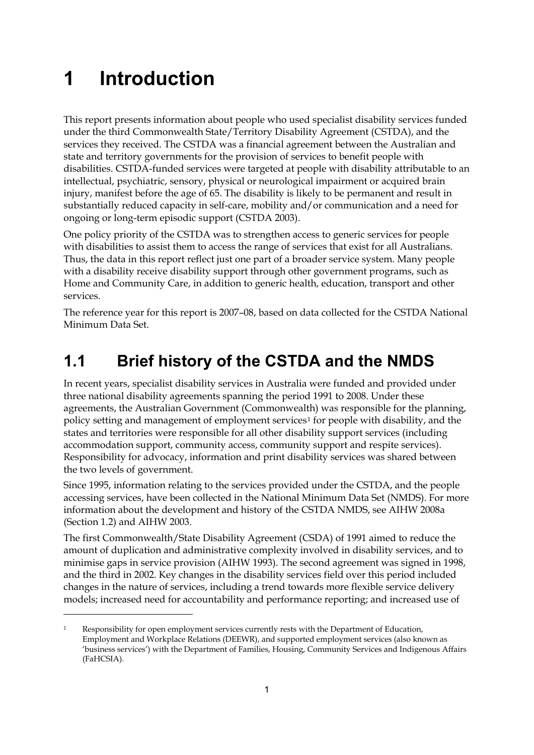# <span id="page-10-0"></span>**1 Introduction**

<u>.</u>

This report presents information about people who used specialist disability services funded under the third Commonwealth State/Territory Disability Agreement (CSTDA), and the services they received. The CSTDA was a financial agreement between the Australian and state and territory governments for the provision of services to benefit people with disabilities. CSTDA-funded services were targeted at people with disability attributable to an intellectual, psychiatric, sensory, physical or neurological impairment or acquired brain injury, manifest before the age of 65. The disability is likely to be permanent and result in substantially reduced capacity in self-care, mobility and/or communication and a need for ongoing or long-term episodic support (CSTDA 2003).

One policy priority of the CSTDA was to strengthen access to generic services for people with disabilities to assist them to access the range of services that exist for all Australians. Thus, the data in this report reflect just one part of a broader service system. Many people with a disability receive disability support through other government programs, such as Home and Community Care, in addition to generic health, education, transport and other services.

The reference year for this report is 2007–08, based on data collected for the CSTDA National Minimum Data Set.

## <span id="page-10-1"></span>**1.1 Brief history of the CSTDA and the NMDS**

In recent years, specialist disability services in Australia were funded and provided under three national disability agreements spanning the period 1991 to 2008. Under these agreements, the Australian Government (Commonwealth) was responsible for the planning, policy setting and management of employment services<sup>[1](#page-10-2)</sup> for people with disability, and the states and territories were responsible for all other disability support services (including accommodation support, community access, community support and respite services). Responsibility for advocacy, information and print disability services was shared between the two levels of government.

Since 1995, information relating to the services provided under the CSTDA, and the people accessing services, have been collected in the National Minimum Data Set (NMDS). For more information about the development and history of the CSTDA NMDS, see AIHW 2008a (Section 1.2) and AIHW 2003.

The first Commonwealth/State Disability Agreement (CSDA) of 1991 aimed to reduce the amount of duplication and administrative complexity involved in disability services, and to minimise gaps in service provision (AIHW 1993). The second agreement was signed in 1998, and the third in 2002. Key changes in the disability services field over this period included changes in the nature of services, including a trend towards more flexible service delivery models; increased need for accountability and performance reporting; and increased use of

<span id="page-10-2"></span><sup>&</sup>lt;sup>1</sup> Responsibility for open employment services currently rests with the Department of Education, Employment and Workplace Relations (DEEWR), and supported employment services (also known as 'business services') with the Department of Families, Housing, Community Services and Indigenous Affairs (FaHCSIA).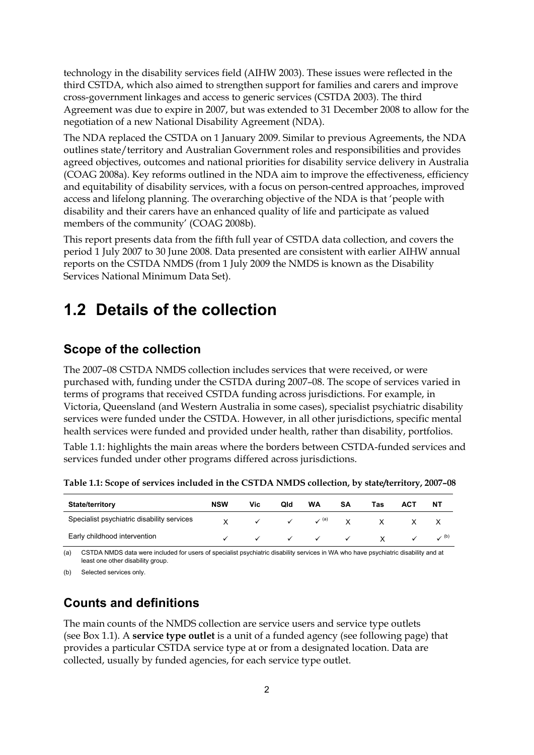technology in the disability services field (AIHW 2003). These issues were reflected in the third CSTDA, which also aimed to strengthen support for families and carers and improve cross-government linkages and access to generic services (CSTDA 2003). The third Agreement was due to expire in 2007, but was extended to 31 December 2008 to allow for the negotiation of a new National Disability Agreement (NDA).

The NDA replaced the CSTDA on 1 January 2009. Similar to previous Agreements, the NDA outlines state/territory and Australian Government roles and responsibilities and provides agreed objectives, outcomes and national priorities for disability service delivery in Australia (COAG 2008a). Key reforms outlined in the NDA aim to improve the effectiveness, efficiency and equitability of disability services, with a focus on person-centred approaches, improved access and lifelong planning. The overarching objective of the NDA is that 'people with disability and their carers have an enhanced quality of life and participate as valued members of the community' (COAG 2008b).

This report presents data from the fifth full year of CSTDA data collection, and covers the period 1 July 2007 to 30 June 2008. Data presented are consistent with earlier AIHW annual reports on the CSTDA NMDS (from 1 July 2009 the NMDS is known as the Disability Services National Minimum Data Set).

## <span id="page-11-0"></span>**1.2 Details of the collection**

### **Scope of the collection**

The 2007–08 CSTDA NMDS collection includes services that were received, or were purchased with, funding under the CSTDA during 2007–08. The scope of services varied in terms of programs that received CSTDA funding across jurisdictions. For example, in Victoria, Queensland (and Western Australia in some cases), specialist psychiatric disability services were funded under the CSTDA. However, in all other jurisdictions, specific mental health services were funded and provided under health, rather than disability, portfolios.

[Table 1.1: h](#page-11-1)ighlights the main areas where the borders between CSTDA-funded services and services funded under other programs differed across jurisdictions.

| <b>State/territory</b>                     | <b>NSW</b> | Vic          | Qld                       | <b>WA</b>                                                                                                                                                                                                                                                                                                                                                                             | SΑ | Tas            | АСТ | NΤ               |
|--------------------------------------------|------------|--------------|---------------------------|---------------------------------------------------------------------------------------------------------------------------------------------------------------------------------------------------------------------------------------------------------------------------------------------------------------------------------------------------------------------------------------|----|----------------|-----|------------------|
| Specialist psychiatric disability services |            | $\checkmark$ |                           | $\checkmark$ $\checkmark$ (a) $\checkmark$                                                                                                                                                                                                                                                                                                                                            |    | $\mathsf{X}$   |     |                  |
| Early childhood intervention               |            |              | $\checkmark$ $\checkmark$ | $\checkmark$ and $\checkmark$ and $\checkmark$ and $\checkmark$ and $\checkmark$ and $\checkmark$ and $\checkmark$ and $\checkmark$ and $\checkmark$ and $\checkmark$ and $\checkmark$ and $\checkmark$ and $\checkmark$ and $\checkmark$ and $\checkmark$ and $\checkmark$ and $\checkmark$ and $\checkmark$ and $\checkmark$ and $\checkmark$ and $\checkmark$ and $\checkmark$ and |    | $\checkmark$ X |     | $\checkmark$ (b) |

<span id="page-11-1"></span>**Table 1.1: Scope of services included in the CSTDA NMDS collection, by state/territory, 2007–08** 

(a) CSTDA NMDS data were included for users of specialist psychiatric disability services in WA who have psychiatric disability and at least one other disability group.

(b) Selected services only.

### **Counts and definitions**

The main counts of the NMDS collection are service users and service type outlets (see Box 1.1). A **service type outlet** is a unit of a funded agency (see following page) that provides a particular CSTDA service type at or from a designated location. Data are collected, usually by funded agencies, for each service type outlet.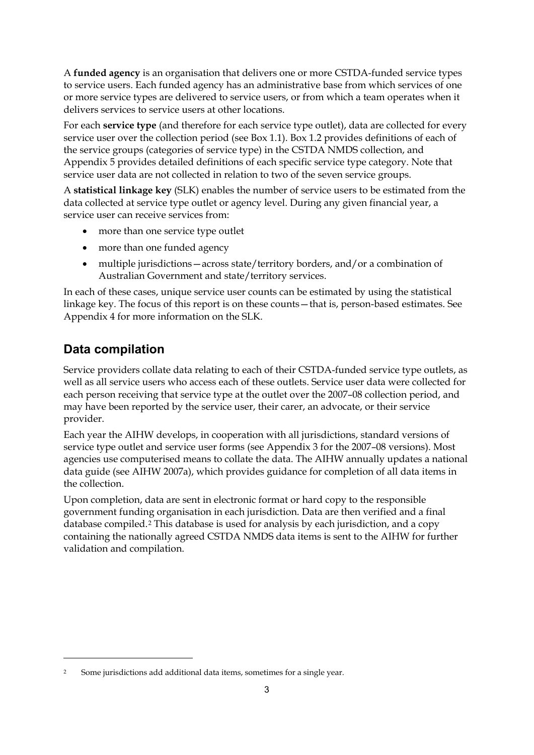A **funded agency** is an organisation that delivers one or more CSTDA-funded service types to service users. Each funded agency has an administrative base from which services of one or more service types are delivered to service users, or from which a team operates when it delivers services to service users at other locations.

For each **service type** (and therefore for each service type outlet), data are collected for every service user over the collection period (see Box 1.1). Box 1.2 provides definitions of each of the service groups (categories of service type) in the CSTDA NMDS collection, and Appendix 5 provides detailed definitions of each specific service type category. Note that service user data are not collected in relation to two of the seven service groups.

A **statistical linkage key** (SLK) enables the number of service users to be estimated from the data collected at service type outlet or agency level. During any given financial year, a service user can receive services from:

- more than one service type outlet
- more than one funded agency
- multiple jurisdictions—across state/territory borders, and/or a combination of Australian Government and state/territory services.

In each of these cases, unique service user counts can be estimated by using the statistical linkage key. The focus of this report is on these counts—that is, person-based estimates. See Appendix 4 for more information on the SLK.

### **Data compilation**

<u>.</u>

Service providers collate data relating to each of their CSTDA-funded service type outlets, as well as all service users who access each of these outlets. Service user data were collected for each person receiving that service type at the outlet over the 2007–08 collection period, and may have been reported by the service user, their carer, an advocate, or their service provider.

Each year the AIHW develops, in cooperation with all jurisdictions, standard versions of service type outlet and service user forms (see Appendix 3 for the 2007–08 versions). Most agencies use computerised means to collate the data. The AIHW annually updates a national data guide (see AIHW 2007a), which provides guidance for completion of all data items in the collection.

Upon completion, data are sent in electronic format or hard copy to the responsible government funding organisation in each jurisdiction. Data are then verified and a final database compiled.[2](#page-12-0) This database is used for analysis by each jurisdiction, and a copy containing the nationally agreed CSTDA NMDS data items is sent to the AIHW for further validation and compilation.

<span id="page-12-0"></span>Some jurisdictions add additional data items, sometimes for a single year.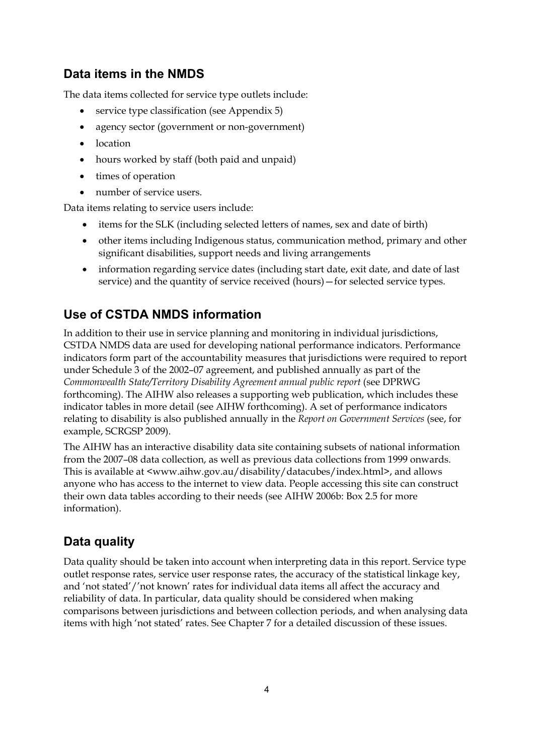### **Data items in the NMDS**

The data items collected for service type outlets include:

- service type classification (see Appendix 5)
- agency sector (government or non-government)
- location
- hours worked by staff (both paid and unpaid)
- times of operation
- number of service users.

Data items relating to service users include:

- items for the SLK (including selected letters of names, sex and date of birth)
- other items including Indigenous status, communication method, primary and other significant disabilities, support needs and living arrangements
- information regarding service dates (including start date, exit date, and date of last service) and the quantity of service received (hours)—for selected service types.

## **Use of CSTDA NMDS information**

In addition to their use in service planning and monitoring in individual jurisdictions, CSTDA NMDS data are used for developing national performance indicators. Performance indicators form part of the accountability measures that jurisdictions were required to report under Schedule 3 of the 2002–07 agreement, and published annually as part of the *Commonwealth State/Territory Disability Agreement annual public report* (see DPRWG forthcoming). The AIHW also releases a supporting web publication, which includes these indicator tables in more detail (see AIHW forthcoming). A set of performance indicators relating to disability is also published annually in the *Report on Government Services* (see, for example, SCRGSP 2009).

The AIHW has an interactive disability data site containing subsets of national information from the 2007–08 data collection, as well as previous data collections from 1999 onwards. This is available at <www.aihw.gov.au/disability/datacubes/index.html>, and allows anyone who has access to the internet to view data. People accessing this site can construct their own data tables according to their needs (see AIHW 2006b: Box 2.5 for more information).

### **Data quality**

Data quality should be taken into account when interpreting data in this report. Service type outlet response rates, service user response rates, the accuracy of the statistical linkage key, and 'not stated'/'not known' rates for individual data items all affect the accuracy and reliability of data. In particular, data quality should be considered when making comparisons between jurisdictions and between collection periods, and when analysing data items with high 'not stated' rates. See Chapter 7 for a detailed discussion of these issues.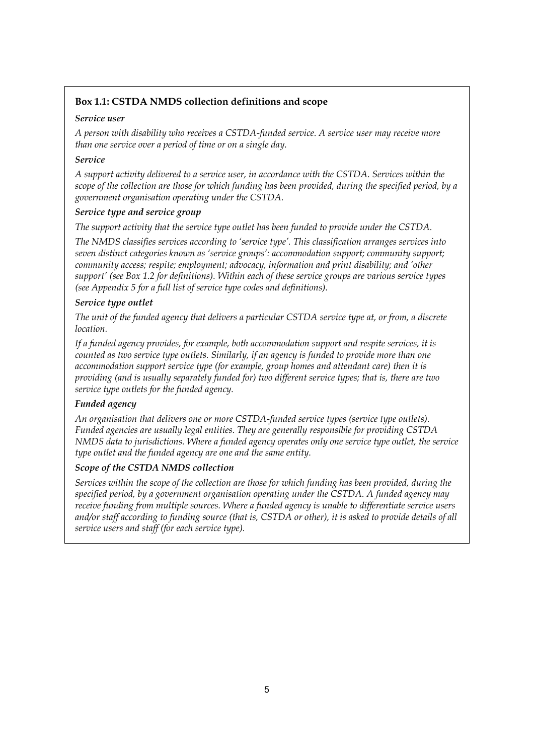#### **Box 1.1: CSTDA NMDS collection definitions and scope**

#### *Service user*

*A person with disability who receives a CSTDA-funded service. A service user may receive more than one service over a period of time or on a single day.* 

#### *Service*

*A support activity delivered to a service user, in accordance with the CSTDA. Services within the scope of the collection are those for which funding has been provided, during the specified period, by a government organisation operating under the CSTDA.* 

#### *Service type and service group*

*The support activity that the service type outlet has been funded to provide under the CSTDA.* 

*The NMDS classifies services according to 'service type'. This classification arranges services into seven distinct categories known as 'service groups': accommodation support; community support; community access; respite; employment; advocacy, information and print disability; and 'other support' (see Box 1.2 for definitions). Within each of these service groups are various service types (see Appendix 5 for a full list of service type codes and definitions).* 

#### *Service type outlet*

*The unit of the funded agency that delivers a particular CSTDA service type at, or from, a discrete location.* 

*If a funded agency provides, for example, both accommodation support and respite services, it is counted as two service type outlets. Similarly, if an agency is funded to provide more than one accommodation support service type (for example, group homes and attendant care) then it is providing (and is usually separately funded for) two different service types; that is, there are two service type outlets for the funded agency.* 

#### *Funded agency*

*An organisation that delivers one or more CSTDA-funded service types (service type outlets). Funded agencies are usually legal entities. They are generally responsible for providing CSTDA NMDS data to jurisdictions. Where a funded agency operates only one service type outlet, the service type outlet and the funded agency are one and the same entity.* 

#### *Scope of the CSTDA NMDS collection*

*Services within the scope of the collection are those for which funding has been provided, during the specified period, by a government organisation operating under the CSTDA. A funded agency may receive funding from multiple sources. Where a funded agency is unable to differentiate service users and/or staff according to funding source (that is, CSTDA or other), it is asked to provide details of all service users and staff (for each service type).*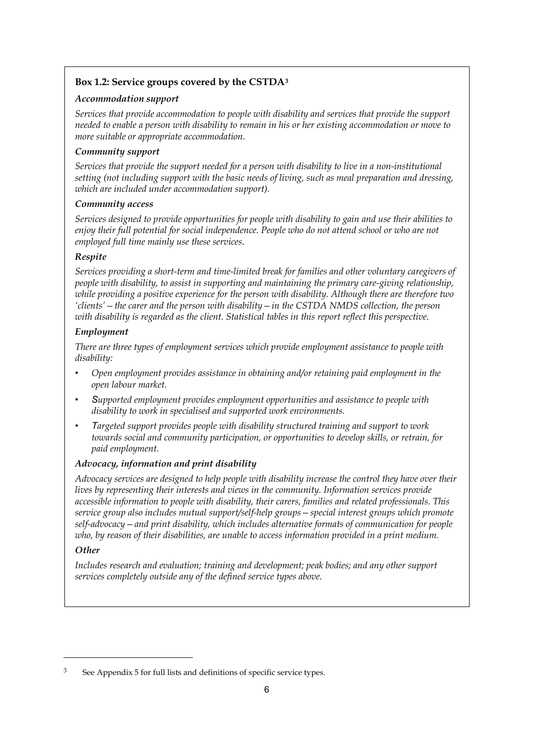#### **Box 1.2: Service groups covered by the CSTDA[3](#page-15-0)**

#### *Accommodation support*

*Services that provide accommodation to people with disability and services that provide the support needed to enable a person with disability to remain in his or her existing accommodation or move to more suitable or appropriate accommodation.* 

#### *Community support*

*Services that provide the support needed for a person with disability to live in a non-institutional setting (not including support with the basic needs of living, such as meal preparation and dressing, which are included under accommodation support).* 

#### *Community access*

*Services designed to provide opportunities for people with disability to gain and use their abilities to enjoy their full potential for social independence. People who do not attend school or who are not employed full time mainly use these services.* 

#### *Respite*

*Services providing a short-term and time-limited break for families and other voluntary caregivers of people with disability, to assist in supporting and maintaining the primary care-giving relationship, while providing a positive experience for the person with disability. Although there are therefore two 'clients'—the carer and the person with disability—in the CSTDA NMDS collection, the person with disability is regarded as the client. Statistical tables in this report reflect this perspective.* 

#### *Employment*

*There are three types of employment services which provide employment assistance to people with disability:* 

- *• Open employment provides assistance in obtaining and/or retaining paid employment in the open labour market.*
- *Supported employment provides employment opportunities and assistance to people with disability to work in specialised and supported work environments.*
- *Targeted support provides people with disability structured training and support to work towards social and community participation, or opportunities to develop skills, or retrain, for paid employment.*

#### *Advocacy, information and print disability*

*Advocacy services are designed to help people with disability increase the control they have over their lives by representing their interests and views in the community. Information services provide accessible information to people with disability, their carers, families and related professionals. This service group also includes mutual support/self-help groups—special interest groups which promote self-advocacy—and print disability, which includes alternative formats of communication for people who, by reason of their disabilities, are unable to access information provided in a print medium.* 

#### *Other*

<u>.</u>

*Includes research and evaluation; training and development; peak bodies; and any other support services completely outside any of the defined service types above.* 

<span id="page-15-0"></span><sup>3</sup> See Appendix 5 for full lists and definitions of specific service types.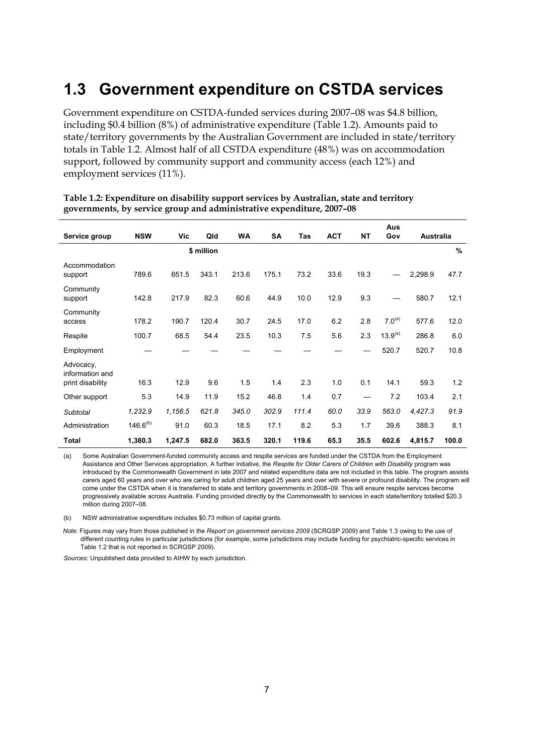## <span id="page-16-0"></span>**1.3 Government expenditure on CSTDA services**

Government expenditure on CSTDA-funded services during 2007–08 was \$4.8 billion, including \$0.4 billion (8%) of administrative expenditure (Table 1.2). Amounts paid to state/territory governments by the Australian Government are included in state/territory totals in Table 1.2. Almost half of all CSTDA expenditure (48%) was on accommodation support, followed by community support and community access (each 12%) and employment services (11%).

|                              |               |         |            |           |           |       |            |           | Aus                 |                  |               |
|------------------------------|---------------|---------|------------|-----------|-----------|-------|------------|-----------|---------------------|------------------|---------------|
| Service group                | <b>NSW</b>    | Vic     | Qld        | <b>WA</b> | <b>SA</b> | Tas   | <b>ACT</b> | <b>NT</b> | Gov                 | <b>Australia</b> |               |
|                              |               |         | \$ million |           |           |       |            |           |                     |                  | $\frac{9}{6}$ |
| Accommodation<br>support     | 789.6         | 651.5   | 343.1      | 213.6     | 175.1     | 73.2  | 33.6       | 19.3      |                     | 2,298.9          | 47.7          |
| Community<br>support         | 142.8         | 217.9   | 82.3       | 60.6      | 44.9      | 10.0  | 12.9       | 9.3       |                     | 580.7            | 12.1          |
| Community<br>access          | 178.2         | 190.7   | 120.4      | 30.7      | 24.5      | 17.0  | 6.2        | 2.8       | $7.0^{(a)}$         | 577.6            | 12.0          |
| Respite                      | 100.7         | 68.5    | 54.4       | 23.5      | 10.3      | 7.5   | 5.6        | 2.3       | 13.9 <sup>(a)</sup> | 286.8            | 6.0           |
| Employment                   |               |         |            |           |           |       |            |           | 520.7               | 520.7            | 10.8          |
| Advocacy,<br>information and |               |         |            |           |           |       |            |           |                     |                  |               |
| print disability             | 16.3          | 12.9    | 9.6        | 1.5       | 1.4       | 2.3   | 1.0        | 0.1       | 14.1                | 59.3             | 1.2           |
| Other support                | 5.3           | 14.9    | 11.9       | 15.2      | 46.8      | 1.4   | 0.7        |           | 7.2                 | 103.4            | 2.1           |
| Subtotal                     | 1,232.9       | 1,156.5 | 621.8      | 345.0     | 302.9     | 111.4 | 60.0       | 33.9      | 563.0               | 4,427.3          | 91.9          |
| Administration               | $146.6^{(b)}$ | 91.0    | 60.3       | 18.5      | 17.1      | 8.2   | 5.3        | 1.7       | 39.6                | 388.3            | 8.1           |
| <b>Total</b>                 | 1,380.3       | 1,247.5 | 682.0      | 363.5     | 320.1     | 119.6 | 65.3       | 35.5      | 602.6               | 4,815.7          | 100.0         |

#### **Table 1.2: Expenditure on disability support services by Australian, state and territory governments, by service group and administrative expenditure, 2007–08**

(a) Some Australian Government-funded community access and respite services are funded under the CSTDA from the Employment Assistance and Other Services appropriation. A further initiative, the *Respite for Older Carers of Children with Disability* program was introduced by the Commonwealth Government in late 2007 and related expenditure data are not included in this table. The program assists carers aged 60 years and over who are caring for adult children aged 25 years and over with severe or profound disability. The program will come under the CSTDA when it is transferred to state and territory governments in 2008–09. This will ensure respite services become progressively available across Australia. Funding provided directly by the Commonwealth to services in each state/territory totalled \$20.3 million during 2007–08.

(b) NSW administrative expenditure includes \$0.73 million of capital grants.

*Note:* Figures may vary from those published in the *Report on government services 2009* (SCRGSP 2009) and Table 1.3 owing to the use of different counting rules in particular jurisdictions (for example, some jurisdictions may include funding for psychiatric-specific services in Table 1.2 that is not reported in SCRGSP 2009).

*Sources:* Unpublished data provided to AIHW by each jurisdiction.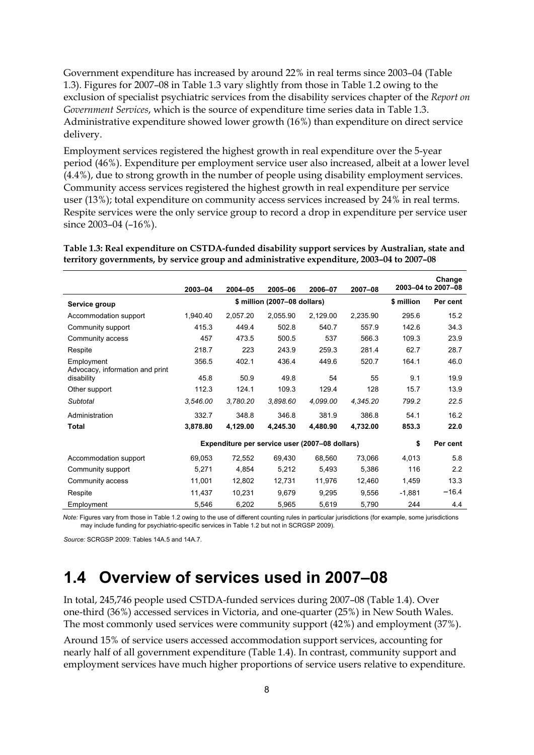Government expenditure has increased by around 22% in real terms since 2003–04 (Table 1.3). Figures for 2007–08 in Table 1.3 vary slightly from those in Table 1.2 owing to the exclusion of specialist psychiatric services from the disability services chapter of the *Report on Government Services*, which is the source of expenditure time series data in Table 1.3. Administrative expenditure showed lower growth (16%) than expenditure on direct service delivery.

Employment services registered the highest growth in real expenditure over the 5-year period (46%). Expenditure per employment service user also increased, albeit at a lower level (4.4%), due to strong growth in the number of people using disability employment services. Community access services registered the highest growth in real expenditure per service user (13%); total expenditure on community access services increased by 24% in real terms. Respite services were the only service group to record a drop in expenditure per service user since 2003–04 (–16%).

**Table 1.3: Real expenditure on CSTDA-funded disability support services by Australian, state and territory governments, by service group and administrative expenditure, 2003–04 to 2007–08** 

|                                               | 2003-04  | $2004 - 05$                                    | 2005-06  | 2006-07    | 2007-08  |          | Change<br>2003-04 to 2007-08 |
|-----------------------------------------------|----------|------------------------------------------------|----------|------------|----------|----------|------------------------------|
| Service group                                 |          | \$ million (2007-08 dollars)                   |          | \$ million | Per cent |          |                              |
| Accommodation support                         | 1,940.40 | 2,057.20                                       | 2,055.90 | 2,129.00   | 2,235.90 | 295.6    | 15.2                         |
| Community support                             | 415.3    | 449.4                                          | 502.8    | 540.7      | 557.9    | 142.6    | 34.3                         |
| Community access                              | 457      | 473.5                                          | 500.5    | 537        | 566.3    | 109.3    | 23.9                         |
| Respite                                       | 218.7    | 223                                            | 243.9    | 259.3      | 281.4    | 62.7     | 28.7                         |
| Employment<br>Advocacy, information and print | 356.5    | 402.1                                          | 436.4    | 449.6      | 520.7    | 164.1    | 46.0                         |
| disability                                    | 45.8     | 50.9                                           | 49.8     | 54         | 55       | 9.1      | 19.9                         |
| Other support                                 | 112.3    | 124.1                                          | 109.3    | 129.4      | 128      | 15.7     | 13.9                         |
| Subtotal                                      | 3,546.00 | 3,780.20                                       | 3,898.60 | 4,099.00   | 4,345.20 | 799.2    | 22.5                         |
| Administration                                | 332.7    | 348.8                                          | 346.8    | 381.9      | 386.8    | 54.1     | 16.2                         |
| <b>Total</b>                                  | 3,878.80 | 4,129.00                                       | 4,245.30 | 4,480.90   | 4,732.00 | 853.3    | 22.0                         |
|                                               |          | Expenditure per service user (2007–08 dollars) |          |            |          | \$       | Per cent                     |
| Accommodation support                         | 69,053   | 72,552                                         | 69,430   | 68,560     | 73,066   | 4,013    | 5.8                          |
| Community support                             | 5,271    | 4,854                                          | 5,212    | 5,493      | 5,386    | 116      | 2.2                          |
| Community access                              | 11,001   | 12,802                                         | 12,731   | 11,976     | 12,460   | 1,459    | 13.3                         |
| Respite                                       | 11,437   | 10,231                                         | 9,679    | 9,295      | 9,556    | $-1,881$ | $-16.4$                      |
| Employment                                    | 5,546    | 6,202                                          | 5,965    | 5,619      | 5,790    | 244      | 4.4                          |

*Note:* Figures vary from those in Table 1.2 owing to the use of different counting rules in particular jurisdictions (for example, some jurisdictions may include funding for psychiatric-specific services in Table 1.2 but not in SCRGSP 2009).

*Source:* SCRGSP 2009: Tables 14A.5 and 14A.7.

## <span id="page-17-0"></span>**1.4 Overview of services used in 2007–08**

In total, 245,746 people used CSTDA-funded services during 2007–08 (Table 1.4). Over one-third (36%) accessed services in Victoria, and one-quarter (25%) in New South Wales. The most commonly used services were community support (42%) and employment (37%).

Around 15% of service users accessed accommodation support services, accounting for nearly half of all government expenditure (Table 1.4). In contrast, community support and employment services have much higher proportions of service users relative to expenditure.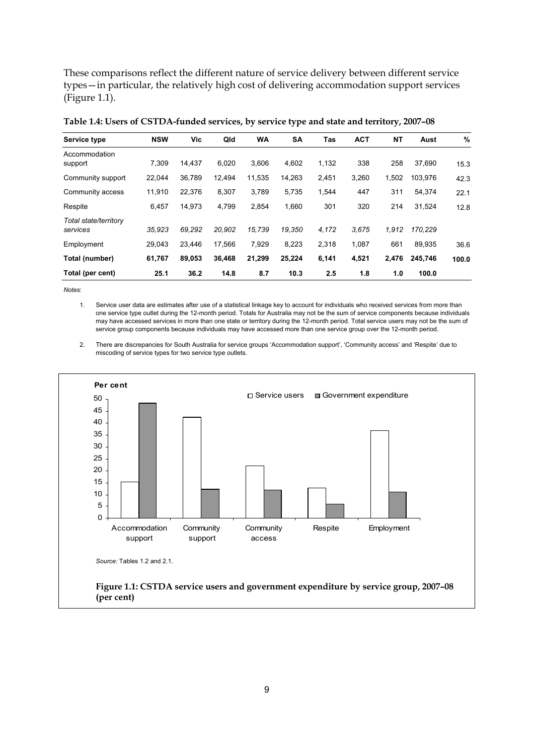These comparisons reflect the different nature of service delivery between different service types—in particular, the relatively high cost of delivering accommodation support services (Figure 1.1).

| Service type                      | <b>NSW</b> | Vic    | Qld    | <b>WA</b> | <b>SA</b> | Tas   | <b>ACT</b> | <b>NT</b> | Aust    | %     |
|-----------------------------------|------------|--------|--------|-----------|-----------|-------|------------|-----------|---------|-------|
| Accommodation<br>support          | 7,309      | 14,437 | 6,020  | 3,606     | 4,602     | 1,132 | 338        | 258       | 37,690  | 15.3  |
| Community support                 | 22,044     | 36,789 | 12,494 | 11,535    | 14,263    | 2,451 | 3,260      | 1,502     | 103,976 | 42.3  |
| Community access                  | 11,910     | 22,376 | 8,307  | 3,789     | 5,735     | 1,544 | 447        | 311       | 54,374  | 22.1  |
| Respite                           | 6,457      | 14,973 | 4,799  | 2.854     | 1,660     | 301   | 320        | 214       | 31,524  | 12.8  |
| Total state/territory<br>services | 35.923     | 69.292 | 20.902 | 15.739    | 19.350    | 4,172 | 3.675      | 1.912     | 170,229 |       |
| Employment                        | 29.043     | 23.446 | 17.566 | 7,929     | 8,223     | 2,318 | 1,087      | 661       | 89,935  | 36.6  |
| Total (number)                    | 61,767     | 89.053 | 36,468 | 21,299    | 25,224    | 6,141 | 4,521      | 2,476     | 245.746 | 100.0 |
| Total (per cent)                  | 25.1       | 36.2   | 14.8   | 8.7       | 10.3      | 2.5   | 1.8        | 1.0       | 100.0   |       |

**Table 1.4: Users of CSTDA-funded services, by service type and state and territory, 2007–08** 

*Notes*:

1. Service user data are estimates after use of a statistical linkage key to account for individuals who received services from more than one service type outlet during the 12-month period. Totals for Australia may not be the sum of service components because individuals may have accessed services in more than one state or territory during the 12-month period. Total service users may not be the sum of service group components because individuals may have accessed more than one service group over the 12-month period.

2. There are discrepancies for South Australia for service groups 'Accommodation support', 'Community access' and 'Respite' due to miscoding of service types for two service type outlets.

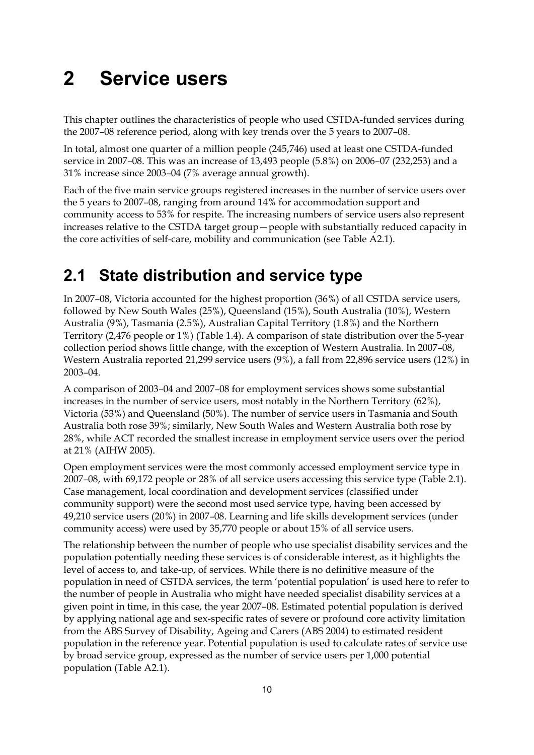# <span id="page-19-0"></span>**2 Service users**

This chapter outlines the characteristics of people who used CSTDA-funded services during the 2007–08 reference period, along with key trends over the 5 years to 2007–08.

In total, almost one quarter of a million people (245,746) used at least one CSTDA-funded service in 2007–08. This was an increase of 13,493 people (5.8%) on 2006–07 (232,253) and a 31% increase since 2003–04 (7% average annual growth).

Each of the five main service groups registered increases in the number of service users over the 5 years to 2007–08, ranging from around 14% for accommodation support and community access to 53% for respite. The increasing numbers of service users also represent increases relative to the CSTDA target group—people with substantially reduced capacity in the core activities of self-care, mobility and communication (see Table A2.1).

## <span id="page-19-1"></span>**2.1 State distribution and service type**

In 2007–08, Victoria accounted for the highest proportion (36%) of all CSTDA service users, followed by New South Wales (25%), Queensland (15%), South Australia (10%), Western Australia (9%), Tasmania (2.5%), Australian Capital Territory (1.8%) and the Northern Territory (2,476 people or 1%) (Table 1.4). A comparison of state distribution over the 5-year collection period shows little change, with the exception of Western Australia. In 2007–08, Western Australia reported 21,299 service users (9%), a fall from 22,896 service users (12%) in 2003–04.

A comparison of 2003–04 and 2007–08 for employment services shows some substantial increases in the number of service users, most notably in the Northern Territory (62%), Victoria (53%) and Queensland (50%). The number of service users in Tasmania and South Australia both rose 39%; similarly, New South Wales and Western Australia both rose by 28%, while ACT recorded the smallest increase in employment service users over the period at 21% (AIHW 2005).

Open employment services were the most commonly accessed employment service type in 2007–08, with 69,172 people or 28% of all service users accessing this service type [\(Table 2.1\)](#page-20-0). Case management, local coordination and development services (classified under community support) were the second most used service type, having been accessed by 49,210 service users (20%) in 2007–08. Learning and life skills development services (under community access) were used by 35,770 people or about 15% of all service users.

The relationship between the number of people who use specialist disability services and the population potentially needing these services is of considerable interest, as it highlights the level of access to, and take-up, of services. While there is no definitive measure of the population in need of CSTDA services, the term 'potential population' is used here to refer to the number of people in Australia who might have needed specialist disability services at a given point in time, in this case, the year 2007–08. Estimated potential population is derived by applying national age and sex-specific rates of severe or profound core activity limitation from the ABS Survey of Disability, Ageing and Carers (ABS 2004) to estimated resident population in the reference year. Potential population is used to calculate rates of service use by broad service group, expressed as the number of service users per 1,000 potential population (Table A2.1).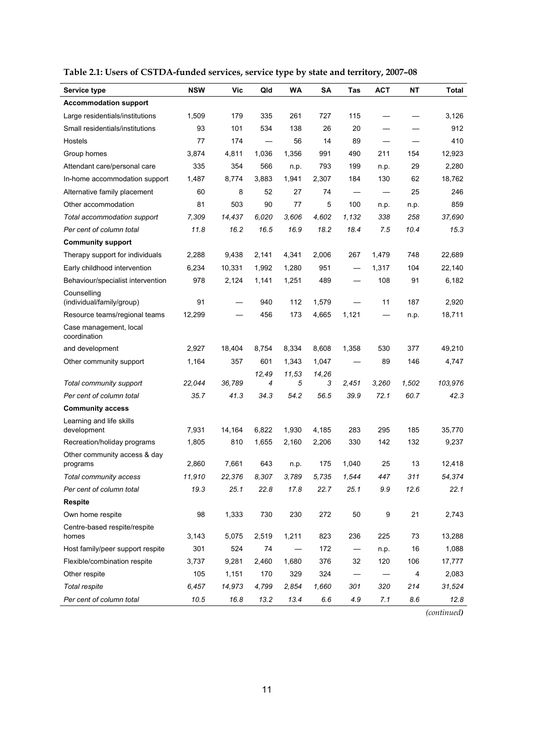| Service type                             | <b>NSW</b> | Vic    | Qld   | WA    | <b>SA</b> | Tas                      | <b>ACT</b> | ΝT                      | Total   |
|------------------------------------------|------------|--------|-------|-------|-----------|--------------------------|------------|-------------------------|---------|
| <b>Accommodation support</b>             |            |        |       |       |           |                          |            |                         |         |
| Large residentials/institutions          | 1,509      | 179    | 335   | 261   | 727       | 115                      |            |                         | 3,126   |
| Small residentials/institutions          | 93         | 101    | 534   | 138   | 26        | 20                       |            |                         | 912     |
| Hostels                                  | 77         | 174    |       | 56    | 14        | 89                       |            |                         | 410     |
| Group homes                              | 3,874      | 4,811  | 1,036 | 1,356 | 991       | 490                      | 211        | 154                     | 12,923  |
| Attendant care/personal care             | 335        | 354    | 566   | n.p.  | 793       | 199                      | n.p.       | 29                      | 2,280   |
| In-home accommodation support            | 1,487      | 8,774  | 3,883 | 1,941 | 2,307     | 184                      | 130        | 62                      | 18,762  |
| Alternative family placement             | 60         | 8      | 52    | 27    | 74        |                          |            | 25                      | 246     |
| Other accommodation                      | 81         | 503    | 90    | 77    | 5         | 100                      | n.p.       | n.p.                    | 859     |
| Total accommodation support              | 7,309      | 14,437 | 6,020 | 3,606 | 4,602     | 1,132                    | 338        | 258                     | 37,690  |
| Per cent of column total                 | 11.8       | 16.2   | 16.5  | 16.9  | 18.2      | 18.4                     | 7.5        | 10.4                    | 15.3    |
| <b>Community support</b>                 |            |        |       |       |           |                          |            |                         |         |
| Therapy support for individuals          | 2,288      | 9,438  | 2.141 | 4,341 | 2,006     | 267                      | 1.479      | 748                     | 22,689  |
| Early childhood intervention             | 6,234      | 10,331 | 1,992 | 1,280 | 951       |                          | 1,317      | 104                     | 22,140  |
| Behaviour/specialist intervention        | 978        | 2,124  | 1,141 | 1,251 | 489       | $\overline{\phantom{0}}$ | 108        | 91                      | 6,182   |
| Counselling<br>(individual/family/group) | 91         |        | 940   | 112   | 1,579     |                          | 11         | 187                     | 2,920   |
| Resource teams/regional teams            | 12,299     |        | 456   | 173   | 4,665     | 1,121                    |            | n.p.                    | 18,711  |
| Case management, local<br>coordination   |            |        |       |       |           |                          |            |                         |         |
| and development                          | 2,927      | 18,404 | 8,754 | 8,334 | 8,608     | 1,358                    | 530        | 377                     | 49,210  |
| Other community support                  | 1,164      | 357    | 601   | 1,343 | 1,047     |                          | 89         | 146                     | 4,747   |
|                                          |            |        | 12,49 | 11,53 | 14,26     |                          |            |                         |         |
| Total community support                  | 22,044     | 36,789 | 4     | 5     | 3         | 2,451                    | 3,260      | 1,502                   | 103,976 |
| Per cent of column total                 | 35.7       | 41.3   | 34.3  | 54.2  | 56.5      | 39.9                     | 72.1       | 60.7                    | 42.3    |
| <b>Community access</b>                  |            |        |       |       |           |                          |            |                         |         |
| Learning and life skills<br>development  | 7,931      | 14,164 | 6,822 | 1,930 | 4,185     | 283                      | 295        | 185                     | 35,770  |
| Recreation/holiday programs              | 1,805      | 810    | 1,655 | 2,160 | 2,206     | 330                      | 142        | 132                     | 9,237   |
| Other community access & day<br>programs | 2,860      | 7,661  | 643   | n.p.  | 175       | 1,040                    | 25         | 13                      | 12,418  |
| Total community access                   | 11,910     | 22,376 | 8,307 | 3,789 | 5,735     | 1,544                    | 447        | 311                     | 54.374  |
| Per cent of column total                 | 19.3       | 25.1   | 22.8  | 17.8  | 22.7      | 25.1                     | 9.9        | 12.6                    | 22.1    |
| <b>Respite</b>                           |            |        |       |       |           |                          |            |                         |         |
| Own home respite                         | 98         | 1,333  | 730   | 230   | 272       | 50                       | 9          | 21                      | 2,743   |
| Centre-based respite/respite<br>homes    | 3,143      | 5,075  | 2,519 | 1,211 | 823       | 236                      | 225        | 73                      | 13,288  |
| Host family/peer support respite         | 301        | 524    | 74    |       | 172       |                          | n.p.       | 16                      | 1,088   |
| Flexible/combination respite             | 3,737      | 9,281  | 2,460 | 1,680 | 376       | 32                       | 120        | 106                     | 17,777  |
| Other respite                            | 105        | 1,151  | 170   | 329   | 324       |                          |            | $\overline{\mathbf{4}}$ | 2,083   |
| <b>Total respite</b>                     | 6,457      | 14,973 | 4,799 | 2,854 | 1,660     | 301                      | 320        | 214                     | 31,524  |
| Per cent of column total                 | 10.5       | 16.8   | 13.2  | 13.4  | 6.6       | 4.9                      | 7.1        | 8.6                     | 12.8    |

<span id="page-20-0"></span>**Table 2.1: Users of CSTDA-funded services, service type by state and territory, 2007–08**

*(continued)*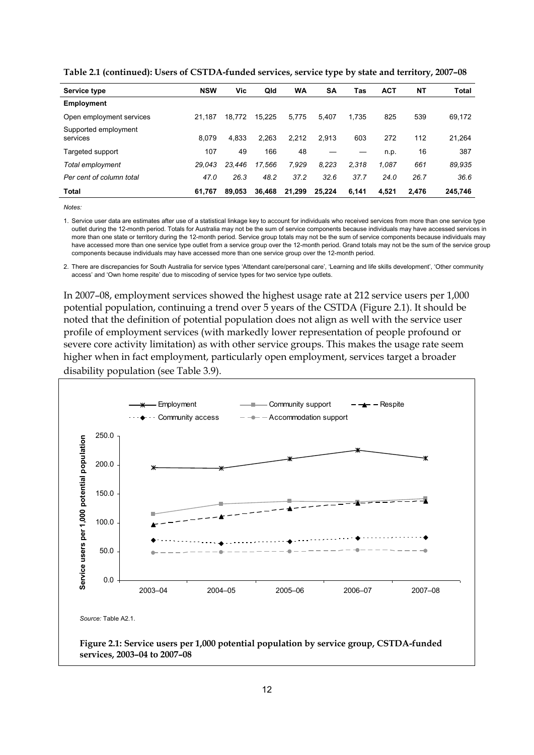| Service type                     | <b>NSW</b> | Vic    | Qld    | WA     | SΑ     | Tas   | <b>ACT</b> | NΤ    | <b>Total</b> |
|----------------------------------|------------|--------|--------|--------|--------|-------|------------|-------|--------------|
| <b>Employment</b>                |            |        |        |        |        |       |            |       |              |
| Open employment services         | 21.187     | 18.772 | 15,225 | 5,775  | 5.407  | 1.735 | 825        | 539   | 69,172       |
| Supported employment<br>services | 8.079      | 4.833  | 2,263  | 2.212  | 2.913  | 603   | 272        | 112   | 21,264       |
| Targeted support                 | 107        | 49     | 166    | 48     |        |       | n.p.       | 16    | 387          |
| Total employment                 | 29.043     | 23.446 | 17.566 | 7.929  | 8.223  | 2.318 | 1.087      | 661   | 89,935       |
| Per cent of column total         | 47.0       | 26.3   | 48.2   | 37.2   | 32.6   | 37.7  | 24.0       | 26.7  | 36.6         |
| Total                            | 61.767     | 89.053 | 36,468 | 21.299 | 25.224 | 6,141 | 4,521      | 2.476 | 245,746      |

**Table 2.1 (continued): Users of CSTDA-funded services, service type by state and territory, 2007–08**

*Notes:* 

1. Service user data are estimates after use of a statistical linkage key to account for individuals who received services from more than one service type outlet during the 12-month period. Totals for Australia may not be the sum of service components because individuals may have accessed services in more than one state or territory during the 12-month period. Service group totals may not be the sum of service components because individuals may have accessed more than one service type outlet from a service group over the 12-month period. Grand totals may not be the sum of the service group components because individuals may have accessed more than one service group over the 12-month period.

2. There are discrepancies for South Australia for service types 'Attendant care/personal care', 'Learning and life skills development', 'Other community access' and 'Own home respite' due to miscoding of service types for two service type outlets.

In 2007–08, employment services showed the highest usage rate at 212 service users per 1,000 potential population, continuing a trend over 5 years of the CSTDA (Figure 2.1). It should be noted that the definition of potential population does not align as well with the service user profile of employment services (with markedly lower representation of people profound or severe core activity limitation) as with other service groups. This makes the usage rate seem higher when in fact employment, particularly open employment, services target a broader disability population (see Table 3.9).

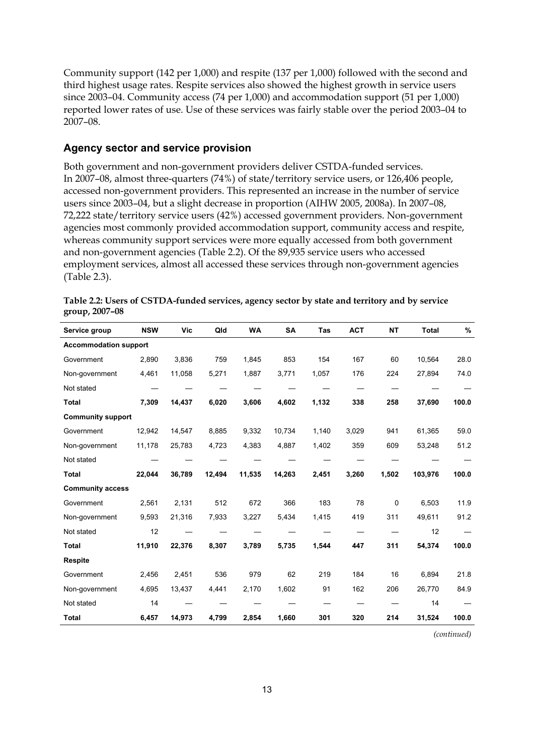Community support (142 per 1,000) and respite (137 per 1,000) followed with the second and third highest usage rates. Respite services also showed the highest growth in service users since 2003–04. Community access (74 per 1,000) and accommodation support (51 per 1,000) reported lower rates of use. Use of these services was fairly stable over the period 2003–04 to 2007–08.

#### **Agency sector and service provision**

Both government and non-government providers deliver CSTDA-funded services. In 2007–08, almost three-quarters (74%) of state/territory service users, or 126,406 people, accessed non-government providers. This represented an increase in the number of service users since 2003–04, but a slight decrease in proportion (AIHW 2005, 2008a). In 2007–08, 72,222 state/territory service users (42%) accessed government providers. Non-government agencies most commonly provided accommodation support, community access and respite, whereas community support services were more equally accessed from both government and non-government agencies (Table 2.2). Of the 89,935 service users who accessed employment services, almost all accessed these services through non-government agencies (Table 2.3).

| Service group                | <b>NSW</b> | Vic    | Qld    | <b>WA</b> | <b>SA</b> | <b>Tas</b> | <b>ACT</b> | <b>NT</b> | <b>Total</b> | %     |
|------------------------------|------------|--------|--------|-----------|-----------|------------|------------|-----------|--------------|-------|
| <b>Accommodation support</b> |            |        |        |           |           |            |            |           |              |       |
| Government                   | 2,890      | 3,836  | 759    | 1,845     | 853       | 154        | 167        | 60        | 10,564       | 28.0  |
| Non-government               | 4,461      | 11,058 | 5,271  | 1,887     | 3,771     | 1,057      | 176        | 224       | 27,894       | 74.0  |
| Not stated                   |            |        |        |           |           |            |            |           |              |       |
| <b>Total</b>                 | 7,309      | 14,437 | 6,020  | 3,606     | 4,602     | 1,132      | 338        | 258       | 37,690       | 100.0 |
| <b>Community support</b>     |            |        |        |           |           |            |            |           |              |       |
| Government                   | 12,942     | 14,547 | 8,885  | 9,332     | 10,734    | 1,140      | 3,029      | 941       | 61,365       | 59.0  |
| Non-government               | 11,178     | 25,783 | 4,723  | 4,383     | 4,887     | 1,402      | 359        | 609       | 53,248       | 51.2  |
| Not stated                   |            |        |        |           |           |            |            |           |              |       |
| <b>Total</b>                 | 22,044     | 36,789 | 12,494 | 11,535    | 14,263    | 2,451      | 3,260      | 1,502     | 103,976      | 100.0 |
| <b>Community access</b>      |            |        |        |           |           |            |            |           |              |       |
| Government                   | 2,561      | 2,131  | 512    | 672       | 366       | 183        | 78         | 0         | 6,503        | 11.9  |
| Non-government               | 9,593      | 21,316 | 7,933  | 3,227     | 5,434     | 1,415      | 419        | 311       | 49,611       | 91.2  |
| Not stated                   | 12         |        |        |           |           |            |            |           | 12           |       |
| <b>Total</b>                 | 11,910     | 22,376 | 8,307  | 3,789     | 5,735     | 1,544      | 447        | 311       | 54,374       | 100.0 |
| <b>Respite</b>               |            |        |        |           |           |            |            |           |              |       |
| Government                   | 2,456      | 2,451  | 536    | 979       | 62        | 219        | 184        | 16        | 6,894        | 21.8  |
| Non-government               | 4,695      | 13,437 | 4,441  | 2,170     | 1,602     | 91         | 162        | 206       | 26,770       | 84.9  |
| Not stated                   | 14         |        |        |           |           |            |            |           | 14           |       |
| <b>Total</b>                 | 6,457      | 14,973 | 4,799  | 2,854     | 1,660     | 301        | 320        | 214       | 31,524       | 100.0 |

**Table 2.2: Users of CSTDA-funded services, agency sector by state and territory and by service group, 2007–08** 

*(continued)*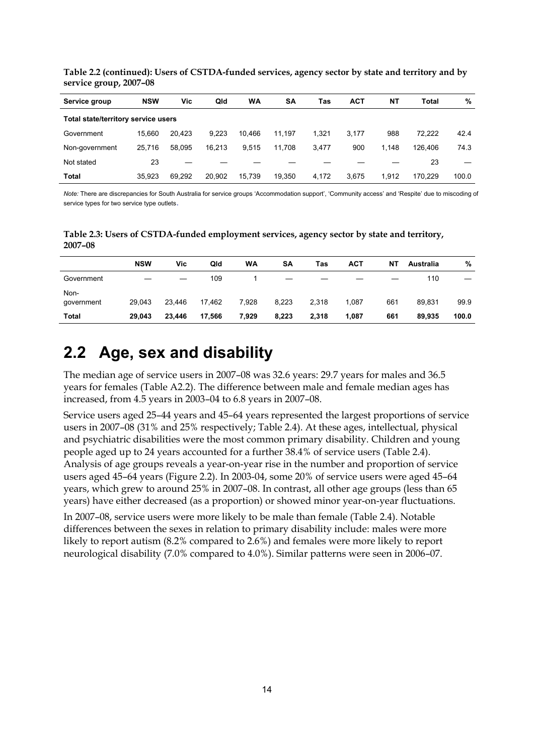**Table 2.2 (continued): Users of CSTDA-funded services, agency sector by state and territory and by service group, 2007–08** 

| Service group                       | <b>NSW</b> | Vic    | Qld    | WA     | SΑ     | Tas   | <b>ACT</b> | NT    | Total   | %     |  |
|-------------------------------------|------------|--------|--------|--------|--------|-------|------------|-------|---------|-------|--|
| Total state/territory service users |            |        |        |        |        |       |            |       |         |       |  |
| Government                          | 15.660     | 20.423 | 9.223  | 10.466 | 11.197 | 1.321 | 3.177      | 988   | 72.222  | 42.4  |  |
| Non-government                      | 25.716     | 58.095 | 16.213 | 9.515  | 11.708 | 3.477 | 900        | 1.148 | 126.406 | 74.3  |  |
| Not stated                          | 23         |        |        |        |        |       |            |       | 23      |       |  |
| Total                               | 35.923     | 69.292 | 20.902 | 15.739 | 19.350 | 4.172 | 3.675      | 1.912 | 170.229 | 100.0 |  |

*Note:* There are discrepancies for South Australia for service groups 'Accommodation support', 'Community access' and 'Respite' due to miscoding of service types for two service type outlets.

**Table 2.3: Users of CSTDA-funded employment services, agency sector by state and territory, 2007–08** 

|                    | <b>NSW</b> | Vic    | Qld    | WA    | <b>SA</b> | Tas   | <b>ACT</b> | NΤ  | Australia | %     |
|--------------------|------------|--------|--------|-------|-----------|-------|------------|-----|-----------|-------|
| Government         |            |        | 109    |       |           |       |            |     | 110       |       |
| Non-<br>government | 29.043     | 23.446 | 17,462 | 7,928 | 8,223     | 2,318 | 1,087      | 661 | 89.831    | 99.9  |
| <b>Total</b>       | 29.043     | 23,446 | 17,566 | 7,929 | 8,223     | 2,318 | 1,087      | 661 | 89.935    | 100.0 |
|                    |            |        |        |       |           |       |            |     |           |       |

## <span id="page-23-0"></span>**2.2 Age, sex and disability**

The median age of service users in 2007–08 was 32.6 years: 29.7 years for males and 36.5 years for females (Table A2.2). The difference between male and female median ages has increased, from 4.5 years in 2003–04 to 6.8 years in 2007–08.

Service users aged 25–44 years and 45–64 years represented the largest proportions of service users in 2007–08 (31% and 25% respectively; Table 2.4). At these ages, intellectual, physical and psychiatric disabilities were the most common primary disability. Children and young people aged up to 24 years accounted for a further 38.4% of service users (Table 2.4). Analysis of age groups reveals a year-on-year rise in the number and proportion of service users aged 45–64 years [\(Figure 2.2](#page-24-0)). In 2003-04, some 20% of service users were aged 45–64 years, which grew to around 25% in 2007–08. In contrast, all other age groups (less than 65 years) have either decreased (as a proportion) or showed minor year-on-year fluctuations.

In 2007–08, service users were more likely to be male than female (Table 2.4). Notable differences between the sexes in relation to primary disability include: males were more likely to report autism (8.2% compared to 2.6%) and females were more likely to report neurological disability (7.0% compared to 4.0%). Similar patterns were seen in 2006–07.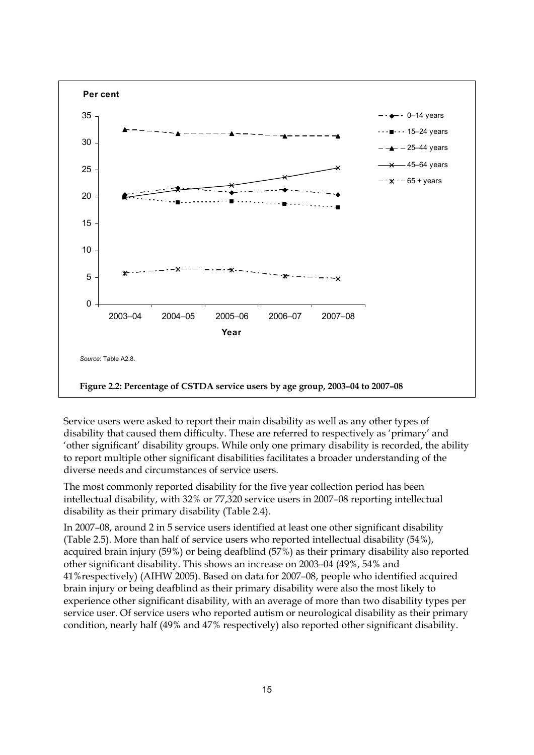

<span id="page-24-0"></span>Service users were asked to report their main disability as well as any other types of disability that caused them difficulty. These are referred to respectively as 'primary' and 'other significant' disability groups. While only one primary disability is recorded, the ability to report multiple other significant disabilities facilitates a broader understanding of the diverse needs and circumstances of service users.

The most commonly reported disability for the five year collection period has been intellectual disability, with 32% or 77,320 service users in 2007–08 reporting intellectual disability as their primary disability (Table 2.4).

In 2007–08, around 2 in 5 service users identified at least one other significant disability (Table 2.5). More than half of service users who reported intellectual disability (54%), acquired brain injury (59%) or being deafblind (57%) as their primary disability also reported other significant disability. This shows an increase on 2003–04 (49%, 54% and 41%respectively) (AIHW 2005). Based on data for 2007–08, people who identified acquired brain injury or being deafblind as their primary disability were also the most likely to experience other significant disability, with an average of more than two disability types per service user. Of service users who reported autism or neurological disability as their primary condition, nearly half (49% and 47% respectively) also reported other significant disability.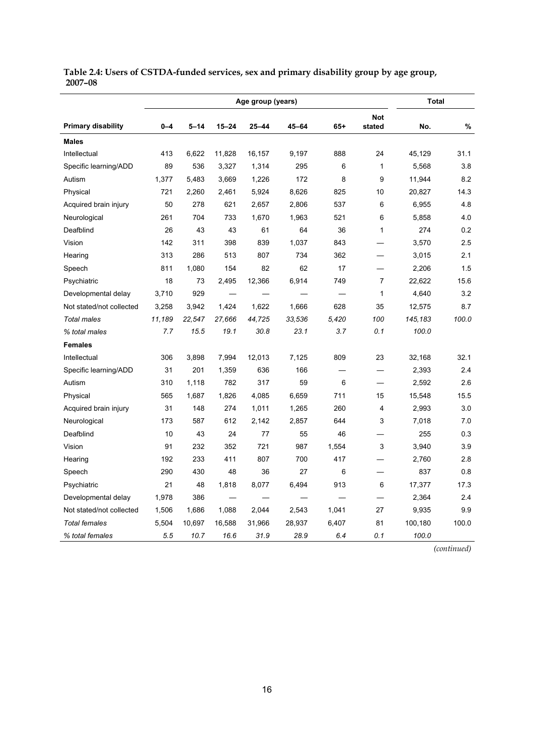|                           |         |          |           | Total             |           |        |                |         |       |
|---------------------------|---------|----------|-----------|-------------------|-----------|--------|----------------|---------|-------|
|                           |         |          |           | Age group (years) |           |        | <b>Not</b>     |         |       |
| <b>Primary disability</b> | $0 - 4$ | $5 - 14$ | $15 - 24$ | $25 - 44$         | $45 - 64$ | $65 +$ | stated         | No.     | %     |
| <b>Males</b>              |         |          |           |                   |           |        |                |         |       |
| Intellectual              | 413     | 6,622    | 11,828    | 16,157            | 9,197     | 888    | 24             | 45,129  | 31.1  |
| Specific learning/ADD     | 89      | 536      | 3,327     | 1,314             | 295       | 6      | $\mathbf{1}$   | 5,568   | 3.8   |
| Autism                    | 1,377   | 5,483    | 3,669     | 1,226             | 172       | 8      | 9              | 11,944  | 8.2   |
| Physical                  | 721     | 2,260    | 2,461     | 5,924             | 8,626     | 825    | 10             | 20,827  | 14.3  |
| Acquired brain injury     | 50      | 278      | 621       | 2,657             | 2,806     | 537    | 6              | 6,955   | 4.8   |
| Neurological              | 261     | 704      | 733       | 1,670             | 1,963     | 521    | 6              | 5,858   | 4.0   |
| Deafblind                 | 26      | 43       | 43        | 61                | 64        | 36     | 1              | 274     | 0.2   |
| Vision                    | 142     | 311      | 398       | 839               | 1,037     | 843    |                | 3,570   | 2.5   |
| Hearing                   | 313     | 286      | 513       | 807               | 734       | 362    |                | 3,015   | 2.1   |
| Speech                    | 811     | 1,080    | 154       | 82                | 62        | 17     |                | 2,206   | 1.5   |
| Psychiatric               | 18      | 73       | 2,495     | 12,366            | 6,914     | 749    | 7              | 22,622  | 15.6  |
| Developmental delay       | 3,710   | 929      |           |                   |           |        | 1              | 4,640   | 3.2   |
| Not stated/not collected  | 3,258   | 3,942    | 1,424     | 1,622             | 1,666     | 628    | 35             | 12,575  | 8.7   |
| <b>Total males</b>        | 11,189  | 22,547   | 27,666    | 44,725            | 33,536    | 5,420  | 100            | 145,183 | 100.0 |
| % total males             | 7.7     | 15.5     | 19.1      | 30.8              | 23.1      | 3.7    | 0.1            | 100.0   |       |
| <b>Females</b>            |         |          |           |                   |           |        |                |         |       |
| Intellectual              | 306     | 3,898    | 7,994     | 12,013            | 7,125     | 809    | 23             | 32,168  | 32.1  |
| Specific learning/ADD     | 31      | 201      | 1,359     | 636               | 166       |        |                | 2,393   | 2.4   |
| Autism                    | 310     | 1,118    | 782       | 317               | 59        | 6      |                | 2,592   | 2.6   |
| Physical                  | 565     | 1,687    | 1,826     | 4,085             | 6,659     | 711    | 15             | 15,548  | 15.5  |
| Acquired brain injury     | 31      | 148      | 274       | 1,011             | 1,265     | 260    | $\overline{4}$ | 2,993   | 3.0   |
| Neurological              | 173     | 587      | 612       | 2,142             | 2,857     | 644    | 3              | 7,018   | 7.0   |
| Deafblind                 | 10      | 43       | 24        | 77                | 55        | 46     |                | 255     | 0.3   |
| Vision                    | 91      | 232      | 352       | 721               | 987       | 1,554  | 3              | 3,940   | 3.9   |
| Hearing                   | 192     | 233      | 411       | 807               | 700       | 417    |                | 2,760   | 2.8   |
| Speech                    | 290     | 430      | 48        | 36                | 27        | 6      |                | 837     | 0.8   |
| Psychiatric               | 21      | 48       | 1,818     | 8,077             | 6,494     | 913    | 6              | 17,377  | 17.3  |
| Developmental delay       | 1,978   | 386      |           |                   |           |        |                | 2,364   | 2.4   |
| Not stated/not collected  | 1,506   | 1,686    | 1,088     | 2,044             | 2,543     | 1,041  | 27             | 9,935   | 9.9   |
| <b>Total females</b>      | 5,504   | 10,697   | 16,588    | 31,966            | 28,937    | 6,407  | 81             | 100,180 | 100.0 |
| % total females           | 5.5     | 10.7     | 16.6      | 31.9              | 28.9      | 6.4    | 0.1            | 100.0   |       |

**Table 2.4: Users of CSTDA-funded services, sex and primary disability group by age group, 2007–08** 

 *(continued)*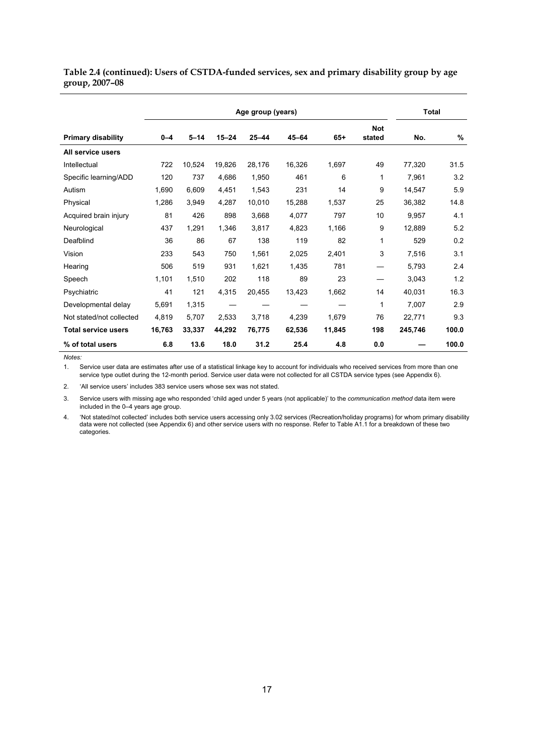#### **Table 2.4 (continued): Users of CSTDA-funded services, sex and primary disability group by age group, 2007–08**

|                            |         |          |           | Age group (years) |           |        |                      | <b>Total</b> |       |
|----------------------------|---------|----------|-----------|-------------------|-----------|--------|----------------------|--------------|-------|
| <b>Primary disability</b>  | $0 - 4$ | $5 - 14$ | $15 - 24$ | $25 - 44$         | $45 - 64$ | $65+$  | <b>Not</b><br>stated | No.          | $\%$  |
| All service users          |         |          |           |                   |           |        |                      |              |       |
| Intellectual               | 722     | 10,524   | 19,826    | 28,176            | 16,326    | 1,697  | 49                   | 77,320       | 31.5  |
| Specific learning/ADD      | 120     | 737      | 4,686     | 1,950             | 461       | 6      | 1                    | 7,961        | 3.2   |
| Autism                     | 1,690   | 6,609    | 4,451     | 1,543             | 231       | 14     | 9                    | 14,547       | 5.9   |
| Physical                   | 1,286   | 3,949    | 4,287     | 10,010            | 15,288    | 1,537  | 25                   | 36,382       | 14.8  |
| Acquired brain injury      | 81      | 426      | 898       | 3.668             | 4,077     | 797    | 10                   | 9,957        | 4.1   |
| Neurological               | 437     | 1.291    | 1.346     | 3.817             | 4,823     | 1.166  | 9                    | 12.889       | 5.2   |
| Deafblind                  | 36      | 86       | 67        | 138               | 119       | 82     | 1                    | 529          | 0.2   |
| Vision                     | 233     | 543      | 750       | 1,561             | 2,025     | 2,401  | 3                    | 7,516        | 3.1   |
| Hearing                    | 506     | 519      | 931       | 1,621             | 1,435     | 781    |                      | 5,793        | 2.4   |
| Speech                     | 1,101   | 1,510    | 202       | 118               | 89        | 23     |                      | 3,043        | 1.2   |
| Psychiatric                | 41      | 121      | 4,315     | 20,455            | 13,423    | 1,662  | 14                   | 40,031       | 16.3  |
| Developmental delay        | 5,691   | 1,315    |           |                   |           |        | 1                    | 7,007        | 2.9   |
| Not stated/not collected   | 4.819   | 5.707    | 2.533     | 3.718             | 4.239     | 1.679  | 76                   | 22.771       | 9.3   |
| <b>Total service users</b> | 16,763  | 33,337   | 44,292    | 76,775            | 62,536    | 11,845 | 198                  | 245,746      | 100.0 |
| % of total users           | 6.8     | 13.6     | 18.0      | 31.2              | 25.4      | 4.8    | 0.0                  |              | 100.0 |

*Notes:* 

1. Service user data are estimates after use of a statistical linkage key to account for individuals who received services from more than one service type outlet during the 12-month period. Service user data were not collected for all CSTDA service types (see Appendix 6).

2. 'All service users' includes 383 service users whose sex was not stated.

3. Service users with missing age who responded 'child aged under 5 years (not applicable)' to the *communication method* data item were included in the 0–4 years age group.

4. 'Not stated/not collected' includes both service users accessing only 3.02 services (Recreation/holiday programs) for whom primary disability data were not collected (see Appendix 6) and other service users with no response. Refer to Table A1.1 for a breakdown of these two categories.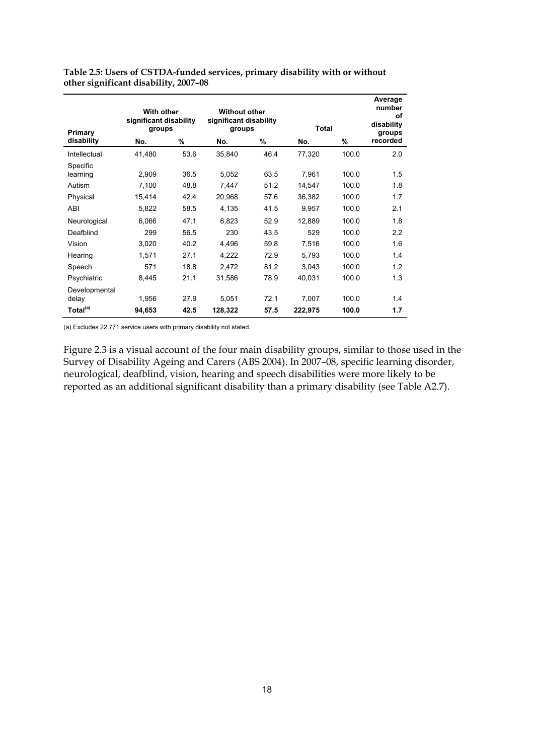| Primary                | <b>With other</b><br>significant disability<br>groups |      | <b>Without other</b><br>significant disability<br>groups |      | <b>Total</b> |       | Average<br>number<br>οf<br>disability<br>groups |  |
|------------------------|-------------------------------------------------------|------|----------------------------------------------------------|------|--------------|-------|-------------------------------------------------|--|
| disability             | No.                                                   | %    | No.                                                      | %    | No.          | %     | recorded                                        |  |
| Intellectual           | 41,480                                                | 53.6 | 35,840                                                   | 46.4 | 77,320       | 100.0 | 2.0                                             |  |
| Specific               |                                                       |      |                                                          |      |              |       |                                                 |  |
| learning               | 2,909                                                 | 36.5 | 5,052                                                    | 63.5 | 7,961        | 100.0 | 1.5                                             |  |
| Autism                 | 7,100                                                 | 48.8 | 7,447                                                    | 51.2 | 14,547       | 100.0 | 1.8                                             |  |
| Physical               | 15,414                                                | 42.4 | 20,968                                                   | 57.6 | 36,382       | 100.0 | 1.7                                             |  |
| ABI                    | 5,822                                                 | 58.5 | 4,135                                                    | 41.5 | 9,957        | 100.0 | 2.1                                             |  |
| Neurological           | 6,066                                                 | 47.1 | 6,823                                                    | 52.9 | 12,889       | 100.0 | 1.8                                             |  |
| Deafblind              | 299                                                   | 56.5 | 230                                                      | 43.5 | 529          | 100.0 | 2.2                                             |  |
| Vision                 | 3,020                                                 | 40.2 | 4,496                                                    | 59.8 | 7,516        | 100.0 | 1.6                                             |  |
| Hearing                | 1,571                                                 | 27.1 | 4,222                                                    | 72.9 | 5,793        | 100.0 | 1.4                                             |  |
| Speech                 | 571                                                   | 18.8 | 2,472                                                    | 81.2 | 3,043        | 100.0 | 1.2                                             |  |
| Psychiatric            | 8,445                                                 | 21.1 | 31,586                                                   | 78.9 | 40,031       | 100.0 | 1.3                                             |  |
| Developmental<br>delay | 1,956                                                 | 27.9 | 5,051                                                    | 72.1 | 7,007        | 100.0 | 1.4                                             |  |
| Total <sup>(a)</sup>   | 94,653                                                | 42.5 | 128,322                                                  | 57.5 | 222,975      | 100.0 | 1.7                                             |  |

**Table 2.5: Users of CSTDA-funded services, primary disability with or without other significant disability, 2007–08** 

(a) Excludes 22,771 service users with primary disability not stated.

[Figure 2.3](#page-28-1) is a visual account of the four main disability groups, similar to those used in the Survey of Disability Ageing and Carers (ABS 2004). In 2007–08, specific learning disorder, neurological, deafblind, vision, hearing and speech disabilities were more likely to be reported as an additional significant disability than a primary disability (see Table A2.7).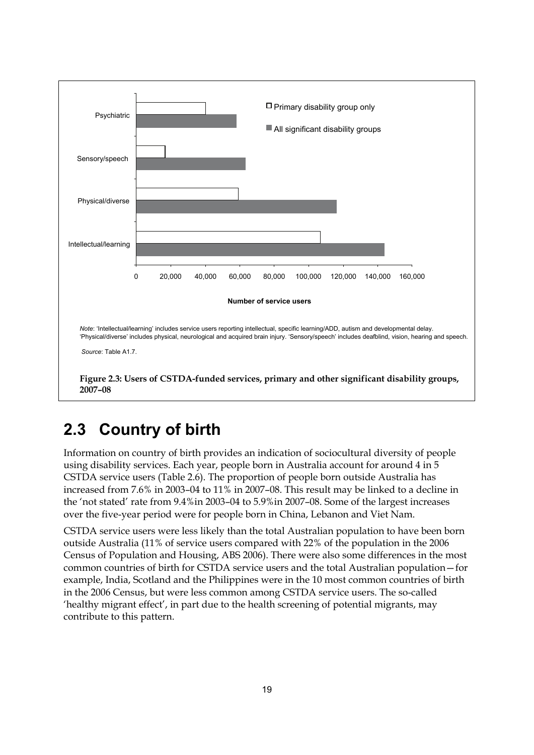

# <span id="page-28-1"></span><span id="page-28-0"></span>**2.3 Country of birth**

Information on country of birth provides an indication of sociocultural diversity of people using disability services. Each year, people born in Australia account for around 4 in 5 CSTDA service users (Table 2.6). The proportion of people born outside Australia has increased from 7.6% in 2003–04 to 11% in 2007–08. This result may be linked to a decline in the 'not stated' rate from 9.4%in 2003–04 to 5.9%in 2007–08. Some of the largest increases over the five-year period were for people born in China, Lebanon and Viet Nam.

CSTDA service users were less likely than the total Australian population to have been born outside Australia (11% of service users compared with 22% of the population in the 2006 Census of Population and Housing, ABS 2006). There were also some differences in the most common countries of birth for CSTDA service users and the total Australian population—for example, India, Scotland and the Philippines were in the 10 most common countries of birth in the 2006 Census, but were less common among CSTDA service users. The so-called 'healthy migrant effect', in part due to the health screening of potential migrants, may contribute to this pattern.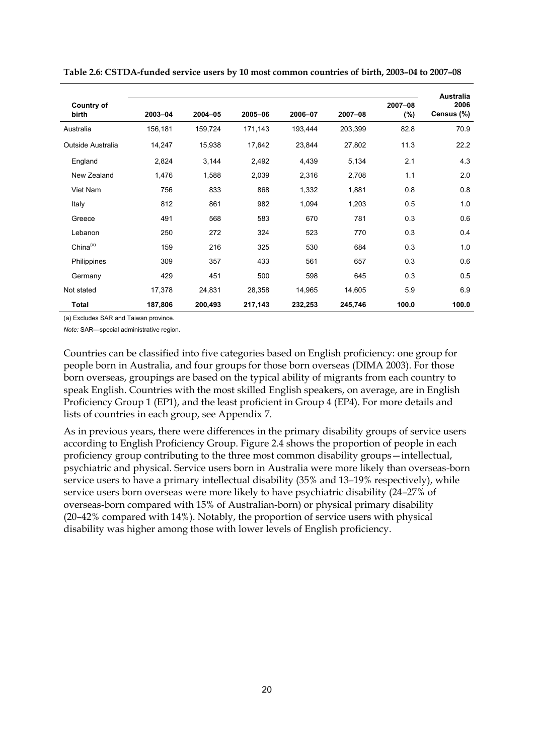| <b>Country of</b><br>birth | 2003-04 | 2004-05 | 2005-06 | 2006-07 | 2007-08 | 2007-08<br>(%) | <b>Australia</b><br>2006<br>Census (%) |
|----------------------------|---------|---------|---------|---------|---------|----------------|----------------------------------------|
| Australia                  | 156,181 | 159,724 | 171,143 | 193,444 | 203,399 | 82.8           | 70.9                                   |
| Outside Australia          | 14,247  | 15,938  | 17,642  | 23,844  | 27,802  | 11.3           | 22.2                                   |
| England                    | 2,824   | 3,144   | 2,492   | 4,439   | 5,134   | 2.1            | 4.3                                    |
| New Zealand                | 1,476   | 1,588   | 2,039   | 2,316   | 2,708   | 1.1            | 2.0                                    |
| Viet Nam                   | 756     | 833     | 868     | 1,332   | 1,881   | 0.8            | 0.8                                    |
| Italy                      | 812     | 861     | 982     | 1,094   | 1,203   | 0.5            | 1.0                                    |
| Greece                     | 491     | 568     | 583     | 670     | 781     | 0.3            | 0.6                                    |
| Lebanon                    | 250     | 272     | 324     | 523     | 770     | 0.3            | 0.4                                    |
| China $(a)$                | 159     | 216     | 325     | 530     | 684     | 0.3            | 1.0                                    |
| Philippines                | 309     | 357     | 433     | 561     | 657     | 0.3            | 0.6                                    |
| Germany                    | 429     | 451     | 500     | 598     | 645     | 0.3            | 0.5                                    |
| Not stated                 | 17,378  | 24,831  | 28,358  | 14,965  | 14,605  | 5.9            | 6.9                                    |
| <b>Total</b>               | 187,806 | 200,493 | 217,143 | 232,253 | 245,746 | 100.0          | 100.0                                  |

**Table 2.6: CSTDA-funded service users by 10 most common countries of birth, 2003–04 to 2007–08** 

(a) Excludes SAR and Taiwan province.

*Note:* SAR—special administrative region.

Countries can be classified into five categories based on English proficiency: one group for people born in Australia, and four groups for those born overseas (DIMA 2003). For those born overseas, groupings are based on the typical ability of migrants from each country to speak English. Countries with the most skilled English speakers, on average, are in English Proficiency Group 1 (EP1), and the least proficient in Group 4 (EP4). For more details and lists of countries in each group, see Appendix 7.

As in previous years, there were differences in the primary disability groups of service users according to English Proficiency Group. [Figure 2.4](#page-30-1) shows the proportion of people in each proficiency group contributing to the three most common disability groups—intellectual, psychiatric and physical. Service users born in Australia were more likely than overseas-born service users to have a primary intellectual disability (35% and 13–19% respectively), while service users born overseas were more likely to have psychiatric disability (24–27% of overseas-born compared with 15% of Australian-born) or physical primary disability (20–42% compared with 14%). Notably, the proportion of service users with physical disability was higher among those with lower levels of English proficiency.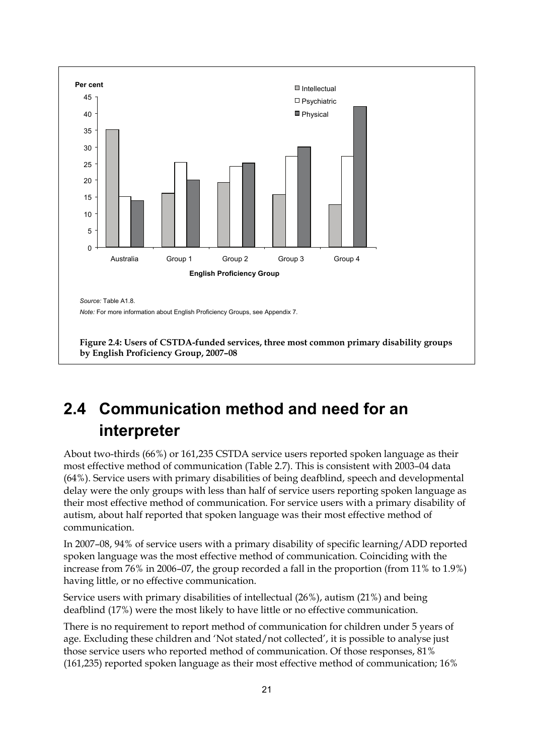

## <span id="page-30-1"></span><span id="page-30-0"></span>**2.4 Communication method and need for an interpreter**

About two-thirds (66%) or 161,235 CSTDA service users reported spoken language as their most effective method of communication (Table 2.7). This is consistent with 2003–04 data (64%). Service users with primary disabilities of being deafblind, speech and developmental delay were the only groups with less than half of service users reporting spoken language as their most effective method of communication. For service users with a primary disability of autism, about half reported that spoken language was their most effective method of communication.

In 2007–08, 94% of service users with a primary disability of specific learning/ADD reported spoken language was the most effective method of communication. Coinciding with the increase from 76% in 2006–07, the group recorded a fall in the proportion (from 11% to 1.9%) having little, or no effective communication.

Service users with primary disabilities of intellectual (26%), autism (21%) and being deafblind (17%) were the most likely to have little or no effective communication.

There is no requirement to report method of communication for children under 5 years of age. Excluding these children and 'Not stated/not collected', it is possible to analyse just those service users who reported method of communication. Of those responses, 81% (161,235) reported spoken language as their most effective method of communication; 16%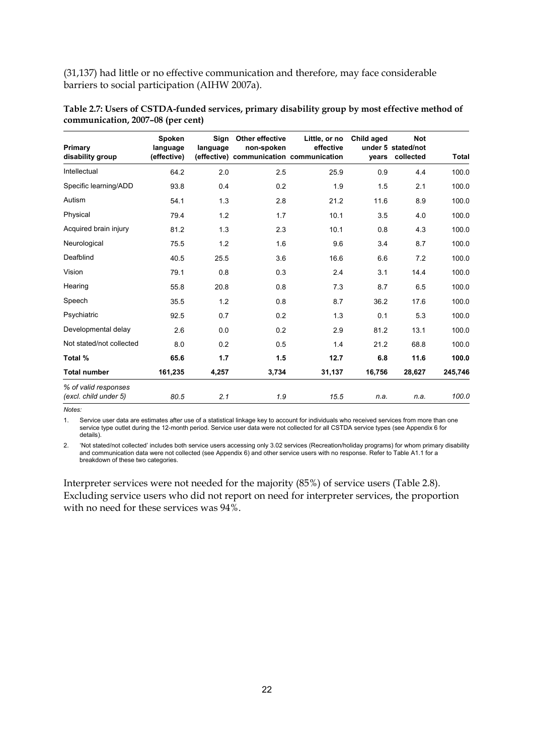(31,137) had little or no effective communication and therefore, may face considerable barriers to social participation (AIHW 2007a).

| Primary<br>disability group                   | Spoken<br>language<br>(effective) | Sign<br>language | Other effective<br>non-spoken | Little, or no<br>effective<br>(effective) communication communication | Child aged<br>vears | <b>Not</b><br>under 5 stated/not<br>collected | Total   |
|-----------------------------------------------|-----------------------------------|------------------|-------------------------------|-----------------------------------------------------------------------|---------------------|-----------------------------------------------|---------|
| Intellectual                                  | 64.2                              | 2.0              | 2.5                           | 25.9                                                                  | 0.9                 | 4.4                                           | 100.0   |
| Specific learning/ADD                         | 93.8                              | 0.4              | 0.2                           | 1.9                                                                   | 1.5                 | 2.1                                           | 100.0   |
| Autism                                        | 54.1                              | 1.3              | 2.8                           | 21.2                                                                  | 11.6                | 8.9                                           | 100.0   |
| Physical                                      | 79.4                              | 1.2              | 1.7                           | 10.1                                                                  | 3.5                 | 4.0                                           | 100.0   |
| Acquired brain injury                         | 81.2                              | 1.3              | 2.3                           | 10.1                                                                  | 0.8                 | 4.3                                           | 100.0   |
| Neurological                                  | 75.5                              | 1.2              | 1.6                           | 9.6                                                                   | 3.4                 | 8.7                                           | 100.0   |
| Deafblind                                     | 40.5                              | 25.5             | 3.6                           | 16.6                                                                  | 6.6                 | 7.2                                           | 100.0   |
| Vision                                        | 79.1                              | 0.8              | 0.3                           | 2.4                                                                   | 3.1                 | 14.4                                          | 100.0   |
| Hearing                                       | 55.8                              | 20.8             | 0.8                           | 7.3                                                                   | 8.7                 | 6.5                                           | 100.0   |
| Speech                                        | 35.5                              | 1.2              | 0.8                           | 8.7                                                                   | 36.2                | 17.6                                          | 100.0   |
| Psychiatric                                   | 92.5                              | 0.7              | 0.2                           | 1.3                                                                   | 0.1                 | 5.3                                           | 100.0   |
| Developmental delay                           | 2.6                               | 0.0              | 0.2                           | 2.9                                                                   | 81.2                | 13.1                                          | 100.0   |
| Not stated/not collected                      | 8.0                               | 0.2              | 0.5                           | 1.4                                                                   | 21.2                | 68.8                                          | 100.0   |
| Total %                                       | 65.6                              | 1.7              | 1.5                           | 12.7                                                                  | 6.8                 | 11.6                                          | 100.0   |
| <b>Total number</b>                           | 161,235                           | 4,257            | 3,734                         | 31,137                                                                | 16,756              | 28,627                                        | 245,746 |
| % of valid responses<br>(excl. child under 5) | 80.5                              | 2.1              | 1.9                           | 15.5                                                                  | n.a.                | n.a.                                          | 100.0   |

| Table 2.7: Users of CSTDA-funded services, primary disability group by most effective method of |  |  |
|-------------------------------------------------------------------------------------------------|--|--|
| communication, 2007–08 (per cent)                                                               |  |  |

*Notes:* 

1. Service user data are estimates after use of a statistical linkage key to account for individuals who received services from more than one service type outlet during the 12-month period. Service user data were not collected for all CSTDA service types (see Appendix 6 for details).

2. 'Not stated/not collected' includes both service users accessing only 3.02 services (Recreation/holiday programs) for whom primary disability and communication data were not collected (see Appendix 6) and other service users with no response. Refer to Table A1.1 for a breakdown of these two categories.

Interpreter services were not needed for the majority (85%) of service users [\(Table 2.8\)](#page-32-1). Excluding service users who did not report on need for interpreter services, the proportion with no need for these services was 94%.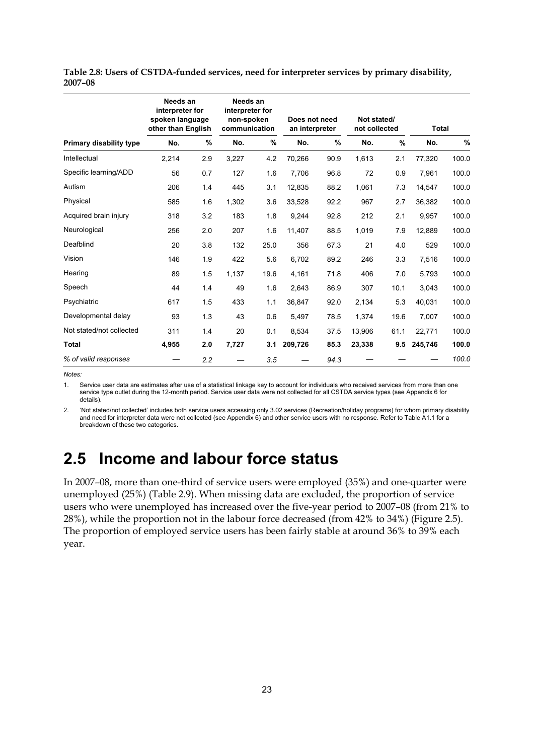|                                | Needs an<br>interpreter for<br>spoken language<br>other than English |     | Needs an<br>interpreter for<br>non-spoken<br>communication |      | Does not need<br>an interpreter |      | Not stated/<br>not collected |               | <b>Total</b> |       |
|--------------------------------|----------------------------------------------------------------------|-----|------------------------------------------------------------|------|---------------------------------|------|------------------------------|---------------|--------------|-------|
| <b>Primary disability type</b> | No.                                                                  | %   | No.                                                        | %    | No.                             | %    | No.                          | $\frac{9}{6}$ | No.          | $\%$  |
| Intellectual                   | 2,214                                                                | 2.9 | 3,227                                                      | 4.2  | 70,266                          | 90.9 | 1,613                        | 2.1           | 77,320       | 100.0 |
| Specific learning/ADD          | 56                                                                   | 0.7 | 127                                                        | 1.6  | 7,706                           | 96.8 | 72                           | 0.9           | 7,961        | 100.0 |
| Autism                         | 206                                                                  | 1.4 | 445                                                        | 3.1  | 12,835                          | 88.2 | 1,061                        | 7.3           | 14,547       | 100.0 |
| Physical                       | 585                                                                  | 1.6 | 1,302                                                      | 3.6  | 33,528                          | 92.2 | 967                          | 2.7           | 36,382       | 100.0 |
| Acquired brain injury          | 318                                                                  | 3.2 | 183                                                        | 1.8  | 9,244                           | 92.8 | 212                          | 2.1           | 9,957        | 100.0 |
| Neurological                   | 256                                                                  | 2.0 | 207                                                        | 1.6  | 11,407                          | 88.5 | 1,019                        | 7.9           | 12,889       | 100.0 |
| Deafblind                      | 20                                                                   | 3.8 | 132                                                        | 25.0 | 356                             | 67.3 | 21                           | 4.0           | 529          | 100.0 |
| Vision                         | 146                                                                  | 1.9 | 422                                                        | 5.6  | 6,702                           | 89.2 | 246                          | 3.3           | 7,516        | 100.0 |
| Hearing                        | 89                                                                   | 1.5 | 1,137                                                      | 19.6 | 4,161                           | 71.8 | 406                          | 7.0           | 5,793        | 100.0 |
| Speech                         | 44                                                                   | 1.4 | 49                                                         | 1.6  | 2,643                           | 86.9 | 307                          | 10.1          | 3,043        | 100.0 |
| Psychiatric                    | 617                                                                  | 1.5 | 433                                                        | 1.1  | 36,847                          | 92.0 | 2,134                        | 5.3           | 40,031       | 100.0 |
| Developmental delay            | 93                                                                   | 1.3 | 43                                                         | 0.6  | 5,497                           | 78.5 | 1,374                        | 19.6          | 7,007        | 100.0 |
| Not stated/not collected       | 311                                                                  | 1.4 | 20                                                         | 0.1  | 8,534                           | 37.5 | 13,906                       | 61.1          | 22,771       | 100.0 |
| <b>Total</b>                   | 4,955                                                                | 2.0 | 7,727                                                      | 3.1  | 209,726                         | 85.3 | 23,338                       | 9.5           | 245,746      | 100.0 |
| % of valid responses           |                                                                      | 2.2 |                                                            | 3.5  |                                 | 94.3 |                              |               |              | 100.0 |

<span id="page-32-1"></span>**Table 2.8: Users of CSTDA-funded services, need for interpreter services by primary disability, 2007–08** 

*Notes:* 

1. Service user data are estimates after use of a statistical linkage key to account for individuals who received services from more than one service type outlet during the 12-month period. Service user data were not collected for all CSTDA service types (see Appendix 6 for details).

2. 'Not stated/not collected' includes both service users accessing only 3.02 services (Recreation/holiday programs) for whom primary disability and need for interpreter data were not collected (see Appendix 6) and other service users with no response. Refer to Table A1.1 for a breakdown of these two categories.

## <span id="page-32-0"></span>**2.5 Income and labour force status**

In 2007–08, more than one-third of service users were employed (35%) and one-quarter were unemployed (25%) (Table 2.9). When missing data are excluded, the proportion of service users who were unemployed has increased over the five-year period to 2007–08 (from 21% to 28%), while the proportion not in the labour force decreased (from 42% to 34%) [\(Figure 2.5](#page-33-0)). The proportion of employed service users has been fairly stable at around 36% to 39% each year.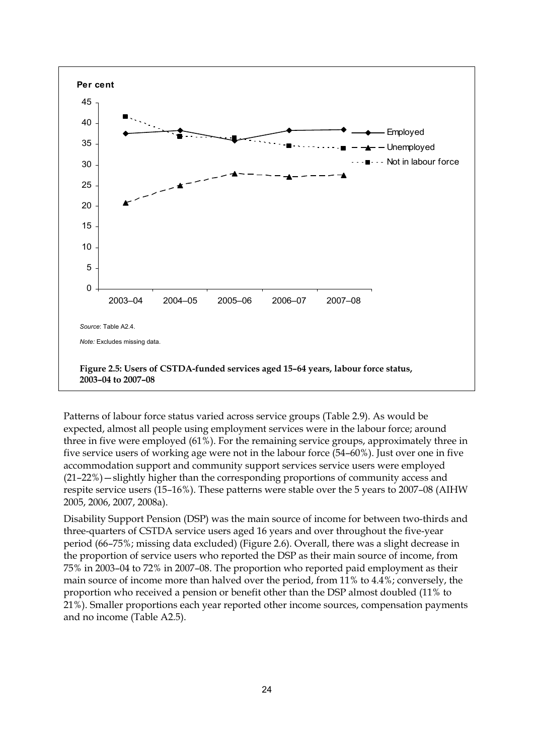

<span id="page-33-0"></span>Patterns of labour force status varied across service groups (Table 2.9). As would be expected, almost all people using employment services were in the labour force; around three in five were employed (61%). For the remaining service groups, approximately three in five service users of working age were not in the labour force (54–60%). Just over one in five accommodation support and community support services service users were employed (21–22%)—slightly higher than the corresponding proportions of community access and respite service users (15–16%). These patterns were stable over the 5 years to 2007–08 (AIHW 2005, 2006, 2007, 2008a).

Disability Support Pension (DSP) was the main source of income for between two-thirds and three-quarters of CSTDA service users aged 16 years and over throughout the five-year period (66–75%; missing data excluded) ([Figure 2.6](#page-34-0)). Overall, there was a slight decrease in the proportion of service users who reported the DSP as their main source of income, from 75% in 2003–04 to 72% in 2007–08. The proportion who reported paid employment as their main source of income more than halved over the period, from 11% to 4.4%; conversely, the proportion who received a pension or benefit other than the DSP almost doubled (11% to 21%). Smaller proportions each year reported other income sources, compensation payments and no income (Table A2.5).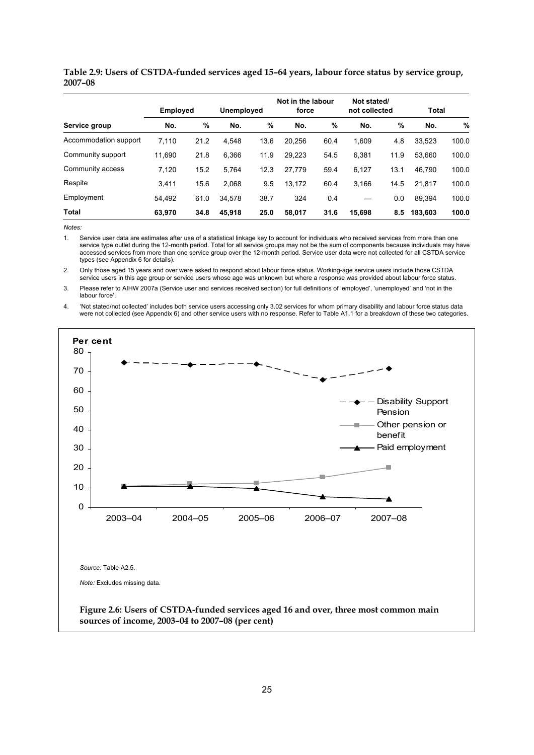|                       | <b>Employed</b> |      | <b>Unemployed</b> |      | Not in the labour<br>force |      | Not stated/<br>not collected |      | Total   |       |
|-----------------------|-----------------|------|-------------------|------|----------------------------|------|------------------------------|------|---------|-------|
| Service group         | No.             | %    | No.               | %    | No.                        | %    | No.                          | %    | No.     | %     |
| Accommodation support | 7,110           | 21.2 | 4.548             | 13.6 | 20.256                     | 60.4 | 1,609                        | 4.8  | 33.523  | 100.0 |
| Community support     | 11,690          | 21.8 | 6,366             | 11.9 | 29.223                     | 54.5 | 6,381                        | 11.9 | 53.660  | 100.0 |
| Community access      | 7,120           | 15.2 | 5,764             | 12.3 | 27,779                     | 59.4 | 6,127                        | 13.1 | 46.790  | 100.0 |
| Respite               | 3.411           | 15.6 | 2,068             | 9.5  | 13.172                     | 60.4 | 3,166                        | 14.5 | 21.817  | 100.0 |
| Employment            | 54.492          | 61.0 | 34.578            | 38.7 | 324                        | 0.4  |                              | 0.0  | 89.394  | 100.0 |
| <b>Total</b>          | 63.970          | 34.8 | 45.918            | 25.0 | 58.017                     | 31.6 | 15,698                       | 8.5  | 183.603 | 100.0 |

**Table 2.9: Users of CSTDA-funded services aged 15–64 years, labour force status by service group, 2007–08** 

*Notes:* 

1. Service user data are estimates after use of a statistical linkage key to account for individuals who received services from more than one service type outlet during the 12-month period. Total for all service groups may not be the sum of components because individuals may have accessed services from more than one service group over the 12-month period. Service user data were not collected for all CSTDA service types (see Appendix 6 for details).

2. Only those aged 15 years and over were asked to respond about labour force status. Working-age service users include those CSTDA service users in this age group or service users whose age was unknown but where a response was provided about labour force status.

3. Please refer to AIHW 2007a (Service user and services received section) for full definitions of 'employed', 'unemployed' and 'not in the labour force'.

4. 'Not stated/not collected' includes both service users accessing only 3.02 services for whom primary disability and labour force status data were not collected (see Appendix 6) and other service users with no response. Refer to Table A1.1 for a breakdown of these two categories.

<span id="page-34-0"></span>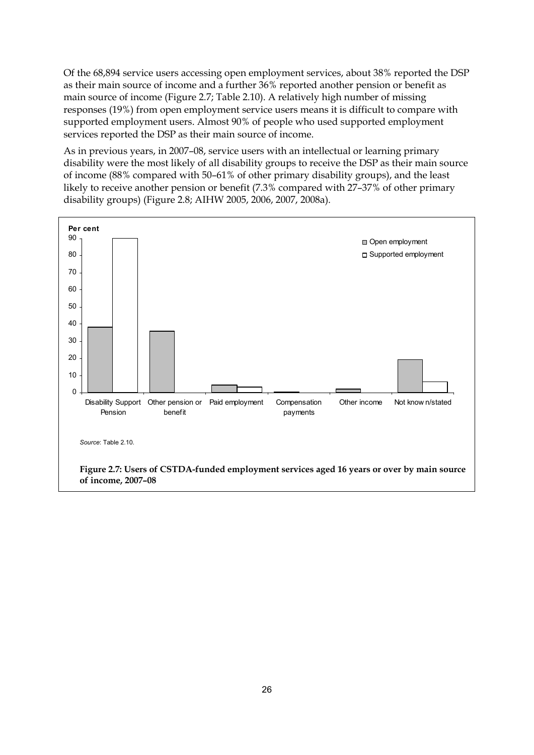Of the 68,894 service users accessing open employment services, about 38% reported the DSP as their main source of income and a further 36% reported another pension or benefit as main source of income [\(Figure 2.7;](#page-35-0) Table 2.10). A relatively high number of missing responses (19%) from open employment service users means it is difficult to compare with supported employment users. Almost 90% of people who used supported employment services reported the DSP as their main source of income.

As in previous years, in 2007–08, service users with an intellectual or learning primary disability were the most likely of all disability groups to receive the DSP as their main source of income (88% compared with 50–61% of other primary disability groups), and the least likely to receive another pension or benefit (7.3% compared with 27–37% of other primary disability groups) ([Figure 2.8;](#page-37-0) AIHW 2005, 2006, 2007, 2008a).

<span id="page-35-0"></span>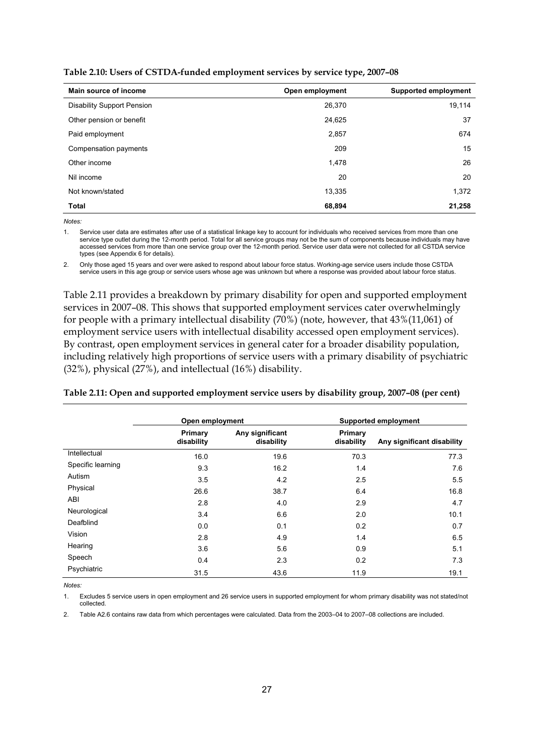**Table 2.10: Users of CSTDA-funded employment services by service type, 2007–08**

| Main source of income             | Open employment | <b>Supported employment</b> |
|-----------------------------------|-----------------|-----------------------------|
| <b>Disability Support Pension</b> | 26,370          | 19,114                      |
| Other pension or benefit          | 24,625          | 37                          |
| Paid employment                   | 2,857           | 674                         |
| Compensation payments             | 209             | 15                          |
| Other income                      | 1,478           | 26                          |
| Nil income                        | 20              | 20                          |
| Not known/stated                  | 13,335          | 1,372                       |
| <b>Total</b>                      | 68,894          | 21,258                      |

*Notes:* 

1. Service user data are estimates after use of a statistical linkage key to account for individuals who received services from more than one service type outlet during the 12-month period. Total for all service groups may not be the sum of components because individuals may have accessed services from more than one service group over the 12-month period. Service user data were not collected for all CSTDA service types (see Appendix 6 for details).

2. Only those aged 15 years and over were asked to respond about labour force status. Working-age service users include those CSTDA service users in this age group or service users whose age was unknown but where a response was provided about labour force status.

Table 2.11 provides a breakdown by primary disability for open and supported employment services in 2007–08. This shows that supported employment services cater overwhelmingly for people with a primary intellectual disability (70%) (note, however, that 43%(11,061) of employment service users with intellectual disability accessed open employment services). By contrast, open employment services in general cater for a broader disability population, including relatively high proportions of service users with a primary disability of psychiatric (32%), physical (27%), and intellectual (16%) disability.

|                   | Open employment       |                               | <b>Supported employment</b> |                            |  |  |
|-------------------|-----------------------|-------------------------------|-----------------------------|----------------------------|--|--|
|                   | Primary<br>disability | Any significant<br>disability | Primary<br>disability       | Any significant disability |  |  |
| Intellectual      | 16.0                  | 19.6                          | 70.3                        | 77.3                       |  |  |
| Specific learning | 9.3                   | 16.2                          | 1.4                         | 7.6                        |  |  |
| Autism            | 3.5                   | 4.2                           | 2.5                         | 5.5                        |  |  |
| Physical          | 26.6                  | 38.7                          | 6.4                         | 16.8                       |  |  |
| ABI               | 2.8                   | 4.0                           | 2.9                         | 4.7                        |  |  |
| Neurological      | 3.4                   | 6.6                           | 2.0                         | 10.1                       |  |  |
| Deafblind         | 0.0                   | 0.1                           | 0.2                         | 0.7                        |  |  |
| Vision            | 2.8                   | 4.9                           | 1.4                         | 6.5                        |  |  |
| Hearing           | 3.6                   | 5.6                           | 0.9                         | 5.1                        |  |  |
| Speech            | 0.4                   | 2.3                           | 0.2                         | 7.3                        |  |  |
| Psychiatric       | 31.5                  | 43.6                          | 11.9                        | 19.1                       |  |  |

#### **Table 2.11: Open and supported employment service users by disability group, 2007–08 (per cent)**

*Notes:* 

1. Excludes 5 service users in open employment and 26 service users in supported employment for whom primary disability was not stated/not collected.

2. Table A2.6 contains raw data from which percentages were calculated. Data from the 2003–04 to 2007–08 collections are included.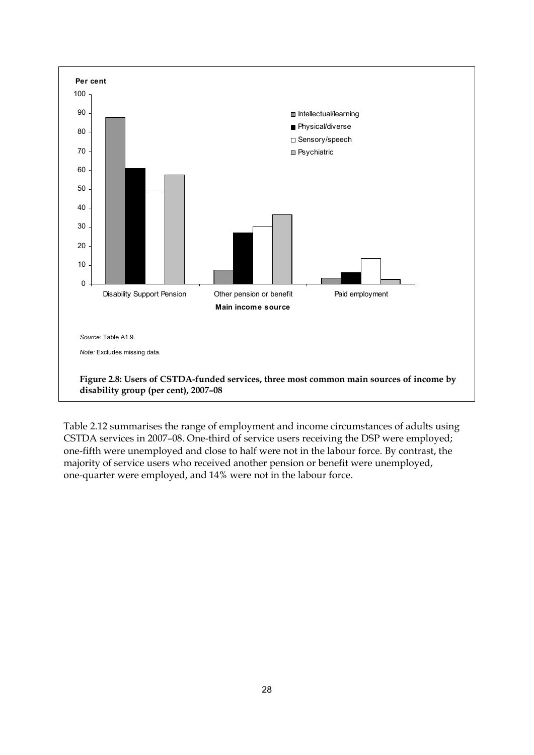

Table 2.12 summarises the range of employment and income circumstances of adults using CSTDA services in 2007–08. One-third of service users receiving the DSP were employed; one-fifth were unemployed and close to half were not in the labour force. By contrast, the majority of service users who received another pension or benefit were unemployed, one-quarter were employed, and 14% were not in the labour force.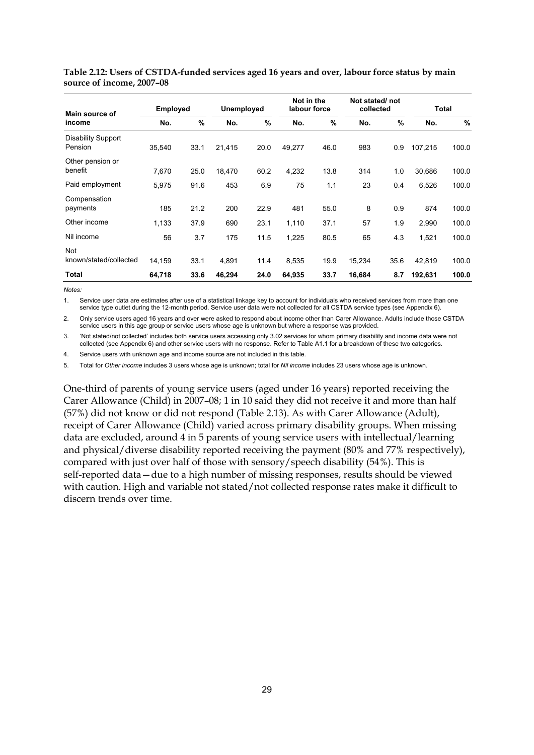| Main source of                       | <b>Employed</b> |      |        | Unemployed |        | Not in the<br>labour force |        | Not stated/not<br>collected |         | Total |  |
|--------------------------------------|-----------------|------|--------|------------|--------|----------------------------|--------|-----------------------------|---------|-------|--|
| income                               | No.             | %    | No.    | %          | No.    | %                          | No.    | $\%$                        | No.     | %     |  |
| <b>Disability Support</b><br>Pension | 35.540          | 33.1 | 21.415 | 20.0       | 49,277 | 46.0                       | 983    | 0.9                         | 107.215 | 100.0 |  |
| Other pension or<br>benefit          | 7,670           | 25.0 | 18,470 | 60.2       | 4,232  | 13.8                       | 314    | 1.0                         | 30,686  | 100.0 |  |
| Paid employment                      | 5,975           | 91.6 | 453    | 6.9        | 75     | 1.1                        | 23     | 0.4                         | 6,526   | 100.0 |  |
| Compensation<br>payments             | 185             | 21.2 | 200    | 22.9       | 481    | 55.0                       | 8      | 0.9                         | 874     | 100.0 |  |
| Other income                         | 1,133           | 37.9 | 690    | 23.1       | 1,110  | 37.1                       | 57     | 1.9                         | 2,990   | 100.0 |  |
| Nil income                           | 56              | 3.7  | 175    | 11.5       | 1,225  | 80.5                       | 65     | 4.3                         | 1,521   | 100.0 |  |
| <b>Not</b><br>known/stated/collected | 14,159          | 33.1 | 4,891  | 11.4       | 8,535  | 19.9                       | 15,234 | 35.6                        | 42,819  | 100.0 |  |
| Total                                | 64,718          | 33.6 | 46,294 | 24.0       | 64,935 | 33.7                       | 16,684 | 8.7                         | 192,631 | 100.0 |  |

**Table 2.12: Users of CSTDA-funded services aged 16 years and over, labour force status by main source of income, 2007–08** 

*Notes:* 

1. Service user data are estimates after use of a statistical linkage key to account for individuals who received services from more than one service type outlet during the 12-month period. Service user data were not collected for all CSTDA service types (see Appendix 6).

2. Only service users aged 16 years and over were asked to respond about income other than Carer Allowance. Adults include those CSTDA service users in this age group or service users whose age is unknown but where a response was provided.

3. 'Not stated/not collected' includes both service users accessing only 3.02 services for whom primary disability and income data were not collected (see Appendix 6) and other service users with no response. Refer to Table A1.1 for a breakdown of these two categories.

4. Service users with unknown age and income source are not included in this table.

5. Total for *Other income* includes 3 users whose age is unknown; total for *Nil income* includes 23 users whose age is unknown.

One-third of parents of young service users (aged under 16 years) reported receiving the Carer Allowance (Child) in 2007–08; 1 in 10 said they did not receive it and more than half (57%) did not know or did not respond (Table 2.13). As with Carer Allowance (Adult), receipt of Carer Allowance (Child) varied across primary disability groups. When missing data are excluded, around 4 in 5 parents of young service users with intellectual/learning and physical/diverse disability reported receiving the payment (80% and 77% respectively), compared with just over half of those with sensory/speech disability (54%). This is self-reported data—due to a high number of missing responses, results should be viewed with caution. High and variable not stated/not collected response rates make it difficult to discern trends over time.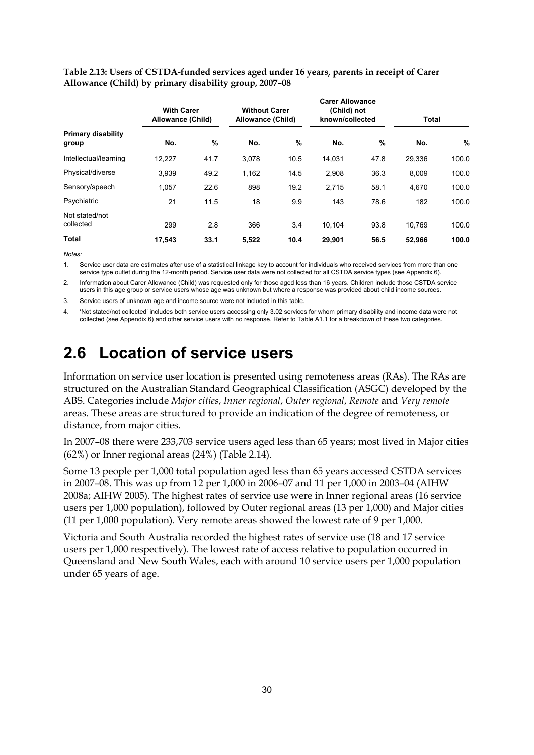|                                    | <b>With Carer</b><br>Allowance (Child) |      |       | <b>Without Carer</b><br>Allowance (Child) |        | <b>Carer Allowance</b><br>(Child) not<br>known/collected |        | Total |  |
|------------------------------------|----------------------------------------|------|-------|-------------------------------------------|--------|----------------------------------------------------------|--------|-------|--|
| <b>Primary disability</b><br>group | No.                                    | %    | No.   | $\%$                                      | No.    | %                                                        | No.    | %     |  |
| Intellectual/learning              | 12,227                                 | 41.7 | 3,078 | 10.5                                      | 14,031 | 47.8                                                     | 29,336 | 100.0 |  |
| Physical/diverse                   | 3,939                                  | 49.2 | 1,162 | 14.5                                      | 2,908  | 36.3                                                     | 8,009  | 100.0 |  |
| Sensory/speech                     | 1.057                                  | 22.6 | 898   | 19.2                                      | 2.715  | 58.1                                                     | 4.670  | 100.0 |  |
| Psychiatric                        | 21                                     | 11.5 | 18    | 9.9                                       | 143    | 78.6                                                     | 182    | 100.0 |  |
| Not stated/not<br>collected        | 299                                    | 2.8  | 366   | 3.4                                       | 10.104 | 93.8                                                     | 10.769 | 100.0 |  |
| Total                              | 17,543                                 | 33.1 | 5.522 | 10.4                                      | 29.901 | 56.5                                                     | 52,966 | 100.0 |  |

#### **Table 2.13: Users of CSTDA-funded services aged under 16 years, parents in receipt of Carer Allowance (Child) by primary disability group, 2007–08**

*Notes:* 

1. Service user data are estimates after use of a statistical linkage key to account for individuals who received services from more than one service type outlet during the 12-month period. Service user data were not collected for all CSTDA service types (see Appendix 6).

2. Information about Carer Allowance (Child) was requested only for those aged less than 16 years. Children include those CSTDA service users in this age group or service users whose age was unknown but where a response was provided about child income sources.

3. Service users of unknown age and income source were not included in this table.

4. 'Not stated/not collected' includes both service users accessing only 3.02 services for whom primary disability and income data were not collected (see Appendix 6) and other service users with no response. Refer to Table A1.1 for a breakdown of these two categories.

# **2.6 Location of service users**

Information on service user location is presented using remoteness areas (RAs). The RAs are structured on the Australian Standard Geographical Classification (ASGC) developed by the ABS. Categories include *Major cities*, *Inner regional*, *Outer regional*, *Remote* and *Very remote* areas. These areas are structured to provide an indication of the degree of remoteness, or distance, from major cities.

In 2007–08 there were 233,703 service users aged less than 65 years; most lived in Major cities (62%) or Inner regional areas (24%) (Table 2.14).

Some 13 people per 1,000 total population aged less than 65 years accessed CSTDA services in 2007–08. This was up from 12 per 1,000 in 2006–07 and 11 per 1,000 in 2003–04 (AIHW 2008a; AIHW 2005). The highest rates of service use were in Inner regional areas (16 service users per 1,000 population), followed by Outer regional areas (13 per 1,000) and Major cities (11 per 1,000 population). Very remote areas showed the lowest rate of 9 per 1,000.

Victoria and South Australia recorded the highest rates of service use (18 and 17 service users per 1,000 respectively). The lowest rate of access relative to population occurred in Queensland and New South Wales, each with around 10 service users per 1,000 population under 65 years of age.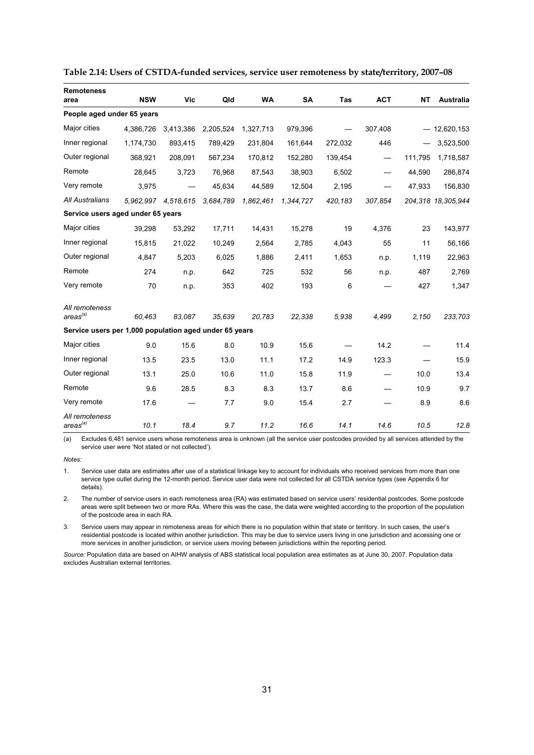| <b>Remoteness</b><br>area                              | <b>NSW</b> | Vic       | Qld       | <b>WA</b> | SA        | Tas     | <b>ACT</b>               | <b>NT</b> | <b>Australia</b>   |
|--------------------------------------------------------|------------|-----------|-----------|-----------|-----------|---------|--------------------------|-----------|--------------------|
| People aged under 65 years                             |            |           |           |           |           |         |                          |           |                    |
| Major cities                                           | 4,386,726  | 3,413,386 | 2,205,524 | 1,327,713 | 979,396   |         | 307,408                  |           | $-12,620,153$      |
| Inner regional                                         | 1,174,730  | 893,415   | 789,429   | 231.804   | 161,644   | 272,032 | 446                      |           | 3,523,500          |
| Outer regional                                         | 368,921    | 208,091   | 567,234   | 170,812   | 152,280   | 139,454 |                          | 111,795   | 1,718,587          |
| Remote                                                 | 28,645     | 3,723     | 76,968    | 87,543    | 38,903    | 6,502   | $\overline{\phantom{m}}$ | 44,590    | 286,874            |
| Very remote                                            | 3,975      |           | 45,634    | 44,589    | 12,504    | 2,195   |                          | 47,933    | 156,830            |
| All Australians                                        | 5.962.997  | 4.518.615 | 3,684,789 | 1,862,461 | 1,344,727 | 420,183 | 307,854                  |           | 204.318 18.305.944 |
| Service users aged under 65 years                      |            |           |           |           |           |         |                          |           |                    |
| Major cities                                           | 39.298     | 53.292    | 17,711    | 14,431    | 15,278    | 19      | 4.376                    | 23        | 143,977            |
| Inner regional                                         | 15,815     | 21,022    | 10,249    | 2,564     | 2,785     | 4,043   | 55                       | 11        | 56,166             |
| Outer regional                                         | 4,847      | 5,203     | 6,025     | 1,886     | 2,411     | 1,653   | n.p.                     | 1,119     | 22,963             |
| Remote                                                 | 274        | n.p.      | 642       | 725       | 532       | 56      | n.p.                     | 487       | 2,769              |
| Very remote                                            | 70         | n.p.      | 353       | 402       | 193       | 6       |                          | 427       | 1,347              |
| All remoteness<br>area <sup>(a)</sup>                  | 60.463     | 83.087    | 35.639    | 20,783    | 22,338    | 5,938   | 4,499                    | 2.150     | 233,703            |
| Service users per 1,000 population aged under 65 years |            |           |           |           |           |         |                          |           |                    |
| Major cities                                           | 9.0        | 15.6      | 8.0       | 10.9      | 15.6      |         | 14.2                     |           | 11.4               |
| Inner regional                                         | 13.5       | 23.5      | 13.0      | 11.1      | 17.2      | 14.9    | 123.3                    |           | 15.9               |
| Outer regional                                         | 13.1       | 25.0      | 10.6      | 11.0      | 15.8      | 11.9    |                          | 10.0      | 13.4               |
| Remote                                                 | 9.6        | 28.5      | 8.3       | 8.3       | 13.7      | 8.6     |                          | 10.9      | 9.7                |
| Very remote                                            | 17.6       |           | 7.7       | 9.0       | 15.4      | 2.7     |                          | 8.9       | 8.6                |
| All remoteness<br>$\arccos^{(a)}$                      | 10.1       | 18.4      | 9.7       | 11.2      | 16.6      | 14.1    | 14.6                     | 10.5      | 12.8               |

| Table 2.14: Users of CSTDA-funded services, service user remoteness by state/territory, 2007-08 |  |  |  |
|-------------------------------------------------------------------------------------------------|--|--|--|
|                                                                                                 |  |  |  |

(a) Excludes 6,481 service users whose remoteness area is unknown (all the service user postcodes provided by all services attended by the service user were 'Not stated or not collected').

*Notes:* 

1. Service user data are estimates after use of a statistical linkage key to account for individuals who received services from more than one service type outlet during the 12-month period. Service user data were not collected for all CSTDA service types (see Appendix 6 for details).

2. The number of service users in each remoteness area (RA) was estimated based on service users' residential postcodes. Some postcode areas were split between two or more RAs. Where this was the case, the data were weighted according to the proportion of the population of the postcode area in each RA.

3. Service users may appear in remoteness areas for which there is no population within that state or territory. In such cases, the user's residential postcode is located within another jurisdiction. This may be due to service users living in one jurisdiction and accessing one or more services in another jurisdiction, or service users moving between jurisdictions within the reporting period.

*Source:* Population data are based on AIHW analysis of ABS statistical local population area estimates as at June 30, 2007. Population data excludes Australian external territories.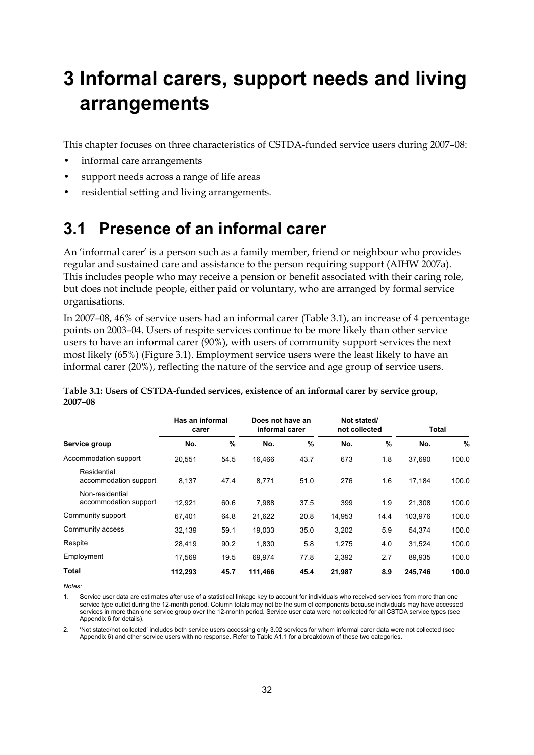# **3 Informal carers, support needs and living arrangements**

This chapter focuses on three characteristics of CSTDA-funded service users during 2007–08:

- informal care arrangements
- support needs across a range of life areas
- residential setting and living arrangements.

## **3.1 Presence of an informal carer**

An 'informal carer' is a person such as a family member, friend or neighbour who provides regular and sustained care and assistance to the person requiring support (AIHW 2007a). This includes people who may receive a pension or benefit associated with their caring role, but does not include people, either paid or voluntary, who are arranged by formal service organisations.

In 2007–08, 46% of service users had an informal carer ([Table 3.1\)](#page-41-0), an increase of 4 percentage points on 2003–04. Users of respite services continue to be more likely than other service users to have an informal carer (90%), with users of community support services the next most likely (65%) [\(Figure 3.1\)](#page-42-0). Employment service users were the least likely to have an informal carer (20%), reflecting the nature of the service and age group of service users.

|                                          | Has an informal<br>carer |      |         | Does not have an<br>informal carer |        | Not stated/<br>not collected |         | Total |  |
|------------------------------------------|--------------------------|------|---------|------------------------------------|--------|------------------------------|---------|-------|--|
| Service group                            | No.                      | $\%$ | No.     | $\%$                               | No.    | %                            | No.     | %     |  |
| Accommodation support                    | 20,551                   | 54.5 | 16.466  | 43.7                               | 673    | 1.8                          | 37,690  | 100.0 |  |
| Residential<br>accommodation support     | 8,137                    | 47.4 | 8,771   | 51.0                               | 276    | 1.6                          | 17,184  | 100.0 |  |
| Non-residential<br>accommodation support | 12.921                   | 60.6 | 7,988   | 37.5                               | 399    | 1.9                          | 21,308  | 100.0 |  |
| Community support                        | 67,401                   | 64.8 | 21,622  | 20.8                               | 14,953 | 14.4                         | 103,976 | 100.0 |  |
| Community access                         | 32,139                   | 59.1 | 19,033  | 35.0                               | 3,202  | 5.9                          | 54,374  | 100.0 |  |
| Respite                                  | 28,419                   | 90.2 | 1,830   | 5.8                                | 1,275  | 4.0                          | 31,524  | 100.0 |  |
| Employment                               | 17,569                   | 19.5 | 69,974  | 77.8                               | 2,392  | 2.7                          | 89,935  | 100.0 |  |
| Total                                    | 112,293                  | 45.7 | 111,466 | 45.4                               | 21,987 | 8.9                          | 245,746 | 100.0 |  |

<span id="page-41-0"></span>**Table 3.1: Users of CSTDA-funded services, existence of an informal carer by service group, 2007–08** 

*Notes:* 

1. Service user data are estimates after use of a statistical linkage key to account for individuals who received services from more than one service type outlet during the 12-month period. Column totals may not be the sum of components because individuals may have accessed services in more than one service group over the 12-month period. Service user data were not collected for all CSTDA service types (see Appendix 6 for details).

2. 'Not stated/not collected' includes both service users accessing only 3.02 services for whom informal carer data were not collected (see Appendix 6) and other service users with no response. Refer to Table A1.1 for a breakdown of these two categories.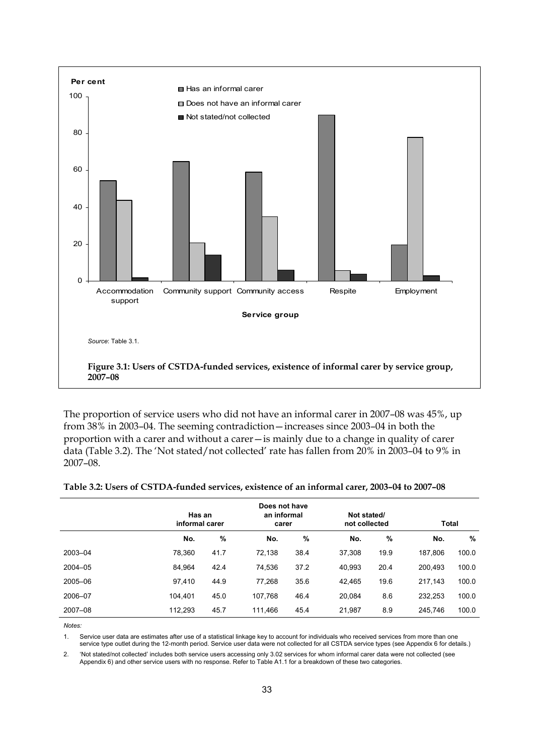

<span id="page-42-0"></span>The proportion of service users who did not have an informal carer in 2007–08 was 45%, up from 38% in 2003–04. The seeming contradiction—increases since 2003–04 in both the proportion with a carer and without a carer—is mainly due to a change in quality of carer data ([Table 3.2\)](#page-42-1). The 'Not stated/not collected' rate has fallen from 20% in 2003–04 to 9% in 2007–08.

<span id="page-42-1"></span>

|             | Has an<br>informal carer |      |         | Does not have<br>an informal<br>carer |        | Not stated/<br>not collected |         | Total |  |
|-------------|--------------------------|------|---------|---------------------------------------|--------|------------------------------|---------|-------|--|
|             | No.                      | %    | No.     | %                                     | No.    | %                            | No.     | %     |  |
| 2003-04     | 78,360                   | 41.7 | 72.138  | 38.4                                  | 37,308 | 19.9                         | 187.806 | 100.0 |  |
| $2004 - 05$ | 84,964                   | 42.4 | 74,536  | 37.2                                  | 40,993 | 20.4                         | 200,493 | 100.0 |  |
| 2005-06     | 97,410                   | 44.9 | 77.268  | 35.6                                  | 42,465 | 19.6                         | 217,143 | 100.0 |  |
| 2006-07     | 104.401                  | 45.0 | 107.768 | 46.4                                  | 20,084 | 8.6                          | 232,253 | 100.0 |  |
| 2007-08     | 112,293                  | 45.7 | 111,466 | 45.4                                  | 21,987 | 8.9                          | 245,746 | 100.0 |  |

#### **Table 3.2: Users of CSTDA-funded services, existence of an informal carer, 2003–04 to 2007–08**

*Notes:* 

1. Service user data are estimates after use of a statistical linkage key to account for individuals who received services from more than one service type outlet during the 12-month period. Service user data were not collected for all CSTDA service types (see Appendix 6 for details.)

2. 'Not stated/not collected' includes both service users accessing only 3.02 services for whom informal carer data were not collected (see Appendix 6) and other service users with no response. Refer to Table A1.1 for a breakdown of these two categories.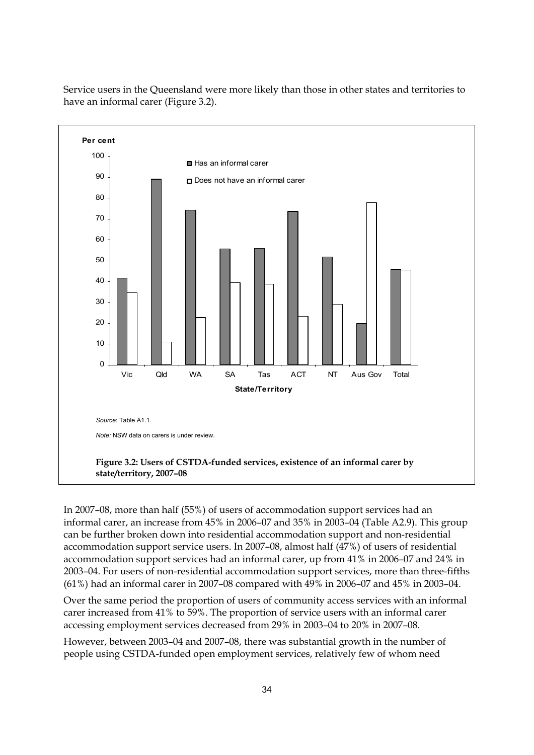

Service users in the Queensland were more likely than those in other states and territories to have an informal carer (Figure 3.2).

In 2007–08, more than half (55%) of users of accommodation support services had an informal carer, an increase from 45% in 2006–07 and 35% in 2003–04 (Table A2.9). This group can be further broken down into residential accommodation support and non-residential accommodation support service users. In 2007–08, almost half (47%) of users of residential accommodation support services had an informal carer, up from 41% in 2006–07 and 24% in 2003–04. For users of non-residential accommodation support services, more than three-fifths (61%) had an informal carer in 2007–08 compared with 49% in 2006–07 and 45% in 2003–04.

Over the same period the proportion of users of community access services with an informal carer increased from 41% to 59%. The proportion of service users with an informal carer accessing employment services decreased from 29% in 2003–04 to 20% in 2007–08.

However, between 2003–04 and 2007–08, there was substantial growth in the number of people using CSTDA-funded open employment services, relatively few of whom need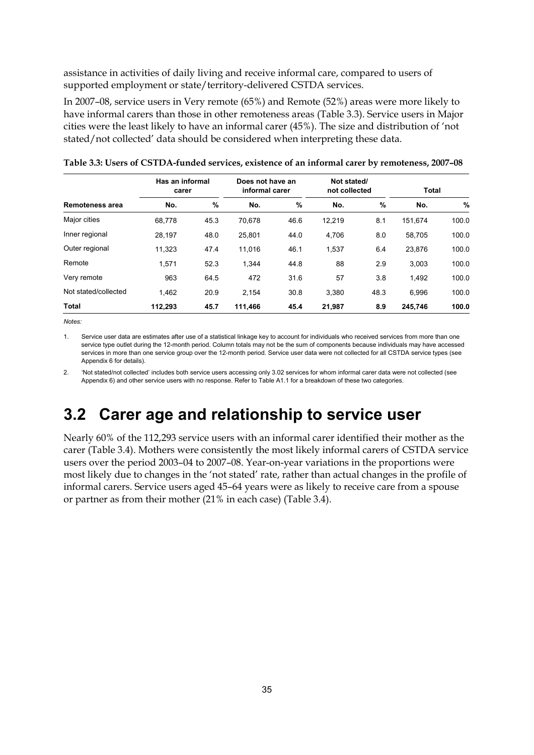assistance in activities of daily living and receive informal care, compared to users of supported employment or state/territory-delivered CSTDA services.

In 2007–08, service users in Very remote (65%) and Remote (52%) areas were more likely to have informal carers than those in other remoteness areas [\(Table 3.3](#page-44-0)). Service users in Major cities were the least likely to have an informal carer (45%). The size and distribution of 'not stated/not collected' data should be considered when interpreting these data.

|                        | Has an informal<br>carer |      |         | Does not have an<br>informal carer |        | Not stated/<br>not collected |         | <b>Total</b> |  |
|------------------------|--------------------------|------|---------|------------------------------------|--------|------------------------------|---------|--------------|--|
| <b>Remoteness area</b> | No.                      | %    | No.     | $\%$                               | No.    | %                            | No.     | %            |  |
| Major cities           | 68.778                   | 45.3 | 70,678  | 46.6                               | 12,219 | 8.1                          | 151,674 | 100.0        |  |
| Inner regional         | 28.197                   | 48.0 | 25.801  | 44.0                               | 4,706  | 8.0                          | 58.705  | 100.0        |  |
| Outer regional         | 11.323                   | 47.4 | 11,016  | 46.1                               | 1,537  | 6.4                          | 23,876  | 100.0        |  |
| Remote                 | 1.571                    | 52.3 | 1.344   | 44.8                               | 88     | 2.9                          | 3.003   | 100.0        |  |
| Very remote            | 963                      | 64.5 | 472     | 31.6                               | 57     | 3.8                          | 1,492   | 100.0        |  |
| Not stated/collected   | 1.462                    | 20.9 | 2.154   | 30.8                               | 3.380  | 48.3                         | 6.996   | 100.0        |  |
| <b>Total</b>           | 112,293                  | 45.7 | 111,466 | 45.4                               | 21,987 | 8.9                          | 245,746 | 100.0        |  |

<span id="page-44-0"></span>

| Table 3.3: Users of CSTDA-funded services, existence of an informal carer by remoteness, 2007–08 |  |  |  |
|--------------------------------------------------------------------------------------------------|--|--|--|
|--------------------------------------------------------------------------------------------------|--|--|--|

*Notes:* 

1. Service user data are estimates after use of a statistical linkage key to account for individuals who received services from more than one service type outlet during the 12-month period. Column totals may not be the sum of components because individuals may have accessed services in more than one service group over the 12-month period. Service user data were not collected for all CSTDA service types (see Appendix 6 for details).

2. 'Not stated/not collected' includes both service users accessing only 3.02 services for whom informal carer data were not collected (see Appendix 6) and other service users with no response. Refer to Table A1.1 for a breakdown of these two categories.

# **3.2 Carer age and relationship to service user**

Nearly 60% of the 112,293 service users with an informal carer identified their mother as the carer (Table 3.4). Mothers were consistently the most likely informal carers of CSTDA service users over the period 2003–04 to 2007–08. Year-on-year variations in the proportions were most likely due to changes in the 'not stated' rate, rather than actual changes in the profile of informal carers. Service users aged 45–64 years were as likely to receive care from a spouse or partner as from their mother (21% in each case) (Table 3.4).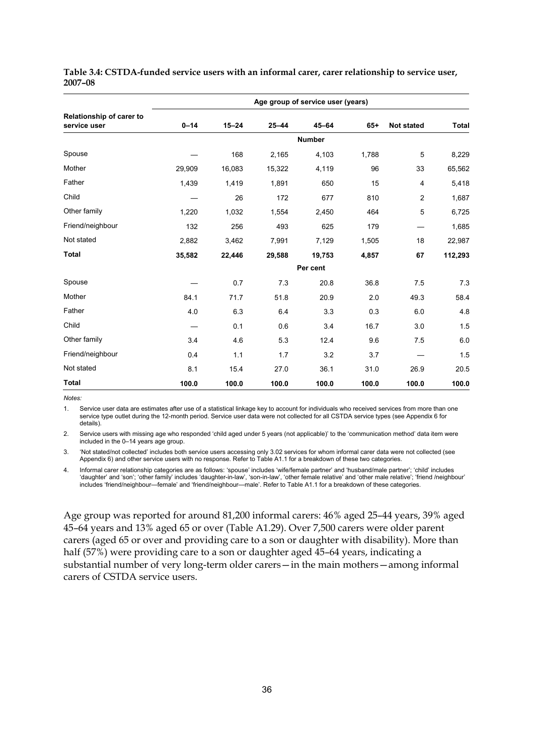|                                          | Age group of service user (years) |           |           |               |       |                   |              |  |  |
|------------------------------------------|-----------------------------------|-----------|-----------|---------------|-------|-------------------|--------------|--|--|
| Relationship of carer to<br>service user | $0 - 14$                          | $15 - 24$ | $25 - 44$ | $45 - 64$     | $65+$ | <b>Not stated</b> | <b>Total</b> |  |  |
|                                          |                                   |           |           | <b>Number</b> |       |                   |              |  |  |
| Spouse                                   |                                   | 168       | 2,165     | 4,103         | 1,788 | 5                 | 8,229        |  |  |
| Mother                                   | 29,909                            | 16,083    | 15,322    | 4,119         | 96    | 33                | 65,562       |  |  |
| Father                                   | 1,439                             | 1,419     | 1,891     | 650           | 15    | 4                 | 5,418        |  |  |
| Child                                    |                                   | 26        | 172       | 677           | 810   | $\overline{2}$    | 1,687        |  |  |
| Other family                             | 1,220                             | 1,032     | 1,554     | 2,450         | 464   | 5                 | 6,725        |  |  |
| Friend/neighbour                         | 132                               | 256       | 493       | 625           | 179   |                   | 1,685        |  |  |
| Not stated                               | 2,882                             | 3,462     | 7,991     | 7,129         | 1,505 | 18                | 22,987       |  |  |
| <b>Total</b>                             | 35,582                            | 22,446    | 29,588    | 19.753        | 4,857 | 67                | 112,293      |  |  |
|                                          |                                   |           |           | Per cent      |       |                   |              |  |  |
| Spouse                                   |                                   | 0.7       | 7.3       | 20.8          | 36.8  | 7.5               | 7.3          |  |  |
| Mother                                   | 84.1                              | 71.7      | 51.8      | 20.9          | 2.0   | 49.3              | 58.4         |  |  |
| Father                                   | 4.0                               | 6.3       | 6.4       | 3.3           | 0.3   | 6.0               | 4.8          |  |  |
| Child                                    |                                   | 0.1       | 0.6       | 3.4           | 16.7  | 3.0               | 1.5          |  |  |
| Other family                             | 3.4                               | 4.6       | 5.3       | 12.4          | 9.6   | 7.5               | 6.0          |  |  |
| Friend/neighbour                         | 0.4                               | 1.1       | 1.7       | 3.2           | 3.7   |                   | 1.5          |  |  |
| Not stated                               | 8.1                               | 15.4      | 27.0      | 36.1          | 31.0  | 26.9              | 20.5         |  |  |
| <b>Total</b>                             | 100.0                             | 100.0     | 100.0     | 100.0         | 100.0 | 100.0             | 100.0        |  |  |

**Table 3.4: CSTDA-funded service users with an informal carer, carer relationship to service user, 2007–08** 

*Notes:* 

1. Service user data are estimates after use of a statistical linkage key to account for individuals who received services from more than one service type outlet during the 12-month period. Service user data were not collected for all CSTDA service types (see Appendix 6 for details).

2. Service users with missing age who responded 'child aged under 5 years (not applicable)' to the 'communication method' data item were included in the 0–14 years age group.

3. 'Not stated/not collected' includes both service users accessing only 3.02 services for whom informal carer data were not collected (see Appendix 6) and other service users with no response. Refer to Table A1.1 for a breakdown of these two categories.

4. Informal carer relationship categories are as follows: 'spouse' includes 'wife/female partner' and 'husband/male partner'; 'child' includes 'daughter' and 'son'; 'other family' includes 'daughter-in-law', 'son-in-law', 'other female relative' and 'other male relative'; 'friend /neighbour' includes 'friend/neighbour—female' and 'friend/neighbour—male'. Refer to Table A1.1 for a breakdown of these categories.

Age group was reported for around 81,200 informal carers: 46% aged 25–44 years, 39% aged 45–64 years and 13% aged 65 or over (Table A1.29). Over 7,500 carers were older parent carers (aged 65 or over and providing care to a son or daughter with disability). More than half (57%) were providing care to a son or daughter aged 45–64 years, indicating a substantial number of very long-term older carers—in the main mothers—among informal carers of CSTDA service users.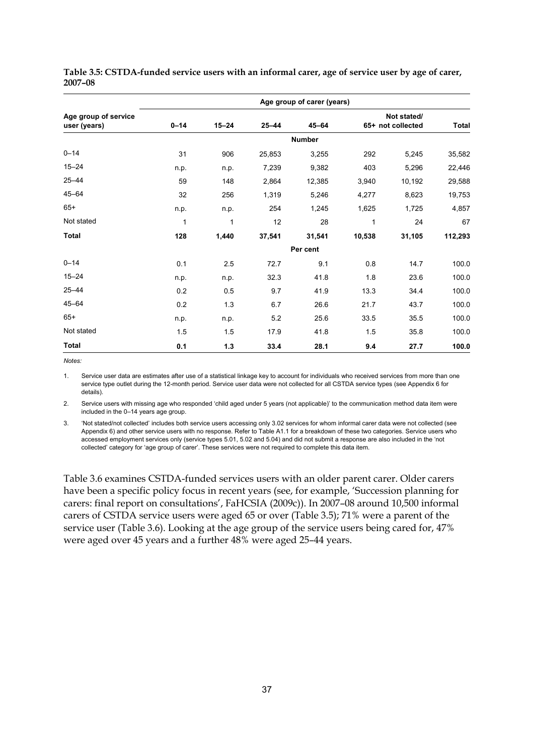|                                      |               |           |           | Age group of carer (years) |        |                                  |              |  |  |  |
|--------------------------------------|---------------|-----------|-----------|----------------------------|--------|----------------------------------|--------------|--|--|--|
| Age group of service<br>user (years) | $0 - 14$      | $15 - 24$ | $25 - 44$ | $45 - 64$                  |        | Not stated/<br>65+ not collected | <b>Total</b> |  |  |  |
|                                      | <b>Number</b> |           |           |                            |        |                                  |              |  |  |  |
| $0 - 14$                             | 31            | 906       | 25,853    | 3,255                      | 292    | 5,245                            | 35,582       |  |  |  |
| $15 - 24$                            | n.p.          | n.p.      | 7,239     | 9,382                      | 403    | 5,296                            | 22,446       |  |  |  |
| $25 - 44$                            | 59            | 148       | 2,864     | 12,385                     | 3,940  | 10,192                           | 29,588       |  |  |  |
| $45 - 64$                            | 32            | 256       | 1,319     | 5,246                      | 4,277  | 8,623                            | 19,753       |  |  |  |
| $65+$                                | n.p.          | n.p.      | 254       | 1,245                      | 1,625  | 1,725                            | 4,857        |  |  |  |
| Not stated                           | 1             | 1         | 12        | 28                         | 1      | 24                               | 67           |  |  |  |
| <b>Total</b>                         | 128           | 1,440     | 37,541    | 31,541                     | 10,538 | 31,105                           | 112,293      |  |  |  |
|                                      | Per cent      |           |           |                            |        |                                  |              |  |  |  |
| $0 - 14$                             | 0.1           | 2.5       | 72.7      | 9.1                        | 0.8    | 14.7                             | 100.0        |  |  |  |
| $15 - 24$                            | n.p.          | n.p.      | 32.3      | 41.8                       | 1.8    | 23.6                             | 100.0        |  |  |  |
| $25 - 44$                            | 0.2           | 0.5       | 9.7       | 41.9                       | 13.3   | 34.4                             | 100.0        |  |  |  |
| $45 - 64$                            | 0.2           | 1.3       | 6.7       | 26.6                       | 21.7   | 43.7                             | 100.0        |  |  |  |
| $65+$                                | n.p.          | n.p.      | 5.2       | 25.6                       | 33.5   | 35.5                             | 100.0        |  |  |  |
| Not stated                           | 1.5           | 1.5       | 17.9      | 41.8                       | 1.5    | 35.8                             | 100.0        |  |  |  |
| <b>Total</b>                         | 0.1           | $1.3$     | 33.4      | 28.1                       | 9.4    | 27.7                             | 100.0        |  |  |  |

**Table 3.5: CSTDA-funded service users with an informal carer, age of service user by age of carer, 2007–08** 

*Notes:* 

1. Service user data are estimates after use of a statistical linkage key to account for individuals who received services from more than one service type outlet during the 12-month period. Service user data were not collected for all CSTDA service types (see Appendix 6 for details).

2. Service users with missing age who responded 'child aged under 5 years (not applicable)' to the communication method data item were included in the 0–14 years age group.

3. 'Not stated/not collected' includes both service users accessing only 3.02 services for whom informal carer data were not collected (see Appendix 6) and other service users with no response. Refer to Table A1.1 for a breakdown of these two categories. Service users who accessed employment services only (service types 5.01, 5.02 and 5.04) and did not submit a response are also included in the 'not collected' category for 'age group of carer'. These services were not required to complete this data item.

Table 3.6 examines CSTDA-funded services users with an older parent carer. Older carers have been a specific policy focus in recent years (see, for example, 'Succession planning for carers: final report on consultations', FaHCSIA (2009c)). In 2007–08 around 10,500 informal carers of CSTDA service users were aged 65 or over (Table 3.5); 71% were a parent of the service user (Table 3.6). Looking at the age group of the service users being cared for, 47% were aged over 45 years and a further 48% were aged 25–44 years.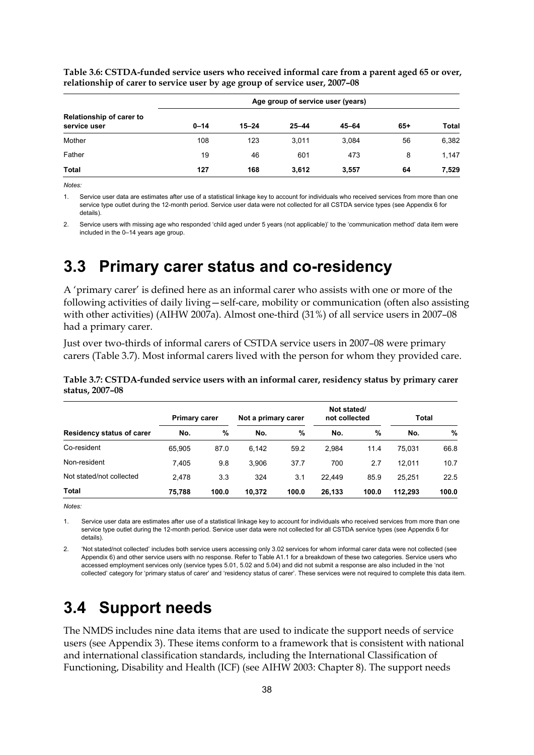|                                                 | Age group of service user (years) |           |           |           |       |              |  |  |
|-------------------------------------------------|-----------------------------------|-----------|-----------|-----------|-------|--------------|--|--|
| <b>Relationship of carer to</b><br>service user | $0 - 14$                          | $15 - 24$ | $25 - 44$ | $45 - 64$ | $65+$ | <b>Total</b> |  |  |
| Mother                                          | 108                               | 123       | 3.011     | 3.084     | 56    | 6,382        |  |  |
| Father                                          | 19                                | 46        | 601       | 473       | 8     | 1,147        |  |  |
| <b>Total</b>                                    | 127                               | 168       | 3.612     | 3.557     | 64    | 7,529        |  |  |

**Table 3.6: CSTDA-funded service users who received informal care from a parent aged 65 or over, relationship of carer to service user by age group of service user, 2007–08** 

*Notes:* 

1. Service user data are estimates after use of a statistical linkage key to account for individuals who received services from more than one service type outlet during the 12-month period. Service user data were not collected for all CSTDA service types (see Appendix 6 for details).

2. Service users with missing age who responded 'child aged under 5 years (not applicable)' to the 'communication method' data item were included in the 0–14 years age group.

# **3.3 Primary carer status and co-residency**

A 'primary carer' is defined here as an informal carer who assists with one or more of the following activities of daily living—self-care, mobility or communication (often also assisting with other activities) (AIHW 2007a). Almost one-third (31%) of all service users in 2007–08 had a primary carer.

Just over two-thirds of informal carers of CSTDA service users in 2007–08 were primary carers (Table 3.7). Most informal carers lived with the person for whom they provided care.

|                                  | <b>Primary carer</b> |       | Not a primary carer |       | Not stated/<br>not collected |       | <b>Total</b> |       |
|----------------------------------|----------------------|-------|---------------------|-------|------------------------------|-------|--------------|-------|
| <b>Residency status of carer</b> | No.                  | $\%$  | No.                 | %     | No.                          | %     | No.          | %     |
| Co-resident                      | 65.905               | 87.0  | 6.142               | 59.2  | 2.984                        | 11.4  | 75.031       | 66.8  |
| Non-resident                     | 7.405                | 9.8   | 3.906               | 37.7  | 700                          | 2.7   | 12.011       | 10.7  |
| Not stated/not collected         | 2.478                | 3.3   | 324                 | 3.1   | 22.449                       | 85.9  | 25.251       | 22.5  |
| <b>Total</b>                     | 75.788               | 100.0 | 10.372              | 100.0 | 26.133                       | 100.0 | 112.293      | 100.0 |

**Table 3.7: CSTDA-funded service users with an informal carer, residency status by primary carer status, 2007–08** 

*Notes:* 

1. Service user data are estimates after use of a statistical linkage key to account for individuals who received services from more than one service type outlet during the 12-month period. Service user data were not collected for all CSTDA service types (see Appendix 6 for details).

2. 'Not stated/not collected' includes both service users accessing only 3.02 services for whom informal carer data were not collected (see Appendix 6) and other service users with no response. Refer to Table A1.1 for a breakdown of these two categories. Service users who accessed employment services only (service types 5.01, 5.02 and 5.04) and did not submit a response are also included in the 'not collected' category for 'primary status of carer' and 'residency status of carer'. These services were not required to complete this data item.

# **3.4 Support needs**

The NMDS includes nine data items that are used to indicate the support needs of service users (see Appendix 3). These items conform to a framework that is consistent with national and international classification standards, including the International Classification of Functioning, Disability and Health (ICF) (see AIHW 2003: Chapter 8). The support needs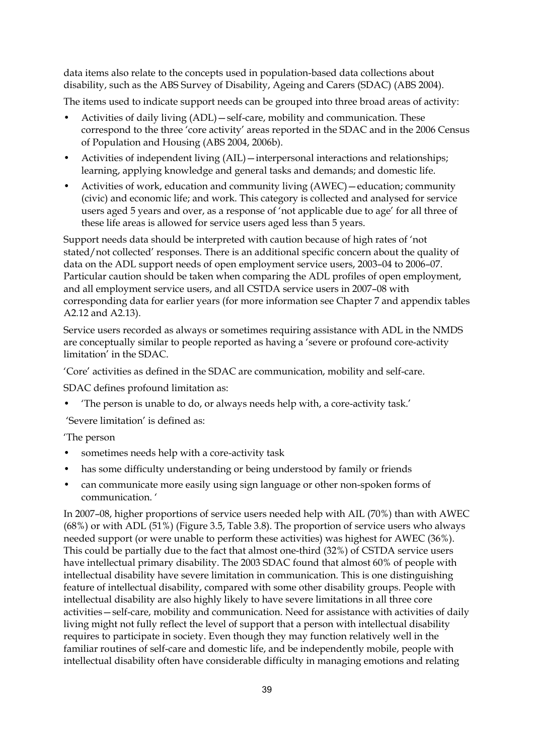data items also relate to the concepts used in population-based data collections about disability, such as the ABS Survey of Disability, Ageing and Carers (SDAC) (ABS 2004).

The items used to indicate support needs can be grouped into three broad areas of activity:

- Activities of daily living (ADL)—self-care, mobility and communication. These correspond to the three 'core activity' areas reported in the SDAC and in the 2006 Census of Population and Housing (ABS 2004, 2006b).
- Activities of independent living (AIL)—interpersonal interactions and relationships; learning, applying knowledge and general tasks and demands; and domestic life.
- Activities of work, education and community living (AWEC)—education; community (civic) and economic life; and work. This category is collected and analysed for service users aged 5 years and over, as a response of 'not applicable due to age' for all three of these life areas is allowed for service users aged less than 5 years.

Support needs data should be interpreted with caution because of high rates of 'not stated/not collected' responses. There is an additional specific concern about the quality of data on the ADL support needs of open employment service users, 2003–04 to 2006–07. Particular caution should be taken when comparing the ADL profiles of open employment, and all employment service users, and all CSTDA service users in 2007–08 with corresponding data for earlier years (for more information see Chapter 7 and appendix tables A2.12 and A2.13).

Service users recorded as always or sometimes requiring assistance with ADL in the NMDS are conceptually similar to people reported as having a 'severe or profound core-activity limitation' in the SDAC.

'Core' activities as defined in the SDAC are communication, mobility and self-care.

SDAC defines profound limitation as:

• 'The person is unable to do, or always needs help with, a core-activity task.'

'Severe limitation' is defined as:

#### 'The person

- sometimes needs help with a core-activity task
- has some difficulty understanding or being understood by family or friends
- can communicate more easily using sign language or other non-spoken forms of communication. '

In 2007–08, higher proportions of service users needed help with AIL (70%) than with AWEC (68%) or with ADL (51%) (Figure 3.5, Table 3.8). The proportion of service users who always needed support (or were unable to perform these activities) was highest for AWEC (36%). This could be partially due to the fact that almost one-third (32%) of CSTDA service users have intellectual primary disability. The 2003 SDAC found that almost 60% of people with intellectual disability have severe limitation in communication. This is one distinguishing feature of intellectual disability, compared with some other disability groups. People with intellectual disability are also highly likely to have severe limitations in all three core activities—self-care, mobility and communication. Need for assistance with activities of daily living might not fully reflect the level of support that a person with intellectual disability requires to participate in society. Even though they may function relatively well in the familiar routines of self-care and domestic life, and be independently mobile, people with intellectual disability often have considerable difficulty in managing emotions and relating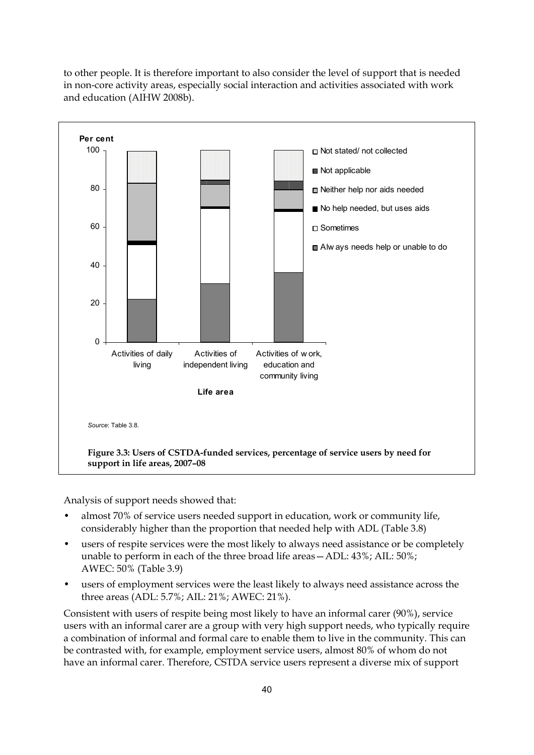to other people. It is therefore important to also consider the level of support that is needed in non-core activity areas, especially social interaction and activities associated with work and education (AIHW 2008b).



Analysis of support needs showed that:

- almost 70% of service users needed support in education, work or community life, considerably higher than the proportion that needed help with ADL (Table 3.8)
- users of respite services were the most likely to always need assistance or be completely unable to perform in each of the three broad life areas—ADL: 43%; AIL: 50%; AWEC: 50% (Table 3.9)
- users of employment services were the least likely to always need assistance across the three areas (ADL: 5.7%; AIL: 21%; AWEC: 21%).

Consistent with users of respite being most likely to have an informal carer (90%), service users with an informal carer are a group with very high support needs, who typically require a combination of informal and formal care to enable them to live in the community. This can be contrasted with, for example, employment service users, almost 80% of whom do not have an informal carer. Therefore, CSTDA service users represent a diverse mix of support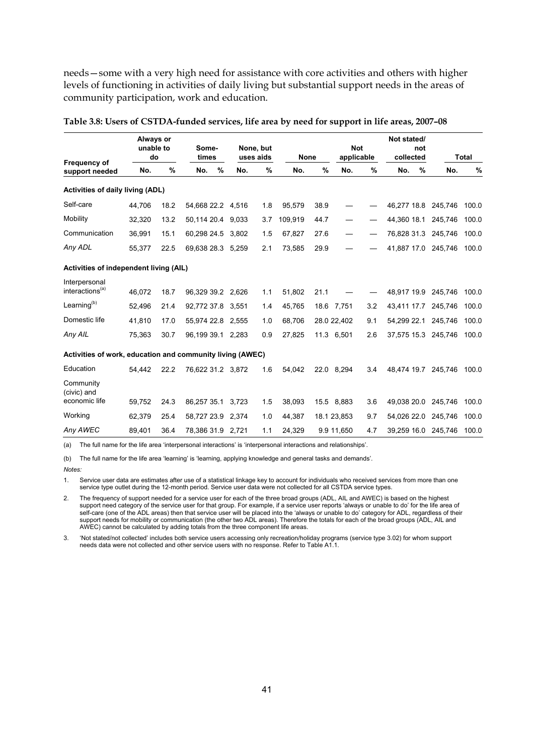needs—some with a very high need for assistance with core activities and others with higher levels of functioning in activities of daily living but substantial support needs in the areas of community participation, work and education.

|        |               |                                                                         |                                        |                                                             |                                                                                                                                                                                                    |                                                                                     |               |             |                                                                                                  |                          | not |                                                                                                                                                                 | <b>Total</b>                                                         |
|--------|---------------|-------------------------------------------------------------------------|----------------------------------------|-------------------------------------------------------------|----------------------------------------------------------------------------------------------------------------------------------------------------------------------------------------------------|-------------------------------------------------------------------------------------|---------------|-------------|--------------------------------------------------------------------------------------------------|--------------------------|-----|-----------------------------------------------------------------------------------------------------------------------------------------------------------------|----------------------------------------------------------------------|
| No.    | $\frac{9}{6}$ | No.                                                                     | %                                      | No.                                                         | %                                                                                                                                                                                                  | No.                                                                                 | $\frac{9}{6}$ | No.         | %                                                                                                | No.                      | %   | No.                                                                                                                                                             | %                                                                    |
|        |               |                                                                         |                                        |                                                             |                                                                                                                                                                                                    |                                                                                     |               |             |                                                                                                  |                          |     |                                                                                                                                                                 |                                                                      |
| 44.706 | 18.2          |                                                                         |                                        |                                                             | 1.8                                                                                                                                                                                                | 95.579                                                                              | 38.9          |             |                                                                                                  |                          |     |                                                                                                                                                                 | 100.0                                                                |
| 32,320 | 13.2          |                                                                         |                                        |                                                             | 3.7                                                                                                                                                                                                | 109.919                                                                             | 44.7          |             |                                                                                                  |                          |     | 245.746                                                                                                                                                         | 100.0                                                                |
| 36.991 | 15.1          |                                                                         |                                        | 3.802                                                       | 1.5                                                                                                                                                                                                | 67,827                                                                              | 27.6          |             |                                                                                                  |                          |     | 245.746                                                                                                                                                         | 100.0                                                                |
| 55.377 | 22.5          |                                                                         |                                        |                                                             | 2.1                                                                                                                                                                                                | 73,585                                                                              | 29.9          |             |                                                                                                  |                          |     |                                                                                                                                                                 | 100.0                                                                |
|        |               |                                                                         |                                        |                                                             |                                                                                                                                                                                                    |                                                                                     |               |             |                                                                                                  |                          |     |                                                                                                                                                                 |                                                                      |
| 46.072 | 18.7          |                                                                         |                                        |                                                             | 1.1                                                                                                                                                                                                | 51,802                                                                              | 21.1          |             |                                                                                                  |                          |     | 245,746                                                                                                                                                         | 100.0                                                                |
| 52,496 | 21.4          |                                                                         |                                        |                                                             | 1.4                                                                                                                                                                                                | 45,765                                                                              |               |             | 3.2                                                                                              |                          |     | 245,746                                                                                                                                                         | 100.0                                                                |
| 41,810 | 17.0          |                                                                         |                                        |                                                             | 1.0                                                                                                                                                                                                | 68,706                                                                              |               |             | 9.1                                                                                              |                          |     | 245,746                                                                                                                                                         | 100.0                                                                |
| 75,363 | 30.7          |                                                                         |                                        |                                                             | 0.9                                                                                                                                                                                                | 27,825                                                                              |               |             | 2.6                                                                                              |                          |     |                                                                                                                                                                 | 100.0                                                                |
|        |               |                                                                         |                                        |                                                             |                                                                                                                                                                                                    |                                                                                     |               |             |                                                                                                  |                          |     |                                                                                                                                                                 |                                                                      |
| 54.442 | 22.2          |                                                                         |                                        |                                                             | 1.6                                                                                                                                                                                                | 54.042                                                                              |               |             | 3.4                                                                                              |                          |     | 245,746                                                                                                                                                         | 100.0                                                                |
|        |               |                                                                         |                                        |                                                             |                                                                                                                                                                                                    |                                                                                     |               |             |                                                                                                  |                          |     |                                                                                                                                                                 |                                                                      |
| 59,752 | 24.3          |                                                                         |                                        | 3,723                                                       | 1.5                                                                                                                                                                                                | 38,093                                                                              |               |             | 3.6                                                                                              |                          |     | 245,746                                                                                                                                                         | 100.0                                                                |
| 62.379 | 25.4          |                                                                         |                                        |                                                             | 1.0                                                                                                                                                                                                | 44,387                                                                              |               |             | 9.7                                                                                              |                          |     | 245,746                                                                                                                                                         | 100.0                                                                |
| 89,401 | 36.4          |                                                                         |                                        |                                                             | 1.1                                                                                                                                                                                                | 24,329                                                                              |               |             | 4.7                                                                                              |                          |     | 245,746                                                                                                                                                         | 100.0                                                                |
|        |               | Always or<br>unable to<br>do<br><b>Activities of daily living (ADL)</b> | Activities of independent living (AIL) | Some-<br>times<br>60,298 24.5<br>86,257 35.1<br>58,727 23.9 | 54,668 22.2 4,516<br>50,114 20.4 9,033<br>69,638 28.3 5,259<br>96,329 39.2 2,626<br>92,772 37.8 3,551<br>55,974 22.8 2,555<br>96,199 39.1 2,283<br>76,622 31.2 3,872<br>2,374<br>78,386 31.9 2,721 | None, but<br>uses aids<br>Activities of work, education and community living (AWEC) |               | <b>None</b> | 18.6 7,751<br>28.0 22,402<br>11.3 6,501<br>22.0 8.294<br>15.5 8,883<br>18.1 23,853<br>9.9 11,650 | <b>Not</b><br>applicable |     | Not stated/<br>collected<br>46,277 18.8<br>44.360 18.1<br>76,828 31.3<br>48,917 19.9<br>43,411 17.7<br>54,299 22.1<br>49,038 20.0<br>54,026 22.0<br>39.259 16.0 | 245,746<br>41,887 17.0 245,746<br>37,575 15.3 245,746<br>48,474 19.7 |

#### **Table 3.8: Users of CSTDA-funded services, life area by need for support in life areas, 2007–08**

(a) The full name for the life area 'interpersonal interactions' is 'interpersonal interactions and relationships'.

(b) The full name for the life area 'learning' is 'learning, applying knowledge and general tasks and demands'.

*Notes:* 

1. Service user data are estimates after use of a statistical linkage key to account for individuals who received services from more than one service type outlet during the 12-month period. Service user data were not collected for all CSTDA service types

2. The frequency of support needed for a service user for each of the three broad groups (ADL, AIL and AWEC) is based on the highest support need category of the service user for that group. For example, if a service user reports 'always or unable to do' for the life area of self-care (one of the ADL areas) then that service user will be placed into the 'always or unable to do' category for ADL, regardless of their support needs for mobility or communication (the other two ADL areas). Therefore the totals for each of the broad groups (ADL, AIL and AWEC) cannot be calculated by adding totals from the three component life areas.

3. 'Not stated/not collected' includes both service users accessing only recreation/holiday programs (service type 3.02) for whom support needs data were not collected and other service users with no response. Refer to Table A1.1.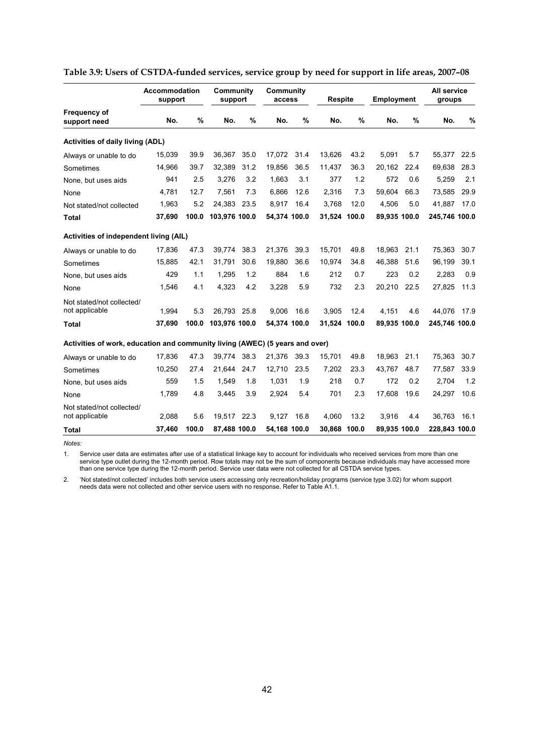|                                                                              | Accommodation<br>support |       | Community<br>support |      | Community<br>access |      | <b>Respite</b> |       | <b>Employment</b> |      | All service<br>groups |      |
|------------------------------------------------------------------------------|--------------------------|-------|----------------------|------|---------------------|------|----------------|-------|-------------------|------|-----------------------|------|
| <b>Frequency of</b><br>support need                                          | No.                      | %     | No.                  | %    | No.                 | %    | No.            | %     | No.               | %    | No.                   | %    |
| <b>Activities of daily living (ADL)</b>                                      |                          |       |                      |      |                     |      |                |       |                   |      |                       |      |
| Always or unable to do                                                       | 15,039                   | 39.9  | 36,367               | 35.0 | 17,072              | 31.4 | 13,626         | 43.2  | 5,091             | 5.7  | 55,377                | 22.5 |
| Sometimes                                                                    | 14,966                   | 39.7  | 32,389               | 31.2 | 19,856              | 36.5 | 11,437         | 36.3  | 20,162            | 22.4 | 69,638                | 28.3 |
| None, but uses aids                                                          | 941                      | 2.5   | 3,276                | 3.2  | 1,663               | 3.1  | 377            | 1.2   | 572               | 0.6  | 5,259                 | 2.1  |
| None                                                                         | 4,781                    | 12.7  | 7,561                | 7.3  | 6,866               | 12.6 | 2,316          | 7.3   | 59,604            | 66.3 | 73,585                | 29.9 |
| Not stated/not collected                                                     | 1,963                    | 5.2   | 24,383               | 23.5 | 8,917               | 16.4 | 3,768          | 12.0  | 4,506             | 5.0  | 41,887                | 17.0 |
| Total                                                                        | 37,690                   | 100.0 | 103.976 100.0        |      | 54.374 100.0        |      | 31.524 100.0   |       | 89.935 100.0      |      | 245.746 100.0         |      |
| Activities of independent living (AIL)                                       |                          |       |                      |      |                     |      |                |       |                   |      |                       |      |
| Always or unable to do                                                       | 17,836                   | 47.3  | 39.774               | 38.3 | 21,376              | 39.3 | 15,701         | 49.8  | 18,963            | 21.1 | 75,363                | 30.7 |
| Sometimes                                                                    | 15,885                   | 42.1  | 31.791               | 30.6 | 19.880              | 36.6 | 10.974         | 34.8  | 46.388            | 51.6 | 96,199                | 39.1 |
| None, but uses aids                                                          | 429                      | 1.1   | 1.295                | 1.2  | 884                 | 1.6  | 212            | 0.7   | 223               | 0.2  | 2,283                 | 0.9  |
| None                                                                         | 1,546                    | 4.1   | 4.323                | 4.2  | 3,228               | 5.9  | 732            | 2.3   | 20.210            | 22.5 | 27,825                | 11.3 |
| Not stated/not collected/<br>not applicable                                  | 1,994                    | 5.3   | 26.793               | 25.8 | 9.006               | 16.6 | 3.905          | 12.4  | 4.151             | 4.6  | 44.076                | 17.9 |
| <b>Total</b>                                                                 | 37,690                   | 100.0 | 103,976 100.0        |      | 54,374 100.0        |      | 31,524         | 100.0 | 89,935 100.0      |      | 245,746 100.0         |      |
| Activities of work, education and community living (AWEC) (5 years and over) |                          |       |                      |      |                     |      |                |       |                   |      |                       |      |
| Always or unable to do                                                       | 17,836                   | 47.3  | 39,774               | 38.3 | 21,376              | 39.3 | 15,701         | 49.8  | 18,963            | 21.1 | 75,363                | 30.7 |
| Sometimes                                                                    | 10,250                   | 27.4  | 21,644               | 24.7 | 12,710              | 23.5 | 7,202          | 23.3  | 43.767            | 48.7 | 77,587                | 33.9 |
| None, but uses aids                                                          | 559                      | 1.5   | 1.549                | 1.8  | 1.031               | 1.9  | 218            | 0.7   | 172               | 0.2  | 2.704                 | 1.2  |
| None                                                                         | 1,789                    | 4.8   | 3.445                | 3.9  | 2,924               | 5.4  | 701            | 2.3   | 17,608            | 19.6 | 24,297                | 10.6 |
| Not stated/not collected/<br>not applicable                                  | 2,088                    | 5.6   | 19.517               | 22.3 | 9.127               | 16.8 | 4.060          | 13.2  | 3.916             | 4.4  | 36.763                | 16.1 |
| Total                                                                        | 37,460                   | 100.0 | 87,488 100.0         |      | 54,168 100.0        |      | 30,868         | 100.0 | 89,935 100.0      |      | 228,843 100.0         |      |
| Notes:                                                                       |                          |       |                      |      |                     |      |                |       |                   |      |                       |      |

#### **Table 3.9: Users of CSTDA-funded services, service group by need for support in life areas, 2007–08**

1. Service user data are estimates after use of a statistical linkage key to account for individuals who received services from more than one service type outlet during the 12-month period. Row totals may not be the sum of components because individuals may have accessed more than one service type during the 12-month period. Service user data were not collected for all CSTDA service types.

2. 'Not stated/not collected' includes both service users accessing only recreation/holiday programs (service type 3.02) for whom support needs data were not collected and other service users with no response. Refer to Table A1.1.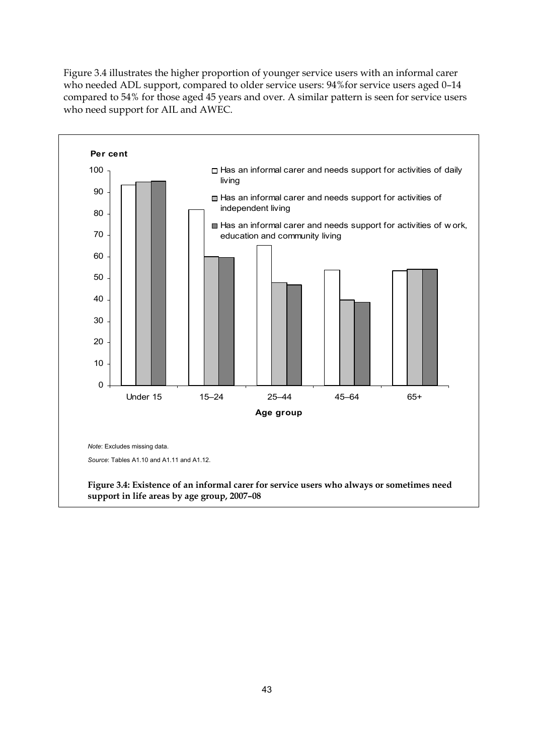[Figure 3.4](#page-52-0) illustrates the higher proportion of younger service users with an informal carer who needed ADL support, compared to older service users: 94%for service users aged 0–14 compared to 54% for those aged 45 years and over. A similar pattern is seen for service users who need support for AIL and AWEC.

<span id="page-52-0"></span>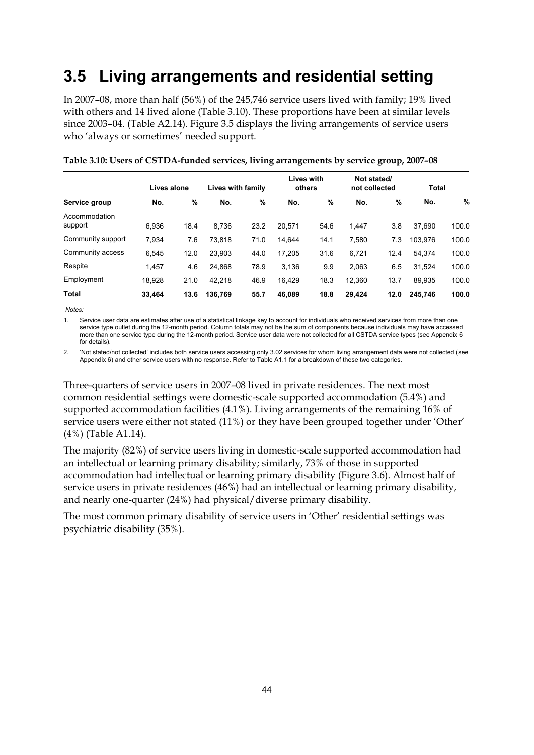# **3.5 Living arrangements and residential setting**

In 2007–08, more than half (56%) of the 245,746 service users lived with family; 19% lived with others and 14 lived alone (Table 3.10). These proportions have been at similar levels since 2003–04. (Table A2.14). Figure 3.5 displays the living arrangements of service users who 'always or sometimes' needed support.

|                          | Lives alone |      | Lives with family |      | <b>Lives with</b><br>others |      | Not stated/<br>not collected |      | Total   |       |
|--------------------------|-------------|------|-------------------|------|-----------------------------|------|------------------------------|------|---------|-------|
| Service group            | No.         | %    | No.               | %    | No.                         | %    | No.                          | %    | No.     | %     |
| Accommodation<br>support | 6.936       | 18.4 | 8.736             | 23.2 | 20.571                      | 54.6 | 1.447                        | 3.8  | 37.690  | 100.0 |
| Community support        | 7.934       | 7.6  | 73.818            | 71.0 | 14.644                      | 14.1 | 7.580                        | 7.3  | 103.976 | 100.0 |
| Community access         | 6.545       | 12.0 | 23.903            | 44.0 | 17,205                      | 31.6 | 6.721                        | 12.4 | 54.374  | 100.0 |
| Respite                  | 1,457       | 4.6  | 24.868            | 78.9 | 3.136                       | 9.9  | 2,063                        | 6.5  | 31,524  | 100.0 |
| Employment               | 18.928      | 21.0 | 42.218            | 46.9 | 16.429                      | 18.3 | 12.360                       | 13.7 | 89.935  | 100.0 |
| <b>Total</b>             | 33.464      | 13.6 | 136.769           | 55.7 | 46.089                      | 18.8 | 29.424                       | 12.0 | 245.746 | 100.0 |

| Table 3.10: Users of CSTDA-funded services, living arrangements by service group, 2007-08 |  |  |  |
|-------------------------------------------------------------------------------------------|--|--|--|
|                                                                                           |  |  |  |

 *Notes:* 

1. Service user data are estimates after use of a statistical linkage key to account for individuals who received services from more than one service type outlet during the 12-month period. Column totals may not be the sum of components because individuals may have accessed more than one service type during the 12-month period. Service user data were not collected for all CSTDA service types (see Appendix 6 for details).

2. 'Not stated/not collected' includes both service users accessing only 3.02 services for whom living arrangement data were not collected (see Appendix 6) and other service users with no response. Refer to Table A1.1 for a breakdown of these two categories.

Three-quarters of service users in 2007–08 lived in private residences. The next most common residential settings were domestic-scale supported accommodation (5.4%) and supported accommodation facilities (4.1%). Living arrangements of the remaining 16% of service users were either not stated (11%) or they have been grouped together under 'Other' (4%) (Table A1.14).

The majority (82%) of service users living in domestic-scale supported accommodation had an intellectual or learning primary disability; similarly, 73% of those in supported accommodation had intellectual or learning primary disability ([Figure 3.6\)](#page-55-0). Almost half of service users in private residences (46%) had an intellectual or learning primary disability, and nearly one-quarter (24%) had physical/diverse primary disability.

The most common primary disability of service users in 'Other' residential settings was psychiatric disability (35%).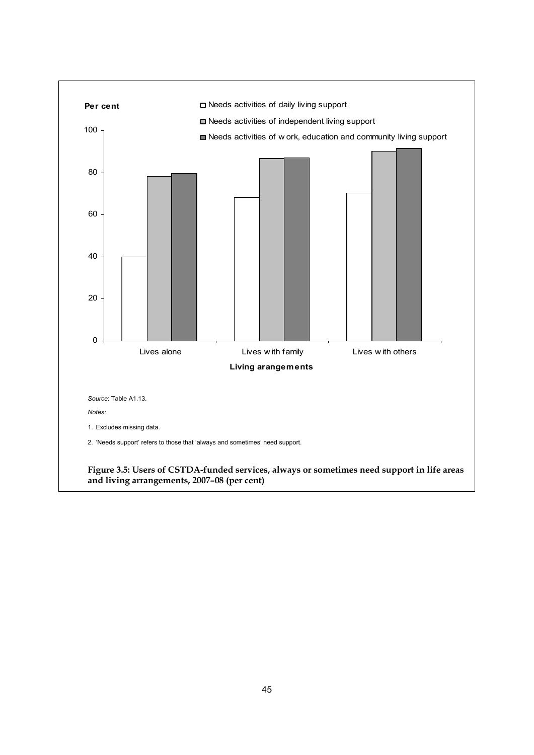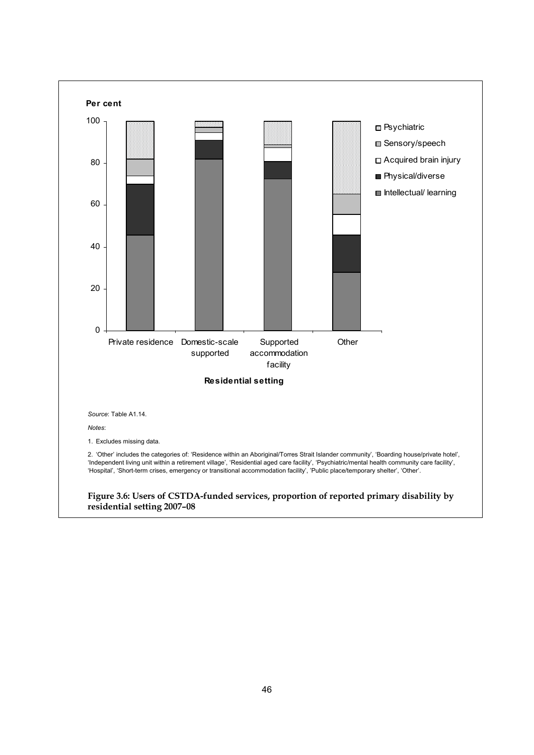<span id="page-55-0"></span>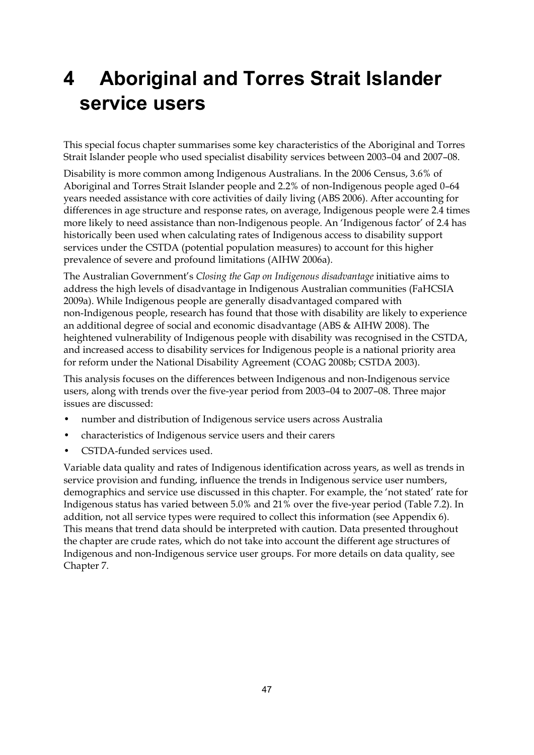# **4 Aboriginal and Torres Strait Islander service users**

This special focus chapter summarises some key characteristics of the Aboriginal and Torres Strait Islander people who used specialist disability services between 2003–04 and 2007–08.

Disability is more common among Indigenous Australians. In the 2006 Census, 3.6% of Aboriginal and Torres Strait Islander people and 2.2% of non-Indigenous people aged 0–64 years needed assistance with core activities of daily living (ABS 2006). After accounting for differences in age structure and response rates, on average, Indigenous people were 2.4 times more likely to need assistance than non-Indigenous people. An 'Indigenous factor' of 2.4 has historically been used when calculating rates of Indigenous access to disability support services under the CSTDA (potential population measures) to account for this higher prevalence of severe and profound limitations (AIHW 2006a).

The Australian Government's *Closing the Gap on Indigenous disadvantage* initiative aims to address the high levels of disadvantage in Indigenous Australian communities (FaHCSIA 2009a). While Indigenous people are generally disadvantaged compared with non-Indigenous people, research has found that those with disability are likely to experience an additional degree of social and economic disadvantage (ABS & AIHW 2008). The heightened vulnerability of Indigenous people with disability was recognised in the CSTDA, and increased access to disability services for Indigenous people is a national priority area for reform under the National Disability Agreement (COAG 2008b; CSTDA 2003).

This analysis focuses on the differences between Indigenous and non-Indigenous service users, along with trends over the five-year period from 2003–04 to 2007–08. Three major issues are discussed:

- number and distribution of Indigenous service users across Australia
- characteristics of Indigenous service users and their carers
- CSTDA-funded services used.

Variable data quality and rates of Indigenous identification across years, as well as trends in service provision and funding, influence the trends in Indigenous service user numbers, demographics and service use discussed in this chapter. For example, the 'not stated' rate for Indigenous status has varied between 5.0% and 21% over the five-year period (Table 7.2). In addition, not all service types were required to collect this information (see Appendix 6). This means that trend data should be interpreted with caution. Data presented throughout the chapter are crude rates, which do not take into account the different age structures of Indigenous and non-Indigenous service user groups. For more details on data quality, see Chapter 7.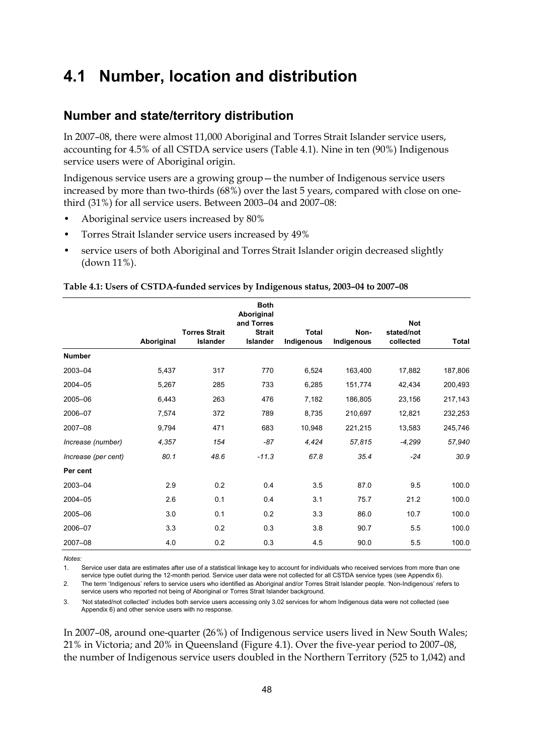## **4.1 Number, location and distribution**

#### **Number and state/territory distribution**

In 2007–08, there were almost 11,000 Aboriginal and Torres Strait Islander service users, accounting for 4.5% of all CSTDA service users [\(Table 4.1\)](#page-57-0). Nine in ten (90%) Indigenous service users were of Aboriginal origin.

Indigenous service users are a growing group—the number of Indigenous service users increased by more than two-thirds (68%) over the last 5 years, compared with close on onethird (31%) for all service users. Between 2003–04 and 2007–08:

- Aboriginal service users increased by 80%
- Torres Strait Islander service users increased by 49%
- service users of both Aboriginal and Torres Strait Islander origin decreased slightly (down 11%).

<span id="page-57-0"></span>

| Table 4.1: Users of CSTDA-funded services by Indigenous status, 2003-04 to 2007-08 |
|------------------------------------------------------------------------------------|
|------------------------------------------------------------------------------------|

|                     | Aboriginal | <b>Torres Strait</b><br>Islander | <b>Both</b><br>Aboriginal<br>and Torres<br><b>Strait</b><br>Islander | Total<br>Indigenous | Non-<br>Indigenous | <b>Not</b><br>stated/not<br>collected | Total   |
|---------------------|------------|----------------------------------|----------------------------------------------------------------------|---------------------|--------------------|---------------------------------------|---------|
| <b>Number</b>       |            |                                  |                                                                      |                     |                    |                                       |         |
| 2003-04             | 5,437      | 317                              | 770                                                                  | 6,524               | 163,400            | 17,882                                | 187,806 |
| 2004-05             | 5,267      | 285                              | 733                                                                  | 6,285               | 151,774            | 42,434                                | 200,493 |
| 2005-06             | 6,443      | 263                              | 476                                                                  | 7,182               | 186,805            | 23,156                                | 217,143 |
| 2006-07             | 7,574      | 372                              | 789                                                                  | 8,735               | 210,697            | 12,821                                | 232,253 |
| 2007-08             | 9,794      | 471                              | 683                                                                  | 10,948              | 221,215            | 13,583                                | 245,746 |
| Increase (number)   | 4,357      | 154                              | $-87$                                                                | 4,424               | 57,815             | $-4,299$                              | 57,940  |
| Increase (per cent) | 80.1       | 48.6                             | $-11.3$                                                              | 67.8                | 35.4               | $-24$                                 | 30.9    |
| Per cent            |            |                                  |                                                                      |                     |                    |                                       |         |
| 2003-04             | 2.9        | 0.2                              | 0.4                                                                  | 3.5                 | 87.0               | 9.5                                   | 100.0   |
| 2004-05             | 2.6        | 0.1                              | 0.4                                                                  | 3.1                 | 75.7               | 21.2                                  | 100.0   |
| 2005-06             | 3.0        | 0.1                              | 0.2                                                                  | 3.3                 | 86.0               | 10.7                                  | 100.0   |
| 2006-07             | 3.3        | 0.2                              | 0.3                                                                  | 3.8                 | 90.7               | 5.5                                   | 100.0   |
| 2007-08             | 4.0        | 0.2                              | 0.3                                                                  | 4.5                 | 90.0               | 5.5                                   | 100.0   |

*Notes:* 

1. Service user data are estimates after use of a statistical linkage key to account for individuals who received services from more than one service type outlet during the 12-month period. Service user data were not collected for all CSTDA service types (see Appendix 6).

2. The term 'Indigenous' refers to service users who identified as Aboriginal and/or Torres Strait Islander people. 'Non-Indigenous' refers to service users who reported not being of Aboriginal or Torres Strait Islander background.

3. 'Not stated/not collected' includes both service users accessing only 3.02 services for whom Indigenous data were not collected (see Appendix 6) and other service users with no response.

In 2007–08, around one-quarter (26%) of Indigenous service users lived in New South Wales; 21% in Victoria; and 20% in Queensland [\(Figure 4.1](#page-58-0)). Over the five-year period to 2007–08, the number of Indigenous service users doubled in the Northern Territory (525 to 1,042) and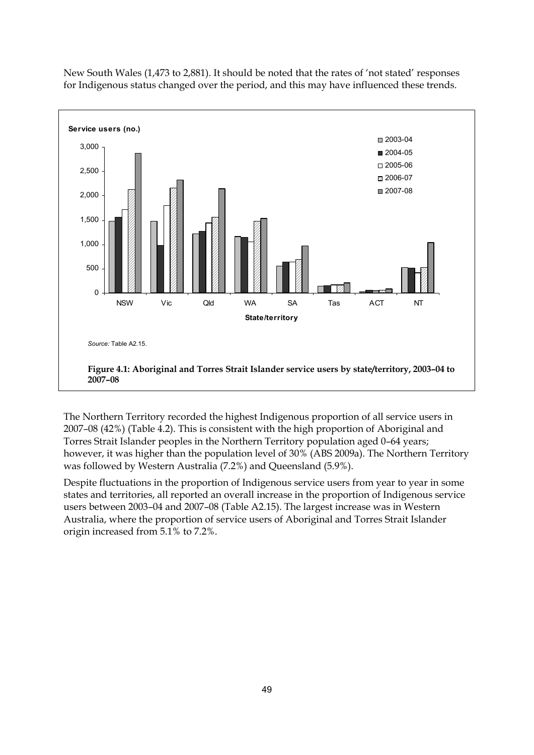

New South Wales (1,473 to 2,881). It should be noted that the rates of 'not stated' responses for Indigenous status changed over the period, and this may have influenced these trends.

<span id="page-58-0"></span>The Northern Territory recorded the highest Indigenous proportion of all service users in 2007–08 (42%) [\(Table 4.2](#page-59-0)). This is consistent with the high proportion of Aboriginal and Torres Strait Islander peoples in the Northern Territory population aged 0–64 years; however, it was higher than the population level of 30% (ABS 2009a). The Northern Territory was followed by Western Australia (7.2%) and Queensland (5.9%).

Despite fluctuations in the proportion of Indigenous service users from year to year in some states and territories, all reported an overall increase in the proportion of Indigenous service users between 2003–04 and 2007–08 (Table A2.15). The largest increase was in Western Australia, where the proportion of service users of Aboriginal and Torres Strait Islander origin increased from 5.1% to 7.2%.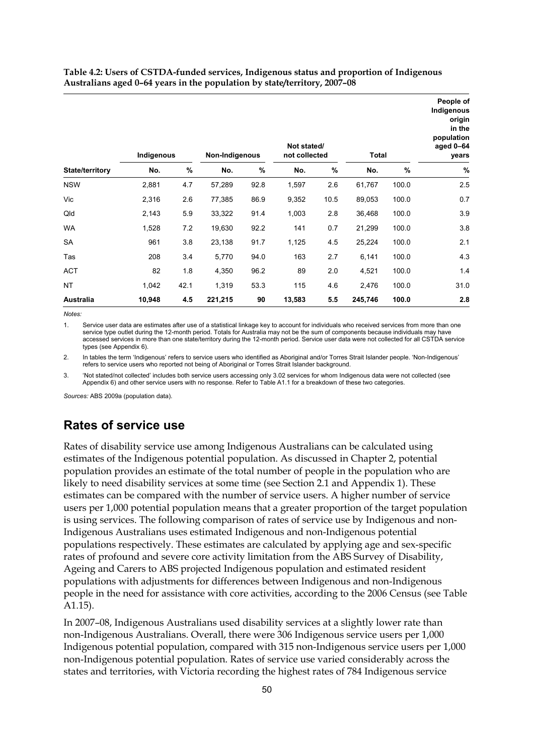<span id="page-59-0"></span>**Table 4.2: Users of CSTDA-funded services, Indigenous status and proportion of Indigenous Australians aged 0–64 years in the population by state/territory, 2007–08** 

|                 | Indigenous |      | Non-Indigenous |      | Not stated/<br>not collected |      | Total   |       | People of<br>Indigenous<br>origin<br>in the<br>population<br>aged $0-64$<br>years |
|-----------------|------------|------|----------------|------|------------------------------|------|---------|-------|-----------------------------------------------------------------------------------|
| State/territory | No.        | %    | No.            | %    | No.                          | %    | No.     | $\%$  | %                                                                                 |
| <b>NSW</b>      | 2,881      | 4.7  | 57,289         | 92.8 | 1,597                        | 2.6  | 61,767  | 100.0 | 2.5                                                                               |
| Vic             | 2,316      | 2.6  | 77,385         | 86.9 | 9,352                        | 10.5 | 89,053  | 100.0 | 0.7                                                                               |
| Qld             | 2,143      | 5.9  | 33,322         | 91.4 | 1,003                        | 2.8  | 36,468  | 100.0 | 3.9                                                                               |
| <b>WA</b>       | 1,528      | 7.2  | 19,630         | 92.2 | 141                          | 0.7  | 21,299  | 100.0 | 3.8                                                                               |
| SA              | 961        | 3.8  | 23,138         | 91.7 | 1,125                        | 4.5  | 25,224  | 100.0 | 2.1                                                                               |
| Tas             | 208        | 3.4  | 5,770          | 94.0 | 163                          | 2.7  | 6,141   | 100.0 | 4.3                                                                               |
| <b>ACT</b>      | 82         | 1.8  | 4,350          | 96.2 | 89                           | 2.0  | 4,521   | 100.0 | 1.4                                                                               |
| <b>NT</b>       | 1,042      | 42.1 | 1,319          | 53.3 | 115                          | 4.6  | 2,476   | 100.0 | 31.0                                                                              |
| Australia       | 10,948     | 4.5  | 221,215        | 90   | 13,583                       | 5.5  | 245,746 | 100.0 | 2.8                                                                               |

*Notes:* 

1. Service user data are estimates after use of a statistical linkage key to account for individuals who received services from more than one service type outlet during the 12-month period. Totals for Australia may not be the sum of components because individuals may have accessed services in more than one state/territory during the 12-month period. Service user data were not collected for all CSTDA service types (see Appendix 6).

2. In tables the term 'Indigenous' refers to service users who identified as Aboriginal and/or Torres Strait Islander people. 'Non-Indigenous' refers to service users who reported not being of Aboriginal or Torres Strait Islander background.

3. 'Not stated/not collected' includes both service users accessing only 3.02 services for whom Indigenous data were not collected (see Appendix 6) and other service users with no response. Refer to Table A1.1 for a breakdown of these two categories.

*Sources:* ABS 2009a (population data).

## **Rates of service use**

Rates of disability service use among Indigenous Australians can be calculated using estimates of the Indigenous potential population. As discussed in Chapter 2, potential population provides an estimate of the total number of people in the population who are likely to need disability services at some time (see Section 2.1 and Appendix 1). These estimates can be compared with the number of service users. A higher number of service users per 1,000 potential population means that a greater proportion of the target population is using services. The following comparison of rates of service use by Indigenous and non-Indigenous Australians uses estimated Indigenous and non-Indigenous potential populations respectively. These estimates are calculated by applying age and sex-specific rates of profound and severe core activity limitation from the ABS Survey of Disability, Ageing and Carers to ABS projected Indigenous population and estimated resident populations with adjustments for differences between Indigenous and non-Indigenous people in the need for assistance with core activities, according to the 2006 Census (see Table A1.15).

In 2007–08, Indigenous Australians used disability services at a slightly lower rate than non-Indigenous Australians. Overall, there were 306 Indigenous service users per 1,000 Indigenous potential population, compared with 315 non-Indigenous service users per 1,000 non-Indigenous potential population. Rates of service use varied considerably across the states and territories, with Victoria recording the highest rates of 784 Indigenous service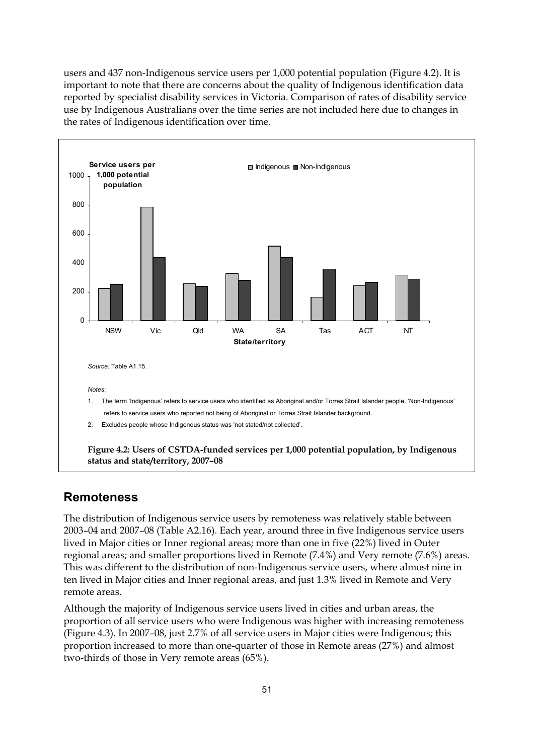users and 437 non-Indigenous service users per 1,000 potential population ([Figure 4.2](#page-60-0)). It is important to note that there are concerns about the quality of Indigenous identification data reported by specialist disability services in Victoria. Comparison of rates of disability service use by Indigenous Australians over the time series are not included here due to changes in the rates of Indigenous identification over time.



#### <span id="page-60-0"></span>**Remoteness**

The distribution of Indigenous service users by remoteness was relatively stable between 2003–04 and 2007–08 (Table A2.16). Each year, around three in five Indigenous service users lived in Major cities or Inner regional areas; more than one in five (22%) lived in Outer regional areas; and smaller proportions lived in Remote (7.4%) and Very remote (7.6%) areas. This was different to the distribution of non-Indigenous service users, where almost nine in ten lived in Major cities and Inner regional areas, and just 1.3% lived in Remote and Very remote areas.

Although the majority of Indigenous service users lived in cities and urban areas, the proportion of all service users who were Indigenous was higher with increasing remoteness (Figure 4.3). In 2007–08, just 2.7% of all service users in Major cities were Indigenous; this proportion increased to more than one-quarter of those in Remote areas (27%) and almost two-thirds of those in Very remote areas (65%).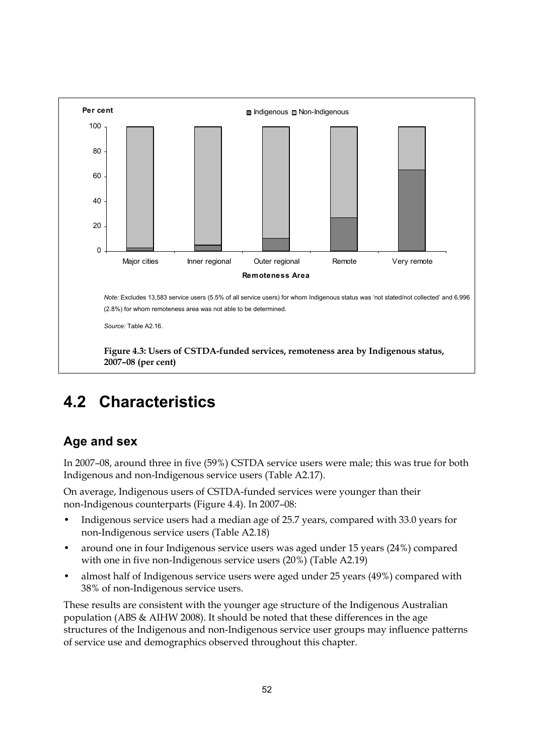

# **4.2 Characteristics**

## **Age and sex**

In 2007–08, around three in five (59%) CSTDA service users were male; this was true for both Indigenous and non-Indigenous service users (Table A2.17).

On average, Indigenous users of CSTDA-funded services were younger than their non-Indigenous counterparts ([Figure 4.4\)](#page-62-0). In 2007–08:

- Indigenous service users had a median age of 25.7 years, compared with 33.0 years for non-Indigenous service users (Table A2.18)
- around one in four Indigenous service users was aged under 15 years (24%) compared with one in five non-Indigenous service users (20%) (Table A2.19)
- almost half of Indigenous service users were aged under 25 years (49%) compared with 38% of non-Indigenous service users.

These results are consistent with the younger age structure of the Indigenous Australian population (ABS & AIHW 2008). It should be noted that these differences in the age structures of the Indigenous and non-Indigenous service user groups may influence patterns of service use and demographics observed throughout this chapter.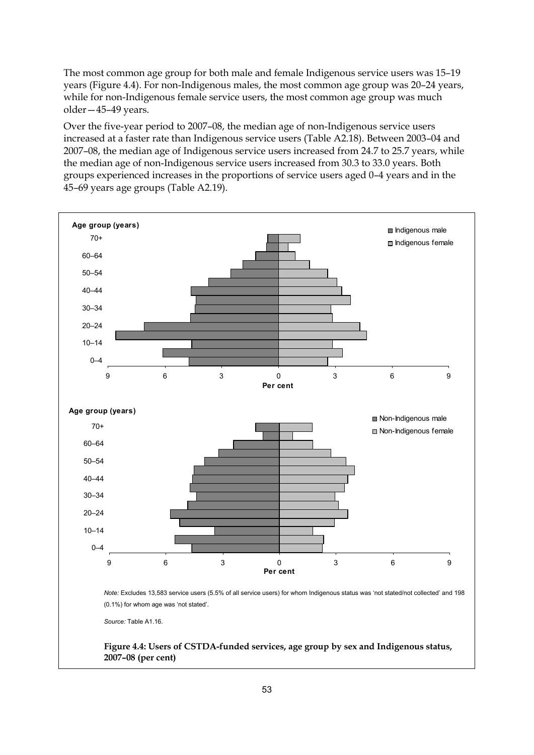The most common age group for both male and female Indigenous service users was 15–19 years [\(Figure 4.4](#page-62-0)). For non-Indigenous males, the most common age group was 20–24 years, while for non-Indigenous female service users, the most common age group was much older—45–49 years.

Over the five-year period to 2007–08, the median age of non-Indigenous service users increased at a faster rate than Indigenous service users (Table A2.18). Between 2003–04 and 2007–08, the median age of Indigenous service users increased from 24.7 to 25.7 years, while the median age of non-Indigenous service users increased from 30.3 to 33.0 years. Both groups experienced increases in the proportions of service users aged 0–4 years and in the 45–69 years age groups (Table A2.19).

<span id="page-62-0"></span>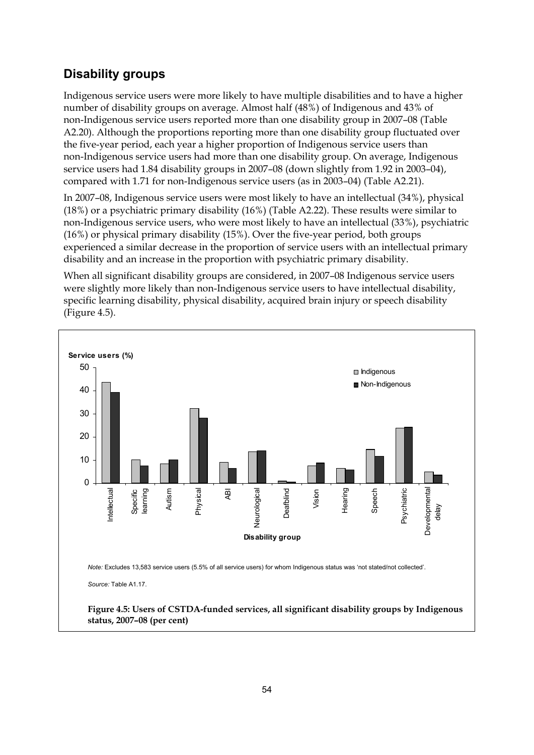## **Disability groups**

Indigenous service users were more likely to have multiple disabilities and to have a higher number of disability groups on average. Almost half (48%) of Indigenous and 43% of non-Indigenous service users reported more than one disability group in 2007–08 (Table A2.20). Although the proportions reporting more than one disability group fluctuated over the five-year period, each year a higher proportion of Indigenous service users than non-Indigenous service users had more than one disability group. On average, Indigenous service users had 1.84 disability groups in 2007–08 (down slightly from 1.92 in 2003–04), compared with 1.71 for non-Indigenous service users (as in 2003–04) (Table A2.21).

In 2007–08, Indigenous service users were most likely to have an intellectual (34%), physical (18%) or a psychiatric primary disability (16%) (Table A2.22). These results were similar to non-Indigenous service users, who were most likely to have an intellectual (33%), psychiatric (16%) or physical primary disability (15%). Over the five-year period, both groups experienced a similar decrease in the proportion of service users with an intellectual primary disability and an increase in the proportion with psychiatric primary disability.

When all significant disability groups are considered, in 2007–08 Indigenous service users were slightly more likely than non-Indigenous service users to have intellectual disability, specific learning disability, physical disability, acquired brain injury or speech disability ([Figure 4.5\)](#page-63-0).

<span id="page-63-0"></span>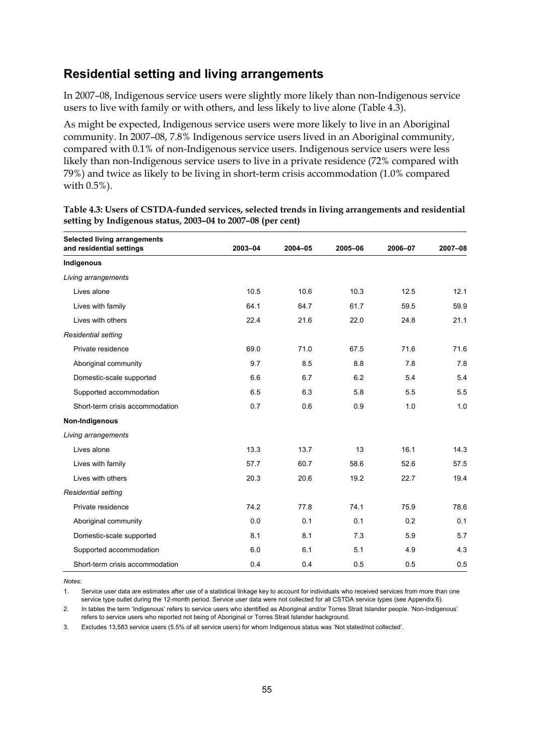#### **Residential setting and living arrangements**

In 2007–08, Indigenous service users were slightly more likely than non-Indigenous service users to live with family or with others, and less likely to live alone [\(Table 4.3](#page-64-0)).

As might be expected, Indigenous service users were more likely to live in an Aboriginal community. In 2007–08, 7.8% Indigenous service users lived in an Aboriginal community, compared with 0.1% of non-Indigenous service users. Indigenous service users were less likely than non-Indigenous service users to live in a private residence (72% compared with 79%) and twice as likely to be living in short-term crisis accommodation (1.0% compared with 0.5%).

| <b>Selected living arrangements</b><br>and residential settings | 2003-04 | 2004-05 | 2005-06 | 2006-07 | 2007-08 |
|-----------------------------------------------------------------|---------|---------|---------|---------|---------|
| Indigenous                                                      |         |         |         |         |         |
| Living arrangements                                             |         |         |         |         |         |
| Lives alone                                                     | 10.5    | 10.6    | 10.3    | 12.5    | 12.1    |
| Lives with family                                               | 64.1    | 64.7    | 61.7    | 59.5    | 59.9    |
| Lives with others                                               | 22.4    | 21.6    | 22.0    | 24.8    | 21.1    |
| <b>Residential setting</b>                                      |         |         |         |         |         |
| Private residence                                               | 69.0    | 71.0    | 67.5    | 71.6    | 71.6    |
| Aboriginal community                                            | 9.7     | 8.5     | 8.8     | 7.8     | 7.8     |
| Domestic-scale supported                                        | 6.6     | 6.7     | 6.2     | 5.4     | 5.4     |
| Supported accommodation                                         | 6.5     | 6.3     | 5.8     | 5.5     | 5.5     |
| Short-term crisis accommodation                                 | 0.7     | 0.6     | 0.9     | 1.0     | 1.0     |
| Non-Indigenous                                                  |         |         |         |         |         |
| Living arrangements                                             |         |         |         |         |         |
| Lives alone                                                     | 13.3    | 13.7    | 13      | 16.1    | 14.3    |
| Lives with family                                               | 57.7    | 60.7    | 58.6    | 52.6    | 57.5    |
| Lives with others                                               | 20.3    | 20.6    | 19.2    | 22.7    | 19.4    |
| <b>Residential setting</b>                                      |         |         |         |         |         |
| Private residence                                               | 74.2    | 77.8    | 74.1    | 75.9    | 78.6    |
| Aboriginal community                                            | 0.0     | 0.1     | 0.1     | 0.2     | 0.1     |
| Domestic-scale supported                                        | 8.1     | 8.1     | 7.3     | 5.9     | 5.7     |
| Supported accommodation                                         | 6.0     | 6.1     | 5.1     | 4.9     | 4.3     |
| Short-term crisis accommodation                                 | 0.4     | 0.4     | 0.5     | 0.5     | 0.5     |

<span id="page-64-0"></span>**Table 4.3: Users of CSTDA-funded services, selected trends in living arrangements and residential setting by Indigenous status, 2003–04 to 2007–08 (per cent)** 

*Notes:* 

1. Service user data are estimates after use of a statistical linkage key to account for individuals who received services from more than one service type outlet during the 12-month period. Service user data were not collected for all CSTDA service types (see Appendix 6).

2. In tables the term 'Indigenous' refers to service users who identified as Aboriginal and/or Torres Strait Islander people. 'Non-Indigenous' refers to service users who reported not being of Aboriginal or Torres Strait Islander background.

3. Excludes 13,583 service users (5.5% of all service users) for whom Indigenous status was 'Not stated/not collected'.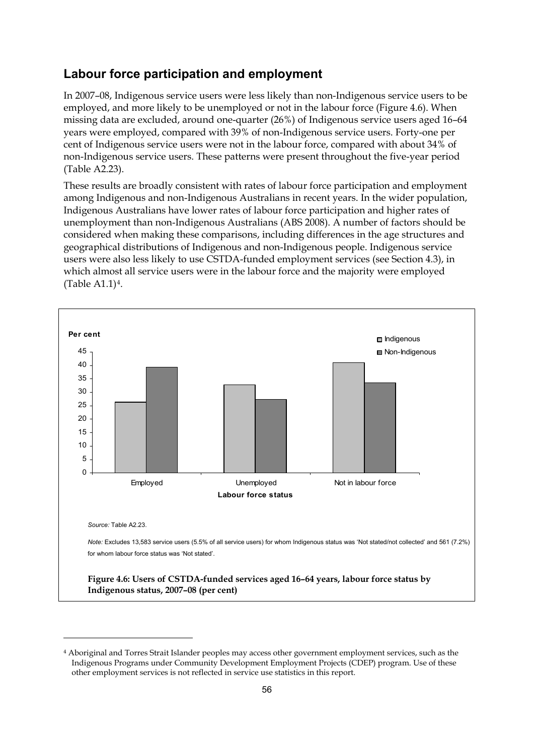#### **Labour force participation and employment**

In 2007–08, Indigenous service users were less likely than non-Indigenous service users to be employed, and more likely to be unemployed or not in the labour force [\(Figure 4.6](#page-65-0)). When missing data are excluded, around one-quarter (26%) of Indigenous service users aged 16–64 years were employed, compared with 39% of non-Indigenous service users. Forty-one per cent of Indigenous service users were not in the labour force, compared with about 34% of non-Indigenous service users. These patterns were present throughout the five-year period (Table A2.23).

These results are broadly consistent with rates of labour force participation and employment among Indigenous and non-Indigenous Australians in recent years. In the wider population, Indigenous Australians have lower rates of labour force participation and higher rates of unemployment than non-Indigenous Australians (ABS 2008). A number of factors should be considered when making these comparisons, including differences in the age structures and geographical distributions of Indigenous and non-Indigenous people. Indigenous service users were also less likely to use CSTDA-funded employment services (see Section 4.3), in which almost all service users were in the labour force and the majority were employed (Table A1.1)[4](#page-65-1).



<span id="page-65-1"></span><sup>4</sup> Aboriginal and Torres Strait Islander peoples may access other government employment services, such as the Indigenous Programs under Community Development Employment Projects (CDEP) program. Use of these other employment services is not reflected in service use statistics in this report.

<span id="page-65-0"></span>-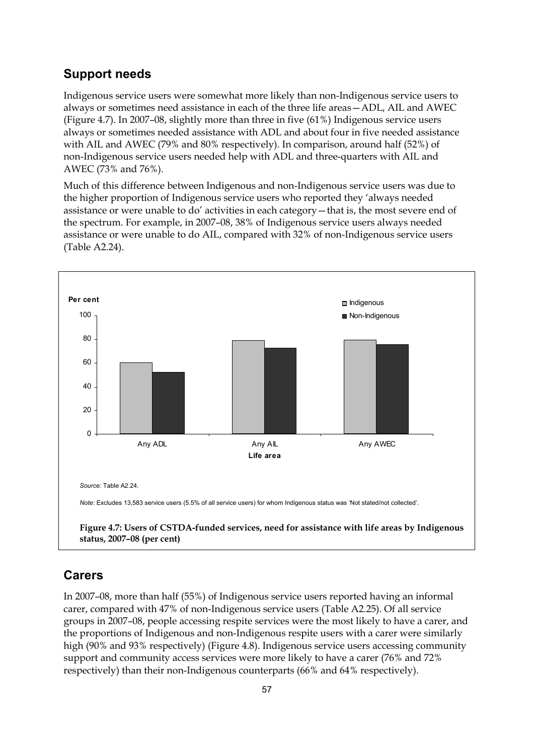#### **Support needs**

Indigenous service users were somewhat more likely than non-Indigenous service users to always or sometimes need assistance in each of the three life areas—ADL, AIL and AWEC ([Figure 4.7\)](#page-66-0). In 2007–08, slightly more than three in five (61%) Indigenous service users always or sometimes needed assistance with ADL and about four in five needed assistance with AIL and AWEC (79% and 80% respectively). In comparison, around half (52%) of non-Indigenous service users needed help with ADL and three-quarters with AIL and AWEC (73% and 76%).

Much of this difference between Indigenous and non-Indigenous service users was due to the higher proportion of Indigenous service users who reported they 'always needed assistance or were unable to do' activities in each category—that is, the most severe end of the spectrum. For example, in 2007–08, 38% of Indigenous service users always needed assistance or were unable to do AIL, compared with 32% of non-Indigenous service users (Table A2.24).



## <span id="page-66-0"></span>**Carers**

In 2007–08, more than half (55%) of Indigenous service users reported having an informal carer, compared with 47% of non-Indigenous service users (Table A2.25). Of all service groups in 2007–08, people accessing respite services were the most likely to have a carer, and the proportions of Indigenous and non-Indigenous respite users with a carer were similarly high (90% and 93% respectively) [\(Figure 4.8\)](#page-67-0). Indigenous service users accessing community support and community access services were more likely to have a carer (76% and 72% respectively) than their non-Indigenous counterparts (66% and 64% respectively).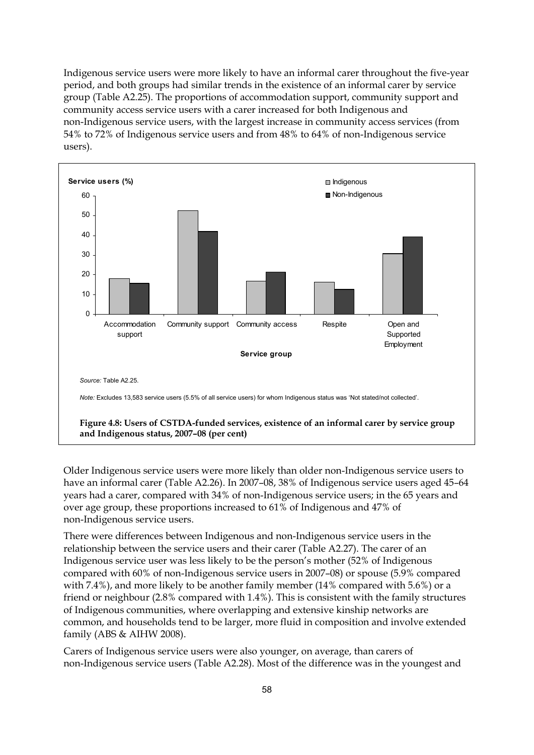Indigenous service users were more likely to have an informal carer throughout the five-year period, and both groups had similar trends in the existence of an informal carer by service group (Table A2.25). The proportions of accommodation support, community support and community access service users with a carer increased for both Indigenous and non-Indigenous service users, with the largest increase in community access services (from 54% to 72% of Indigenous service users and from 48% to 64% of non-Indigenous service users).



<span id="page-67-0"></span>Older Indigenous service users were more likely than older non-Indigenous service users to have an informal carer (Table A2.26). In 2007–08, 38% of Indigenous service users aged 45–64 years had a carer, compared with 34% of non-Indigenous service users; in the 65 years and over age group, these proportions increased to 61% of Indigenous and 47% of non-Indigenous service users.

There were differences between Indigenous and non-Indigenous service users in the relationship between the service users and their carer (Table A2.27). The carer of an Indigenous service user was less likely to be the person's mother (52% of Indigenous compared with 60% of non-Indigenous service users in 2007–08) or spouse (5.9% compared with 7.4%), and more likely to be another family member (14% compared with 5.6%) or a friend or neighbour (2.8% compared with 1.4%). This is consistent with the family structures of Indigenous communities, where overlapping and extensive kinship networks are common, and households tend to be larger, more fluid in composition and involve extended family (ABS & AIHW 2008).

Carers of Indigenous service users were also younger, on average, than carers of non-Indigenous service users (Table A2.28). Most of the difference was in the youngest and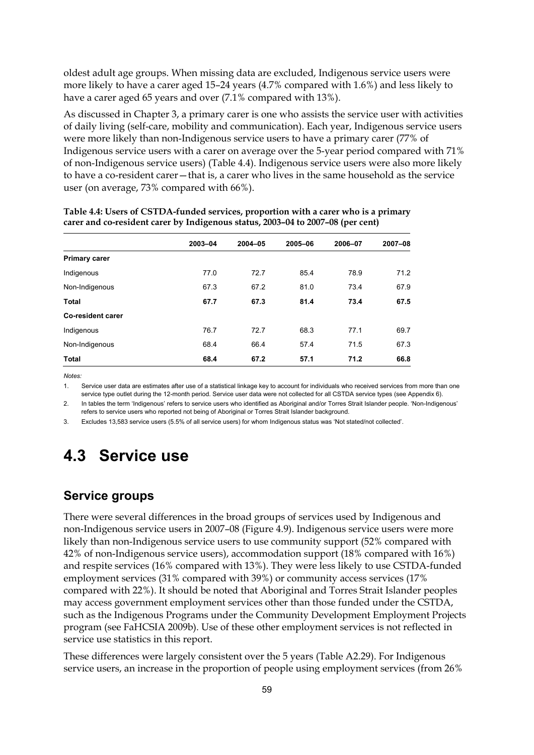oldest adult age groups. When missing data are excluded, Indigenous service users were more likely to have a carer aged 15–24 years (4.7% compared with 1.6%) and less likely to have a carer aged 65 years and over (7.1% compared with 13%).

As discussed in Chapter 3, a primary carer is one who assists the service user with activities of daily living (self-care, mobility and communication). Each year, Indigenous service users were more likely than non-Indigenous service users to have a primary carer (77% of Indigenous service users with a carer on average over the 5-year period compared with 71% of non-Indigenous service users) (Table 4.4). Indigenous service users were also more likely to have a co-resident carer—that is, a carer who lives in the same household as the service user (on average, 73% compared with 66%).

|                          | 2003-04 | $2004 - 05$ | 2005-06 | 2006-07 | 2007-08 |
|--------------------------|---------|-------------|---------|---------|---------|
| <b>Primary carer</b>     |         |             |         |         |         |
| Indigenous               | 77.0    | 72.7        | 85.4    | 78.9    | 71.2    |
| Non-Indigenous           | 67.3    | 67.2        | 81.0    | 73.4    | 67.9    |
| <b>Total</b>             | 67.7    | 67.3        | 81.4    | 73.4    | 67.5    |
| <b>Co-resident carer</b> |         |             |         |         |         |
| Indigenous               | 76.7    | 72.7        | 68.3    | 77.1    | 69.7    |
| Non-Indigenous           | 68.4    | 66.4        | 57.4    | 71.5    | 67.3    |
| <b>Total</b>             | 68.4    | 67.2        | 57.1    | 71.2    | 66.8    |

**Table 4.4: Users of CSTDA-funded services, proportion with a carer who is a primary carer and co-resident carer by Indigenous status, 2003–04 to 2007–08 (per cent)** 

*Notes:* 

1. Service user data are estimates after use of a statistical linkage key to account for individuals who received services from more than one service type outlet during the 12-month period. Service user data were not collected for all CSTDA service types (see Appendix 6).

2. In tables the term 'Indigenous' refers to service users who identified as Aboriginal and/or Torres Strait Islander people. 'Non-Indigenous' refers to service users who reported not being of Aboriginal or Torres Strait Islander background.

3. Excludes 13,583 service users (5.5% of all service users) for whom Indigenous status was 'Not stated/not collected'.

# **4.3 Service use**

## **Service groups**

There were several differences in the broad groups of services used by Indigenous and non-Indigenous service users in 2007–08 [\(Figure 4.9\)](#page-69-0). Indigenous service users were more likely than non-Indigenous service users to use community support (52% compared with 42% of non-Indigenous service users), accommodation support (18% compared with 16%) and respite services (16% compared with 13%). They were less likely to use CSTDA-funded employment services (31% compared with 39%) or community access services (17% compared with 22%). It should be noted that Aboriginal and Torres Strait Islander peoples may access government employment services other than those funded under the CSTDA, such as the Indigenous Programs under the Community Development Employment Projects program (see FaHCSIA 2009b). Use of these other employment services is not reflected in service use statistics in this report.

These differences were largely consistent over the 5 years (Table A2.29). For Indigenous service users, an increase in the proportion of people using employment services (from 26%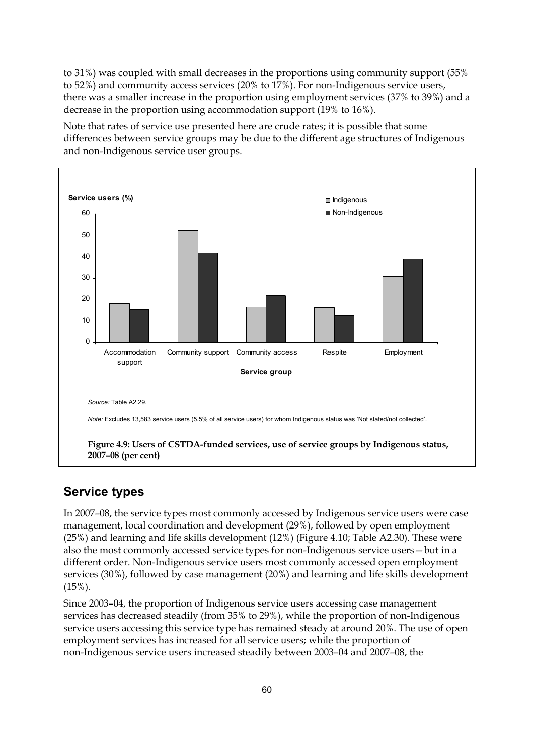to 31%) was coupled with small decreases in the proportions using community support (55% to 52%) and community access services (20% to 17%). For non-Indigenous service users, there was a smaller increase in the proportion using employment services (37% to 39%) and a decrease in the proportion using accommodation support (19% to 16%).

Note that rates of service use presented here are crude rates; it is possible that some differences between service groups may be due to the different age structures of Indigenous and non-Indigenous service user groups.



## <span id="page-69-0"></span>**Service types**

In 2007–08, the service types most commonly accessed by Indigenous service users were case management, local coordination and development (29%), followed by open employment (25%) and learning and life skills development (12%) (Figure 4.10; Table A2.30). These were also the most commonly accessed service types for non-Indigenous service users—but in a different order. Non-Indigenous service users most commonly accessed open employment services (30%), followed by case management (20%) and learning and life skills development (15%).

Since 2003–04, the proportion of Indigenous service users accessing case management services has decreased steadily (from 35% to 29%), while the proportion of non-Indigenous service users accessing this service type has remained steady at around 20%. The use of open employment services has increased for all service users; while the proportion of non-Indigenous service users increased steadily between 2003–04 and 2007–08, the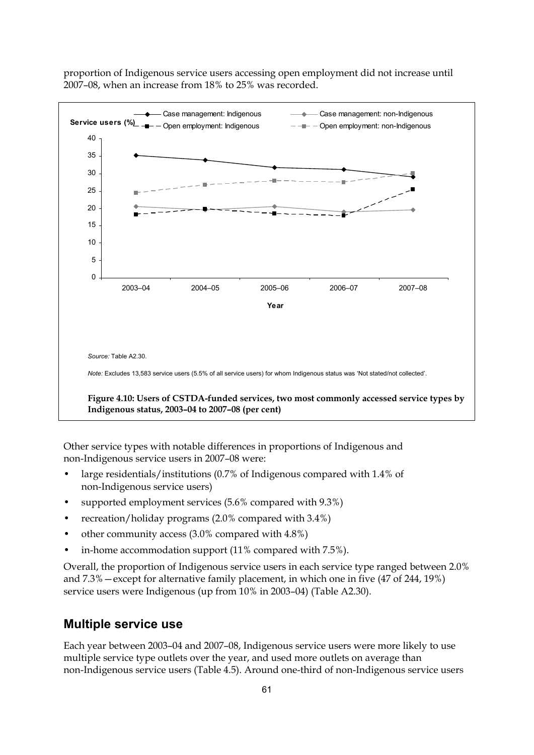

proportion of Indigenous service users accessing open employment did not increase until 2007–08, when an increase from 18% to 25% was recorded.

Other service types with notable differences in proportions of Indigenous and non-Indigenous service users in 2007–08 were:

- large residentials/institutions (0.7% of Indigenous compared with 1.4% of non-Indigenous service users)
- supported employment services (5.6% compared with 9.3%)
- recreation/holiday programs (2.0% compared with 3.4%)
- other community access (3.0% compared with 4.8%)
- in-home accommodation support (11% compared with 7.5%).

Overall, the proportion of Indigenous service users in each service type ranged between 2.0% and 7.3%—except for alternative family placement, in which one in five (47 of 244, 19%) service users were Indigenous (up from 10% in 2003–04) (Table A2.30).

#### **Multiple service use**

Each year between 2003–04 and 2007–08, Indigenous service users were more likely to use multiple service type outlets over the year, and used more outlets on average than non-Indigenous service users (Table 4.5). Around one-third of non-Indigenous service users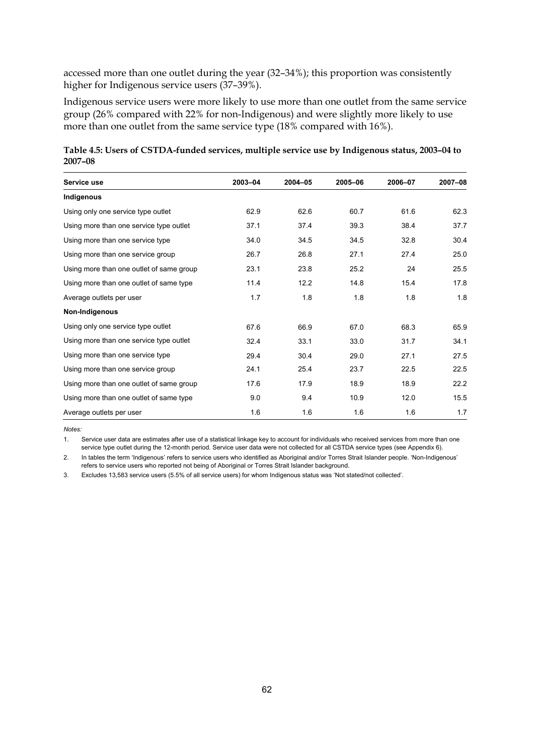accessed more than one outlet during the year (32–34%); this proportion was consistently higher for Indigenous service users (37–39%).

Indigenous service users were more likely to use more than one outlet from the same service group (26% compared with 22% for non-Indigenous) and were slightly more likely to use more than one outlet from the same service type (18% compared with 16%).

| Table 4.5: Users of CSTDA-funded services, multiple service use by Indigenous status, 2003-04 to |  |
|--------------------------------------------------------------------------------------------------|--|
| 2007-08                                                                                          |  |

| Service use                              | 2003-04 | $2004 - 05$ | 2005-06 | 2006-07 | 2007-08 |
|------------------------------------------|---------|-------------|---------|---------|---------|
| Indigenous                               |         |             |         |         |         |
| Using only one service type outlet       | 62.9    | 62.6        | 60.7    | 61.6    | 62.3    |
| Using more than one service type outlet  | 37.1    | 37.4        | 39.3    | 38.4    | 37.7    |
| Using more than one service type         | 34.0    | 34.5        | 34.5    | 32.8    | 30.4    |
| Using more than one service group        | 26.7    | 26.8        | 27.1    | 27.4    | 25.0    |
| Using more than one outlet of same group | 23.1    | 23.8        | 25.2    | 24      | 25.5    |
| Using more than one outlet of same type  | 11.4    | 12.2        | 14.8    | 15.4    | 17.8    |
| Average outlets per user                 | 1.7     | 1.8         | 1.8     | 1.8     | 1.8     |
| Non-Indigenous                           |         |             |         |         |         |
| Using only one service type outlet       | 67.6    | 66.9        | 67.0    | 68.3    | 65.9    |
| Using more than one service type outlet  | 32.4    | 33.1        | 33.0    | 31.7    | 34.1    |
| Using more than one service type         | 29.4    | 30.4        | 29.0    | 27.1    | 27.5    |
| Using more than one service group        | 24.1    | 25.4        | 23.7    | 22.5    | 22.5    |
| Using more than one outlet of same group | 17.6    | 17.9        | 18.9    | 18.9    | 22.2    |
| Using more than one outlet of same type  | 9.0     | 9.4         | 10.9    | 12.0    | 15.5    |
| Average outlets per user                 | 1.6     | 1.6         | 1.6     | 1.6     | 1.7     |

*Notes:* 

1. Service user data are estimates after use of a statistical linkage key to account for individuals who received services from more than one service type outlet during the 12-month period. Service user data were not collected for all CSTDA service types (see Appendix 6).

2. In tables the term 'Indigenous' refers to service users who identified as Aboriginal and/or Torres Strait Islander people. 'Non-Indigenous' refers to service users who reported not being of Aboriginal or Torres Strait Islander background.

3. Excludes 13,583 service users (5.5% of all service users) for whom Indigenous status was 'Not stated/not collected'.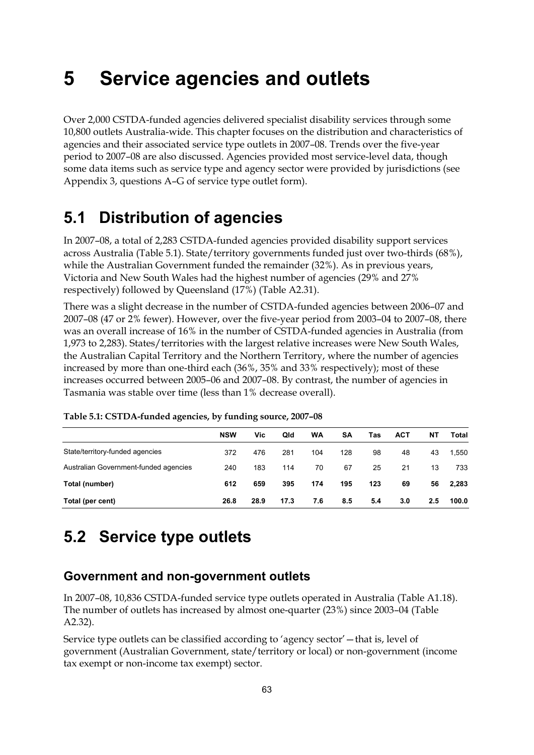# **5 Service agencies and outlets**

Over 2,000 CSTDA-funded agencies delivered specialist disability services through some 10,800 outlets Australia-wide. This chapter focuses on the distribution and characteristics of agencies and their associated service type outlets in 2007–08. Trends over the five-year period to 2007–08 are also discussed. Agencies provided most service-level data, though some data items such as service type and agency sector were provided by jurisdictions (see Appendix 3, questions A–G of service type outlet form).

## **5.1 Distribution of agencies**

In 2007–08, a total of 2,283 CSTDA-funded agencies provided disability support services across Australia [\(Table 5.1\)](#page-72-0). State/territory governments funded just over two-thirds (68%), while the Australian Government funded the remainder (32%). As in previous years, Victoria and New South Wales had the highest number of agencies (29% and 27% respectively) followed by Queensland (17%) (Table A2.31).

There was a slight decrease in the number of CSTDA-funded agencies between 2006–07 and 2007–08 (47 or 2% fewer). However, over the five-year period from 2003–04 to 2007–08, there was an overall increase of 16% in the number of CSTDA-funded agencies in Australia (from 1,973 to 2,283). States/territories with the largest relative increases were New South Wales, the Australian Capital Territory and the Northern Territory, where the number of agencies increased by more than one-third each (36%, 35% and 33% respectively); most of these increases occurred between 2005–06 and 2007–08. By contrast, the number of agencies in Tasmania was stable over time (less than 1% decrease overall).

|                                       | <b>NSW</b> | Vic  | Qld  | WA  | SΑ  | Tas | <b>ACT</b> | NΤ  | Total |
|---------------------------------------|------------|------|------|-----|-----|-----|------------|-----|-------|
| State/territory-funded agencies       | 372        | 476  | 281  | 104 | 128 | 98  | 48         | 43  | 1,550 |
| Australian Government-funded agencies | 240        | 183  | 114  | 70  | 67  | 25  | 21         | 13  | 733   |
| Total (number)                        | 612        | 659  | 395  | 174 | 195 | 123 | 69         | 56  | 2,283 |
| Total (per cent)                      | 26.8       | 28.9 | 17.3 | 7.6 | 8.5 | 5.4 | 3.0        | 2.5 | 100.0 |

<span id="page-72-0"></span>**Table 5.1: CSTDA-funded agencies, by funding source, 2007–08** 

## **5.2 Service type outlets**

### **Government and non-government outlets**

In 2007–08, 10,836 CSTDA-funded service type outlets operated in Australia (Table A1.18). The number of outlets has increased by almost one-quarter (23%) since 2003–04 (Table A2.32).

Service type outlets can be classified according to 'agency sector'—that is, level of government (Australian Government, state/territory or local) or non-government (income tax exempt or non-income tax exempt) sector.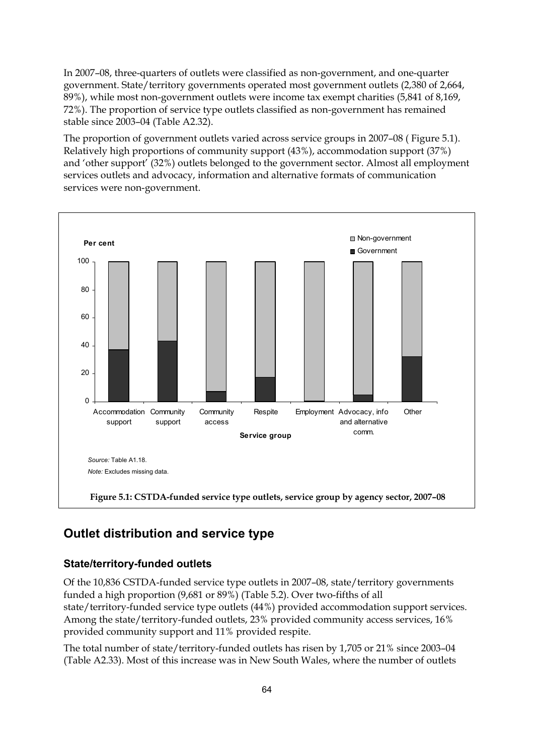In 2007–08, three-quarters of outlets were classified as non-government, and one-quarter government. State/territory governments operated most government outlets (2,380 of 2,664, 89%), while most non-government outlets were income tax exempt charities (5,841 of 8,169, 72%). The proportion of service type outlets classified as non-government has remained stable since 2003–04 (Table A2.32).

The proportion of government outlets varied across service groups in 2007–08 ( [Figure 5.1\)](#page-73-0). Relatively high proportions of community support (43%), accommodation support (37%) and 'other support' (32%) outlets belonged to the government sector. Almost all employment services outlets and advocacy, information and alternative formats of communication services were non-government.



## <span id="page-73-0"></span>**Outlet distribution and service type**

### **State/territory-funded outlets**

Of the 10,836 CSTDA-funded service type outlets in 2007–08, state/territory governments funded a high proportion (9,681 or 89%) (Table 5.2). Over two-fifths of all state/territory-funded service type outlets (44%) provided accommodation support services. Among the state/territory-funded outlets, 23% provided community access services, 16% provided community support and 11% provided respite.

The total number of state/territory-funded outlets has risen by 1,705 or 21% since 2003–04 (Table A2.33). Most of this increase was in New South Wales, where the number of outlets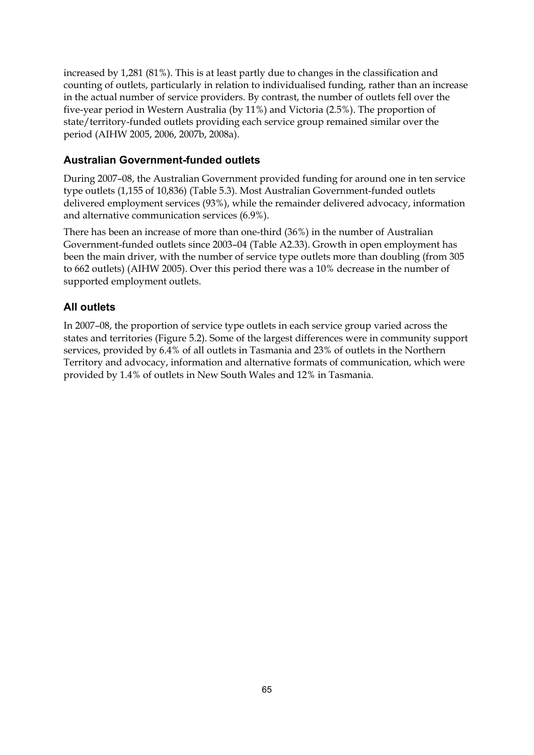increased by 1,281 (81%). This is at least partly due to changes in the classification and counting of outlets, particularly in relation to individualised funding, rather than an increase in the actual number of service providers. By contrast, the number of outlets fell over the five-year period in Western Australia (by 11%) and Victoria (2.5%). The proportion of state/territory-funded outlets providing each service group remained similar over the period (AIHW 2005, 2006, 2007b, 2008a).

### **Australian Government-funded outlets**

During 2007–08, the Australian Government provided funding for around one in ten service type outlets (1,155 of 10,836) (Table 5.3). Most Australian Government-funded outlets delivered employment services (93%), while the remainder delivered advocacy, information and alternative communication services (6.9%).

There has been an increase of more than one-third (36%) in the number of Australian Government-funded outlets since 2003–04 (Table A2.33). Growth in open employment has been the main driver, with the number of service type outlets more than doubling (from 305 to 662 outlets) (AIHW 2005). Over this period there was a 10% decrease in the number of supported employment outlets.

### **All outlets**

In 2007–08, the proportion of service type outlets in each service group varied across the states and territories (Figure 5.2). Some of the largest differences were in community support services, provided by 6.4% of all outlets in Tasmania and 23% of outlets in the Northern Territory and advocacy, information and alternative formats of communication, which were provided by 1.4% of outlets in New South Wales and 12% in Tasmania.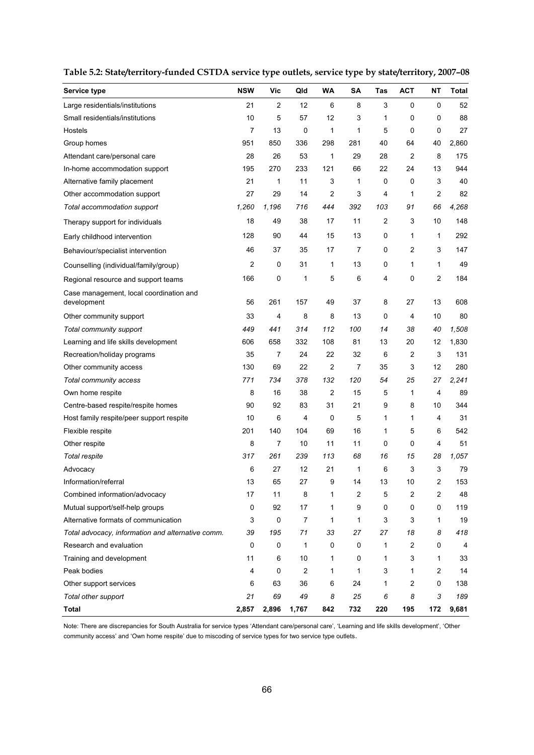| Service type                                           | <b>NSW</b> | <b>Vic</b>     | Qld   | <b>WA</b> | SA  | Tas | <b>ACT</b>     | NΤ             | <b>Total</b> |
|--------------------------------------------------------|------------|----------------|-------|-----------|-----|-----|----------------|----------------|--------------|
| Large residentials/institutions                        | 21         | $\overline{c}$ | 12    | 6         | 8   | 3   | 0              | 0              | 52           |
| Small residentials/institutions                        | 10         | 5              | 57    | 12        | 3   | 1   | 0              | 0              | 88           |
| Hostels                                                | 7          | 13             | 0     | 1         | 1   | 5   | 0              | 0              | 27           |
| Group homes                                            | 951        | 850            | 336   | 298       | 281 | 40  | 64             | 40             | 2,860        |
| Attendant care/personal care                           | 28         | 26             | 53    | 1         | 29  | 28  | 2              | 8              | 175          |
| In-home accommodation support                          | 195        | 270            | 233   | 121       | 66  | 22  | 24             | 13             | 944          |
| Alternative family placement                           | 21         | 1              | 11    | 3         | 1   | 0   | 0              | 3              | 40           |
| Other accommodation support                            | 27         | 29             | 14    | 2         | 3   | 4   | 1              | $\overline{2}$ | 82           |
| Total accommodation support                            | 1,260      | 1,196          | 716   | 444       | 392 | 103 | 91             | 66             | 4,268        |
| Therapy support for individuals                        | 18         | 49             | 38    | 17        | 11  | 2   | 3              | 10             | 148          |
| Early childhood intervention                           | 128        | 90             | 44    | 15        | 13  | 0   | 1              | 1              | 292          |
| Behaviour/specialist intervention                      | 46         | 37             | 35    | 17        | 7   | 0   | $\overline{c}$ | 3              | 147          |
| Counselling (individual/family/group)                  | 2          | 0              | 31    | 1         | 13  | 0   | 1              | 1              | 49           |
| Regional resource and support teams                    | 166        | 0              | 1     | 5         | 6   | 4   | 0              | 2              | 184          |
| Case management, local coordination and<br>development | 56         | 261            | 157   | 49        | 37  | 8   | 27             | 13             | 608          |
| Other community support                                | 33         | 4              | 8     | 8         | 13  | 0   | 4              | 10             | 80           |
| Total community support                                | 449        | 441            | 314   | 112       | 100 | 14  | 38             | 40             | 1,508        |
| Learning and life skills development                   | 606        | 658            | 332   | 108       | 81  | 13  | 20             | 12             | 1,830        |
| Recreation/holiday programs                            | 35         | 7              | 24    | 22        | 32  | 6   | 2              | 3              | 131          |
| Other community access                                 | 130        | 69             | 22    | 2         | 7   | 35  | 3              | 12             | 280          |
| Total community access                                 | 771        | 734            | 378   | 132       | 120 | 54  | 25             | 27             | 2,241        |
| Own home respite                                       | 8          | 16             | 38    | 2         | 15  | 5   | 1              | 4              | 89           |
| Centre-based respite/respite homes                     | 90         | 92             | 83    | 31        | 21  | 9   | 8              | 10             | 344          |
| Host family respite/peer support respite               | 10         | 6              | 4     | 0         | 5   | 1   | 1              | 4              | 31           |
| Flexible respite                                       | 201        | 140            | 104   | 69        | 16  | 1   | 5              | 6              | 542          |
| Other respite                                          | 8          | 7              | 10    | 11        | 11  | 0   | 0              | 4              | 51           |
| Total respite                                          | 317        | 261            | 239   | 113       | 68  | 16  | 15             | 28             | 1,057        |
| Advocacy                                               | 6          | 27             | 12    | 21        | 1   | 6   | 3              | 3              | 79           |
| Information/referral                                   | 13         | 65             | 27    | 9         | 14  | 13  | 10             | 2              | 153          |
| Combined information/advocacy                          | 17         | 11             | 8     | 1         | 2   | 5   | 2              | 2              | 48           |
| Mutual support/self-help groups                        | 0          | 92             | 17    | 1         | 9   | 0   | 0              | 0              | 119          |
| Alternative formats of communication                   | 3          | 0              | 7     | 1         | 1   | 3   | 3              | 1              | 19           |
| Total advocacy, information and alternative comm.      | 39         | 195            | 71    | 33        | 27  | 27  | 18             | 8              | 418          |
| Research and evaluation                                | 0          | 0              | 1     | 0         | 0   | 1   | 2              | 0              | 4            |
| Training and development                               | 11         | 6              | 10    | 1         | 0   | 1   | 3              | 1              | 33           |
| Peak bodies                                            | 4          | 0              | 2     | 1         | 1   | 3   | 1              | 2              | 14           |
| Other support services                                 | 6          | 63             | 36    | 6         | 24  | 1   | $\overline{c}$ | 0              | 138          |
| Total other support                                    | 21         | 69             | 49    | 8         | 25  | 6   | 8              | 3              | 189          |
| <b>Total</b>                                           | 2,857      | 2,896          | 1,767 | 842       | 732 | 220 | 195            | 172            | 9,681        |

**Table 5.2: State/territory-funded CSTDA service type outlets, service type by state/territory, 2007–08** 

Note: There are discrepancies for South Australia for service types 'Attendant care/personal care', 'Learning and life skills development', 'Other community access' and 'Own home respite' due to miscoding of service types for two service type outlets.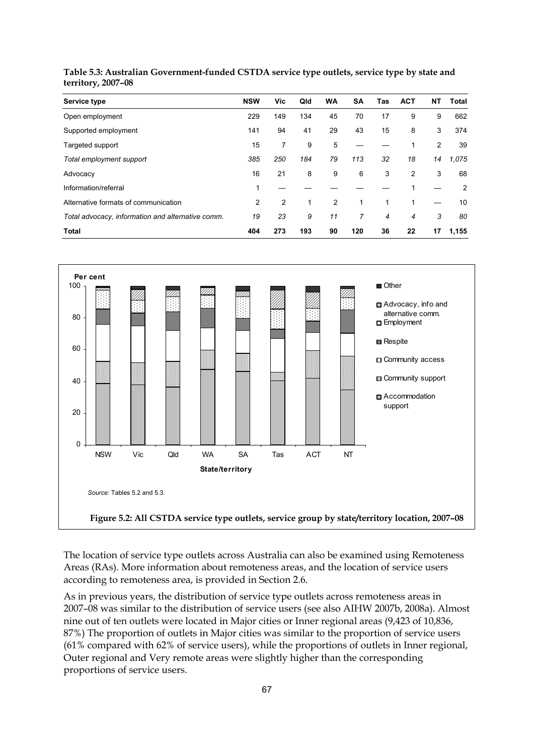| Service type                                      | <b>NSW</b>     | Vic. | Qld | <b>WA</b> | <b>SA</b> | Tas | <b>ACT</b> | NΤ | Total |
|---------------------------------------------------|----------------|------|-----|-----------|-----------|-----|------------|----|-------|
| Open employment                                   | 229            | 149  | 134 | 45        | 70        | 17  | 9          | 9  | 662   |
| Supported employment                              | 141            | 94   | 41  | 29        | 43        | 15  | 8          | 3  | 374   |
| Targeted support                                  | 15             | 7    | 9   | 5         |           |     |            | 2  | 39    |
| Total employment support                          | 385            | 250  | 184 | 79        | 113       | 32  | 18         | 14 | 1,075 |
| Advocacy                                          | 16             | 21   | 8   | 9         | 6         | 3   | 2          | 3  | 68    |
| Information/referral                              |                |      |     |           |           |     |            |    | 2     |
| Alternative formats of communication              | $\overline{2}$ | 2    |     | 2         |           | 1   |            |    | 10    |
| Total advocacy, information and alternative comm. | 19             | 23   | 9   | 11        | 7         | 4   | 4          | 3  | 80    |
| <b>Total</b>                                      | 404            | 273  | 193 | 90        | 120       | 36  | 22         | 17 | 1,155 |



**Table 5.3: Australian Government-funded CSTDA service type outlets, service type by state and territory, 2007–08**

The location of service type outlets across Australia can also be examined using Remoteness Areas (RAs). More information about remoteness areas, and the location of service users according to remoteness area, is provided in Section 2.6.

As in previous years, the distribution of service type outlets across remoteness areas in 2007–08 was similar to the distribution of service users (see also AIHW 2007b, 2008a). Almost nine out of ten outlets were located in Major cities or Inner regional areas (9,423 of 10,836, 87%) The proportion of outlets in Major cities was similar to the proportion of service users (61% compared with 62% of service users), while the proportions of outlets in Inner regional, Outer regional and Very remote areas were slightly higher than the corresponding proportions of service users.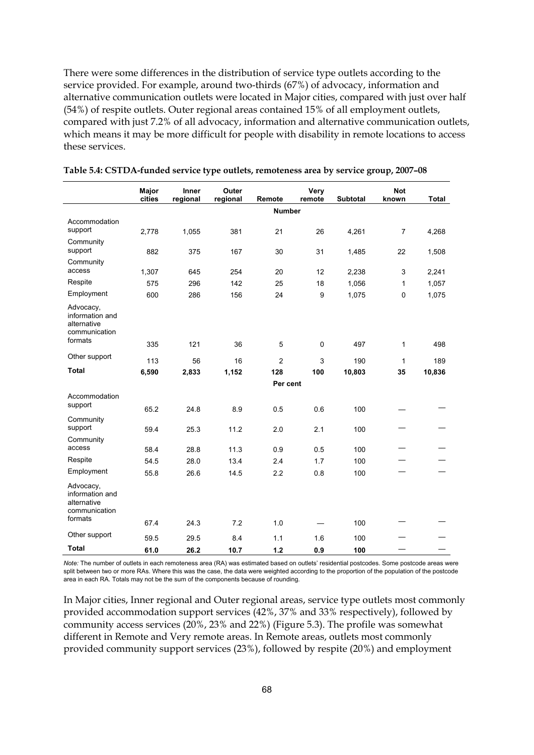There were some differences in the distribution of service type outlets according to the service provided. For example, around two-thirds (67%) of advocacy, information and alternative communication outlets were located in Major cities, compared with just over half (54%) of respite outlets. Outer regional areas contained 15% of all employment outlets, compared with just 7.2% of all advocacy, information and alternative communication outlets, which means it may be more difficult for people with disability in remote locations to access these services.

|                                                                         | Major<br>cities | Inner<br>regional | Outer<br>regional | Remote        | Very<br>remote | Subtotal   | <b>Not</b><br>known | Total  |
|-------------------------------------------------------------------------|-----------------|-------------------|-------------------|---------------|----------------|------------|---------------------|--------|
|                                                                         |                 |                   |                   | <b>Number</b> |                |            |                     |        |
| Accommodation<br>support                                                | 2,778           | 1,055             | 381               | 21            | 26             | 4,261      | 7                   | 4,268  |
| Community<br>support                                                    | 882             | 375               | 167               | 30            | 31             | 1,485      | 22                  | 1,508  |
| Community<br>access                                                     | 1,307           | 645               | 254               | 20            | 12             | 2,238      | 3                   | 2,241  |
| Respite                                                                 | 575             | 296               | 142               | 25            | 18             | 1,056      | 1                   | 1,057  |
| Employment                                                              | 600             | 286               | 156               | 24            | 9              | 1,075      | 0                   | 1,075  |
| Advocacy,<br>information and<br>alternative<br>communication<br>formats | 335             | 121               | 36                | 5             | 0              | 497        | 1                   | 498    |
| Other support                                                           | 113             | 56                | 16                | 2             | 3              | 190        | 1                   | 189    |
| <b>Total</b>                                                            | 6,590           | 2,833             | 1,152             | 128           | 100            | 10,803     | 35                  | 10,836 |
|                                                                         |                 |                   |                   | Per cent      |                |            |                     |        |
| Accommodation                                                           |                 |                   |                   |               |                |            |                     |        |
| support                                                                 | 65.2            | 24.8              | 8.9               | 0.5           | 0.6            | 100        |                     |        |
| Community<br>support                                                    | 59.4            | 25.3              | 11.2              | 2.0           | 2.1            | 100        |                     |        |
| Community<br>access                                                     | 58.4            | 28.8              | 11.3              | 0.9           | 0.5            | 100        |                     |        |
| Respite                                                                 | 54.5            | 28.0              | 13.4              | 2.4           | 1.7            | 100        |                     |        |
| Employment                                                              | 55.8            | 26.6              | 14.5              | 2.2           | 0.8            | 100        |                     |        |
| Advocacy,<br>information and<br>alternative<br>communication<br>formats | 67.4            | 24.3              | 7.2               | 1.0           |                | 100        |                     |        |
| Other support                                                           |                 |                   |                   |               |                |            |                     |        |
| <b>Total</b>                                                            | 59.5<br>61.0    | 29.5<br>26.2      | 8.4<br>10.7       | 1.1<br>1.2    | 1.6<br>0.9     | 100<br>100 |                     |        |

#### **Table 5.4: CSTDA-funded service type outlets, remoteness area by service group, 2007–08**

*Note:* The number of outlets in each remoteness area (RA) was estimated based on outlets' residential postcodes. Some postcode areas were split between two or more RAs. Where this was the case, the data were weighted according to the proportion of the population of the postcode area in each RA. Totals may not be the sum of the components because of rounding.

In Major cities, Inner regional and Outer regional areas, service type outlets most commonly provided accommodation support services (42%, 37% and 33% respectively), followed by community access services (20%, 23% and 22%) ([Figure 5.3](#page-78-0)). The profile was somewhat different in Remote and Very remote areas. In Remote areas, outlets most commonly provided community support services (23%), followed by respite (20%) and employment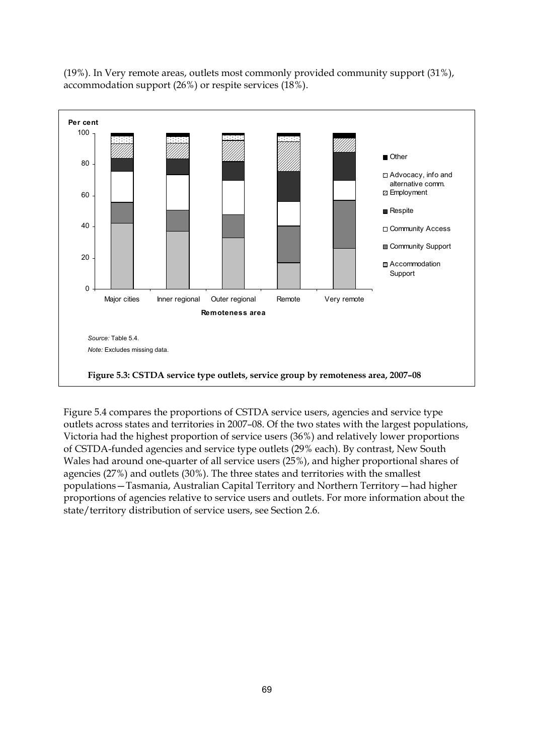

(19%). In Very remote areas, outlets most commonly provided community support (31%), accommodation support (26%) or respite services (18%).

<span id="page-78-0"></span>[Figure 5.4](#page-79-0) compares the proportions of CSTDA service users, agencies and service type outlets across states and territories in 2007–08. Of the two states with the largest populations, Victoria had the highest proportion of service users (36%) and relatively lower proportions of CSTDA-funded agencies and service type outlets (29% each). By contrast, New South Wales had around one-quarter of all service users (25%), and higher proportional shares of agencies (27%) and outlets (30%). The three states and territories with the smallest populations—Tasmania, Australian Capital Territory and Northern Territory—had higher proportions of agencies relative to service users and outlets. For more information about the state/territory distribution of service users, see Section 2.6.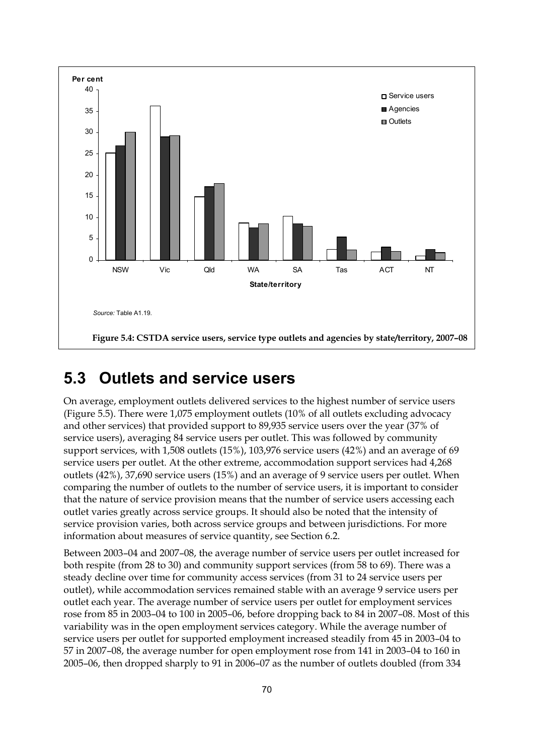

## <span id="page-79-0"></span>**5.3 Outlets and service users**

On average, employment outlets delivered services to the highest number of service users ([Figure 5.5\)](#page-80-0). There were 1,075 employment outlets (10% of all outlets excluding advocacy and other services) that provided support to 89,935 service users over the year (37% of service users), averaging 84 service users per outlet. This was followed by community support services, with 1,508 outlets (15%), 103,976 service users (42%) and an average of 69 service users per outlet. At the other extreme, accommodation support services had 4,268 outlets (42%), 37,690 service users (15%) and an average of 9 service users per outlet. When comparing the number of outlets to the number of service users, it is important to consider that the nature of service provision means that the number of service users accessing each outlet varies greatly across service groups. It should also be noted that the intensity of service provision varies, both across service groups and between jurisdictions. For more information about measures of service quantity, see Section 6.2.

Between 2003–04 and 2007–08, the average number of service users per outlet increased for both respite (from 28 to 30) and community support services (from 58 to 69). There was a steady decline over time for community access services (from 31 to 24 service users per outlet), while accommodation services remained stable with an average 9 service users per outlet each year. The average number of service users per outlet for employment services rose from 85 in 2003–04 to 100 in 2005–06, before dropping back to 84 in 2007–08. Most of this variability was in the open employment services category. While the average number of service users per outlet for supported employment increased steadily from 45 in 2003–04 to 57 in 2007–08, the average number for open employment rose from 141 in 2003–04 to 160 in 2005–06, then dropped sharply to 91 in 2006–07 as the number of outlets doubled (from 334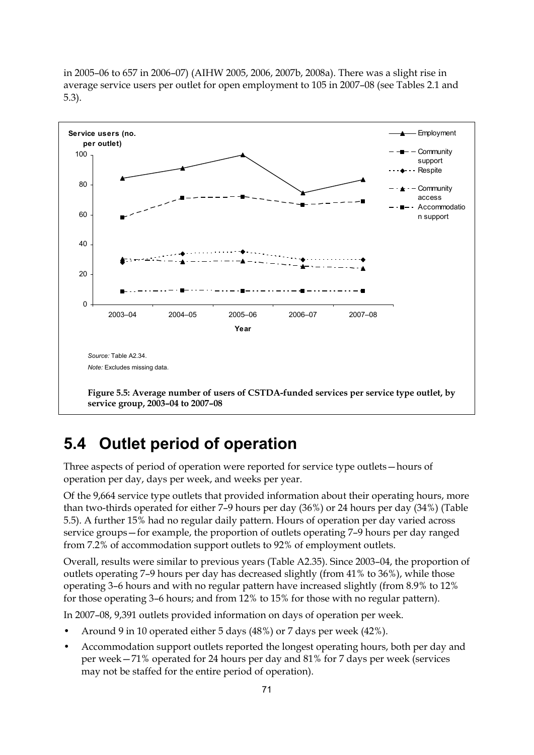in 2005–06 to 657 in 2006–07) (AIHW 2005, 2006, 2007b, 2008a). There was a slight rise in average service users per outlet for open employment to 105 in 2007–08 (see Tables 2.1 and 5.3).



# <span id="page-80-0"></span>**5.4 Outlet period of operation**

Three aspects of period of operation were reported for service type outlets—hours of operation per day, days per week, and weeks per year.

Of the 9,664 service type outlets that provided information about their operating hours, more than two-thirds operated for either 7–9 hours per day (36%) or 24 hours per day (34%) [\(Table](#page-81-0)  [5.5\)](#page-81-0). A further 15% had no regular daily pattern. Hours of operation per day varied across service groups—for example, the proportion of outlets operating 7–9 hours per day ranged from 7.2% of accommodation support outlets to 92% of employment outlets.

Overall, results were similar to previous years (Table A2.35). Since 2003–04, the proportion of outlets operating 7–9 hours per day has decreased slightly (from 41% to 36%), while those operating 3–6 hours and with no regular pattern have increased slightly (from 8.9% to 12% for those operating 3–6 hours; and from 12% to 15% for those with no regular pattern).

In 2007–08, 9,391 outlets provided information on days of operation per week.

- Around 9 in 10 operated either 5 days (48%) or 7 days per week (42%).
- Accommodation support outlets reported the longest operating hours, both per day and per week—71% operated for 24 hours per day and 81% for 7 days per week (services may not be staffed for the entire period of operation).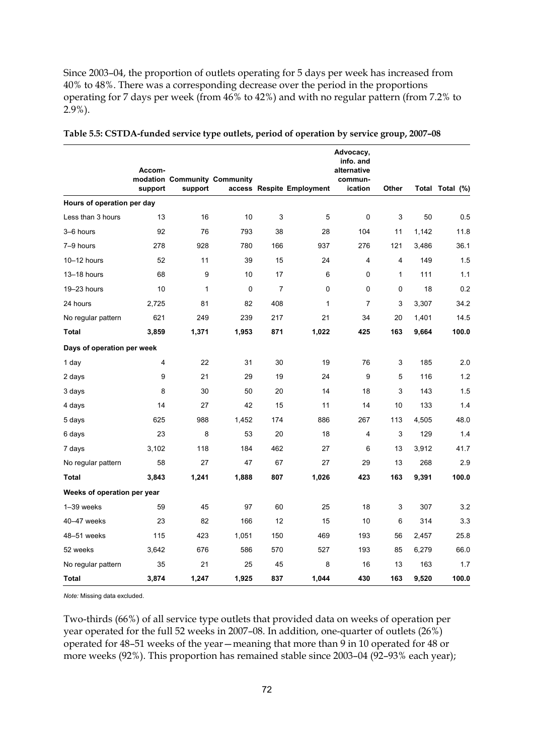Since 2003–04, the proportion of outlets operating for 5 days per week has increased from 40% to 48%. There was a corresponding decrease over the period in the proportions operating for 7 days per week (from 46% to 42%) and with no regular pattern (from 7.2% to 2.9%).

|                             | Accom-  | modation Community Community |       |     |                           | Advocacy,<br>info. and<br>alternative<br>commun- |                |       |                 |
|-----------------------------|---------|------------------------------|-------|-----|---------------------------|--------------------------------------------------|----------------|-------|-----------------|
|                             | support | support                      |       |     | access Respite Employment | ication                                          | Other          |       | Total Total (%) |
| Hours of operation per day  |         |                              |       |     |                           |                                                  |                |       |                 |
| Less than 3 hours           | 13      | 16                           | 10    | 3   | 5                         | 0                                                | 3              | 50    | 0.5             |
| 3-6 hours                   | 92      | 76                           | 793   | 38  | 28                        | 104                                              | 11             | 1,142 | 11.8            |
| 7-9 hours                   | 278     | 928                          | 780   | 166 | 937                       | 276                                              | 121            | 3,486 | 36.1            |
| $10 - 12$ hours             | 52      | 11                           | 39    | 15  | 24                        | 4                                                | $\overline{4}$ | 149   | 1.5             |
| 13-18 hours                 | 68      | 9                            | 10    | 17  | 6                         | 0                                                | $\mathbf{1}$   | 111   | 1.1             |
| 19-23 hours                 | 10      | 1                            | 0     | 7   | 0                         | 0                                                | 0              | 18    | 0.2             |
| 24 hours                    | 2,725   | 81                           | 82    | 408 | $\mathbf{1}$              | $\overline{7}$                                   | 3              | 3,307 | 34.2            |
| No regular pattern          | 621     | 249                          | 239   | 217 | 21                        | 34                                               | 20             | 1,401 | 14.5            |
| Total                       | 3,859   | 1,371                        | 1,953 | 871 | 1,022                     | 425                                              | 163            | 9,664 | 100.0           |
| Days of operation per week  |         |                              |       |     |                           |                                                  |                |       |                 |
| 1 day                       | 4       | 22                           | 31    | 30  | 19                        | 76                                               | 3              | 185   | 2.0             |
| 2 days                      | 9       | 21                           | 29    | 19  | 24                        | 9                                                | 5              | 116   | 1.2             |
| 3 days                      | 8       | 30                           | 50    | 20  | 14                        | 18                                               | 3              | 143   | 1.5             |
| 4 days                      | 14      | 27                           | 42    | 15  | 11                        | 14                                               | 10             | 133   | 1.4             |
| 5 days                      | 625     | 988                          | 1,452 | 174 | 886                       | 267                                              | 113            | 4,505 | 48.0            |
| 6 days                      | 23      | 8                            | 53    | 20  | 18                        | 4                                                | 3              | 129   | 1.4             |
| 7 days                      | 3,102   | 118                          | 184   | 462 | 27                        | 6                                                | 13             | 3,912 | 41.7            |
| No regular pattern          | 58      | 27                           | 47    | 67  | 27                        | 29                                               | 13             | 268   | 2.9             |
| Total                       | 3,843   | 1,241                        | 1,888 | 807 | 1,026                     | 423                                              | 163            | 9,391 | 100.0           |
| Weeks of operation per year |         |                              |       |     |                           |                                                  |                |       |                 |
| 1-39 weeks                  | 59      | 45                           | 97    | 60  | 25                        | 18                                               | 3              | 307   | 3.2             |
| 40-47 weeks                 | 23      | 82                           | 166   | 12  | 15                        | 10                                               | 6              | 314   | 3.3             |
| 48-51 weeks                 | 115     | 423                          | 1,051 | 150 | 469                       | 193                                              | 56             | 2,457 | 25.8            |
| 52 weeks                    | 3,642   | 676                          | 586   | 570 | 527                       | 193                                              | 85             | 6,279 | 66.0            |
| No regular pattern          | 35      | 21                           | 25    | 45  | 8                         | 16                                               | 13             | 163   | 1.7             |
| Total                       | 3,874   | 1,247                        | 1,925 | 837 | 1,044                     | 430                                              | 163            | 9,520 | 100.0           |

<span id="page-81-0"></span>**Table 5.5: CSTDA-funded service type outlets, period of operation by service group, 2007–08**

*Note:* Missing data excluded.

Two-thirds (66%) of all service type outlets that provided data on weeks of operation per year operated for the full 52 weeks in 2007–08. In addition, one-quarter of outlets (26%) operated for 48–51 weeks of the year—meaning that more than 9 in 10 operated for 48 or more weeks (92%). This proportion has remained stable since 2003–04 (92–93% each year);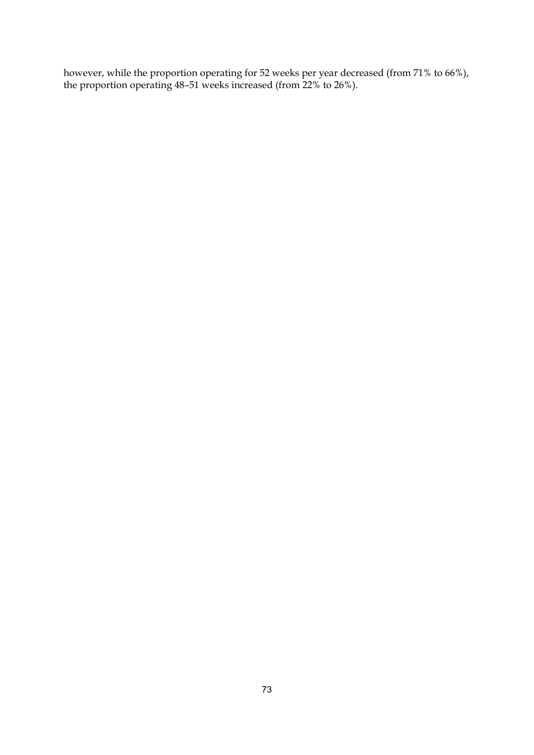however, while the proportion operating for 52 weeks per year decreased (from 71% to 66%), the proportion operating 48–51 weeks increased (from 22% to 26%).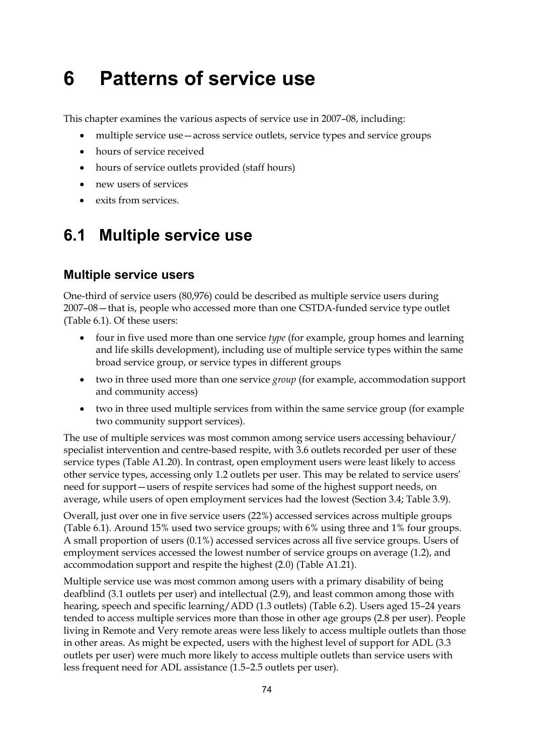# **6 Patterns of service use**

This chapter examines the various aspects of service use in 2007–08, including:

- multiple service use—across service outlets, service types and service groups
- hours of service received
- hours of service outlets provided (staff hours)
- new users of services
- exits from services.

## **6.1 Multiple service use**

### **Multiple service users**

One-third of service users (80,976) could be described as multiple service users during 2007–08—that is, people who accessed more than one CSTDA-funded service type outlet ([Table 6.1\)](#page-84-0). Of these users:

- four in five used more than one service *type* (for example, group homes and learning and life skills development), including use of multiple service types within the same broad service group, or service types in different groups
- two in three used more than one service *group* (for example, accommodation support and community access)
- two in three used multiple services from within the same service group (for example two community support services).

The use of multiple services was most common among service users accessing behaviour/ specialist intervention and centre-based respite, with 3.6 outlets recorded per user of these service types (Table A1.20). In contrast, open employment users were least likely to access other service types, accessing only 1.2 outlets per user. This may be related to service users' need for support—users of respite services had some of the highest support needs, on average, while users of open employment services had the lowest (Section 3.4; Table 3.9).

Overall, just over one in five service users (22%) accessed services across multiple groups ([Table 6.1\)](#page-84-0). Around 15% used two service groups; with 6% using three and 1% four groups. A small proportion of users (0.1%) accessed services across all five service groups. Users of employment services accessed the lowest number of service groups on average (1.2), and accommodation support and respite the highest (2.0) (Table A1.21).

Multiple service use was most common among users with a primary disability of being deafblind (3.1 outlets per user) and intellectual (2.9), and least common among those with hearing, speech and specific learning/ADD (1.3 outlets) ([Table 6.2\)](#page-85-0). Users aged 15–24 years tended to access multiple services more than those in other age groups (2.8 per user). People living in Remote and Very remote areas were less likely to access multiple outlets than those in other areas. As might be expected, users with the highest level of support for ADL (3.3 outlets per user) were much more likely to access multiple outlets than service users with less frequent need for ADL assistance (1.5–2.5 outlets per user).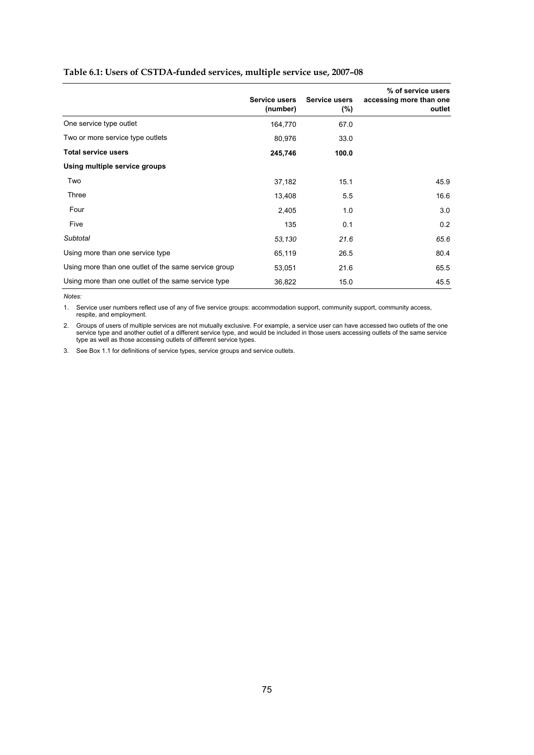#### <span id="page-84-0"></span>**Table 6.1: Users of CSTDA-funded services, multiple service use, 2007–08**

|                                                      | <b>Service users</b><br>(number) | <b>Service users</b><br>$(\%)$ | % of service users<br>accessing more than one<br>outlet |
|------------------------------------------------------|----------------------------------|--------------------------------|---------------------------------------------------------|
| One service type outlet                              | 164,770                          | 67.0                           |                                                         |
| Two or more service type outlets                     | 80,976                           | 33.0                           |                                                         |
| <b>Total service users</b>                           | 245,746                          | 100.0                          |                                                         |
| Using multiple service groups                        |                                  |                                |                                                         |
| Two                                                  | 37,182                           | 15.1                           | 45.9                                                    |
| Three                                                | 13,408                           | 5.5                            | 16.6                                                    |
| Four                                                 | 2,405                            | 1.0                            | 3.0                                                     |
| Five                                                 | 135                              | 0.1                            | 0.2                                                     |
| Subtotal                                             | 53,130                           | 21.6                           | 65.6                                                    |
| Using more than one service type                     | 65,119                           | 26.5                           | 80.4                                                    |
| Using more than one outlet of the same service group | 53,051                           | 21.6                           | 65.5                                                    |
| Using more than one outlet of the same service type  | 36,822                           | 15.0                           | 45.5                                                    |

*Notes:* 

1. Service user numbers reflect use of any of five service groups: accommodation support, community support, community access, respite, and employment.

2. Groups of users of multiple services are not mutually exclusive. For example, a service user can have accessed two outlets of the one service type and another outlet of a different service type, and would be included in those users accessing outlets of the same service type as well as those accessing outlets of different service types.

3. See Box 1.1 for definitions of service types, service groups and service outlets.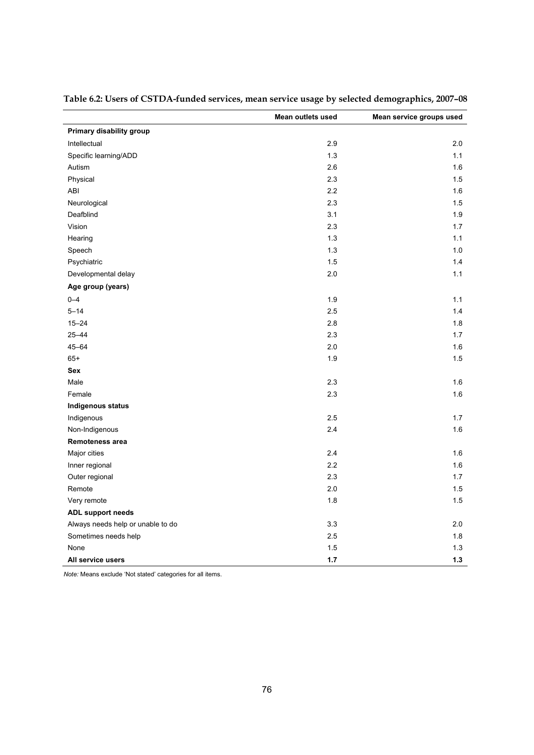|                                   | Mean outlets used | Mean service groups used |
|-----------------------------------|-------------------|--------------------------|
| Primary disability group          |                   |                          |
| Intellectual                      | 2.9               | 2.0                      |
| Specific learning/ADD             | 1.3               | 1.1                      |
| Autism                            | 2.6               | 1.6                      |
| Physical                          | 2.3               | 1.5                      |
| ABI                               | 2.2               | 1.6                      |
| Neurological                      | 2.3               | 1.5                      |
| Deafblind                         | 3.1               | 1.9                      |
| Vision                            | 2.3               | 1.7                      |
| Hearing                           | 1.3               | 1.1                      |
| Speech                            | 1.3               | 1.0                      |
| Psychiatric                       | 1.5               | 1.4                      |
| Developmental delay               | 2.0               | 1.1                      |
| Age group (years)                 |                   |                          |
| $0 - 4$                           | 1.9               | 1.1                      |
| $5 - 14$                          | 2.5               | 1.4                      |
| $15 - 24$                         | 2.8               | 1.8                      |
| $25 - 44$                         | 2.3               | 1.7                      |
| 45-64                             | 2.0               | 1.6                      |
| $65+$                             | 1.9               | 1.5                      |
| Sex                               |                   |                          |
| Male                              | 2.3               | 1.6                      |
| Female                            | 2.3               | 1.6                      |
| Indigenous status                 |                   |                          |
| Indigenous                        | 2.5               | 1.7                      |
| Non-Indigenous                    | 2.4               | 1.6                      |
| Remoteness area                   |                   |                          |
| Major cities                      | 2.4               | 1.6                      |
| Inner regional                    | 2.2               | 1.6                      |
| Outer regional                    | 2.3               | 1.7                      |
| Remote                            | 2.0               | 1.5                      |
| Very remote                       | 1.8               | 1.5                      |
| ADL support needs                 |                   |                          |
| Always needs help or unable to do | 3.3               | 2.0                      |
| Sometimes needs help              | 2.5               | 1.8                      |
| None                              | 1.5               | $1.3$                    |
| All service users                 | 1.7               | 1.3                      |

<span id="page-85-0"></span>**Table 6.2: Users of CSTDA-funded services, mean service usage by selected demographics, 2007–08** 

*Note:* Means exclude 'Not stated' categories for all items.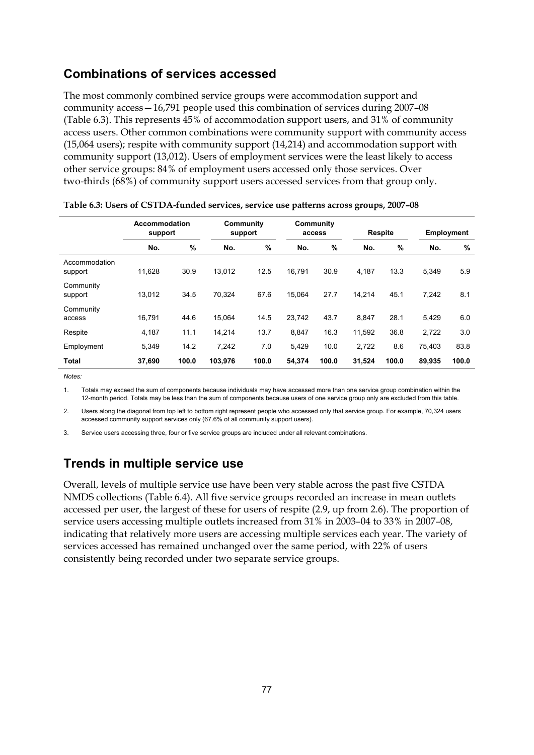### **Combinations of services accessed**

The most commonly combined service groups were accommodation support and community access—16,791 people used this combination of services during 2007–08 ([Table 6.3\)](#page-86-0). This represents 45% of accommodation support users, and 31% of community access users. Other common combinations were community support with community access (15,064 users); respite with community support (14,214) and accommodation support with community support (13,012). Users of employment services were the least likely to access other service groups: 84% of employment users accessed only those services. Over two-thirds (68%) of community support users accessed services from that group only.

<span id="page-86-0"></span>

|                          | Accommodation<br>support |       |         | Community<br>Community<br>support<br>access |        |       | <b>Respite</b> |       | <b>Employment</b> |       |
|--------------------------|--------------------------|-------|---------|---------------------------------------------|--------|-------|----------------|-------|-------------------|-------|
|                          | No.                      | %     | No.     | %                                           | No.    | %     | No.            | %     | No.               | %     |
| Accommodation<br>support | 11,628                   | 30.9  | 13.012  | 12.5                                        | 16.791 | 30.9  | 4,187          | 13.3  | 5,349             | 5.9   |
| Community<br>support     | 13.012                   | 34.5  | 70.324  | 67.6                                        | 15.064 | 27.7  | 14.214         | 45.1  | 7.242             | 8.1   |
| Community<br>access      | 16,791                   | 44.6  | 15.064  | 14.5                                        | 23,742 | 43.7  | 8.847          | 28.1  | 5,429             | 6.0   |
| Respite                  | 4,187                    | 11.1  | 14.214  | 13.7                                        | 8,847  | 16.3  | 11.592         | 36.8  | 2,722             | 3.0   |
| Employment               | 5,349                    | 14.2  | 7.242   | 7.0                                         | 5,429  | 10.0  | 2,722          | 8.6   | 75,403            | 83.8  |
| <b>Total</b>             | 37,690                   | 100.0 | 103,976 | 100.0                                       | 54,374 | 100.0 | 31,524         | 100.0 | 89,935            | 100.0 |

*Notes:*

1. Totals may exceed the sum of components because individuals may have accessed more than one service group combination within the 12-month period. Totals may be less than the sum of components because users of one service group only are excluded from this table.

2. Users along the diagonal from top left to bottom right represent people who accessed only that service group. For example, 70,324 users accessed community support services only (67.6% of all community support users).

3. Service users accessing three, four or five service groups are included under all relevant combinations.

## **Trends in multiple service use**

Overall, levels of multiple service use have been very stable across the past five CSTDA NMDS collections [\(Table 6.4\)](#page-87-0). All five service groups recorded an increase in mean outlets accessed per user, the largest of these for users of respite (2.9, up from 2.6). The proportion of service users accessing multiple outlets increased from 31% in 2003–04 to 33% in 2007–08, indicating that relatively more users are accessing multiple services each year. The variety of services accessed has remained unchanged over the same period, with 22% of users consistently being recorded under two separate service groups.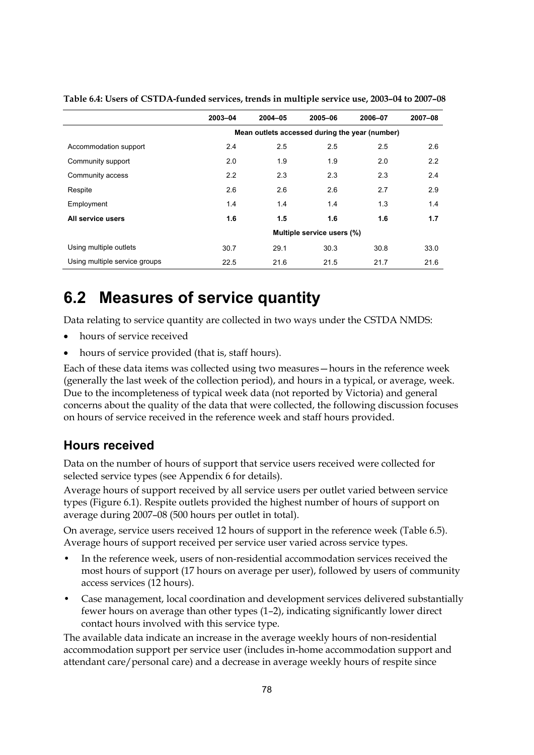|                               | 2003-04                    | $2004 - 05$ | 2005-06                                        | 2006-07 | 2007-08 |  |  |  |
|-------------------------------|----------------------------|-------------|------------------------------------------------|---------|---------|--|--|--|
|                               |                            |             | Mean outlets accessed during the year (number) |         |         |  |  |  |
| Accommodation support         | 2.4                        | 2.5         | 2.5                                            | 2.5     | 2.6     |  |  |  |
| Community support             | 2.0                        | 1.9         | 1.9                                            | 2.0     | 2.2     |  |  |  |
| Community access              | 2.2                        | 2.3         | 2.3                                            | 2.3     | 2.4     |  |  |  |
| Respite                       | 2.6                        | 2.6         | 2.6                                            | 2.7     | 2.9     |  |  |  |
| Employment                    | 1.4                        | 1.4         | 1.4                                            | 1.3     | 1.4     |  |  |  |
| All service users             | 1.6                        | 1.5         | 1.6                                            | 1.6     | 1.7     |  |  |  |
|                               | Multiple service users (%) |             |                                                |         |         |  |  |  |
| Using multiple outlets        | 30.7                       | 29.1        | 30.3                                           | 30.8    | 33.0    |  |  |  |
| Using multiple service groups | 22.5                       | 21.6        | 21.5                                           | 21.7    | 21.6    |  |  |  |

<span id="page-87-0"></span>**Table 6.4: Users of CSTDA-funded services, trends in multiple service use, 2003–04 to 2007–08** 

# **6.2 Measures of service quantity**

Data relating to service quantity are collected in two ways under the CSTDA NMDS:

- hours of service received
- hours of service provided (that is, staff hours).

Each of these data items was collected using two measures—hours in the reference week (generally the last week of the collection period), and hours in a typical, or average, week. Due to the incompleteness of typical week data (not reported by Victoria) and general concerns about the quality of the data that were collected, the following discussion focuses on hours of service received in the reference week and staff hours provided.

### **Hours received**

Data on the number of hours of support that service users received were collected for selected service types (see Appendix 6 for details).

Average hours of support received by all service users per outlet varied between service types (Figure 6.1). Respite outlets provided the highest number of hours of support on average during 2007–08 (500 hours per outlet in total).

On average, service users received 12 hours of support in the reference week (Table 6.5). Average hours of support received per service user varied across service types.

- In the reference week, users of non-residential accommodation services received the most hours of support (17 hours on average per user), followed by users of community access services (12 hours).
- Case management, local coordination and development services delivered substantially fewer hours on average than other types (1–2), indicating significantly lower direct contact hours involved with this service type.

The available data indicate an increase in the average weekly hours of non-residential accommodation support per service user (includes in-home accommodation support and attendant care/personal care) and a decrease in average weekly hours of respite since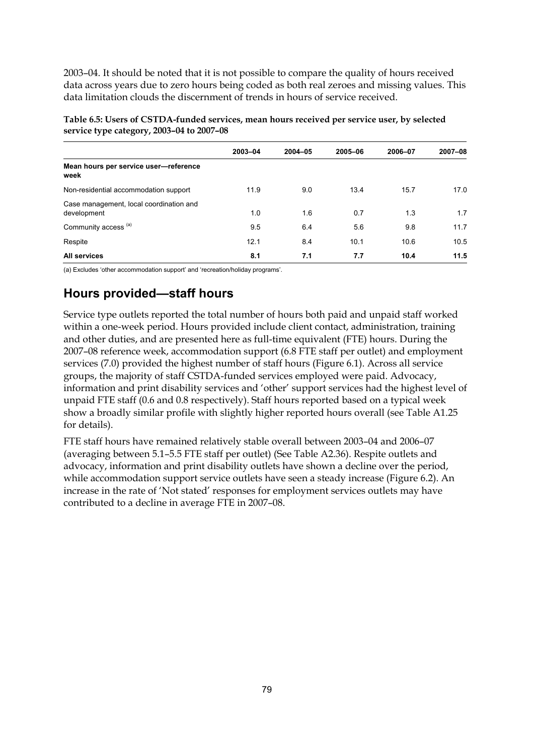2003–04. It should be noted that it is not possible to compare the quality of hours received data across years due to zero hours being coded as both real zeroes and missing values. This data limitation clouds the discernment of trends in hours of service received.

| service type category, $2003 - 04$ to $2007 - 08$      |         |             |         |         |         |  |  |  |
|--------------------------------------------------------|---------|-------------|---------|---------|---------|--|--|--|
|                                                        | 2003-04 | $2004 - 05$ | 2005-06 | 2006-07 | 2007-08 |  |  |  |
| Mean hours per service user-reference<br>week          |         |             |         |         |         |  |  |  |
| Non-residential accommodation support                  | 11.9    | 9.0         | 13.4    | 15.7    | 17.0    |  |  |  |
| Case management, local coordination and<br>development | 1.0     | 1.6         | 0.7     | 1.3     | 1.7     |  |  |  |

Community access (a)  $\begin{array}{ccccccc} 9.5 & 6.4 & 5.6 & 9.8 & 11.7 \end{array}$ Respite 12.1 8.4 10.1 10.6 10.5 **All services 8.1 7.1 7.7 10.4 11.5**

**Table 6.5: Users of CSTDA-funded services, mean hours received per service user, by selected service type category, 2003–04 to 2007–08** 

(a) Excludes 'other accommodation support' and 'recreation/holiday programs'.

## **Hours provided—staff hours**

Service type outlets reported the total number of hours both paid and unpaid staff worked within a one-week period. Hours provided include client contact, administration, training and other duties, and are presented here as full-time equivalent (FTE) hours. During the 2007–08 reference week, accommodation support (6.8 FTE staff per outlet) and employment services (7.0) provided the highest number of staff hours [\(Figure 6.1](#page-89-0)). Across all service groups, the majority of staff CSTDA-funded services employed were paid. Advocacy, information and print disability services and 'other' support services had the highest level of unpaid FTE staff (0.6 and 0.8 respectively). Staff hours reported based on a typical week show a broadly similar profile with slightly higher reported hours overall (see Table A1.25 for details).

FTE staff hours have remained relatively stable overall between 2003–04 and 2006–07 (averaging between 5.1–5.5 FTE staff per outlet) (See Table A2.36). Respite outlets and advocacy, information and print disability outlets have shown a decline over the period, while accommodation support service outlets have seen a steady increase (Figure 6.2). An increase in the rate of 'Not stated' responses for employment services outlets may have contributed to a decline in average FTE in 2007–08.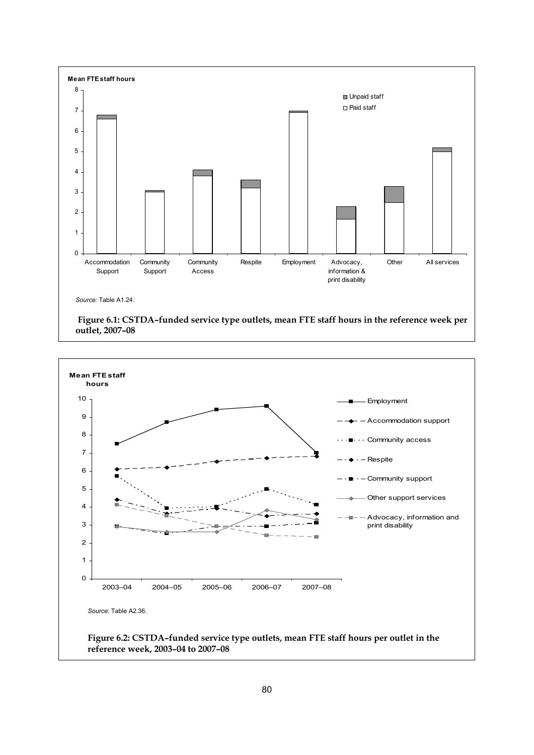

<span id="page-89-0"></span>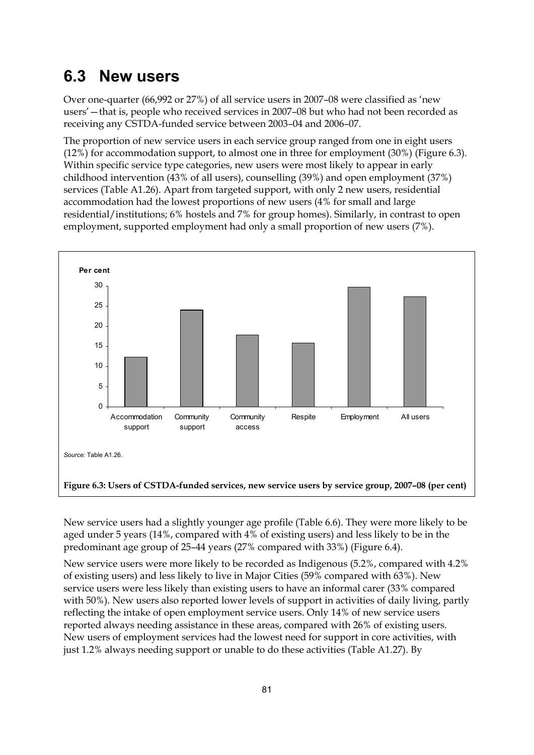# **6.3 New users**

Over one-quarter (66,992 or 27%) of all service users in 2007–08 were classified as 'new users'—that is, people who received services in 2007–08 but who had not been recorded as receiving any CSTDA-funded service between 2003–04 and 2006–07.

The proportion of new service users in each service group ranged from one in eight users (12%) for accommodation support, to almost one in three for employment (30%) (Figure 6.3). Within specific service type categories, new users were most likely to appear in early childhood intervention (43% of all users), counselling (39%) and open employment (37%) services (Table A1.26). Apart from targeted support, with only 2 new users, residential accommodation had the lowest proportions of new users (4% for small and large residential/institutions; 6% hostels and 7% for group homes). Similarly, in contrast to open employment, supported employment had only a small proportion of new users (7%).



New service users had a slightly younger age profile (Table 6.6). They were more likely to be aged under 5 years (14%, compared with 4% of existing users) and less likely to be in the predominant age group of 25–44 years (27% compared with 33%) (Figure 6.4).

New service users were more likely to be recorded as Indigenous (5.2%, compared with 4.2% of existing users) and less likely to live in Major Cities (59% compared with 63%). New service users were less likely than existing users to have an informal carer (33% compared with 50%). New users also reported lower levels of support in activities of daily living, partly reflecting the intake of open employment service users. Only 14% of new service users reported always needing assistance in these areas, compared with 26% of existing users. New users of employment services had the lowest need for support in core activities, with just 1.2% always needing support or unable to do these activities (Table A1.27). By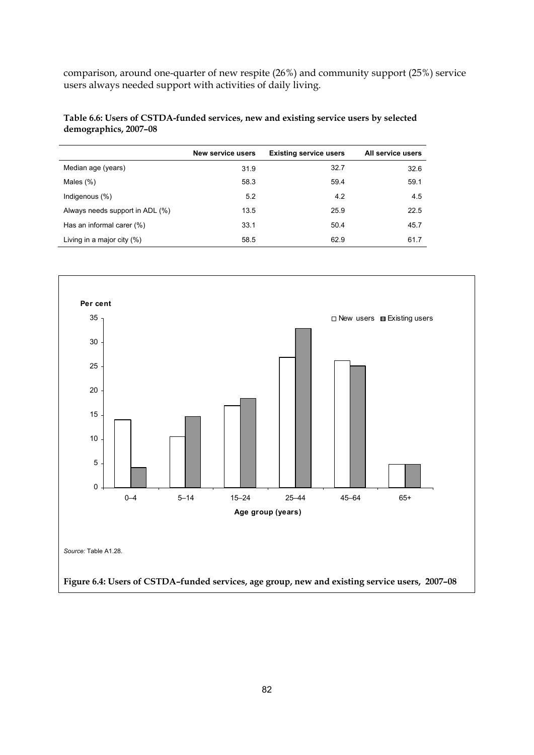comparison, around one-quarter of new respite (26%) and community support (25%) service users always needed support with activities of daily living.

#### **Table 6.6: Users of CSTDA-funded services, new and existing service users by selected demographics, 2007–08**

|                                 | <b>New service users</b> | <b>Existing service users</b> | All service users |
|---------------------------------|--------------------------|-------------------------------|-------------------|
| Median age (years)              | 31.9                     | 32.7                          | 32.6              |
| Males $(\%)$                    | 58.3                     | 59.4                          | 59.1              |
| Indigenous $(\%)$               | 5.2                      | 4.2                           | 4.5               |
| Always needs support in ADL (%) | 13.5                     | 25.9                          | 22.5              |
| Has an informal carer (%)       | 33.1                     | 50.4                          | 45.7              |
| Living in a major city $(\%)$   | 58.5                     | 62.9                          | 61.7              |

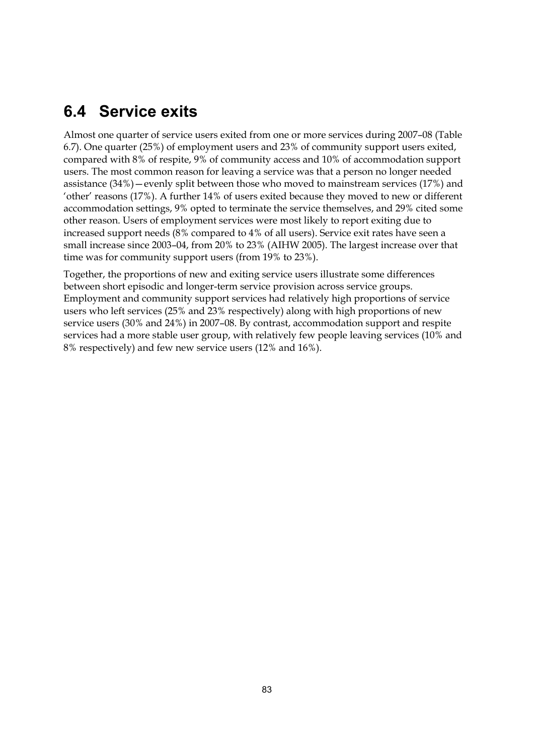# **6.4 Service exits**

Almost one quarter of service users exited from one or more services during 2007–08 (Table 6.7). One quarter (25%) of employment users and 23% of community support users exited, compared with 8% of respite, 9% of community access and 10% of accommodation support users. The most common reason for leaving a service was that a person no longer needed assistance (34%)—evenly split between those who moved to mainstream services (17%) and 'other' reasons (17%). A further 14% of users exited because they moved to new or different accommodation settings, 9% opted to terminate the service themselves, and 29% cited some other reason. Users of employment services were most likely to report exiting due to increased support needs (8% compared to 4% of all users). Service exit rates have seen a small increase since 2003–04, from 20% to 23% (AIHW 2005). The largest increase over that time was for community support users (from 19% to 23%).

Together, the proportions of new and exiting service users illustrate some differences between short episodic and longer-term service provision across service groups. Employment and community support services had relatively high proportions of service users who left services (25% and 23% respectively) along with high proportions of new service users (30% and 24%) in 2007–08. By contrast, accommodation support and respite services had a more stable user group, with relatively few people leaving services (10% and 8% respectively) and few new service users (12% and 16%).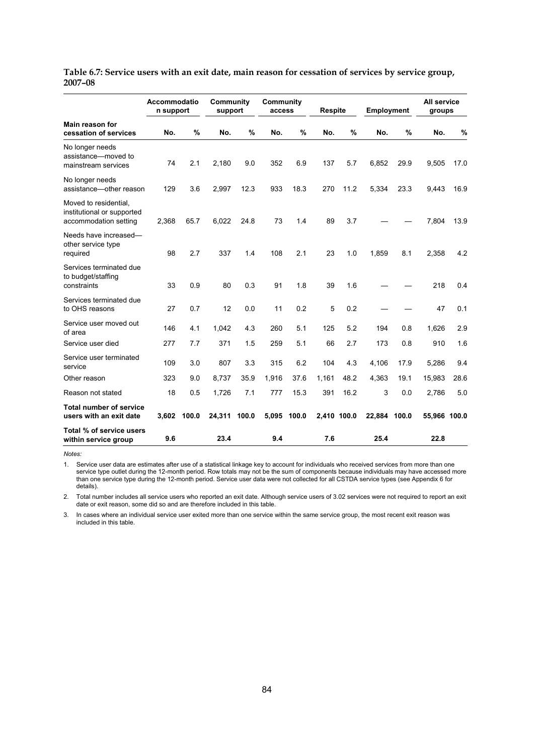|                                                                              | Accommodatio<br>n support |       | Community<br>support |       | Community<br>access |       | <b>Respite</b> |      | <b>Employment</b> |       | All service<br>groups |      |
|------------------------------------------------------------------------------|---------------------------|-------|----------------------|-------|---------------------|-------|----------------|------|-------------------|-------|-----------------------|------|
| <b>Main reason for</b><br>cessation of services                              | No.                       | %     | No.                  | %     | No.                 | %     | No.            | %    | No.               | %     | No.                   | %    |
| No longer needs<br>assistance-moved to<br>mainstream services                | 74                        | 2.1   | 2,180                | 9.0   | 352                 | 6.9   | 137            | 5.7  | 6,852             | 29.9  | 9,505                 | 17.0 |
| No longer needs<br>assistance-other reason                                   | 129                       | 3.6   | 2,997                | 12.3  | 933                 | 18.3  | 270            | 11.2 | 5,334             | 23.3  | 9,443                 | 16.9 |
| Moved to residential,<br>institutional or supported<br>accommodation setting | 2,368                     | 65.7  | 6,022                | 24.8  | 73                  | 1.4   | 89             | 3.7  |                   |       | 7,804                 | 13.9 |
| Needs have increased-<br>other service type<br>required                      | 98                        | 2.7   | 337                  | 1.4   | 108                 | 2.1   | 23             | 1.0  | 1,859             | 8.1   | 2,358                 | 4.2  |
| Services terminated due<br>to budget/staffing<br>constraints                 | 33                        | 0.9   | 80                   | 0.3   | 91                  | 1.8   | 39             | 1.6  |                   |       | 218                   | 0.4  |
| Services terminated due<br>to OHS reasons                                    | 27                        | 0.7   | 12                   | 0.0   | 11                  | 0.2   | 5              | 0.2  |                   |       | 47                    | 0.1  |
| Service user moved out<br>of area                                            | 146                       | 4.1   | 1,042                | 4.3   | 260                 | 5.1   | 125            | 5.2  | 194               | 0.8   | 1,626                 | 2.9  |
| Service user died                                                            | 277                       | 7.7   | 371                  | 1.5   | 259                 | 5.1   | 66             | 2.7  | 173               | 0.8   | 910                   | 1.6  |
| Service user terminated<br>service                                           | 109                       | 3.0   | 807                  | 3.3   | 315                 | 6.2   | 104            | 4.3  | 4,106             | 17.9  | 5,286                 | 9.4  |
| Other reason                                                                 | 323                       | 9.0   | 8,737                | 35.9  | 1,916               | 37.6  | 1,161          | 48.2 | 4,363             | 19.1  | 15,983                | 28.6 |
| Reason not stated                                                            | 18                        | 0.5   | 1,726                | 7.1   | 777                 | 15.3  | 391            | 16.2 | 3                 | 0.0   | 2,786                 | 5.0  |
| <b>Total number of service</b><br>users with an exit date                    | 3,602                     | 100.0 | 24,311               | 100.0 | 5,095               | 100.0 | 2,410 100.0    |      | 22,884            | 100.0 | 55,966 100.0          |      |
| Total % of service users<br>within service group                             | 9.6                       |       | 23.4                 |       | 9.4                 |       | 7.6            |      | 25.4              |       | 22.8                  |      |

**Table 6.7: Service users with an exit date, main reason for cessation of services by service group, 2007–08** 

*Notes:* 

1. Service user data are estimates after use of a statistical linkage key to account for individuals who received services from more than one service type outlet during the 12-month period. Row totals may not be the sum of components because individuals may have accessed more than one service type during the 12-month period. Service user data were not collected for all CSTDA service types (see Appendix 6 for details).

2. Total number includes all service users who reported an exit date. Although service users of 3.02 services were not required to report an exit date or exit reason, some did so and are therefore included in this table.

3. In cases where an individual service user exited more than one service within the same service group, the most recent exit reason was included in this table.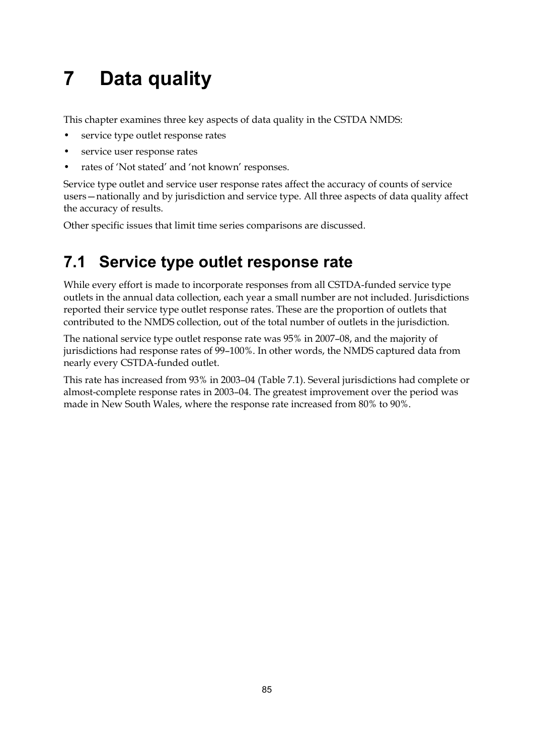# **7 Data quality**

This chapter examines three key aspects of data quality in the CSTDA NMDS:

- service type outlet response rates
- service user response rates
- rates of 'Not stated' and 'not known' responses.

Service type outlet and service user response rates affect the accuracy of counts of service users—nationally and by jurisdiction and service type. All three aspects of data quality affect the accuracy of results.

Other specific issues that limit time series comparisons are discussed.

# **7.1 Service type outlet response rate**

While every effort is made to incorporate responses from all CSTDA-funded service type outlets in the annual data collection, each year a small number are not included. Jurisdictions reported their service type outlet response rates. These are the proportion of outlets that contributed to the NMDS collection, out of the total number of outlets in the jurisdiction.

The national service type outlet response rate was 95% in 2007–08, and the majority of jurisdictions had response rates of 99–100%. In other words, the NMDS captured data from nearly every CSTDA-funded outlet.

This rate has increased from 93% in 2003–04 (Table 7.1). Several jurisdictions had complete or almost-complete response rates in 2003–04. The greatest improvement over the period was made in New South Wales, where the response rate increased from 80% to 90%.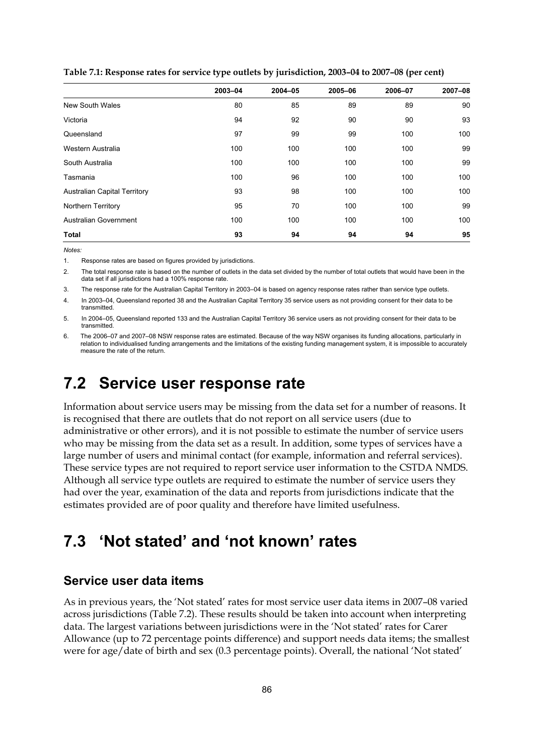|                                     | 2003-04 | 2004-05 | 2005-06 | 2006-07 | 2007-08 |
|-------------------------------------|---------|---------|---------|---------|---------|
| New South Wales                     | 80      | 85      | 89      | 89      | 90      |
| Victoria                            | 94      | 92      | 90      | 90      | 93      |
| Queensland                          | 97      | 99      | 99      | 100     | 100     |
| Western Australia                   | 100     | 100     | 100     | 100     | 99      |
| South Australia                     | 100     | 100     | 100     | 100     | 99      |
| Tasmania                            | 100     | 96      | 100     | 100     | 100     |
| <b>Australian Capital Territory</b> | 93      | 98      | 100     | 100     | 100     |
| Northern Territory                  | 95      | 70      | 100     | 100     | 99      |
| Australian Government               | 100     | 100     | 100     | 100     | 100     |
| <b>Total</b>                        | 93      | 94      | 94      | 94      | 95      |



*Notes:* 

1. Response rates are based on figures provided by jurisdictions.

2. The total response rate is based on the number of outlets in the data set divided by the number of total outlets that would have been in the data set if all jurisdictions had a 100% response rate.

3. The response rate for the Australian Capital Territory in 2003–04 is based on agency response rates rather than service type outlets.

4. In 2003–04, Queensland reported 38 and the Australian Capital Territory 35 service users as not providing consent for their data to be transmitted.

5. In 2004–05, Queensland reported 133 and the Australian Capital Territory 36 service users as not providing consent for their data to be transmitted.

6. The 2006–07 and 2007–08 NSW response rates are estimated. Because of the way NSW organises its funding allocations, particularly in relation to individualised funding arrangements and the limitations of the existing funding management system, it is impossible to accurately measure the rate of the return.

## **7.2 Service user response rate**

Information about service users may be missing from the data set for a number of reasons. It is recognised that there are outlets that do not report on all service users (due to administrative or other errors), and it is not possible to estimate the number of service users who may be missing from the data set as a result. In addition, some types of services have a large number of users and minimal contact (for example, information and referral services). These service types are not required to report service user information to the CSTDA NMDS. Although all service type outlets are required to estimate the number of service users they had over the year, examination of the data and reports from jurisdictions indicate that the estimates provided are of poor quality and therefore have limited usefulness.

# **7.3 'Not stated' and 'not known' rates**

### **Service user data items**

As in previous years, the 'Not stated' rates for most service user data items in 2007–08 varied across jurisdictions [\(Table 7.2\)](#page-97-0). These results should be taken into account when interpreting data. The largest variations between jurisdictions were in the 'Not stated' rates for Carer Allowance (up to 72 percentage points difference) and support needs data items; the smallest were for age/date of birth and sex (0.3 percentage points). Overall, the national 'Not stated'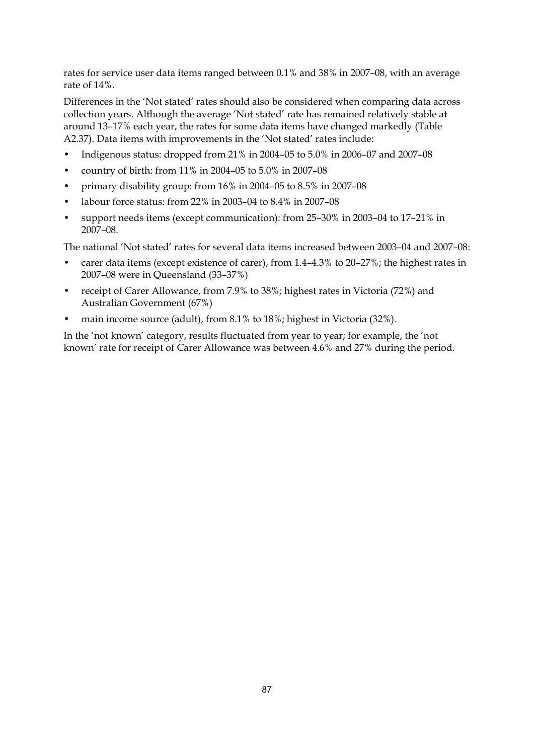rates for service user data items ranged between 0.1% and 38% in 2007–08, with an average rate of 14%.

Differences in the 'Not stated' rates should also be considered when comparing data across collection years. Although the average 'Not stated' rate has remained relatively stable at around 13–17% each year, the rates for some data items have changed markedly (Table A2.37). Data items with improvements in the 'Not stated' rates include:

- Indigenous status: dropped from 21% in 2004–05 to 5.0% in 2006–07 and 2007–08
- country of birth: from 11% in 2004–05 to 5.0% in 2007–08
- primary disability group: from 16% in 2004–05 to 8.5% in 2007–08
- labour force status: from 22% in 2003–04 to 8.4% in 2007–08
- support needs items (except communication): from 25–30% in 2003–04 to 17–21% in 2007–08.

The national 'Not stated' rates for several data items increased between 2003–04 and 2007–08:

- carer data items (except existence of carer), from 1.4–4.3% to 20–27%; the highest rates in 2007–08 were in Queensland (33–37%)
- receipt of Carer Allowance, from 7.9% to 38%; highest rates in Victoria (72%) and Australian Government (67%)
- main income source (adult), from 8.1% to 18%; highest in Victoria (32%).

In the 'not known' category, results fluctuated from year to year; for example, the 'not known' rate for receipt of Carer Allowance was between 4.6% and 27% during the period.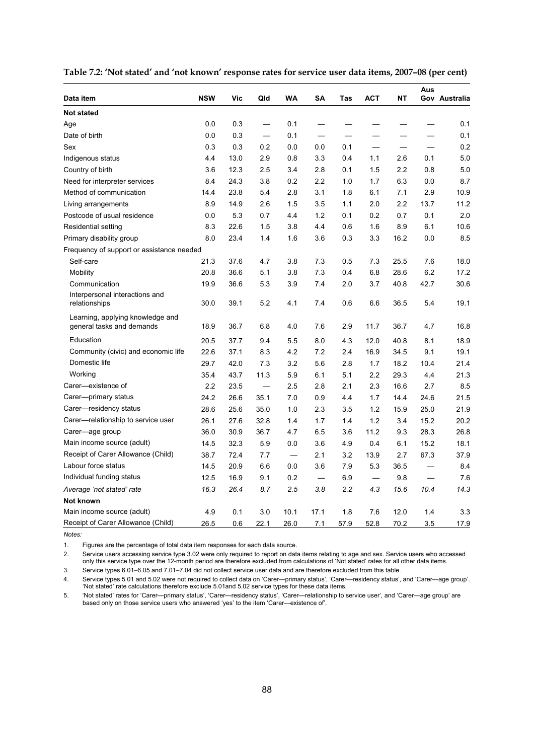| Data item                                                     | <b>NSW</b> | Vic  | Qld  | <b>WA</b> | SA                       | Tas  | <b>ACT</b>               | <b>NT</b> | Aus  | Gov Australia |
|---------------------------------------------------------------|------------|------|------|-----------|--------------------------|------|--------------------------|-----------|------|---------------|
| <b>Not stated</b>                                             |            |      |      |           |                          |      |                          |           |      |               |
| Age                                                           | 0.0        | 0.3  |      | 0.1       |                          |      |                          |           |      | 0.1           |
| Date of birth                                                 | 0.0        | 0.3  |      | 0.1       |                          |      |                          |           |      | 0.1           |
| Sex                                                           | 0.3        | 0.3  | 0.2  | 0.0       | 0.0                      | 0.1  |                          |           |      | 0.2           |
| Indigenous status                                             | 4.4        | 13.0 | 2.9  | 0.8       | 3.3                      | 0.4  | 1.1                      | 2.6       | 0.1  | 5.0           |
| Country of birth                                              | 3.6        | 12.3 | 2.5  | 3.4       | 2.8                      | 0.1  | 1.5                      | 2.2       | 0.8  | 5.0           |
| Need for interpreter services                                 | 8.4        | 24.3 | 3.8  | 0.2       | 2.2                      | 1.0  | 1.7                      | 6.3       | 0.0  | 8.7           |
| Method of communication                                       | 14.4       | 23.8 | 5.4  | 2.8       | 3.1                      | 1.8  | 6.1                      | 7.1       | 2.9  | 10.9          |
| Living arrangements                                           | 8.9        | 14.9 | 2.6  | 1.5       | 3.5                      | 1.1  | 2.0                      | 2.2       | 13.7 | 11.2          |
| Postcode of usual residence                                   | 0.0        | 5.3  | 0.7  | 4.4       | 1.2                      | 0.1  | 0.2                      | 0.7       | 0.1  | 2.0           |
| Residential setting                                           | 8.3        | 22.6 | 1.5  | 3.8       | 4.4                      | 0.6  | 1.6                      | 8.9       | 6.1  | 10.6          |
| Primary disability group                                      | 8.0        | 23.4 | 1.4  | 1.6       | 3.6                      | 0.3  | 3.3                      | 16.2      | 0.0  | 8.5           |
| Frequency of support or assistance needed                     |            |      |      |           |                          |      |                          |           |      |               |
| Self-care                                                     | 21.3       | 37.6 | 4.7  | 3.8       | 7.3                      | 0.5  | 7.3                      | 25.5      | 7.6  | 18.0          |
| Mobility                                                      | 20.8       | 36.6 | 5.1  | 3.8       | 7.3                      | 0.4  | 6.8                      | 28.6      | 6.2  | 17.2          |
| Communication                                                 | 19.9       | 36.6 | 5.3  | 3.9       | 7.4                      | 2.0  | 3.7                      | 40.8      | 42.7 | 30.6          |
| Interpersonal interactions and<br>relationships               | 30.0       | 39.1 | 5.2  | 4.1       | 7.4                      | 0.6  | 6.6                      | 36.5      | 5.4  | 19.1          |
| Learning, applying knowledge and<br>general tasks and demands | 18.9       | 36.7 | 6.8  | 4.0       | 7.6                      | 2.9  | 11.7                     | 36.7      | 4.7  | 16.8          |
| Education                                                     | 20.5       | 37.7 | 9.4  | 5.5       | 8.0                      | 4.3  | 12.0                     | 40.8      | 8.1  | 18.9          |
| Community (civic) and economic life                           | 22.6       | 37.1 | 8.3  | 4.2       | 7.2                      | 2.4  | 16.9                     | 34.5      | 9.1  | 19.1          |
| Domestic life                                                 | 29.7       | 42.0 | 7.3  | 3.2       | 5.6                      | 2.8  | 1.7                      | 18.2      | 10.4 | 21.4          |
| Working                                                       | 35.4       | 43.7 | 11.3 | 5.9       | 6.1                      | 5.1  | 2.2                      | 29.3      | 4.4  | 21.3          |
| Carer-existence of                                            | 2.2        | 23.5 |      | 2.5       | 2.8                      | 2.1  | 2.3                      | 16.6      | 2.7  | 8.5           |
| Carer-primary status                                          | 24.2       | 26.6 | 35.1 | 7.0       | 0.9                      | 4.4  | 1.7                      | 14.4      | 24.6 | 21.5          |
| Carer-residency status                                        | 28.6       | 25.6 | 35.0 | 1.0       | 2.3                      | 3.5  | 1.2                      | 15.9      | 25.0 | 21.9          |
| Carer-relationship to service user                            | 26.1       | 27.6 | 32.8 | 1.4       | 1.7                      | 1.4  | 1.2                      | 3.4       | 15.2 | 20.2          |
| Carer—age group                                               | 36.0       | 30.9 | 36.7 | 4.7       | 6.5                      | 3.6  | 11.2                     | 9.3       | 28.3 | 26.8          |
| Main income source (adult)                                    | 14.5       | 32.3 | 5.9  | 0.0       | 3.6                      | 4.9  | 0.4                      | 6.1       | 15.2 | 18.1          |
| Receipt of Carer Allowance (Child)                            | 38.7       | 72.4 | 7.7  |           | 2.1                      | 3.2  | 13.9                     | 2.7       | 67.3 | 37.9          |
| Labour force status                                           | 14.5       | 20.9 | 6.6  | 0.0       | 3.6                      | 7.9  | 5.3                      | 36.5      |      | 8.4           |
| Individual funding status                                     | 12.5       | 16.9 | 9.1  | 0.2       | $\overline{\phantom{0}}$ | 6.9  | $\overline{\phantom{0}}$ | 9.8       |      | 7.6           |
| Average 'not stated' rate                                     | 16.3       | 26.4 | 8.7  | 2.5       | 3.8                      | 2.2  | 4.3                      | 15.6      | 10.4 | 14.3          |
| Not known                                                     |            |      |      |           |                          |      |                          |           |      |               |
| Main income source (adult)                                    | 4.9        | 0.1  | 3.0  | 10.1      | 17.1                     | 1.8  | 7.6                      | 12.0      | 1.4  | 3.3           |
| Receipt of Carer Allowance (Child)                            | 26.5       | 0.6  | 22.1 | 26.0      | 7.1                      | 57.9 | 52.8                     | 70.2      | 3.5  | 17.9          |

<span id="page-97-0"></span>

| Table 7.2: 'Not stated' and 'not known' response rates for service user data items, 2007–08 (per cent) |  |  |
|--------------------------------------------------------------------------------------------------------|--|--|
|--------------------------------------------------------------------------------------------------------|--|--|

*Notes:* 

1. Figures are the percentage of total data item responses for each data source.

2. Service users accessing service type 3.02 were only required to report on data items relating to age and sex. Service users who accessed only this service type over the 12-month period are therefore excluded from calculations of 'Not stated' rates for all other data items.

3. Service types 6.01–6.05 and 7.01–7.04 did not collect service user data and are therefore excluded from this table.

4. Service types 5.01 and 5.02 were not required to collect data on 'Carer—primary status', 'Carer—residency status', and 'Carer—age group'. 'Not stated' rate calculations therefore exclude 5.01and 5.02 service types for these data items.

5. 'Not stated' rates for 'Carer—primary status', 'Carer—residency status', 'Carer—relationship to service user', and 'Carer—age group' are based only on those service users who answered 'yes' to the item 'Carer—existence of'.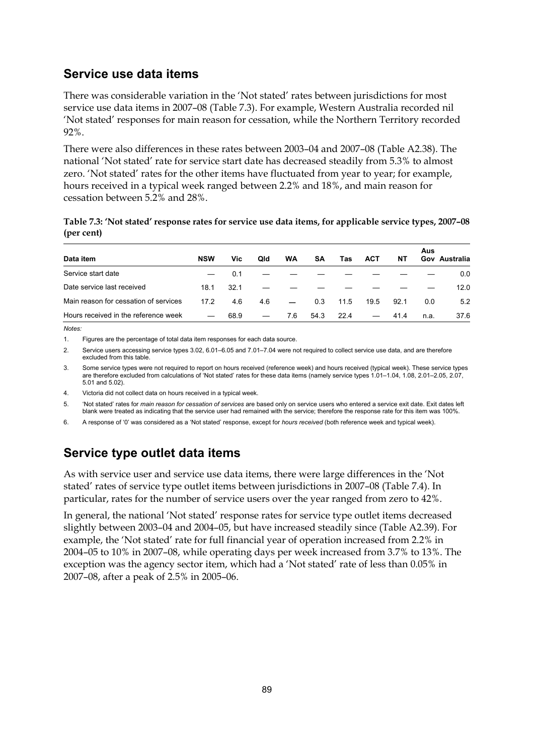### **Service use data items**

There was considerable variation in the 'Not stated' rates between jurisdictions for most service use data items in 2007–08 [\(Table 7.3\)](#page-98-0). For example, Western Australia recorded nil 'Not stated' responses for main reason for cessation, while the Northern Territory recorded 92%.

There were also differences in these rates between 2003–04 and 2007–08 (Table A2.38). The national 'Not stated' rate for service start date has decreased steadily from 5.3% to almost zero. 'Not stated' rates for the other items have fluctuated from year to year; for example, hours received in a typical week ranged between 2.2% and 18%, and main reason for cessation between 5.2% and 28%.

<span id="page-98-0"></span>**Table 7.3: 'Not stated' response rates for service use data items, for applicable service types, 2007–08 (per cent)** 

| Data item                             | <b>NSW</b> | Vic  | Qld | WA  | <b>SA</b> | Tas  | <b>ACT</b> | NΤ   | Aus  | Gov Australia |
|---------------------------------------|------------|------|-----|-----|-----------|------|------------|------|------|---------------|
| Service start date                    |            | 0.1  |     |     |           |      |            |      |      | 0.0           |
| Date service last received            | 18.1       | 32.1 |     |     |           |      |            |      |      | 12.0          |
| Main reason for cessation of services | 17.2       | 4.6  | 4.6 |     | 0.3       | 11.5 | 19.5       | 92.1 | 0.0  | 5.2           |
| Hours received in the reference week  |            | 68.9 |     | 7.6 | 54.3      | 22.4 |            | 41.4 | n.a. | 37.6          |

*Notes:* 

1. Figures are the percentage of total data item responses for each data source.

2. Service users accessing service types 3.02, 6.01–6.05 and 7.01–7.04 were not required to collect service use data, and are therefore excluded from this table.

3. Some service types were not required to report on hours received (reference week) and hours received (typical week). These service types are therefore excluded from calculations of 'Not stated' rates for these data items (namely service types 1.01–1.04, 1.08, 2.01–2.05, 2.07, 5.01 and 5.02).

4. Victoria did not collect data on hours received in a typical week.

5. 'Not stated' rates for *main reason for cessation of services* are based only on service users who entered a service exit date. Exit dates left blank were treated as indicating that the service user had remained with the service; therefore the response rate for this item was 100%.

6. A response of '0' was considered as a 'Not stated' response, except for *hours received* (both reference week and typical week).

## **Service type outlet data items**

As with service user and service use data items, there were large differences in the 'Not stated' rates of service type outlet items between jurisdictions in 2007–08 ([Table 7.4\)](#page-99-0). In particular, rates for the number of service users over the year ranged from zero to 42%.

In general, the national 'Not stated' response rates for service type outlet items decreased slightly between 2003–04 and 2004–05, but have increased steadily since (Table A2.39). For example, the 'Not stated' rate for full financial year of operation increased from 2.2% in 2004–05 to 10% in 2007–08, while operating days per week increased from 3.7% to 13%. The exception was the agency sector item, which had a 'Not stated' rate of less than 0.05% in 2007–08, after a peak of 2.5% in 2005–06.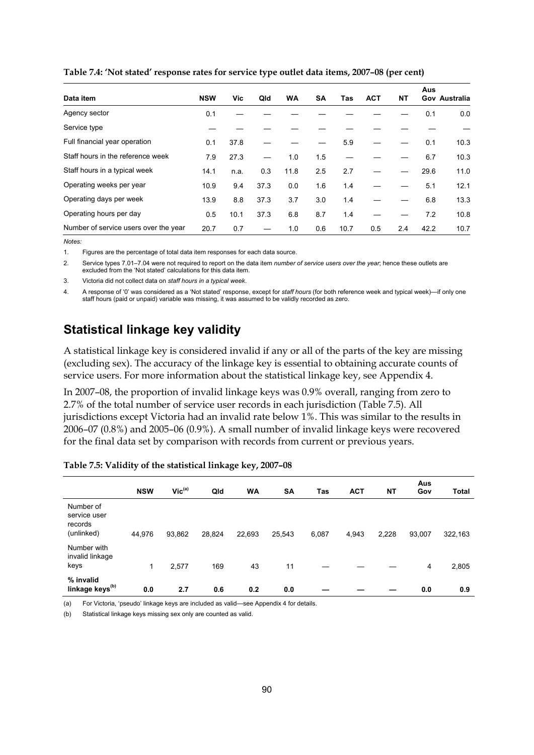| Data item                             | <b>NSW</b> | Vic. | Qld  | <b>WA</b> | <b>SA</b> | Tas  | <b>ACT</b> | <b>NT</b> | Aus  | Gov Australia |
|---------------------------------------|------------|------|------|-----------|-----------|------|------------|-----------|------|---------------|
| Agency sector                         | 0.1        |      |      |           |           |      |            |           | 0.1  | 0.0           |
| Service type                          |            |      |      |           |           |      |            |           |      |               |
| Full financial year operation         | 0.1        | 37.8 |      |           |           | 5.9  |            |           | 0.1  | 10.3          |
| Staff hours in the reference week     | 7.9        | 27.3 |      | 1.0       | 1.5       |      |            |           | 6.7  | 10.3          |
| Staff hours in a typical week         | 14.1       | n.a. | 0.3  | 11.8      | 2.5       | 2.7  |            |           | 29.6 | 11.0          |
| Operating weeks per year              | 10.9       | 9.4  | 37.3 | 0.0       | 1.6       | 1.4  |            |           | 5.1  | 12.1          |
| Operating days per week               | 13.9       | 8.8  | 37.3 | 3.7       | 3.0       | 1.4  |            |           | 6.8  | 13.3          |
| Operating hours per day               | 0.5        | 10.1 | 37.3 | 6.8       | 8.7       | 1.4  |            |           | 7.2  | 10.8          |
| Number of service users over the year | 20.7       | 0.7  |      | 1.0       | 0.6       | 10.7 | 0.5        | 2.4       | 42.2 | 10.7          |

<span id="page-99-0"></span>**Table 7.4: 'Not stated' response rates for service type outlet data items, 2007–08 (per cent)** 

*Notes:* 

1. Figures are the percentage of total data item responses for each data source.

2. Service types 7.01–7.04 were not required to report on the data item *number of service users over the year*; hence these outlets are excluded from the 'Not stated' calculations for this data item.

3. Victoria did not collect data on *staff hours in a typical week*.

4. A response of '0' was considered as a 'Not stated' response, except for *staff hours* (for both reference week and typical week)—if only one staff hours (paid or unpaid) variable was missing, it was assumed to be validly recorded as zero.

## **Statistical linkage key validity**

A statistical linkage key is considered invalid if any or all of the parts of the key are missing (excluding sex). The accuracy of the linkage key is essential to obtaining accurate counts of service users. For more information about the statistical linkage key, see Appendix 4.

In 2007–08, the proportion of invalid linkage keys was 0.9% overall, ranging from zero to 2.7% of the total number of service user records in each jurisdiction ([Table 7.5\)](#page-99-1). All jurisdictions except Victoria had an invalid rate below 1%. This was similar to the results in 2006–07 (0.8%) and 2005–06 (0.9%). A small number of invalid linkage keys were recovered for the final data set by comparison with records from current or previous years.

|                                                    | <b>NSW</b> | $Vic^{(a)}$ | Qld    | <b>WA</b> | <b>SA</b> | Tas   | <b>ACT</b> | <b>NT</b> | Aus<br>Gov | <b>Total</b> |
|----------------------------------------------------|------------|-------------|--------|-----------|-----------|-------|------------|-----------|------------|--------------|
| Number of<br>service user<br>records<br>(unlinked) | 44,976     | 93,862      | 28,824 | 22,693    | 25,543    | 6,087 | 4,943      | 2,228     | 93,007     | 322,163      |
| Number with<br>invalid linkage<br>keys             | 1          | 2,577       | 169    | 43        | 11        |       |            |           | 4          | 2,805        |
| % invalid<br>linkage keys <sup>(b)</sup>           | 0.0        | 2.7         | 0.6    | 0.2       | 0.0       |       |            |           | 0.0        | 0.9          |

<span id="page-99-1"></span>**Table 7.5: Validity of the statistical linkage key, 2007–08** 

(a) For Victoria, 'pseudo' linkage keys are included as valid—see Appendix 4 for details.

(b) Statistical linkage keys missing sex only are counted as valid.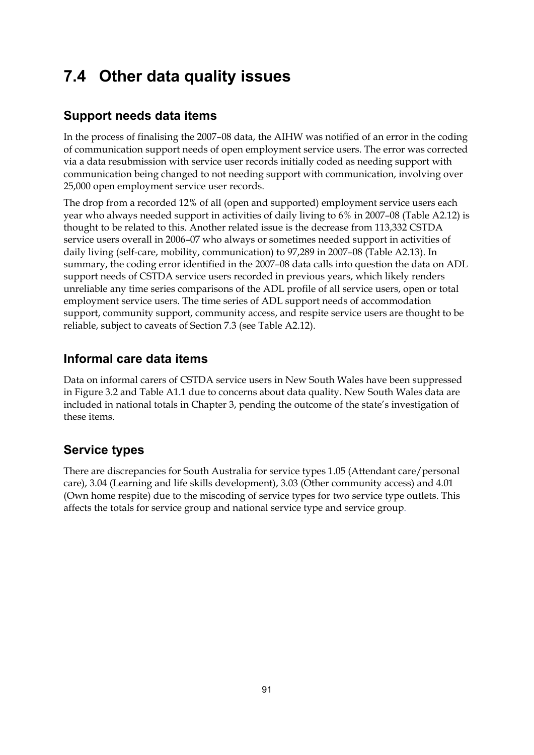# **7.4 Other data quality issues**

## **Support needs data items**

In the process of finalising the 2007–08 data, the AIHW was notified of an error in the coding of communication support needs of open employment service users. The error was corrected via a data resubmission with service user records initially coded as needing support with communication being changed to not needing support with communication, involving over 25,000 open employment service user records.

The drop from a recorded 12% of all (open and supported) employment service users each year who always needed support in activities of daily living to 6% in 2007–08 (Table A2.12) is thought to be related to this. Another related issue is the decrease from 113,332 CSTDA service users overall in 2006–07 who always or sometimes needed support in activities of daily living (self-care, mobility, communication) to 97,289 in 2007–08 (Table A2.13). In summary, the coding error identified in the 2007–08 data calls into question the data on ADL support needs of CSTDA service users recorded in previous years, which likely renders unreliable any time series comparisons of the ADL profile of all service users, open or total employment service users. The time series of ADL support needs of accommodation support, community support, community access, and respite service users are thought to be reliable, subject to caveats of Section 7.3 (see Table A2.12).

## **Informal care data items**

Data on informal carers of CSTDA service users in New South Wales have been suppressed in Figure 3.2 and Table A1.1 due to concerns about data quality. New South Wales data are included in national totals in Chapter 3, pending the outcome of the state's investigation of these items.

## **Service types**

There are discrepancies for South Australia for service types 1.05 (Attendant care/personal care), 3.04 (Learning and life skills development), 3.03 (Other community access) and 4.01 (Own home respite) due to the miscoding of service types for two service type outlets. This affects the totals for service group and national service type and service group.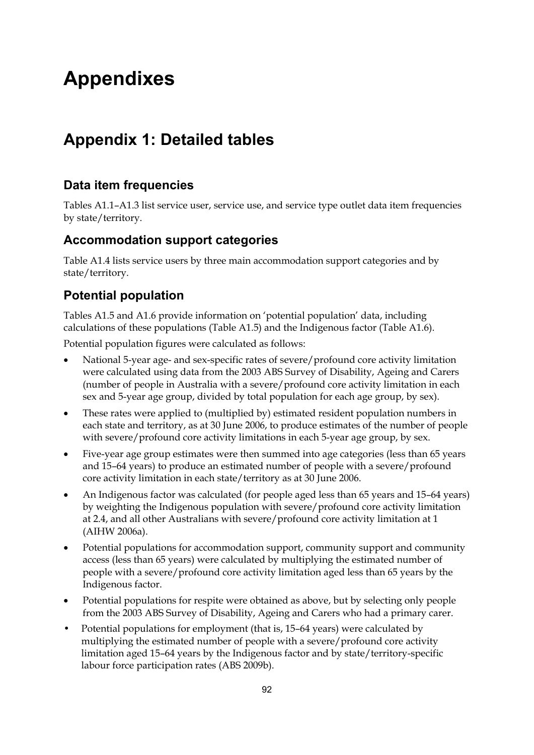# **Appendixes**

# **Appendix 1: Detailed tables**

## **Data item frequencies**

Tables A1.1–A1.3 list service user, service use, and service type outlet data item frequencies by state/territory.

### **Accommodation support categories**

Table A1.4 lists service users by three main accommodation support categories and by state/territory.

## **Potential population**

Tables A1.5 and A1.6 provide information on 'potential population' data, including calculations of these populations (Table A1.5) and the Indigenous factor (Table A1.6).

Potential population figures were calculated as follows:

- National 5-year age- and sex-specific rates of severe/profound core activity limitation were calculated using data from the 2003 ABS Survey of Disability, Ageing and Carers (number of people in Australia with a severe/profound core activity limitation in each sex and 5-year age group, divided by total population for each age group, by sex).
- These rates were applied to (multiplied by) estimated resident population numbers in each state and territory, as at 30 June 2006, to produce estimates of the number of people with severe/profound core activity limitations in each 5-year age group, by sex.
- Five-year age group estimates were then summed into age categories (less than 65 years and 15–64 years) to produce an estimated number of people with a severe/profound core activity limitation in each state/territory as at 30 June 2006.
- An Indigenous factor was calculated (for people aged less than 65 years and 15–64 years) by weighting the Indigenous population with severe/profound core activity limitation at 2.4, and all other Australians with severe/profound core activity limitation at 1 (AIHW 2006a).
- Potential populations for accommodation support, community support and community access (less than 65 years) were calculated by multiplying the estimated number of people with a severe/profound core activity limitation aged less than 65 years by the Indigenous factor.
- Potential populations for respite were obtained as above, but by selecting only people from the 2003 ABS Survey of Disability, Ageing and Carers who had a primary carer.
- Potential populations for employment (that is, 15–64 years) were calculated by multiplying the estimated number of people with a severe/profound core activity limitation aged 15–64 years by the Indigenous factor and by state/territory-specific labour force participation rates (ABS 2009b).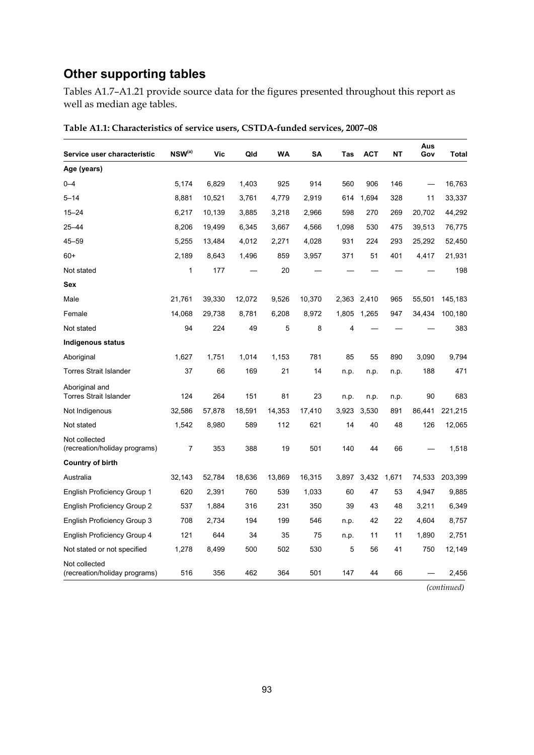## **Other supporting tables**

Tables A1.7–A1.21 provide source data for the figures presented throughout this report as well as median age tables.

| Service user characteristic                     | $NSW^{(a)}$ | Vic    | Qld    | WA     | SΑ     | Tas   | <b>ACT</b> | ΝT    | Aus<br>Gov | <b>Total</b> |
|-------------------------------------------------|-------------|--------|--------|--------|--------|-------|------------|-------|------------|--------------|
| Age (years)                                     |             |        |        |        |        |       |            |       |            |              |
| $0 - 4$                                         | 5,174       | 6,829  | 1,403  | 925    | 914    | 560   | 906        | 146   |            | 16,763       |
| $5 - 14$                                        | 8,881       | 10,521 | 3,761  | 4,779  | 2,919  | 614   | 1,694      | 328   | 11         | 33,337       |
| $15 - 24$                                       | 6,217       | 10,139 | 3,885  | 3,218  | 2,966  | 598   | 270        | 269   | 20,702     | 44,292       |
| $25 - 44$                                       | 8,206       | 19,499 | 6,345  | 3,667  | 4,566  | 1,098 | 530        | 475   | 39,513     | 76,775       |
| 45–59                                           | 5,255       | 13,484 | 4,012  | 2,271  | 4,028  | 931   | 224        | 293   | 25,292     | 52,450       |
| $60+$                                           | 2,189       | 8,643  | 1,496  | 859    | 3,957  | 371   | 51         | 401   | 4,417      | 21,931       |
| Not stated                                      | 1           | 177    |        | 20     |        |       |            |       |            | 198          |
| Sex                                             |             |        |        |        |        |       |            |       |            |              |
| Male                                            | 21,761      | 39,330 | 12,072 | 9,526  | 10,370 | 2,363 | 2,410      | 965   | 55,501     | 145,183      |
| Female                                          | 14,068      | 29,738 | 8,781  | 6,208  | 8,972  | 1,805 | 1,265      | 947   | 34,434     | 100,180      |
| Not stated                                      | 94          | 224    | 49     | 5      | 8      | 4     |            |       |            | 383          |
| Indigenous status                               |             |        |        |        |        |       |            |       |            |              |
| Aboriginal                                      | 1,627       | 1,751  | 1.014  | 1,153  | 781    | 85    | 55         | 890   | 3,090      | 9,794        |
| <b>Torres Strait Islander</b>                   | 37          | 66     | 169    | 21     | 14     | n.p.  | n.p.       | n.p.  | 188        | 471          |
| Aboriginal and<br><b>Torres Strait Islander</b> | 124         | 264    | 151    | 81     | 23     | n.p.  | n.p.       | n.p.  | 90         | 683          |
| Not Indigenous                                  | 32.586      | 57,878 | 18,591 | 14,353 | 17,410 | 3,923 | 3.530      | 891   | 86,441     | 221,215      |
| Not stated                                      | 1,542       | 8,980  | 589    | 112    | 621    | 14    | 40         | 48    | 126        | 12,065       |
| Not collected<br>(recreation/holiday programs)  | 7           | 353    | 388    | 19     | 501    | 140   | 44         | 66    |            | 1,518        |
| <b>Country of birth</b>                         |             |        |        |        |        |       |            |       |            |              |
| Australia                                       | 32,143      | 52,784 | 18,636 | 13,869 | 16,315 | 3,897 | 3,432      | 1,671 | 74,533     | 203,399      |
| <b>English Proficiency Group 1</b>              | 620         | 2,391  | 760    | 539    | 1,033  | 60    | 47         | 53    | 4,947      | 9,885        |
| <b>English Proficiency Group 2</b>              | 537         | 1,884  | 316    | 231    | 350    | 39    | 43         | 48    | 3,211      | 6,349        |
| <b>English Proficiency Group 3</b>              | 708         | 2,734  | 194    | 199    | 546    | n.p.  | 42         | 22    | 4,604      | 8,757        |
| <b>English Proficiency Group 4</b>              | 121         | 644    | 34     | 35     | 75     | n.p.  | 11         | 11    | 1,890      | 2,751        |
| Not stated or not specified                     | 1,278       | 8,499  | 500    | 502    | 530    | 5     | 56         | 41    | 750        | 12,149       |
| Not collected<br>(recreation/holiday programs)  | 516         | 356    | 462    | 364    | 501    | 147   | 44         | 66    |            | 2,456        |

**Table A1.1: Characteristics of service users, CSTDA-funded services, 2007–08**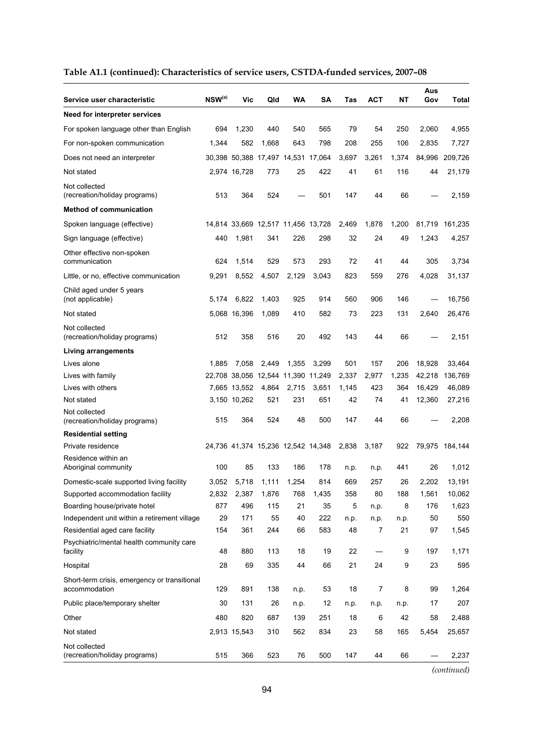| Table A1.1 (continued): Characteristics of service users, CSTDA-funded services, 2007-08 |  |
|------------------------------------------------------------------------------------------|--|
|------------------------------------------------------------------------------------------|--|

| Service user characteristic                                   | $NSW^{(a)}$ | Vic          | Qld   | WA                                 | SΑ    | Tas   | <b>ACT</b>     | NΤ    | Aus<br>Gov | Total   |
|---------------------------------------------------------------|-------------|--------------|-------|------------------------------------|-------|-------|----------------|-------|------------|---------|
| Need for interpreter services                                 |             |              |       |                                    |       |       |                |       |            |         |
| For spoken language other than English                        | 694         | 1,230        | 440   | 540                                | 565   | 79    | 54             | 250   | 2,060      | 4,955   |
| For non-spoken communication                                  | 1.344       | 582          | 1,668 | 643                                | 798   | 208   | 255            | 106   | 2,835      | 7,727   |
| Does not need an interpreter                                  |             |              |       | 30,398 50,388 17,497 14,531 17,064 |       | 3,697 | 3,261          | 1,374 | 84,996     | 209,726 |
| Not stated                                                    |             | 2,974 16,728 | 773   | 25                                 | 422   | 41    | 61             | 116   | 44         | 21,179  |
| Not collected<br>(recreation/holiday programs)                | 513         | 364          | 524   |                                    | 501   | 147   | 44             | 66    |            | 2,159   |
| <b>Method of communication</b>                                |             |              |       |                                    |       |       |                |       |            |         |
| Spoken language (effective)                                   |             |              |       | 14,814 33,669 12,517 11,456 13,728 |       | 2,469 | 1,878          | 1,200 | 81,719     | 161,235 |
| Sign language (effective)                                     | 440         | 1,981        | 341   | 226                                | 298   | 32    | 24             | 49    | 1,243      | 4,257   |
| Other effective non-spoken<br>communication                   | 624         | 1,514        | 529   | 573                                | 293   | 72    | 41             | 44    | 305        | 3,734   |
| Little, or no, effective communication                        | 9,291       | 8,552        | 4,507 | 2,129                              | 3.043 | 823   | 559            | 276   | 4,028      | 31,137  |
| Child aged under 5 years<br>(not applicable)                  | 5,174       | 6,822        | 1,403 | 925                                | 914   | 560   | 906            | 146   |            | 16,756  |
| Not stated                                                    |             | 5,068 16,396 | 1,089 | 410                                | 582   | 73    | 223            | 131   | 2.640      | 26,476  |
| Not collected<br>(recreation/holiday programs)                | 512         | 358          | 516   | 20                                 | 492   | 143   | 44             | 66    |            | 2,151   |
| <b>Living arrangements</b>                                    |             |              |       |                                    |       |       |                |       |            |         |
| Lives alone                                                   | 1,885       | 7,058        | 2,449 | 1,355                              | 3,299 | 501   | 157            | 206   | 18,928     | 33,464  |
| Lives with family                                             |             |              |       | 22,708 38,056 12,544 11,390 11,249 |       | 2,337 | 2,977          | 1,235 | 42,218     | 136,769 |
| Lives with others                                             |             | 7,665 13,552 | 4,864 | 2,715                              | 3,651 | 1,145 | 423            | 364   | 16,429     | 46,089  |
| Not stated                                                    |             | 3,150 10,262 | 521   | 231                                | 651   | 42    | 74             | 41    | 12,360     | 27,216  |
| Not collected<br>(recreation/holiday programs)                | 515         | 364          | 524   | 48                                 | 500   | 147   | 44             | 66    |            | 2,208   |
| <b>Residential setting</b>                                    |             |              |       |                                    |       |       |                |       |            |         |
| Private residence                                             |             |              |       | 24,736 41,374 15,236 12,542 14,348 |       | 2,838 | 3,187          | 922   | 79,975     | 184,144 |
| Residence within an<br>Aboriginal community                   | 100         | 85           | 133   | 186                                | 178   | n.p.  | n.p.           | 441   | 26         | 1,012   |
| Domestic-scale supported living facility                      | 3,052       | 5,718        | 1,111 | 1,254                              | 814   | 669   | 257            | 26    | 2,202      | 13,191  |
| Supported accommodation facility                              | 2,832       | 2,387        | 1,876 | 768                                | 1,435 | 358   | 80             | 188   | 1,561      | 10,062  |
| Boarding house/private hotel                                  | 877         | 496          | 115   | 21                                 | 35    | 5     | n.p.           | 8     | 176        | 1,623   |
| Independent unit within a retirement village                  | 29          | 171          | 55    | 40                                 | 222   | n.p.  | n.p.           | n.p.  | 50         | 550     |
| Residential aged care facility                                | 154         | 361          | 244   | 66                                 | 583   | 48    | $\overline{7}$ | 21    | 97         | 1,545   |
| Psychiatric/mental health community care<br>facility          | 48          | 880          | 113   | 18                                 | 19    | 22    |                | 9     | 197        | 1,171   |
| Hospital                                                      | 28          | 69           | 335   | 44                                 | 66    | 21    | 24             | 9     | 23         | 595     |
| Short-term crisis, emergency or transitional<br>accommodation | 129         | 891          | 138   | n.p.                               | 53    | 18    | 7              | 8     | 99         | 1,264   |
| Public place/temporary shelter                                | 30          | 131          | 26    | n.p.                               | 12    | n.p.  | n.p.           | n.p.  | 17         | 207     |
| Other                                                         | 480         | 820          | 687   | 139                                | 251   | 18    | 6              | 42    | 58         | 2,488   |
| Not stated                                                    |             | 2,913 15,543 | 310   | 562                                | 834   | 23    | 58             | 165   | 5,454      | 25,657  |
| Not collected<br>(recreation/holiday programs)                | 515         | 366          | 523   | 76                                 | 500   | 147   | 44             | 66    |            | 2,237   |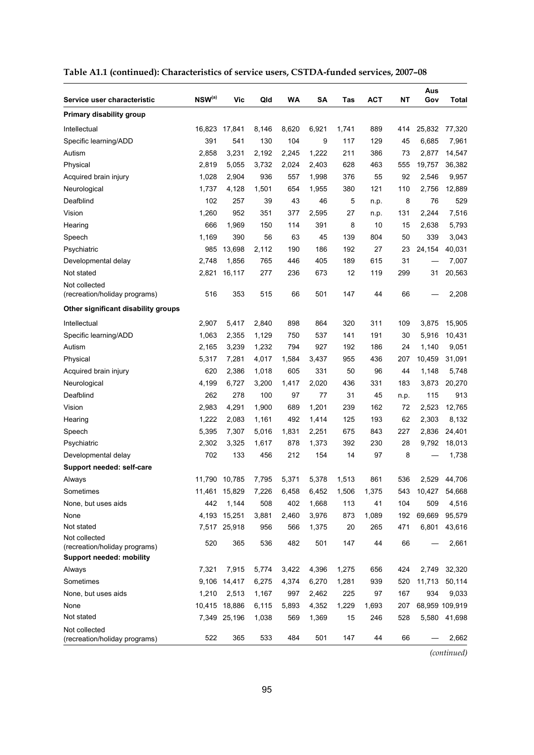| Service user characteristic                    | NSW(a) | Vic           | Qld   | WA    | SΑ    | Tas   | <b>ACT</b> | NΤ   | Aus<br>Gov | <b>Total</b>   |
|------------------------------------------------|--------|---------------|-------|-------|-------|-------|------------|------|------------|----------------|
| Primary disability group                       |        |               |       |       |       |       |            |      |            |                |
| Intellectual                                   | 16,823 | 17,841        | 8,146 | 8,620 | 6,921 | 1,741 | 889        | 414  | 25,832     | 77,320         |
| Specific learning/ADD                          | 391    | 541           | 130   | 104   | 9     | 117   | 129        | 45   | 6,685      | 7,961          |
| Autism                                         | 2,858  | 3,231         | 2,192 | 2,245 | 1,222 | 211   | 386        | 73   | 2,877      | 14,547         |
| Physical                                       | 2,819  | 5,055         | 3,732 | 2,024 | 2,403 | 628   | 463        | 555  | 19,757     | 36,382         |
| Acquired brain injury                          | 1,028  | 2,904         | 936   | 557   | 1,998 | 376   | 55         | 92   | 2,546      | 9,957          |
| Neurological                                   | 1,737  | 4,128         | 1,501 | 654   | 1,955 | 380   | 121        | 110  | 2,756      | 12,889         |
| Deafblind                                      | 102    | 257           | 39    | 43    | 46    | 5     | n.p.       | 8    | 76         | 529            |
| Vision                                         | 1,260  | 952           | 351   | 377   | 2,595 | 27    | n.p.       | 131  | 2,244      | 7,516          |
| Hearing                                        | 666    | 1,969         | 150   | 114   | 391   | 8     | 10         | 15   | 2,638      | 5,793          |
| Speech                                         | 1,169  | 390           | 56    | 63    | 45    | 139   | 804        | 50   | 339        | 3,043          |
| Psychiatric                                    | 985    | 13,698        | 2,112 | 190   | 186   | 192   | 27         | 23   | 24,154     | 40,031         |
| Developmental delay                            | 2,748  | 1,856         | 765   | 446   | 405   | 189   | 615        | 31   |            | 7,007          |
| Not stated                                     | 2,821  | 16,117        | 277   | 236   | 673   | 12    | 119        | 299  | 31         | 20,563         |
| Not collected<br>(recreation/holiday programs) | 516    | 353           | 515   | 66    | 501   | 147   | 44         | 66   |            | 2,208          |
| Other significant disability groups            |        |               |       |       |       |       |            |      |            |                |
| Intellectual                                   | 2,907  | 5,417         | 2,840 | 898   | 864   | 320   | 311        | 109  | 3,875      | 15,905         |
| Specific learning/ADD                          | 1,063  | 2,355         | 1,129 | 750   | 537   | 141   | 191        | 30   | 5,916      | 10,431         |
| Autism                                         | 2,165  | 3,239         | 1,232 | 794   | 927   | 192   | 186        | 24   | 1,140      | 9,051          |
| Physical                                       | 5,317  | 7,281         | 4,017 | 1,584 | 3,437 | 955   | 436        | 207  | 10,459     | 31,091         |
| Acquired brain injury                          | 620    | 2,386         | 1,018 | 605   | 331   | 50    | 96         | 44   | 1,148      | 5,748          |
| Neurological                                   | 4,199  | 6,727         | 3,200 | 1,417 | 2,020 | 436   | 331        | 183  | 3,873      | 20,270         |
| Deafblind                                      | 262    | 278           | 100   | 97    | 77    | 31    | 45         | n.p. | 115        | 913            |
| Vision                                         | 2,983  | 4,291         | 1,900 | 689   | 1,201 | 239   | 162        | 72   | 2,523      | 12,765         |
| Hearing                                        | 1,222  | 2,083         | 1,161 | 492   | 1,414 | 125   | 193        | 62   | 2,303      | 8,132          |
| Speech                                         | 5,395  | 7,307         | 5,016 | 1,831 | 2,251 | 675   | 843        | 227  | 2,836      | 24,401         |
| Psychiatric                                    | 2,302  | 3,325         | 1,617 | 878   | 1,373 | 392   | 230        | 28   | 9,792      | 18,013         |
| Developmental delay                            | 702    | 133           | 456   | 212   | 154   | 14    | 97         | 8    |            | 1,738          |
| Support needed: self-care                      |        |               |       |       |       |       |            |      |            |                |
| Always                                         | 11,790 | 10,785        | 7,795 | 5,371 | 5,378 | 1,513 | 861        | 536  | 2.529      | 44,706         |
| Sometimes                                      |        | 11,461 15,829 | 7,226 | 6,458 | 6,452 | 1,506 | 1,375      | 543  | 10,427     | 54,668         |
| None, but uses aids                            | 442    | 1,144         | 508   | 402   | 1,668 | 113   | 41         | 104  | 509        | 4,516          |
| None                                           |        | 4,193 15,251  | 3,881 | 2,460 | 3,976 | 873   | 1,089      | 192  | 69,669     | 95,579         |
| Not stated                                     |        | 7,517 25,918  | 956   | 566   | 1,375 | 20    | 265        | 471  | 6,801      | 43,616         |
| Not collected<br>(recreation/holiday programs) | 520    | 365           | 536   | 482   | 501   | 147   | 44         | 66   |            | 2,661          |
| <b>Support needed: mobility</b>                |        |               |       |       |       |       |            |      |            |                |
| Always                                         | 7,321  | 7,915         | 5,774 | 3,422 | 4,396 | 1,275 | 656        | 424  | 2,749      | 32,320         |
| Sometimes                                      |        | 9,106 14,417  | 6,275 | 4,374 | 6,270 | 1,281 | 939        | 520  | 11,713     | 50,114         |
| None, but uses aids                            | 1,210  | 2,513         | 1,167 | 997   | 2,462 | 225   | 97         | 167  | 934        | 9,033          |
| None                                           |        | 10,415 18,886 | 6,115 | 5,893 | 4,352 | 1,229 | 1,693      | 207  |            | 68,959 109,919 |
| Not stated                                     |        | 7,349 25,196  | 1,038 | 569   | 1,369 | 15    | 246        | 528  | 5,580      | 41,698         |
| Not collected<br>(recreation/holiday programs) | 522    | 365           | 533   | 484   | 501   | 147   | 44         | 66   |            | 2,662          |

### **Table A1.1 (continued): Characteristics of service users, CSTDA-funded services, 2007–08**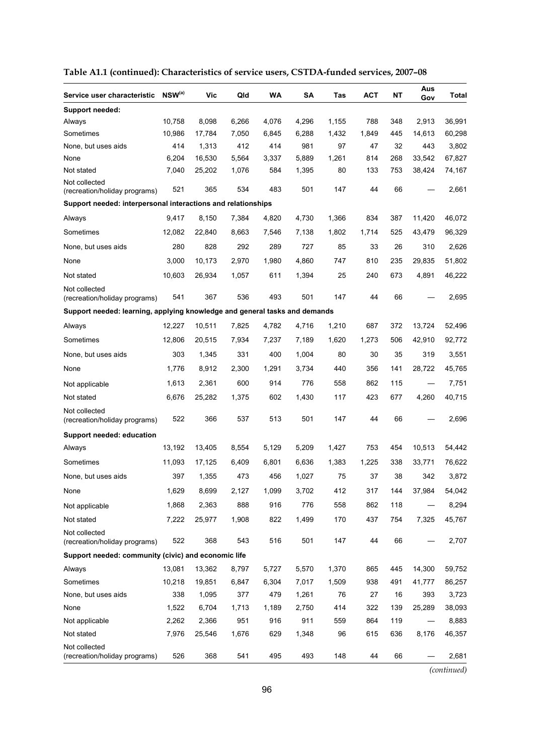| Service user characteristic                                                | $NSW^{(a)}$ | Vic    | Qld   | <b>WA</b> | SΑ    | Tas   | ACT   | NΤ  | Aus<br>Gov | Total  |
|----------------------------------------------------------------------------|-------------|--------|-------|-----------|-------|-------|-------|-----|------------|--------|
| <b>Support needed:</b>                                                     |             |        |       |           |       |       |       |     |            |        |
| Always                                                                     | 10,758      | 8,098  | 6,266 | 4,076     | 4,296 | 1,155 | 788   | 348 | 2,913      | 36,991 |
| Sometimes                                                                  | 10,986      | 17,784 | 7,050 | 6,845     | 6,288 | 1,432 | 1,849 | 445 | 14,613     | 60,298 |
| None, but uses aids                                                        | 414         | 1,313  | 412   | 414       | 981   | 97    | 47    | 32  | 443        | 3,802  |
| None                                                                       | 6,204       | 16,530 | 5,564 | 3,337     | 5,889 | 1,261 | 814   | 268 | 33,542     | 67,827 |
| Not stated                                                                 | 7,040       | 25,202 | 1,076 | 584       | 1,395 | 80    | 133   | 753 | 38,424     | 74,167 |
| Not collected<br>(recreation/holiday programs)                             | 521         | 365    | 534   | 483       | 501   | 147   | 44    | 66  |            | 2,661  |
| Support needed: interpersonal interactions and relationships               |             |        |       |           |       |       |       |     |            |        |
| Always                                                                     | 9,417       | 8,150  | 7,384 | 4,820     | 4,730 | 1,366 | 834   | 387 | 11,420     | 46,072 |
| Sometimes                                                                  | 12,082      | 22,840 | 8,663 | 7,546     | 7,138 | 1,802 | 1,714 | 525 | 43,479     | 96,329 |
| None, but uses aids                                                        | 280         | 828    | 292   | 289       | 727   | 85    | 33    | 26  | 310        | 2,626  |
| None                                                                       | 3,000       | 10,173 | 2,970 | 1,980     | 4.860 | 747   | 810   | 235 | 29,835     | 51,802 |
| Not stated                                                                 | 10,603      | 26,934 | 1,057 | 611       | 1,394 | 25    | 240   | 673 | 4,891      | 46,222 |
| Not collected<br>(recreation/holiday programs)                             | 541         | 367    | 536   | 493       | 501   | 147   | 44    | 66  |            | 2,695  |
| Support needed: learning, applying knowledge and general tasks and demands |             |        |       |           |       |       |       |     |            |        |
| Always                                                                     | 12,227      | 10,511 | 7,825 | 4,782     | 4,716 | 1,210 | 687   | 372 | 13,724     | 52,496 |
| Sometimes                                                                  | 12,806      | 20,515 | 7,934 | 7,237     | 7,189 | 1,620 | 1,273 | 506 | 42,910     | 92,772 |
| None, but uses aids                                                        | 303         | 1,345  | 331   | 400       | 1,004 | 80    | 30    | 35  | 319        | 3,551  |
| None                                                                       | 1,776       | 8,912  | 2,300 | 1,291     | 3,734 | 440   | 356   | 141 | 28,722     | 45,765 |
| Not applicable                                                             | 1,613       | 2,361  | 600   | 914       | 776   | 558   | 862   | 115 |            | 7,751  |
| Not stated                                                                 | 6,676       | 25,282 | 1,375 | 602       | 1,430 | 117   | 423   | 677 | 4,260      | 40,715 |
| Not collected<br>(recreation/holiday programs)                             | 522         | 366    | 537   | 513       | 501   | 147   | 44    | 66  |            | 2,696  |
| Support needed: education                                                  |             |        |       |           |       |       |       |     |            |        |
| Always                                                                     | 13,192      | 13,405 | 8,554 | 5,129     | 5,209 | 1,427 | 753   | 454 | 10,513     | 54,442 |
| Sometimes                                                                  | 11,093      | 17,125 | 6,409 | 6,801     | 6,636 | 1,383 | 1,225 | 338 | 33,771     | 76,622 |
| None, but uses aids                                                        | 397         | 1,355  | 473   | 456       | 1,027 | 75    | 37    | 38  | 342        | 3,872  |
| None                                                                       | 1,629       | 8,699  | 2,127 | 1,099     | 3,702 | 412   | 317   | 144 | 37,984     | 54,042 |
| Not applicable                                                             | 1,868       | 2,363  | 888   | 916       | 776   | 558   | 862   | 118 |            | 8,294  |
| Not stated                                                                 | 7,222       | 25,977 | 1,908 | 822       | 1,499 | 170   | 437   | 754 | 7,325      | 45,767 |
| Not collected<br>(recreation/holiday programs)                             | 522         | 368    | 543   | 516       | 501   | 147   | 44    | 66  |            | 2,707  |
| Support needed: community (civic) and economic life                        |             |        |       |           |       |       |       |     |            |        |
| Always                                                                     | 13,081      | 13,362 | 8,797 | 5,727     | 5,570 | 1,370 | 865   | 445 | 14,300     | 59,752 |
| Sometimes                                                                  | 10,218      | 19,851 | 6,847 | 6,304     | 7,017 | 1,509 | 938   | 491 | 41,777     | 86,257 |
| None, but uses aids                                                        | 338         | 1,095  | 377   | 479       | 1,261 | 76    | 27    | 16  | 393        | 3,723  |
| None                                                                       | 1,522       | 6,704  | 1,713 | 1,189     | 2,750 | 414   | 322   | 139 | 25,289     | 38,093 |
| Not applicable                                                             | 2,262       | 2,366  | 951   | 916       | 911   | 559   | 864   | 119 |            | 8,883  |
| Not stated                                                                 | 7,976       | 25,546 | 1,676 | 629       | 1,348 | 96    | 615   | 636 | 8,176      | 46,357 |
| Not collected<br>(recreation/holiday programs)                             | 526         | 368    | 541   | 495       | 493   | 148   | 44    | 66  |            | 2,681  |

|  |  | Table A1.1 (continued): Characteristics of service users, CSTDA-funded services, 2007–08 |  |  |  |
|--|--|------------------------------------------------------------------------------------------|--|--|--|
|--|--|------------------------------------------------------------------------------------------|--|--|--|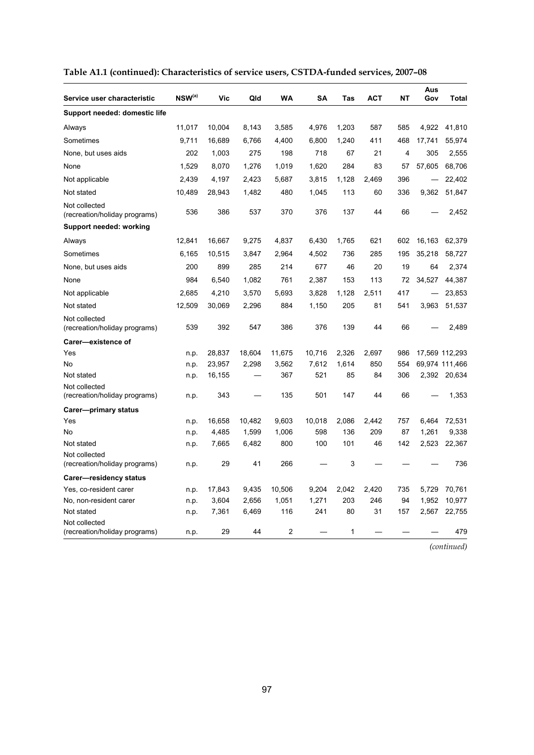| Service user characteristic                    | $NSW^{(a)}$ | Vic    | Qld    | WA     | SΑ     | Tas   | ACT   | NΤ             | Aus<br>Gov | <b>Total</b>   |
|------------------------------------------------|-------------|--------|--------|--------|--------|-------|-------|----------------|------------|----------------|
| Support needed: domestic life                  |             |        |        |        |        |       |       |                |            |                |
| Always                                         | 11,017      | 10,004 | 8,143  | 3,585  | 4,976  | 1,203 | 587   | 585            | 4,922      | 41,810         |
| Sometimes                                      | 9,711       | 16,689 | 6,766  | 4,400  | 6,800  | 1,240 | 411   | 468            | 17,741     | 55,974         |
| None, but uses aids                            | 202         | 1,003  | 275    | 198    | 718    | 67    | 21    | $\overline{4}$ | 305        | 2,555          |
| None                                           | 1.529       | 8,070  | 1,276  | 1.019  | 1.620  | 284   | 83    | 57             | 57,605     | 68,706         |
| Not applicable                                 | 2,439       | 4,197  | 2,423  | 5,687  | 3,815  | 1,128 | 2,469 | 396            |            | 22,402         |
| Not stated                                     | 10,489      | 28,943 | 1,482  | 480    | 1,045  | 113   | 60    | 336            | 9,362      | 51,847         |
| Not collected<br>(recreation/holiday programs) | 536         | 386    | 537    | 370    | 376    | 137   | 44    | 66             |            | 2,452          |
| Support needed: working                        |             |        |        |        |        |       |       |                |            |                |
| Always                                         | 12,841      | 16,667 | 9,275  | 4,837  | 6,430  | 1,765 | 621   | 602            | 16,163     | 62,379         |
| Sometimes                                      | 6,165       | 10,515 | 3,847  | 2,964  | 4,502  | 736   | 285   | 195            | 35,218     | 58,727         |
| None, but uses aids                            | 200         | 899    | 285    | 214    | 677    | 46    | 20    | 19             | 64         | 2,374          |
| None                                           | 984         | 6,540  | 1,082  | 761    | 2,387  | 153   | 113   | 72             | 34,527     | 44,387         |
| Not applicable                                 | 2,685       | 4,210  | 3,570  | 5,693  | 3,828  | 1,128 | 2,511 | 417            |            | 23,853         |
| Not stated                                     | 12,509      | 30,069 | 2,296  | 884    | 1,150  | 205   | 81    | 541            | 3,963      | 51,537         |
| Not collected<br>(recreation/holiday programs) | 539         | 392    | 547    | 386    | 376    | 139   | 44    | 66             |            | 2,489          |
| Carer-existence of                             |             |        |        |        |        |       |       |                |            |                |
| Yes                                            | n.p.        | 28,837 | 18,604 | 11,675 | 10,716 | 2,326 | 2,697 | 986            |            | 17,569 112,293 |
| No                                             | n.p.        | 23,957 | 2,298  | 3,562  | 7,612  | 1,614 | 850   | 554            |            | 69,974 111,466 |
| Not stated                                     | n.p.        | 16,155 |        | 367    | 521    | 85    | 84    | 306            | 2,392      | 20,634         |
| Not collected<br>(recreation/holiday programs) | n.p.        | 343    |        | 135    | 501    | 147   | 44    | 66             |            | 1,353          |
| Carer---primary status                         |             |        |        |        |        |       |       |                |            |                |
| Yes                                            | n.p.        | 16,658 | 10,482 | 9,603  | 10,018 | 2,086 | 2,442 | 757            | 6,464      | 72,531         |
| No                                             | n.p.        | 4,485  | 1,599  | 1,006  | 598    | 136   | 209   | 87             | 1,261      | 9,338          |
| Not stated                                     | n.p.        | 7,665  | 6,482  | 800    | 100    | 101   | 46    | 142            | 2,523      | 22,367         |
| Not collected<br>(recreation/holiday programs) | n.p.        | 29     | 41     | 266    |        | 3     |       |                |            | 736            |
| Carer-residency status                         |             |        |        |        |        |       |       |                |            |                |
| Yes, co-resident carer                         | n.p.        | 17,843 | 9,435  | 10,506 | 9,204  | 2,042 | 2,420 | 735            | 5,729      | 70,761         |
| No, non-resident carer                         | n.p.        | 3,604  | 2,656  | 1,051  | 1,271  | 203   | 246   | 94             | 1,952      | 10,977         |
| Not stated                                     | n.p.        | 7,361  | 6,469  | 116    | 241    | 80    | 31    | 157            | 2,567      | 22,755         |
| Not collected<br>(recreation/holiday programs) | n.p.        | 29     | 44     | 2      |        | 1     |       |                |            | 479            |

### **Table A1.1 (continued): Characteristics of service users, CSTDA-funded services, 2007–08**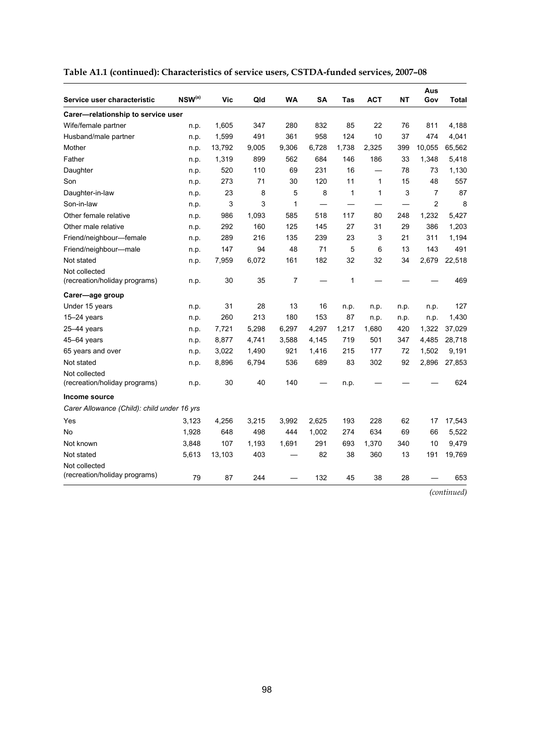| Service user characteristic                    | $NSW^{(a)}$ | Vic    | Qld   | WA    | <b>SA</b> | Tas   | <b>ACT</b> | NΤ   | Aus<br>Gov     | Total  |
|------------------------------------------------|-------------|--------|-------|-------|-----------|-------|------------|------|----------------|--------|
| Carer-relationship to service user             |             |        |       |       |           |       |            |      |                |        |
| Wife/female partner                            | n.p.        | 1,605  | 347   | 280   | 832       | 85    | 22         | 76   | 811            | 4,188  |
| Husband/male partner                           | n.p.        | 1,599  | 491   | 361   | 958       | 124   | 10         | 37   | 474            | 4,041  |
| Mother                                         | n.p.        | 13,792 | 9,005 | 9,306 | 6,728     | 1,738 | 2,325      | 399  | 10,055         | 65,562 |
| Father                                         | n.p.        | 1,319  | 899   | 562   | 684       | 146   | 186        | 33   | 1,348          | 5,418  |
| Daughter                                       | n.p.        | 520    | 110   | 69    | 231       | 16    |            | 78   | 73             | 1,130  |
| Son                                            | n.p.        | 273    | 71    | 30    | 120       | 11    | 1          | 15   | 48             | 557    |
| Daughter-in-law                                | n.p.        | 23     | 8     | 5     | 8         | 1     | 1          | 3    | $\overline{7}$ | 87     |
| Son-in-law                                     | n.p.        | 3      | 3     | 1     |           |       |            |      | $\overline{2}$ | 8      |
| Other female relative                          | n.p.        | 986    | 1,093 | 585   | 518       | 117   | 80         | 248  | 1,232          | 5,427  |
| Other male relative                            | n.p.        | 292    | 160   | 125   | 145       | 27    | 31         | 29   | 386            | 1,203  |
| Friend/neighbour-female                        | n.p.        | 289    | 216   | 135   | 239       | 23    | 3          | 21   | 311            | 1,194  |
| Friend/neighbour-male                          | n.p.        | 147    | 94    | 48    | 71        | 5     | 6          | 13   | 143            | 491    |
| Not stated                                     | n.p.        | 7,959  | 6,072 | 161   | 182       | 32    | 32         | 34   | 2,679          | 22,518 |
| Not collected<br>(recreation/holiday programs) | n.p.        | 30     | 35    | 7     |           | 1     |            |      |                | 469    |
| Carer—age group                                |             |        |       |       |           |       |            |      |                |        |
| Under 15 years                                 | n.p.        | 31     | 28    | 13    | 16        | n.p.  | n.p.       | n.p. | n.p.           | 127    |
| $15-24$ years                                  | n.p.        | 260    | 213   | 180   | 153       | 87    | n.p.       | n.p. | n.p.           | 1,430  |
| $25 - 44$ years                                | n.p.        | 7,721  | 5,298 | 6,297 | 4,297     | 1,217 | 1,680      | 420  | 1,322          | 37,029 |
| 45-64 years                                    | n.p.        | 8,877  | 4,741 | 3,588 | 4,145     | 719   | 501        | 347  | 4,485          | 28,718 |
| 65 years and over                              | n.p.        | 3,022  | 1,490 | 921   | 1,416     | 215   | 177        | 72   | 1,502          | 9,191  |
| Not stated                                     | n.p.        | 8,896  | 6,794 | 536   | 689       | 83    | 302        | 92   | 2,896          | 27,853 |
| Not collected<br>(recreation/holiday programs) | n.p.        | 30     | 40    | 140   |           | n.p.  |            |      |                | 624    |
| Income source                                  |             |        |       |       |           |       |            |      |                |        |
| Carer Allowance (Child): child under 16 yrs    |             |        |       |       |           |       |            |      |                |        |
| Yes                                            | 3,123       | 4,256  | 3,215 | 3,992 | 2,625     | 193   | 228        | 62   | 17             | 17,543 |
| No                                             | 1,928       | 648    | 498   | 444   | 1,002     | 274   | 634        | 69   | 66             | 5,522  |
| Not known                                      | 3,848       | 107    | 1,193 | 1,691 | 291       | 693   | 1,370      | 340  | 10             | 9,479  |
| Not stated                                     | 5,613       | 13,103 | 403   |       | 82        | 38    | 360        | 13   | 191            | 19,769 |
| Not collected<br>(recreation/holiday programs) | 79          | 87     | 244   |       | 132       | 45    | 38         | 28   |                | 653    |

| Table A1.1 (continued): Characteristics of service users, CSTDA-funded services, 2007-08 |  |  |
|------------------------------------------------------------------------------------------|--|--|
|                                                                                          |  |  |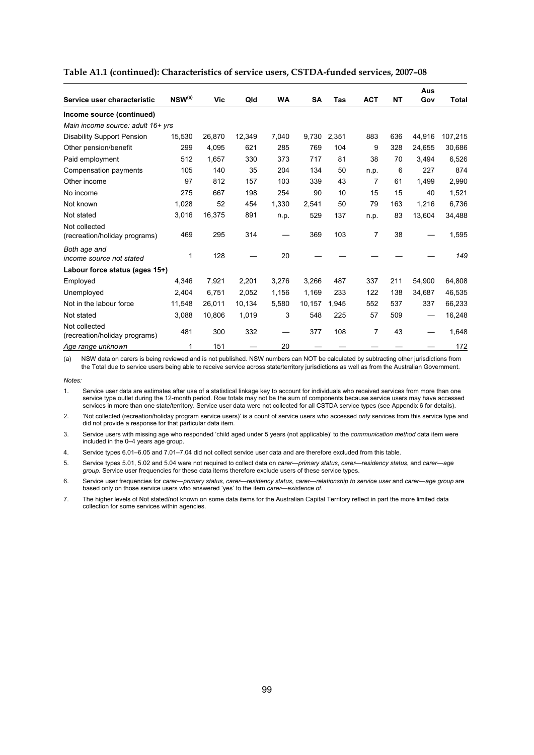|                                                |             |        |        |           |           |       |                |           | Aus    |              |
|------------------------------------------------|-------------|--------|--------|-----------|-----------|-------|----------------|-----------|--------|--------------|
| Service user characteristic                    | $NSW^{(a)}$ | Vic    | Qld    | <b>WA</b> | <b>SA</b> | Tas   | <b>ACT</b>     | <b>NT</b> | Gov    | <b>Total</b> |
| Income source (continued)                      |             |        |        |           |           |       |                |           |        |              |
| Main income source: adult 16+ yrs              |             |        |        |           |           |       |                |           |        |              |
| <b>Disability Support Pension</b>              | 15,530      | 26,870 | 12,349 | 7,040     | 9,730     | 2,351 | 883            | 636       | 44,916 | 107,215      |
| Other pension/benefit                          | 299         | 4,095  | 621    | 285       | 769       | 104   | 9              | 328       | 24,655 | 30,686       |
| Paid employment                                | 512         | 1,657  | 330    | 373       | 717       | 81    | 38             | 70        | 3,494  | 6,526        |
| Compensation payments                          | 105         | 140    | 35     | 204       | 134       | 50    | n.p.           | 6         | 227    | 874          |
| Other income                                   | 97          | 812    | 157    | 103       | 339       | 43    | $\overline{7}$ | 61        | 1,499  | 2,990        |
| No income                                      | 275         | 667    | 198    | 254       | 90        | 10    | 15             | 15        | 40     | 1,521        |
| Not known                                      | 1,028       | 52     | 454    | 1,330     | 2.541     | 50    | 79             | 163       | 1,216  | 6,736        |
| Not stated                                     | 3,016       | 16,375 | 891    | n.p.      | 529       | 137   | n.p.           | 83        | 13,604 | 34,488       |
| Not collected<br>(recreation/holiday programs) | 469         | 295    | 314    |           | 369       | 103   | 7              | 38        |        | 1,595        |
| Both age and<br>income source not stated       | 1           | 128    |        | 20        |           |       |                |           |        | 149          |
| Labour force status (ages 15+)                 |             |        |        |           |           |       |                |           |        |              |
| Employed                                       | 4,346       | 7,921  | 2,201  | 3,276     | 3,266     | 487   | 337            | 211       | 54,900 | 64,808       |
| Unemployed                                     | 2,404       | 6.751  | 2,052  | 1,156     | 1,169     | 233   | 122            | 138       | 34,687 | 46,535       |
| Not in the labour force                        | 11,548      | 26,011 | 10,134 | 5,580     | 10,157    | 1,945 | 552            | 537       | 337    | 66,233       |
| Not stated                                     | 3,088       | 10,806 | 1,019  | 3         | 548       | 225   | 57             | 509       |        | 16,248       |
| Not collected<br>(recreation/holiday programs) | 481         | 300    | 332    |           | 377       | 108   | $\overline{7}$ | 43        |        | 1,648        |
| Age range unknown                              | 1           | 151    |        | 20        |           |       |                |           |        | 172          |

**Table A1.1 (continued): Characteristics of service users, CSTDA-funded services, 2007–08** 

(a) NSW data on carers is being reviewed and is not published. NSW numbers can NOT be calculated by subtracting other jurisdictions from the Total due to service users being able to receive service across state/territory jurisdictions as well as from the Australian Government.

*Notes:* 

1. Service user data are estimates after use of a statistical linkage key to account for individuals who received services from more than one service type outlet during the 12-month period. Row totals may not be the sum of components because service users may have accessed services in more than one state/territory. Service user data were not collected for all CSTDA service types (see Appendix 6 for details).

2. 'Not collected (recreation/holiday program service users)' is a count of service users who accessed *only* services from this service type and did not provide a response for that particular data item.

3. Service users with missing age who responded 'child aged under 5 years (not applicable)' to the *communication method* data item were included in the 0–4 years age group.

4. Service types 6.01–6.05 and 7.01–7.04 did not collect service user data and are therefore excluded from this table.

5. Service types 5.01, 5.02 and 5.04 were not required to collect data on *carer—primary status*, *carer—residency status*, and *carer—age group*. Service user frequencies for these data items therefore exclude users of these service types.

6. Service user frequencies for *carer—primary status*, *carer—residency status*, *carer—relationship to service user* and *carer—age group* are based only on those service users who answered 'yes' to the item *carer—existence of*.

7. The higher levels of Not stated/not known on some data items for the Australian Capital Territory reflect in part the more limited data collection for some services within agencies.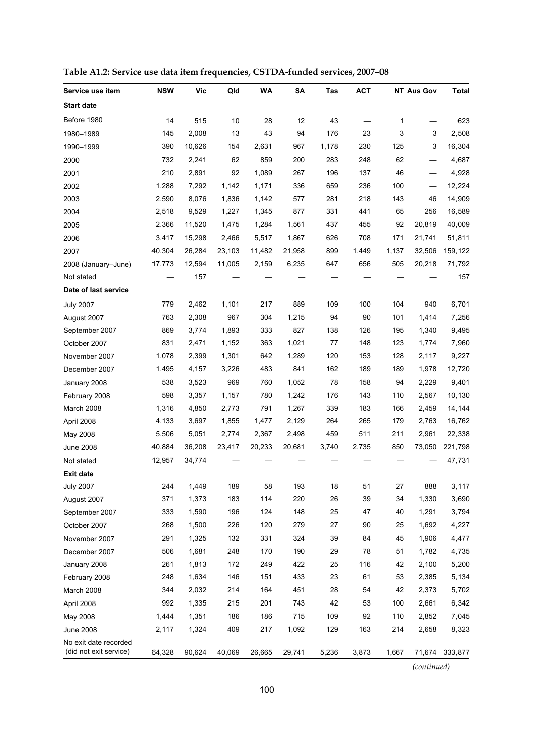| Service use item                                | <b>NSW</b> | <b>Vic</b> | Qld    | WA     | SA     | Tas   | <b>ACT</b> |       | <b>NT Aus Gov</b> | <b>Total</b>   |
|-------------------------------------------------|------------|------------|--------|--------|--------|-------|------------|-------|-------------------|----------------|
| <b>Start date</b>                               |            |            |        |        |        |       |            |       |                   |                |
| Before 1980                                     | 14         | 515        | 10     | 28     | 12     | 43    |            | 1     |                   | 623            |
| 1980-1989                                       | 145        | 2,008      | 13     | 43     | 94     | 176   | 23         | 3     | 3                 | 2,508          |
| 1990-1999                                       | 390        | 10,626     | 154    | 2,631  | 967    | 1,178 | 230        | 125   | 3                 | 16,304         |
| 2000                                            | 732        | 2,241      | 62     | 859    | 200    | 283   | 248        | 62    |                   | 4,687          |
| 2001                                            | 210        | 2,891      | 92     | 1,089  | 267    | 196   | 137        | 46    |                   | 4,928          |
| 2002                                            | 1,288      | 7,292      | 1,142  | 1,171  | 336    | 659   | 236        | 100   |                   | 12,224         |
| 2003                                            | 2,590      | 8,076      | 1,836  | 1,142  | 577    | 281   | 218        | 143   | 46                | 14,909         |
| 2004                                            | 2,518      | 9,529      | 1,227  | 1,345  | 877    | 331   | 441        | 65    | 256               | 16,589         |
| 2005                                            | 2,366      | 11,520     | 1,475  | 1,284  | 1,561  | 437   | 455        | 92    | 20,819            | 40,009         |
| 2006                                            | 3,417      | 15,298     | 2,466  | 5,517  | 1,867  | 626   | 708        | 171   | 21,741            | 51,811         |
| 2007                                            | 40,304     | 26,284     | 23,103 | 11,482 | 21,958 | 899   | 1,449      | 1,137 | 32,506            | 159,122        |
| 2008 (January-June)                             | 17,773     | 12,594     | 11,005 | 2,159  | 6,235  | 647   | 656        | 505   | 20,218            | 71,792         |
| Not stated                                      |            | 157        |        |        |        |       |            |       |                   | 157            |
| Date of last service                            |            |            |        |        |        |       |            |       |                   |                |
| <b>July 2007</b>                                | 779        | 2,462      | 1,101  | 217    | 889    | 109   | 100        | 104   | 940               | 6,701          |
| August 2007                                     | 763        | 2,308      | 967    | 304    | 1,215  | 94    | 90         | 101   | 1,414             | 7,256          |
| September 2007                                  | 869        | 3,774      | 1,893  | 333    | 827    | 138   | 126        | 195   | 1,340             | 9,495          |
| October 2007                                    | 831        | 2,471      | 1,152  | 363    | 1,021  | 77    | 148        | 123   | 1,774             | 7,960          |
| November 2007                                   | 1,078      | 2,399      | 1,301  | 642    | 1,289  | 120   | 153        | 128   | 2,117             | 9,227          |
| December 2007                                   | 1,495      | 4,157      | 3,226  | 483    | 841    | 162   | 189        | 189   | 1,978             | 12,720         |
| January 2008                                    | 538        | 3,523      | 969    | 760    | 1,052  | 78    | 158        | 94    | 2,229             | 9,401          |
| February 2008                                   | 598        | 3,357      | 1,157  | 780    | 1,242  | 176   | 143        | 110   | 2,567             | 10,130         |
| March 2008                                      | 1,316      | 4,850      | 2,773  | 791    | 1,267  | 339   | 183        | 166   | 2,459             | 14,144         |
| April 2008                                      | 4,133      | 3,697      | 1,855  | 1,477  | 2,129  | 264   | 265        | 179   | 2,763             | 16,762         |
| May 2008                                        | 5,506      | 5,051      | 2,774  | 2,367  | 2,498  | 459   | 511        | 211   | 2,961             | 22,338         |
| <b>June 2008</b>                                | 40,884     | 36,208     | 23,417 | 20,233 | 20,681 | 3,740 | 2,735      | 850   | 73,050            | 221,798        |
| Not stated                                      | 12,957     | 34,774     |        |        |        |       |            |       |                   | 47,731         |
| <b>Exit date</b>                                |            |            |        |        |        |       |            |       |                   |                |
| <b>July 2007</b>                                | 244        | 1,449      | 189    | 58     | 193    | 18    | 51         | 27    | 888               | 3,117          |
| August 2007                                     | 371        | 1,373      | 183    | 114    | 220    | 26    | 39         | 34    | 1,330             | 3,690          |
| September 2007                                  | 333        | 1,590      | 196    | 124    | 148    | 25    | 47         | 40    | 1,291             | 3,794          |
| October 2007                                    | 268        | 1,500      | 226    | 120    | 279    | 27    | 90         | 25    | 1,692             | 4,227          |
| November 2007                                   | 291        | 1,325      | 132    | 331    | 324    | 39    | 84         | 45    | 1,906             | 4,477          |
| December 2007                                   | 506        | 1,681      | 248    | 170    | 190    | 29    | 78         | 51    | 1,782             | 4,735          |
| January 2008                                    | 261        | 1,813      | 172    | 249    | 422    | 25    | 116        | 42    | 2,100             | 5,200          |
| February 2008                                   | 248        | 1,634      | 146    | 151    | 433    | 23    | 61         | 53    | 2,385             | 5,134          |
| March 2008                                      | 344        | 2,032      | 214    | 164    | 451    | 28    | 54         | 42    | 2,373             | 5,702          |
| April 2008                                      | 992        | 1,335      | 215    | 201    | 743    | 42    | 53         | 100   | 2,661             | 6,342          |
| May 2008                                        | 1,444      | 1,351      | 186    | 186    | 715    | 109   | 92         | 110   | 2,852             | 7,045          |
| <b>June 2008</b>                                | 2,117      | 1,324      | 409    | 217    | 1,092  | 129   | 163        | 214   | 2,658             | 8,323          |
| No exit date recorded<br>(did not exit service) | 64,328     | 90,624     | 40,069 | 26,665 | 29,741 | 5,236 | 3,873      | 1,667 |                   | 71,674 333,877 |

**Table A1.2: Service use data item frequencies, CSTDA-funded services, 2007–08** 

*(continued)*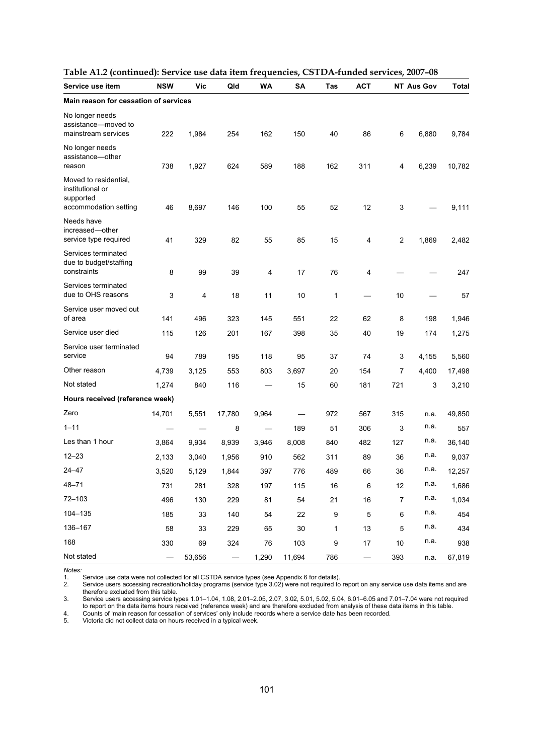| Service use item                                                                | <b>NSW</b> | <b>Vic</b> | Qld                      | <b>WA</b> | <b>SA</b> | Tas | <b>ACT</b> |                | <b>NT Aus Gov</b> | <b>Total</b> |
|---------------------------------------------------------------------------------|------------|------------|--------------------------|-----------|-----------|-----|------------|----------------|-------------------|--------------|
| Main reason for cessation of services                                           |            |            |                          |           |           |     |            |                |                   |              |
| No longer needs<br>assistance-moved to<br>mainstream services                   | 222        | 1,984      | 254                      | 162       | 150       | 40  | 86         | 6              | 6,880             | 9,784        |
| No longer needs<br>assistance-other<br>reason                                   | 738        | 1,927      | 624                      | 589       | 188       | 162 | 311        | 4              | 6,239             | 10,782       |
| Moved to residential,<br>institutional or<br>supported<br>accommodation setting | 46         | 8,697      | 146                      | 100       | 55        | 52  | 12         | 3              |                   | 9,111        |
| Needs have<br>increased-other<br>service type required                          | 41         | 329        | 82                       | 55        | 85        | 15  | 4          | 2              | 1,869             | 2,482        |
| Services terminated<br>due to budget/staffing<br>constraints                    | 8          | 99         | 39                       | 4         | 17        | 76  | 4          |                |                   | 247          |
| Services terminated<br>due to OHS reasons                                       | 3          | 4          | 18                       | 11        | 10        | 1   |            | 10             |                   | 57           |
| Service user moved out<br>of area                                               | 141        | 496        | 323                      | 145       | 551       | 22  | 62         | 8              | 198               | 1,946        |
| Service user died                                                               | 115        | 126        | 201                      | 167       | 398       | 35  | 40         | 19             | 174               | 1,275        |
| Service user terminated<br>service                                              | 94         | 789        | 195                      | 118       | 95        | 37  | 74         | 3              | 4,155             | 5,560        |
| Other reason                                                                    | 4,739      | 3,125      | 553                      | 803       | 3,697     | 20  | 154        | 7              | 4,400             | 17,498       |
| Not stated                                                                      | 1,274      | 840        | 116                      |           | 15        | 60  | 181        | 721            | 3                 | 3,210        |
| Hours received (reference week)                                                 |            |            |                          |           |           |     |            |                |                   |              |
| Zero                                                                            | 14,701     | 5,551      | 17,780                   | 9,964     |           | 972 | 567        | 315            | n.a.              | 49,850       |
| $1 - 11$                                                                        |            |            | 8                        |           | 189       | 51  | 306        | 3              | n.a.              | 557          |
| Les than 1 hour                                                                 | 3,864      | 9,934      | 8,939                    | 3,946     | 8,008     | 840 | 482        | 127            | n.a.              | 36,140       |
| $12 - 23$                                                                       | 2,133      | 3,040      | 1,956                    | 910       | 562       | 311 | 89         | 36             | n.a.              | 9,037        |
| $24 - 47$                                                                       | 3,520      | 5,129      | 1,844                    | 397       | 776       | 489 | 66         | 36             | n.a.              | 12,257       |
| $48 - 71$                                                                       | 731        | 281        | 328                      | 197       | 115       | 16  | 6          | 12             | n.a.              | 1,686        |
| 72-103                                                                          | 496        | 130        | 229                      | 81        | 54        | 21  | 16         | $\overline{7}$ | n.a.              | 1,034        |
| 104-135                                                                         | 185        | 33         | 140                      | 54        | 22        | 9   | 5          | 6              | n.a.              | 454          |
| 136-167                                                                         | 58         | 33         | 229                      | 65        | $30\,$    | 1   | 13         | 5              | n.a.              | 434          |
| 168                                                                             | 330        | 69         | 324                      | 76        | 103       | 9   | 17         | $10$           | n.a.              | 938          |
| Not stated                                                                      |            | 53,656     | $\overline{\phantom{0}}$ | 1,290     | 11,694    | 786 |            | 393            | n.a.              | 67,819       |

|--|

1. Service use data were not collected for all CSTDA service types (see Appendix 6 for details).

*Notes:*  2. Service users accessing recreation/holiday programs (service type 3.02) were not required to report on any service use data items and are therefore excluded from this table.

3. Service users accessing service types 1.01–1.04, 1.08, 2.01–2.05, 2.07, 3.02, 5.01, 5.02, 5.04, 6.01–6.05 and 7.01–7.04 were not required to report on the data items hours received (reference week) and are therefore excluded from analysis of these data items in this table. 4. Counts of 'main reason for cessation of services' only include records where a service date has been recorded.<br>5. Victoria did not collect data on hours received in a typical week.

Victoria did not collect data on hours received in a typical week.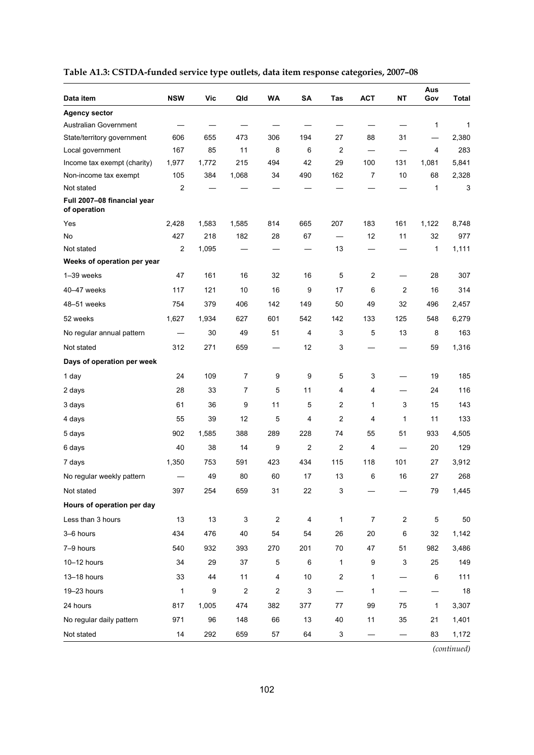| Data item                                   | <b>NSW</b>   | Vic   | Qld              | WA                      | <b>SA</b>               | Tas                     | <b>ACT</b>     | <b>NT</b>      | Aus<br>Gov   | <b>Total</b> |
|---------------------------------------------|--------------|-------|------------------|-------------------------|-------------------------|-------------------------|----------------|----------------|--------------|--------------|
| <b>Agency sector</b>                        |              |       |                  |                         |                         |                         |                |                |              |              |
| Australian Government                       |              |       |                  |                         |                         |                         |                |                | 1            | 1            |
| State/territory government                  | 606          | 655   | 473              | 306                     | 194                     | 27                      | 88             | 31             |              | 2,380        |
| Local government                            | 167          | 85    | 11               | 8                       | 6                       | 2                       |                |                | 4            | 283          |
| Income tax exempt (charity)                 | 1,977        | 1,772 | 215              | 494                     | 42                      | 29                      | 100            | 131            | 1,081        | 5,841        |
| Non-income tax exempt                       | 105          | 384   | 1,068            | 34                      | 490                     | 162                     | 7              | 10             | 68           | 2,328        |
| Not stated                                  | 2            |       |                  |                         |                         |                         |                |                | 1            | 3            |
| Full 2007-08 financial year<br>of operation |              |       |                  |                         |                         |                         |                |                |              |              |
| Yes                                         | 2,428        | 1,583 | 1,585            | 814                     | 665                     | 207                     | 183            | 161            | 1,122        | 8,748        |
| No                                          | 427          | 218   | 182              | 28                      | 67                      |                         | 12             | 11             | 32           | 977          |
| Not stated                                  | 2            | 1,095 |                  |                         |                         | 13                      |                |                | 1            | 1,111        |
| Weeks of operation per year                 |              |       |                  |                         |                         |                         |                |                |              |              |
| 1-39 weeks                                  | 47           | 161   | 16               | 32                      | 16                      | 5                       | 2              |                | 28           | 307          |
| 40-47 weeks                                 | 117          | 121   | 10               | 16                      | 9                       | 17                      | 6              | $\overline{2}$ | 16           | 314          |
| 48-51 weeks                                 | 754          | 379   | 406              | 142                     | 149                     | 50                      | 49             | 32             | 496          | 2,457        |
| 52 weeks                                    | 1,627        | 1,934 | 627              | 601                     | 542                     | 142                     | 133            | 125            | 548          | 6,279        |
| No regular annual pattern                   |              | 30    | 49               | 51                      | 4                       | 3                       | 5              | 13             | 8            | 163          |
| Not stated                                  | 312          | 271   | 659              |                         | 12                      | 3                       |                |                | 59           | 1,316        |
| Days of operation per week                  |              |       |                  |                         |                         |                         |                |                |              |              |
| 1 day                                       | 24           | 109   | $\overline{7}$   | 9                       | 9                       | 5                       | 3              |                | 19           | 185          |
| 2 days                                      | 28           | 33    | $\overline{7}$   | 5                       | 11                      | 4                       | 4              |                | 24           | 116          |
| 3 days                                      | 61           | 36    | 9                | 11                      | 5                       | 2                       | 1              | 3              | 15           | 143          |
| 4 days                                      | 55           | 39    | 12               | 5                       | 4                       | 2                       | 4              | 1              | 11           | 133          |
| 5 days                                      | 902          | 1,585 | 388              | 289                     | 228                     | 74                      | 55             | 51             | 933          | 4,505        |
| 6 days                                      | 40           | 38    | 14               | 9                       | $\overline{2}$          | 2                       | 4              |                | 20           | 129          |
| 7 days                                      | 1,350        | 753   | 591              | 423                     | 434                     | 115                     | 118            | 101            | 27           | 3,912        |
| No regular weekly pattern                   |              | 49    | 80               | 60                      | 17                      | 13                      | 6              | 16             | 27           | 268          |
| Not stated                                  | 397          | 254   | 659              | 31                      | 22                      | 3                       |                |                | 79           | 1,445        |
| Hours of operation per day                  |              |       |                  |                         |                         |                         |                |                |              |              |
| Less than 3 hours                           | 13           | 13    | 3                | $\boldsymbol{2}$        | $\overline{\mathbf{4}}$ | 1                       | $\overline{7}$ | $\overline{c}$ | $\mathbf 5$  | 50           |
| 3-6 hours                                   | 434          | 476   | 40               | 54                      | 54                      | 26                      | 20             | 6              | 32           | 1,142        |
| 7-9 hours                                   | 540          | 932   | 393              | 270                     | 201                     | 70                      | 47             | 51             | 982          | 3,486        |
| 10-12 hours                                 | 34           | 29    | 37               | $\mathbf 5$             | 6                       | $\mathbf{1}$            | 9              | 3              | 25           | 149          |
| 13-18 hours                                 | 33           | 44    | 11               | $\overline{\mathbf{4}}$ | $10$                    | $\overline{\mathbf{c}}$ | 1              |                | 6            | 111          |
| 19-23 hours                                 | $\mathbf{1}$ | 9     | $\boldsymbol{2}$ | $\overline{c}$          | 3                       |                         | 1              |                |              | 18           |
| 24 hours                                    | 817          | 1,005 | 474              | 382                     | 377                     | 77                      | 99             | 75             | $\mathbf{1}$ | 3,307        |
| No regular daily pattern                    | 971          | 96    | 148              | 66                      | 13                      | 40                      | 11             | 35             | 21           | 1,401        |
| Not stated                                  | 14           | 292   | 659              | 57                      | 64                      | 3                       |                |                | 83           | 1,172        |

# **Table A1.3: CSTDA-funded service type outlets, data item response categories, 2007–08**

*(continued)*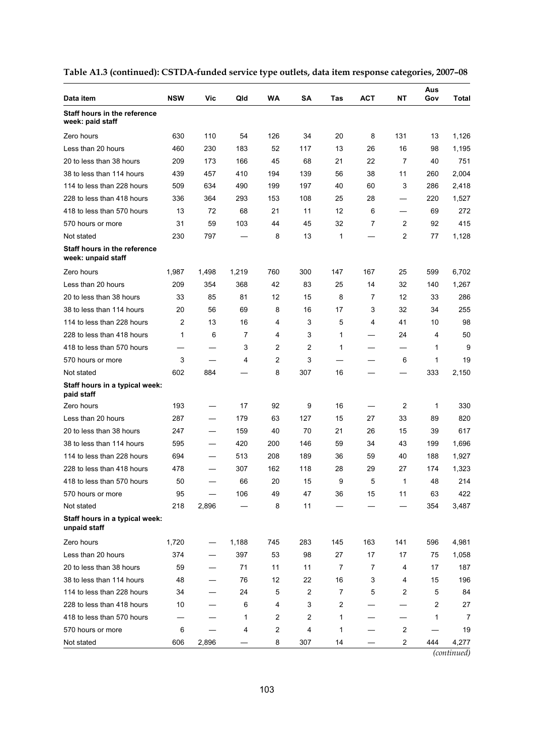| Data item                                               | <b>NSW</b> | Vic   | Qld   | WA             | SΑ  | Tas | <b>ACT</b> | NΤ                      | Aus<br>Gov | Total |
|---------------------------------------------------------|------------|-------|-------|----------------|-----|-----|------------|-------------------------|------------|-------|
| <b>Staff hours in the reference</b><br>week: paid staff |            |       |       |                |     |     |            |                         |            |       |
| Zero hours                                              | 630        | 110   | 54    | 126            | 34  | 20  | 8          | 131                     | 13         | 1,126 |
| Less than 20 hours                                      | 460        | 230   | 183   | 52             | 117 | 13  | 26         | 16                      | 98         | 1,195 |
| 20 to less than 38 hours                                | 209        | 173   | 166   | 45             | 68  | 21  | 22         | 7                       | 40         | 751   |
| 38 to less than 114 hours                               | 439        | 457   | 410   | 194            | 139 | 56  | 38         | 11                      | 260        | 2,004 |
| 114 to less than 228 hours                              | 509        | 634   | 490   | 199            | 197 | 40  | 60         | 3                       | 286        | 2,418 |
| 228 to less than 418 hours                              | 336        | 364   | 293   | 153            | 108 | 25  | 28         |                         | 220        | 1,527 |
| 418 to less than 570 hours                              | 13         | 72    | 68    | 21             | 11  | 12  | 6          | -                       | 69         | 272   |
| 570 hours or more                                       | 31         | 59    | 103   | 44             | 45  | 32  | 7          | 2                       | 92         | 415   |
| Not stated                                              | 230        | 797   |       | 8              | 13  | 1   |            | 2                       | 77         | 1,128 |
| Staff hours in the reference<br>week: unpaid staff      |            |       |       |                |     |     |            |                         |            |       |
| Zero hours                                              | 1,987      | 1,498 | 1,219 | 760            | 300 | 147 | 167        | 25                      | 599        | 6,702 |
| Less than 20 hours                                      | 209        | 354   | 368   | 42             | 83  | 25  | 14         | 32                      | 140        | 1,267 |
| 20 to less than 38 hours                                | 33         | 85    | 81    | 12             | 15  | 8   | 7          | 12                      | 33         | 286   |
| 38 to less than 114 hours                               | 20         | 56    | 69    | 8              | 16  | 17  | 3          | 32                      | 34         | 255   |
| 114 to less than 228 hours                              | 2          | 13    | 16    | 4              | 3   | 5   | 4          | 41                      | 10         | 98    |
| 228 to less than 418 hours                              | 1          | 6     | 7     | 4              | 3   | 1   |            | 24                      | 4          | 50    |
| 418 to less than 570 hours                              |            |       | 3     | $\overline{2}$ | 2   | 1   |            |                         | 1          | 9     |
| 570 hours or more                                       | 3          |       | 4     | $\overline{2}$ | 3   |     |            | 6                       | 1          | 19    |
| Not stated                                              | 602        | 884   |       | 8              | 307 | 16  |            |                         | 333        | 2,150 |
| Staff hours in a typical week:<br>paid staff            |            |       |       |                |     |     |            |                         |            |       |
| Zero hours                                              | 193        |       | 17    | 92             | 9   | 16  |            | 2                       | 1          | 330   |
| Less than 20 hours                                      | 287        |       | 179   | 63             | 127 | 15  | 27         | 33                      | 89         | 820   |
| 20 to less than 38 hours                                | 247        |       | 159   | 40             | 70  | 21  | 26         | 15                      | 39         | 617   |
| 38 to less than 114 hours                               | 595        |       | 420   | 200            | 146 | 59  | 34         | 43                      | 199        | 1,696 |
| 114 to less than 228 hours                              | 694        |       | 513   | 208            | 189 | 36  | 59         | 40                      | 188        | 1,927 |
| 228 to less than 418 hours                              | 478        |       | 307   | 162            | 118 | 28  | 29         | 27                      | 174        | 1,323 |
| 418 to less than 570 hours                              | 50         |       | 66    | 20             | 15  | 9   | 5          | 1                       | 48         | 214   |
| 570 hours or more                                       | 95         |       | 106   | 49             | 47  | 36  | 15         | 11                      | 63         | 422   |
| Not stated                                              | 218        | 2,896 |       | 8              | 11  |     |            |                         | 354        | 3,487 |
| Staff hours in a typical week:<br>unpaid staff          |            |       |       |                |     |     |            |                         |            |       |
| Zero hours                                              | 1,720      |       | 1,188 | 745            | 283 | 145 | 163        | 141                     | 596        | 4,981 |
| Less than 20 hours                                      | 374        |       | 397   | 53             | 98  | 27  | 17         | 17                      | 75         | 1,058 |
| 20 to less than 38 hours                                | 59         |       | 71    | 11             | 11  | 7   | 7          | 4                       | 17         | 187   |
| 38 to less than 114 hours                               | 48         |       | 76    | 12             | 22  | 16  | 3          | 4                       | 15         | 196   |
| 114 to less than 228 hours                              | 34         |       | 24    | 5              | 2   | 7   | 5          | 2                       | 5          | 84    |
| 228 to less than 418 hours                              | 10         |       | 6     | 4              | 3   | 2   |            |                         | 2          | 27    |
| 418 to less than 570 hours                              |            |       | 1     | 2              | 2   | 1   |            |                         | 1          | 7     |
| 570 hours or more                                       | 6          |       | 4     | 2              | 4   | 1   |            | $\overline{\mathbf{c}}$ |            | 19    |
| Not stated                                              | 606        | 2,896 |       | 8              | 307 | 14  |            | 2                       | 444        | 4,277 |

|  |  | Table A1.3 (continued): CSTDA-funded service type outlets, data item response categories, 2007-08 |  |
|--|--|---------------------------------------------------------------------------------------------------|--|
|  |  |                                                                                                   |  |

*(continued)*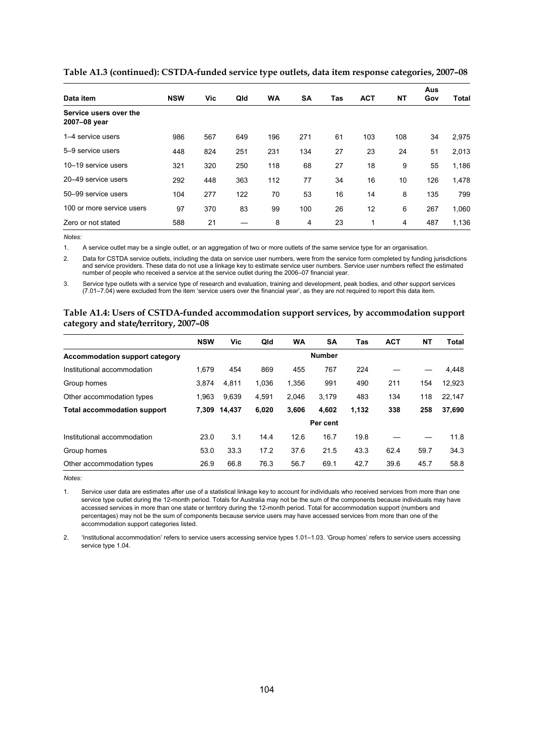| Data item                              | <b>NSW</b> | Vic | Qld | <b>WA</b> | <b>SA</b> | Tas | <b>ACT</b> | NT  | Aus<br>Gov | Total |
|----------------------------------------|------------|-----|-----|-----------|-----------|-----|------------|-----|------------|-------|
| Service users over the<br>2007-08 year |            |     |     |           |           |     |            |     |            |       |
| 1-4 service users                      | 986        | 567 | 649 | 196       | 271       | 61  | 103        | 108 | 34         | 2,975 |
| 5-9 service users                      | 448        | 824 | 251 | 231       | 134       | 27  | 23         | 24  | 51         | 2,013 |
| 10-19 service users                    | 321        | 320 | 250 | 118       | 68        | 27  | 18         | 9   | 55         | 1,186 |
| 20-49 service users                    | 292        | 448 | 363 | 112       | 77        | 34  | 16         | 10  | 126        | 1,478 |
| 50-99 service users                    | 104        | 277 | 122 | 70        | 53        | 16  | 14         | 8   | 135        | 799   |
| 100 or more service users              | 97         | 370 | 83  | 99        | 100       | 26  | 12         | 6   | 267        | 1,060 |
| Zero or not stated                     | 588        | 21  |     | 8         | 4         | 23  | 1          | 4   | 487        | 1,136 |

**Table A1.3 (continued): CSTDA-funded service type outlets, data item response categories, 2007–08**

1. A service outlet may be a single outlet, or an aggregation of two or more outlets of the same service type for an organisation.

2. Data for CSTDA service outlets, including the data on service user numbers, were from the service form completed by funding jurisdictions and service providers. These data do not use a linkage key to estimate service user numbers. Service user numbers reflect the estimated number of people who received a service at the service outlet during the 2006–07 financial year.

3. Service type outlets with a service type of research and evaluation, training and development, peak bodies, and other support services (7.01–7.04) were excluded from the item 'service users over the financial year', as they are not required to report this data item.

#### **Table A1.4: Users of CSTDA-funded accommodation support services, by accommodation support category and state/territory, 2007–08**

|                                       | <b>NSW</b> | Vic    | Qld   | <b>WA</b> | <b>SA</b>     | Tas   | <b>ACT</b> | NΤ   | Total  |
|---------------------------------------|------------|--------|-------|-----------|---------------|-------|------------|------|--------|
| <b>Accommodation support category</b> |            |        |       |           | <b>Number</b> |       |            |      |        |
| Institutional accommodation           | 1.679      | 454    | 869   | 455       | 767           | 224   |            |      | 4,448  |
| Group homes                           | 3.874      | 4,811  | 1,036 | 1,356     | 991           | 490   | 211        | 154  | 12.923 |
| Other accommodation types             | 1.963      | 9,639  | 4,591 | 2.046     | 3.179         | 483   | 134        | 118  | 22.147 |
| <b>Total accommodation support</b>    | 7.309      | 14.437 | 6,020 | 3.606     | 4.602         | 1,132 | 338        | 258  | 37,690 |
|                                       |            |        |       |           | Per cent      |       |            |      |        |
| Institutional accommodation           | 23.0       | 3.1    | 14.4  | 12.6      | 16.7          | 19.8  |            |      | 11.8   |
| Group homes                           | 53.0       | 33.3   | 17.2  | 37.6      | 21.5          | 43.3  | 62.4       | 59.7 | 34.3   |
| Other accommodation types             | 26.9       | 66.8   | 76.3  | 56.7      | 69.1          | 42.7  | 39.6       | 45.7 | 58.8   |

*Notes:* 

1. Service user data are estimates after use of a statistical linkage key to account for individuals who received services from more than one service type outlet during the 12-month period. Totals for Australia may not be the sum of the components because individuals may have accessed services in more than one state or territory during the 12-month period. Total for accommodation support (numbers and percentages) may not be the sum of components because service users may have accessed services from more than one of the accommodation support categories listed.

2. 'Institutional accommodation' refers to service users accessing service types 1.01–1.03. 'Group homes' refers to service users accessing service type 1.04.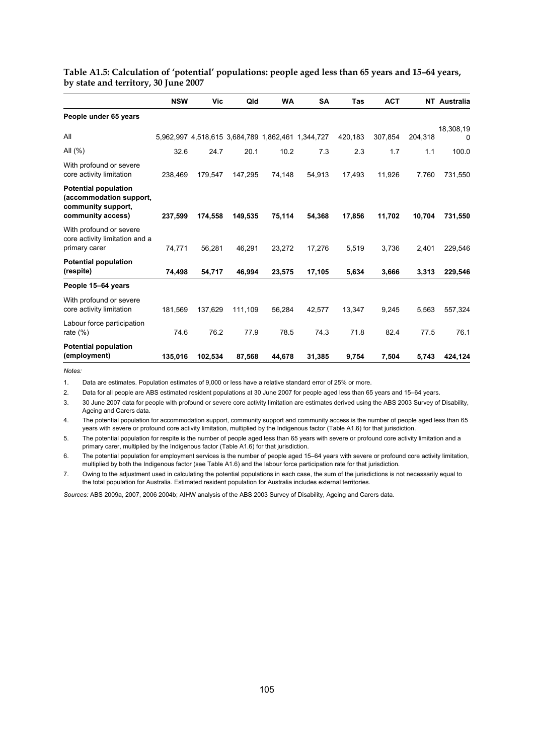|                                                                                                   | <b>NSW</b> | Vic                                               | Qld     | <b>WA</b> | <b>SA</b> | <b>Tas</b> | <b>ACT</b> |         | <b>NT</b> Australia |
|---------------------------------------------------------------------------------------------------|------------|---------------------------------------------------|---------|-----------|-----------|------------|------------|---------|---------------------|
| People under 65 years                                                                             |            |                                                   |         |           |           |            |            |         |                     |
| All                                                                                               |            | 5,962,997 4,518,615 3,684,789 1,862,461 1,344,727 |         |           |           | 420,183    | 307,854    | 204,318 | 18,308,19<br>0      |
| All $(\%)$                                                                                        | 32.6       | 24.7                                              | 20.1    | 10.2      | 7.3       | 2.3        | 1.7        | 1.1     | 100.0               |
| With profound or severe<br>core activity limitation                                               | 238,469    | 179,547                                           | 147,295 | 74,148    | 54,913    | 17,493     | 11,926     | 7,760   | 731,550             |
| <b>Potential population</b><br>(accommodation support,<br>community support,<br>community access) | 237,599    | 174,558                                           | 149,535 | 75,114    | 54,368    | 17,856     | 11,702     | 10,704  | 731,550             |
| With profound or severe<br>core activity limitation and a<br>primary carer                        | 74,771     | 56,281                                            | 46.291  | 23.272    | 17,276    | 5,519      | 3,736      | 2.401   | 229,546             |
| <b>Potential population</b><br>(respite)                                                          | 74,498     | 54,717                                            | 46,994  | 23,575    | 17,105    | 5,634      | 3,666      | 3,313   | 229,546             |
| People 15-64 years                                                                                |            |                                                   |         |           |           |            |            |         |                     |
| With profound or severe<br>core activity limitation                                               | 181,569    | 137,629                                           | 111,109 | 56,284    | 42,577    | 13,347     | 9,245      | 5,563   | 557,324             |
| Labour force participation<br>rate $(\%)$                                                         | 74.6       | 76.2                                              | 77.9    | 78.5      | 74.3      | 71.8       | 82.4       | 77.5    | 76.1                |
| <b>Potential population</b><br>(employment)                                                       | 135,016    | 102,534                                           | 87,568  | 44,678    | 31,385    | 9,754      | 7,504      | 5,743   | 424,124             |

# **Table A1.5: Calculation of 'potential' populations: people aged less than 65 years and 15–64 years, by state and territory, 30 June 2007**

*Notes:* 

1. Data are estimates. Population estimates of 9,000 or less have a relative standard error of 25% or more.

2. Data for all people are ABS estimated resident populations at 30 June 2007 for people aged less than 65 years and 15–64 years.

3. 30 June 2007 data for people with profound or severe core activity limitation are estimates derived using the ABS 2003 Survey of Disability, Ageing and Carers data.

4. The potential population for accommodation support, community support and community access is the number of people aged less than 65 years with severe or profound core activity limitation, multiplied by the Indigenous factor (Table A1.6) for that jurisdiction.

5. The potential population for respite is the number of people aged less than 65 years with severe or profound core activity limitation and a primary carer, multiplied by the Indigenous factor (Table A1.6) for that jurisdiction.

6. The potential population for employment services is the number of people aged 15–64 years with severe or profound core activity limitation, multiplied by both the Indigenous factor (see Table A1.6) and the labour force participation rate for that jurisdiction.

7. Owing to the adjustment used in calculating the potential populations in each case, the sum of the jurisdictions is not necessarily equal to the total population for Australia. Estimated resident population for Australia includes external territories.

*Sources:* ABS 2009a, 2007, 2006 2004b; AIHW analysis of the ABS 2003 Survey of Disability, Ageing and Carers data.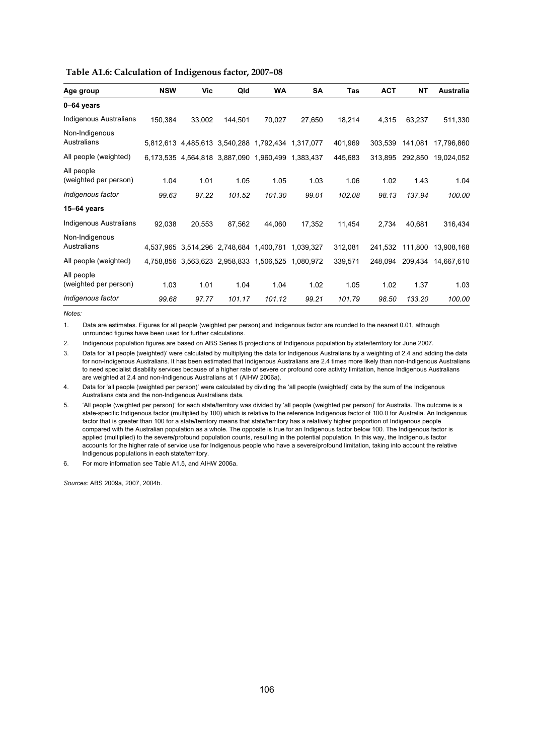|  | Table A1.6: Calculation of Indigenous factor, 2007-08 |
|--|-------------------------------------------------------|
|  |                                                       |

| Age group                           | <b>NSW</b> | Vic                                     | Qld     | WA     | <b>SA</b> | Tas     | <b>ACT</b> | <b>NT</b> | Australia  |
|-------------------------------------|------------|-----------------------------------------|---------|--------|-----------|---------|------------|-----------|------------|
| 0-64 years                          |            |                                         |         |        |           |         |            |           |            |
| Indigenous Australians              | 150,384    | 33,002                                  | 144,501 | 70,027 | 27,650    | 18,214  | 4,315      | 63,237    | 511,330    |
| Non-Indigenous<br>Australians       |            | 5,812,613 4,485,613 3,540,288 1,792,434 |         |        | 1,317,077 | 401,969 | 303,539    | 141,081   | 17,796,860 |
| All people (weighted)               |            | 6,173,535 4,564,818 3,887,090 1,960,499 |         |        | 1,383,437 | 445,683 | 313,895    | 292,850   | 19,024,052 |
| All people<br>(weighted per person) | 1.04       | 1.01                                    | 1.05    | 1.05   | 1.03      | 1.06    | 1.02       | 1.43      | 1.04       |
| Indigenous factor                   | 99.63      | 97.22                                   | 101.52  | 101.30 | 99.01     | 102.08  | 98.13      | 137.94    | 100.00     |
| 15-64 years                         |            |                                         |         |        |           |         |            |           |            |
| <b>Indigenous Australians</b>       | 92,038     | 20,553                                  | 87,562  | 44,060 | 17,352    | 11,454  | 2,734      | 40,681    | 316,434    |
| Non-Indigenous<br>Australians       |            | 4,537,965 3,514,296 2,748,684 1,400,781 |         |        | 1.039.327 | 312,081 | 241.532    | 111,800   | 13,908,168 |
| All people (weighted)               |            | 4,758,856 3,563,623 2,958,833 1,506,525 |         |        | 1,080,972 | 339,571 | 248,094    | 209,434   | 14,667,610 |
| All people<br>(weighted per person) | 1.03       | 1.01                                    | 1.04    | 1.04   | 1.02      | 1.05    | 1.02       | 1.37      | 1.03       |
| Indigenous factor                   | 99.68      | 97.77                                   | 101.17  | 101.12 | 99.21     | 101.79  | 98.50      | 133.20    | 100.00     |

1. Data are estimates. Figures for all people (weighted per person) and Indigenous factor are rounded to the nearest 0.01, although unrounded figures have been used for further calculations.

2. Indigenous population figures are based on ABS Series B projections of Indigenous population by state/territory for June 2007.

3. Data for 'all people (weighted)' were calculated by multiplying the data for Indigenous Australians by a weighting of 2.4 and adding the data for non-Indigenous Australians. It has been estimated that Indigenous Australians are 2.4 times more likely than non-Indigenous Australians to need specialist disability services because of a higher rate of severe or profound core activity limitation, hence Indigenous Australians are weighted at 2.4 and non-Indigenous Australians at 1 (AIHW 2006a).

4. Data for 'all people (weighted per person)' were calculated by dividing the 'all people (weighted)' data by the sum of the Indigenous Australians data and the non-Indigenous Australians data.

5. 'All people (weighted per person)' for each state/territory was divided by 'all people (weighted per person)' for Australia. The outcome is a state-specific Indigenous factor (multiplied by 100) which is relative to the reference Indigenous factor of 100.0 for Australia. An Indigenous factor that is greater than 100 for a state/territory means that state/territory has a relatively higher proportion of Indigenous people compared with the Australian population as a whole. The opposite is true for an Indigenous factor below 100. The Indigenous factor is applied (multiplied) to the severe/profound population counts, resulting in the potential population. In this way, the Indigenous factor accounts for the higher rate of service use for Indigenous people who have a severe/profound limitation, taking into account the relative Indigenous populations in each state/territory.

6. For more information see Table A1.5, and AIHW 2006a.

*Sources:* ABS 2009a, 2007, 2004b.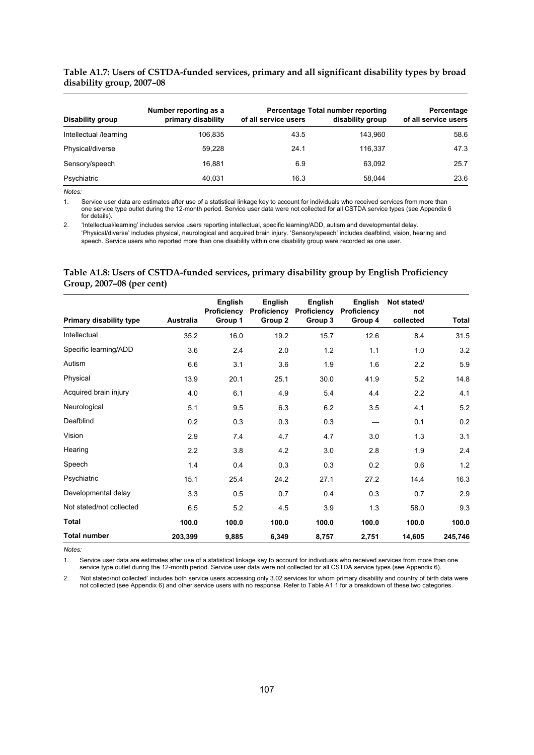#### **Table A1.7: Users of CSTDA-funded services, primary and all significant disability types by broad disability group, 2007–08**

|                        | Number reporting as a | Percentage Total number reporting | Percentage       |                      |
|------------------------|-----------------------|-----------------------------------|------------------|----------------------|
| Disability group       | primary disability    | of all service users              | disability group | of all service users |
| Intellectual /learning | 106,835               | 43.5                              | 143,960          | 58.6                 |
| Physical/diverse       | 59.228                | 24.1                              | 116.337          | 47.3                 |
| Sensory/speech         | 16.881                | 6.9                               | 63,092           | 25.7                 |
| Psychiatric            | 40.031                | 16.3                              | 58.044           | 23.6                 |

*Notes:* 

1. Service user data are estimates after use of a statistical linkage key to account for individuals who received services from more than one service type outlet during the 12-month period. Service user data were not collected for all CSTDA service types (see Appendix 6 for details).

2. 'Intellectual/learning' includes service users reporting intellectual, specific learning/ADD, autism and developmental delay. 'Physical/diverse' includes physical, neurological and acquired brain injury. 'Sensory/speech' includes deafblind, vision, hearing and speech. Service users who reported more than one disability within one disability group were recorded as one user.

#### **Table A1.8: Users of CSTDA-funded services, primary disability group by English Proficiency Group, 2007–08 (per cent)**

|                                |                  | English<br><b>Proficiency</b> | English<br>Proficiency | English<br>Proficiency | English<br>Proficiency | Not stated/<br>not |         |
|--------------------------------|------------------|-------------------------------|------------------------|------------------------|------------------------|--------------------|---------|
| <b>Primary disability type</b> | <b>Australia</b> | Group 1                       | Group 2                | Group 3                | Group 4                | collected          | Total   |
| Intellectual                   | 35.2             | 16.0                          | 19.2                   | 15.7                   | 12.6                   | 8.4                | 31.5    |
| Specific learning/ADD          | 3.6              | 2.4                           | 2.0                    | 1.2                    | 1.1                    | 1.0                | 3.2     |
| Autism                         | 6.6              | 3.1                           | 3.6                    | 1.9                    | 1.6                    | 2.2                | 5.9     |
| Physical                       | 13.9             | 20.1                          | 25.1                   | 30.0                   | 41.9                   | 5.2                | 14.8    |
| Acquired brain injury          | 4.0              | 6.1                           | 4.9                    | 5.4                    | 4.4                    | 2.2                | 4.1     |
| Neurological                   | 5.1              | 9.5                           | 6.3                    | 6.2                    | 3.5                    | 4.1                | 5.2     |
| Deafblind                      | 0.2              | 0.3                           | 0.3                    | 0.3                    |                        | 0.1                | 0.2     |
| Vision                         | 2.9              | 7.4                           | 4.7                    | 4.7                    | 3.0                    | 1.3                | 3.1     |
| Hearing                        | 2.2              | 3.8                           | 4.2                    | 3.0                    | 2.8                    | 1.9                | 2.4     |
| Speech                         | 1.4              | 0.4                           | 0.3                    | 0.3                    | 0.2                    | 0.6                | 1.2     |
| Psychiatric                    | 15.1             | 25.4                          | 24.2                   | 27.1                   | 27.2                   | 14.4               | 16.3    |
| Developmental delay            | 3.3              | 0.5                           | 0.7                    | 0.4                    | 0.3                    | 0.7                | 2.9     |
| Not stated/not collected       | 6.5              | 5.2                           | 4.5                    | 3.9                    | 1.3                    | 58.0               | 9.3     |
| <b>Total</b>                   | 100.0            | 100.0                         | 100.0                  | 100.0                  | 100.0                  | 100.0              | 100.0   |
| <b>Total number</b>            | 203,399          | 9,885                         | 6,349                  | 8,757                  | 2,751                  | 14,605             | 245,746 |

*Notes:* 

1. Service user data are estimates after use of a statistical linkage key to account for individuals who received services from more than one service type outlet during the 12-month period. Service user data were not collected for all CSTDA service types (see Appendix 6).

2. 'Not stated/not collected' includes both service users accessing only 3.02 services for whom primary disability and country of birth data were not collected (see Appendix 6) and other service users with no response. Refer to Table A1.1 for a breakdown of these two categories.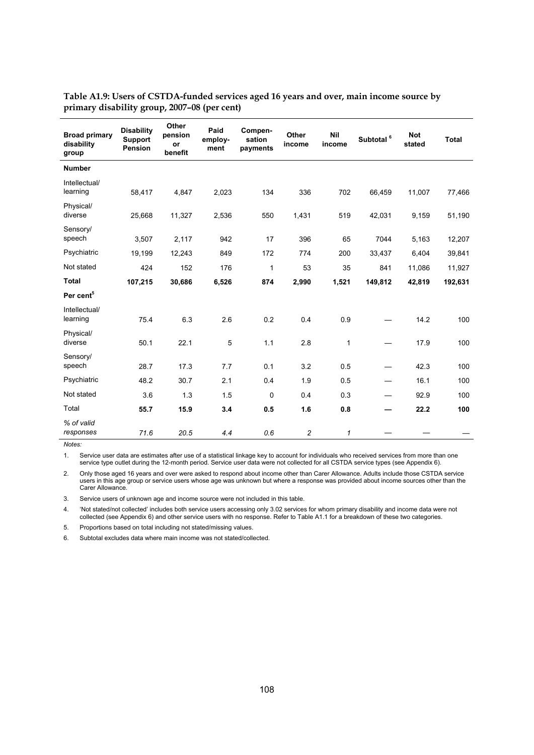| <b>Broad primary</b><br>disability<br>group | <b>Disability</b><br><b>Support</b><br>Pension | Other<br>pension<br>or<br>benefit | Paid<br>employ-<br>ment | Compen-<br>sation<br>payments | Other<br>income | <b>Nil</b><br>income | Subtotal <sup>6</sup> | <b>Not</b><br>stated | <b>Total</b> |
|---------------------------------------------|------------------------------------------------|-----------------------------------|-------------------------|-------------------------------|-----------------|----------------------|-----------------------|----------------------|--------------|
| <b>Number</b>                               |                                                |                                   |                         |                               |                 |                      |                       |                      |              |
| Intellectual/<br>learning                   | 58,417                                         | 4,847                             | 2,023                   | 134                           | 336             | 702                  | 66,459                | 11,007               | 77,466       |
| Physical/<br>diverse                        | 25,668                                         | 11,327                            | 2,536                   | 550                           | 1,431           | 519                  | 42,031                | 9,159                | 51,190       |
| Sensory/<br>speech                          | 3,507                                          | 2,117                             | 942                     | 17                            | 396             | 65                   | 7044                  | 5,163                | 12,207       |
| Psychiatric                                 | 19,199                                         | 12,243                            | 849                     | 172                           | 774             | 200                  | 33,437                | 6,404                | 39,841       |
| Not stated                                  | 424                                            | 152                               | 176                     | $\mathbf{1}$                  | 53              | 35                   | 841                   | 11,086               | 11,927       |
| <b>Total</b>                                | 107,215                                        | 30,686                            | 6,526                   | 874                           | 2,990           | 1,521                | 149,812               | 42,819               | 192,631      |
| Per cent <sup>5</sup>                       |                                                |                                   |                         |                               |                 |                      |                       |                      |              |
| Intellectual/<br>learning                   | 75.4                                           | 6.3                               | 2.6                     | 0.2                           | 0.4             | 0.9                  |                       | 14.2                 | 100          |
| Physical/<br>diverse                        | 50.1                                           | 22.1                              | 5                       | 1.1                           | 2.8             | $\mathbf{1}$         |                       | 17.9                 | 100          |
| Sensory/<br>speech                          | 28.7                                           | 17.3                              | 7.7                     | 0.1                           | 3.2             | 0.5                  |                       | 42.3                 | 100          |
| Psychiatric                                 | 48.2                                           | 30.7                              | 2.1                     | 0.4                           | 1.9             | 0.5                  | —                     | 16.1                 | 100          |
| Not stated                                  | 3.6                                            | 1.3                               | 1.5                     | $\mathbf 0$                   | 0.4             | 0.3                  |                       | 92.9                 | 100          |
| Total                                       | 55.7                                           | 15.9                              | 3.4                     | 0.5                           | 1.6             | 0.8                  |                       | 22.2                 | 100          |
| % of valid<br>responses                     | 71.6                                           | 20.5                              | 4.4                     | 0.6                           | $\overline{c}$  | $\mathbf{1}$         |                       |                      |              |

# **Table A1.9: Users of CSTDA-funded services aged 16 years and over, main income source by primary disability group, 2007–08 (per cent)**

*Notes:* 

1. Service user data are estimates after use of a statistical linkage key to account for individuals who received services from more than one service type outlet during the 12-month period. Service user data were not collected for all CSTDA service types (see Appendix 6).

2. Only those aged 16 years and over were asked to respond about income other than Carer Allowance. Adults include those CSTDA service users in this age group or service users whose age was unknown but where a response was provided about income sources other than the Carer Allowance.

3. Service users of unknown age and income source were not included in this table.

4. 'Not stated/not collected' includes both service users accessing only 3.02 services for whom primary disability and income data were not collected (see Appendix 6) and other service users with no response. Refer to Table A1.1 for a breakdown of these two categories.

5. Proportions based on total including not stated/missing values.

6. Subtotal excludes data where main income was not stated/collected.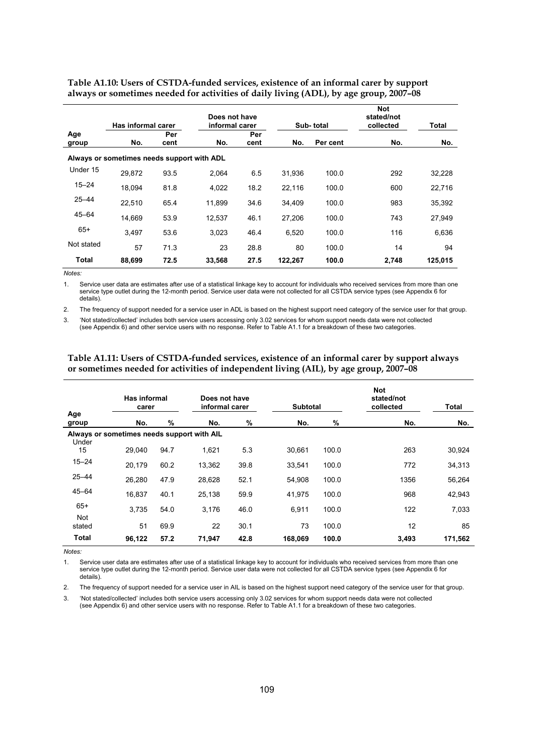|            | Has informal carer                         |      | Does not have<br>informal carer |      |         | Sub-total | Not<br>stated/not<br>collected | Total   |
|------------|--------------------------------------------|------|---------------------------------|------|---------|-----------|--------------------------------|---------|
| Age        |                                            | Per  |                                 | Per  |         |           |                                |         |
| group      | No.                                        | cent | No.                             | cent | No.     | Per cent  | No.                            | No.     |
|            | Always or sometimes needs support with ADL |      |                                 |      |         |           |                                |         |
| Under 15   | 29.872                                     | 93.5 | 2.064                           | 6.5  | 31.936  | 100.0     | 292                            | 32,228  |
| $15 - 24$  | 18.094                                     | 81.8 | 4,022                           | 18.2 | 22,116  | 100.0     | 600                            | 22,716  |
| $25 - 44$  | 22,510                                     | 65.4 | 11.899                          | 34.6 | 34.409  | 100.0     | 983                            | 35,392  |
| $45 - 64$  | 14,669                                     | 53.9 | 12.537                          | 46.1 | 27.206  | 100.0     | 743                            | 27,949  |
| $65+$      | 3.497                                      | 53.6 | 3,023                           | 46.4 | 6,520   | 100.0     | 116                            | 6,636   |
| Not stated | 57                                         | 71.3 | 23                              | 28.8 | 80      | 100.0     | 14                             | 94      |
| Total      | 88.699                                     | 72.5 | 33,568                          | 27.5 | 122.267 | 100.0     | 2.748                          | 125.015 |

**Table A1.10: Users of CSTDA-funded services, existence of an informal carer by support always or sometimes needed for activities of daily living (ADL), by age group, 2007–08** 

*Notes:* 

1. Service user data are estimates after use of a statistical linkage key to account for individuals who received services from more than one service type outlet during the 12-month period. Service user data were not collected for all CSTDA service types (see Appendix 6 for details).

2. The frequency of support needed for a service user in ADL is based on the highest support need category of the service user for that group.

3. 'Not stated/collected' includes both service users accessing only 3.02 services for whom support needs data were not collected (see Appendix 6) and other service users with no response. Refer to Table A1.1 for a breakdown of these two categories.

|                     | Has informal<br>carer                      |      | Does not have<br>informal carer |      | <b>Subtotal</b> |       | <b>Not</b><br>stated/not<br>collected | <b>Total</b> |
|---------------------|--------------------------------------------|------|---------------------------------|------|-----------------|-------|---------------------------------------|--------------|
| Age<br>group        | No.                                        | %    | No.                             | %    | No.             | %     | No.                                   | No.          |
| Under               | Always or sometimes needs support with AIL |      |                                 |      |                 |       |                                       |              |
| 15                  | 29.040                                     | 94.7 | 1,621                           | 5.3  | 30.661          | 100.0 | 263                                   | 30,924       |
| $15 - 24$           | 20,179                                     | 60.2 | 13,362                          | 39.8 | 33,541          | 100.0 | 772                                   | 34,313       |
| $25 - 44$           | 26.280                                     | 47.9 | 28,628                          | 52.1 | 54.908          | 100.0 | 1356                                  | 56,264       |
| $45 - 64$           | 16,837                                     | 40.1 | 25,138                          | 59.9 | 41,975          | 100.0 | 968                                   | 42,943       |
| $65+$<br><b>Not</b> | 3,735                                      | 54.0 | 3,176                           | 46.0 | 6,911           | 100.0 | 122                                   | 7,033        |
| stated              | 51                                         | 69.9 | 22                              | 30.1 | 73              | 100.0 | 12                                    | 85           |
| <b>Total</b>        | 96,122                                     | 57.2 | 71,947                          | 42.8 | 168,069         | 100.0 | 3,493                                 | 171,562      |

#### **Table A1.11: Users of CSTDA-funded services, existence of an informal carer by support always or sometimes needed for activities of independent living (AIL), by age group, 2007–08**

*Notes:* 

1. Service user data are estimates after use of a statistical linkage key to account for individuals who received services from more than one service type outlet during the 12-month period. Service user data were not collected for all CSTDA service types (see Appendix 6 for details).

2. The frequency of support needed for a service user in AIL is based on the highest support need category of the service user for that group.

3. 'Not stated/collected' includes both service users accessing only 3.02 services for whom support needs data were not collected (see Appendix 6) and other service users with no response. Refer to Table A1.1 for a breakdown of these two categories.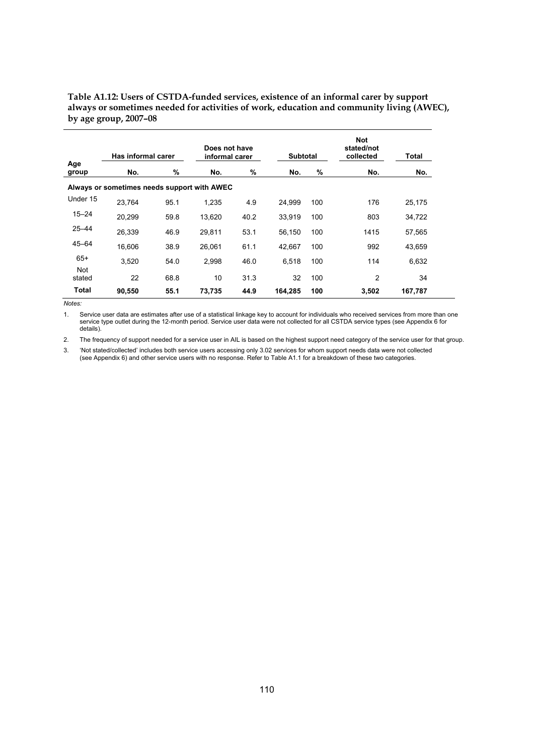**Table A1.12: Users of CSTDA-funded services, existence of an informal carer by support always or sometimes needed for activities of work, education and community living (AWEC), by age group, 2007–08** 

|                      | Has informal carer                          |      | Does not have<br>informal carer |      | <b>Subtotal</b> |     | <b>Not</b><br>stated/not<br>collected | Total   |
|----------------------|---------------------------------------------|------|---------------------------------|------|-----------------|-----|---------------------------------------|---------|
| Age<br>group         | No.                                         | %    | No.                             | %    | No.             | %   | No.                                   | No.     |
|                      | Always or sometimes needs support with AWEC |      |                                 |      |                 |     |                                       |         |
| Under 15             | 23.764                                      | 95.1 | 1,235                           | 4.9  | 24.999          | 100 | 176                                   | 25,175  |
| $15 - 24$            | 20,299                                      | 59.8 | 13,620                          | 40.2 | 33,919          | 100 | 803                                   | 34,722  |
| $25 - 44$            | 26,339                                      | 46.9 | 29.811                          | 53.1 | 56,150          | 100 | 1415                                  | 57,565  |
| $45 - 64$            | 16.606                                      | 38.9 | 26.061                          | 61.1 | 42.667          | 100 | 992                                   | 43,659  |
| $65+$                | 3.520                                       | 54.0 | 2,998                           | 46.0 | 6,518           | 100 | 114                                   | 6,632   |
| <b>Not</b><br>stated | 22                                          | 68.8 | 10                              | 31.3 | 32              | 100 | $\overline{2}$                        | 34      |
| Total                | 90.550                                      | 55.1 | 73.735                          | 44.9 | 164.285         | 100 | 3.502                                 | 167.787 |

*Notes:* 

1. Service user data are estimates after use of a statistical linkage key to account for individuals who received services from more than one service type outlet during the 12-month period. Service user data were not collected for all CSTDA service types (see Appendix 6 for details).

2. The frequency of support needed for a service user in AIL is based on the highest support need category of the service user for that group.

3. 'Not stated/collected' includes both service users accessing only 3.02 services for whom support needs data were not collected (see Appendix 6) and other service users with no response. Refer to Table A1.1 for a breakdown of these two categories.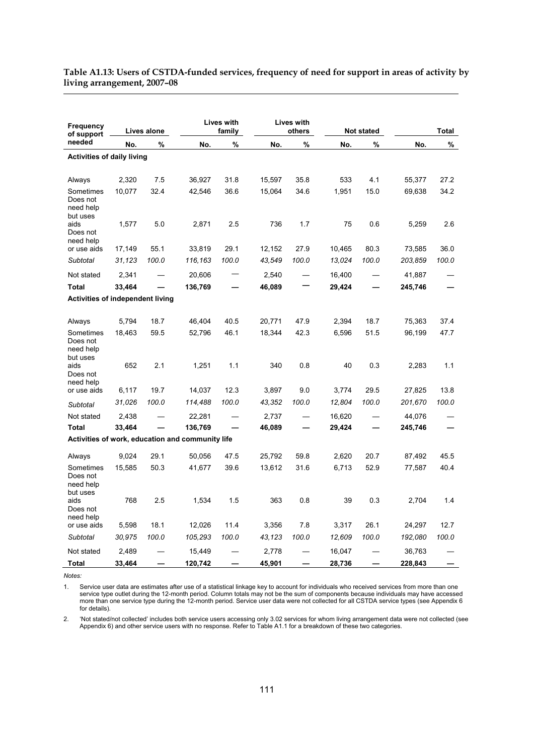# **Table A1.13: Users of CSTDA-funded services, frequency of need for support in areas of activity by living arrangement, 2007–08**

| <b>Frequency</b><br>of support                 | Lives alone |       |                                                  | <b>Lives with</b><br>family | <b>Lives with</b><br>others |       |        | <b>Not stated</b> |         | <b>Total</b> |
|------------------------------------------------|-------------|-------|--------------------------------------------------|-----------------------------|-----------------------------|-------|--------|-------------------|---------|--------------|
| needed                                         | No.         | %     | No.                                              | %                           | No.                         | %     | No.    | %                 | No.     | %            |
| <b>Activities of daily living</b>              |             |       |                                                  |                             |                             |       |        |                   |         |              |
| Always                                         | 2,320       | 7.5   | 36,927                                           | 31.8                        | 15,597                      | 35.8  | 533    | 4.1               | 55,377  | 27.2         |
| Sometimes<br>Does not<br>need help<br>but uses | 10,077      | 32.4  | 42,546                                           | 36.6                        | 15,064                      | 34.6  | 1,951  | 15.0              | 69,638  | 34.2         |
| aids<br>Does not<br>need help                  | 1,577       | 5.0   | 2,871                                            | 2.5                         | 736                         | 1.7   | 75     | 0.6               | 5,259   | 2.6          |
| or use aids                                    | 17,149      | 55.1  | 33,819                                           | 29.1                        | 12,152                      | 27.9  | 10,465 | 80.3              | 73,585  | 36.0         |
| Subtotal                                       | 31,123      | 100.0 | 116,163                                          | 100.0                       | 43,549                      | 100.0 | 13,024 | 100.0             | 203,859 | 100.0        |
| Not stated                                     | 2,341       |       | 20,606                                           |                             | 2,540                       |       | 16,400 |                   | 41,887  |              |
| <b>Total</b>                                   | 33,464      |       | 136,769                                          |                             | 46,089                      |       | 29,424 |                   | 245,746 |              |
| Activities of independent living               |             |       |                                                  |                             |                             |       |        |                   |         |              |
| Always                                         | 5,794       | 18.7  | 46,404                                           | 40.5                        | 20,771                      | 47.9  | 2,394  | 18.7              | 75,363  | 37.4         |
| Sometimes<br>Does not<br>need help<br>but uses | 18,463      | 59.5  | 52,796                                           | 46.1                        | 18,344                      | 42.3  | 6,596  | 51.5              | 96,199  | 47.7         |
| aids<br>Does not<br>need help                  | 652         | 2.1   | 1,251                                            | 1.1                         | 340                         | 0.8   | 40     | 0.3               | 2,283   | 1.1          |
| or use aids                                    | 6,117       | 19.7  | 14,037                                           | 12.3                        | 3,897                       | 9.0   | 3,774  | 29.5              | 27,825  | 13.8         |
| Subtotal                                       | 31,026      | 100.0 | 114,488                                          | 100.0                       | 43,352                      | 100.0 | 12,804 | 100.0             | 201,670 | 100.0        |
| Not stated                                     | 2,438       |       | 22,281                                           |                             | 2,737                       |       | 16,620 |                   | 44,076  |              |
| <b>Total</b>                                   | 33,464      |       | 136,769                                          |                             | 46,089                      |       | 29,424 |                   | 245,746 |              |
|                                                |             |       | Activities of work, education and community life |                             |                             |       |        |                   |         |              |
| Always                                         | 9,024       | 29.1  | 50,056                                           | 47.5                        | 25,792                      | 59.8  | 2,620  | 20.7              | 87,492  | 45.5         |
| Sometimes<br>Does not<br>need help<br>but uses | 15,585      | 50.3  | 41,677                                           | 39.6                        | 13,612                      | 31.6  | 6,713  | 52.9              | 77,587  | 40.4         |
| aids<br>Does not<br>need help                  | 768         | 2.5   | 1,534                                            | 1.5                         | 363                         | 0.8   | 39     | 0.3               | 2,704   | 1.4          |
| or use aids                                    | 5,598       | 18.1  | 12,026                                           | 11.4                        | 3,356                       | 7.8   | 3,317  | 26.1              | 24,297  | 12.7         |
| Subtotal                                       | 30,975      | 100.0 | 105,293                                          | 100.0                       | 43,123                      | 100.0 | 12,609 | 100.0             | 192,080 | 100.0        |
| Not stated                                     | 2,489       |       | 15,449                                           |                             | 2,778                       |       | 16,047 |                   | 36,763  |              |
| Total                                          | 33,464      |       | 120,742                                          |                             | 45,901                      |       | 28,736 |                   | 228,843 |              |

*Notes:* 

1. Service user data are estimates after use of a statistical linkage key to account for individuals who received services from more than one service type outlet during the 12-month period. Column totals may not be the sum of components because individuals may have accessed more than one service type during the 12-month period. Service user data were not collected for all CSTDA service types (see Appendix 6 for details).

2. 'Not stated/not collected' includes both service users accessing only 3.02 services for whom living arrangement data were not collected (see Appendix 6) and other service users with no response. Refer to Table A1.1 for a breakdown of these two categories.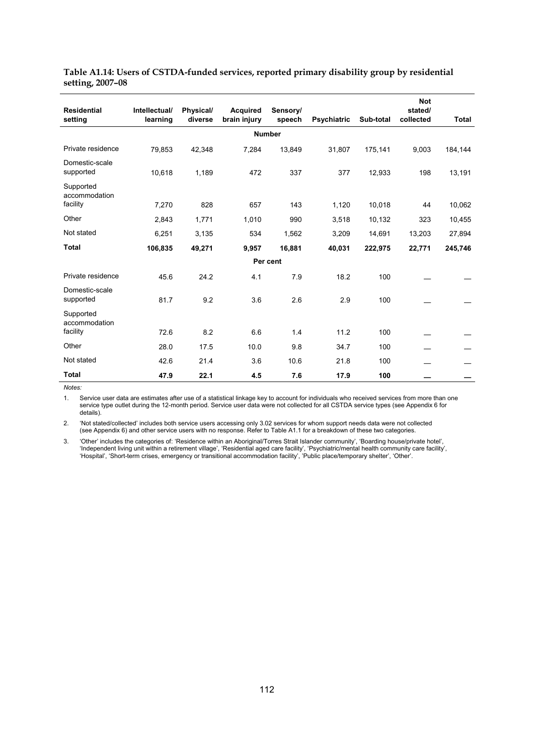| <b>Residential</b><br>setting          | Intellectual/<br>learning | Physical/<br>diverse | <b>Acquired</b><br>brain injury | Sensory/<br>speech | <b>Psychiatric</b> | Sub-total | <b>Not</b><br>stated/<br>collected | Total   |
|----------------------------------------|---------------------------|----------------------|---------------------------------|--------------------|--------------------|-----------|------------------------------------|---------|
|                                        |                           |                      |                                 | <b>Number</b>      |                    |           |                                    |         |
| Private residence                      | 79,853                    | 42,348               | 7,284                           | 31,807             | 175,141            | 9,003     | 184,144                            |         |
| Domestic-scale<br>supported            | 10,618                    | 1,189                | 472                             | 337                | 377                | 12,933    | 198                                | 13,191  |
| Supported<br>accommodation<br>facility | 7,270                     | 828                  | 657                             | 143                | 1,120              | 10,018    | 44                                 | 10,062  |
|                                        |                           |                      |                                 |                    |                    |           |                                    |         |
| Other                                  | 2,843                     | 1,771                | 1,010                           | 990                | 3,518              | 10,132    | 323                                | 10,455  |
| Not stated                             | 6,251                     | 3,135                | 534                             | 1,562              | 3,209              | 14,691    | 13,203                             | 27,894  |
| <b>Total</b>                           | 106,835                   | 49,271               | 9,957                           | 16.881             | 40,031             | 222.975   | 22,771                             | 245,746 |
|                                        |                           |                      |                                 | Per cent           |                    |           |                                    |         |
| Private residence                      | 45.6                      | 24.2                 | 4.1                             | 7.9                | 18.2               | 100       |                                    |         |
| Domestic-scale<br>supported            | 81.7                      | 9.2                  | 3.6                             | 2.6                | 2.9                | 100       |                                    |         |
| Supported<br>accommodation             |                           |                      |                                 |                    |                    |           |                                    |         |
| facility                               | 72.6                      | 8.2                  | 6.6                             | 1.4                | 11.2               | 100       |                                    |         |
| Other                                  | 28.0                      | 17.5                 | 10.0                            | 9.8                | 34.7               | 100       |                                    |         |
| Not stated                             | 42.6                      | 21.4                 | 3.6                             | 10.6               | 21.8               | 100       |                                    |         |
| <b>Total</b>                           | 47.9                      | 22.1                 | 4.5                             | 7.6                | 17.9               | 100       |                                    |         |

**Table A1.14: Users of CSTDA-funded services, reported primary disability group by residential setting, 2007–08** 

1. Service user data are estimates after use of a statistical linkage key to account for individuals who received services from more than one service type outlet during the 12-month period. Service user data were not collected for all CSTDA service types (see Appendix 6 for details).

2. 'Not stated/collected' includes both service users accessing only 3.02 services for whom support needs data were not collected (see Appendix 6) and other service users with no response. Refer to Table A1.1 for a breakdown of these two categories.

3. 'Other' includes the categories of: 'Residence within an Aboriginal/Torres Strait Islander community', 'Boarding house/private hotel', 'Independent living unit within a retirement village', 'Residential aged care facility', 'Psychiatric/mental health community care facility', 'Hospital', 'Short-term crises, emergency or transitional accommodation facility', 'Public place/temporary shelter', 'Other'.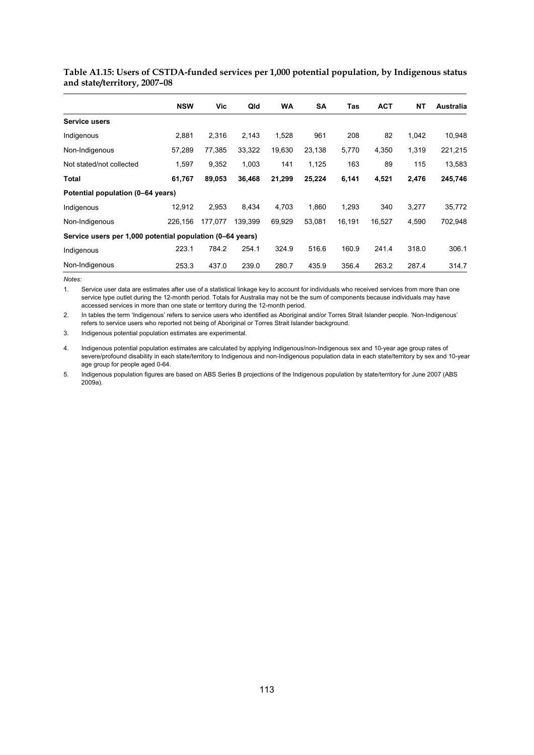# **Table A1.15: Users of CSTDA-funded services per 1,000 potential population, by Indigenous status and state/territory, 2007–08**

|                                                           | <b>NSW</b> | Vic.    | Qld     | <b>WA</b> | SΑ     | Tas    | <b>ACT</b> | <b>NT</b> | <b>Australia</b> |
|-----------------------------------------------------------|------------|---------|---------|-----------|--------|--------|------------|-----------|------------------|
| Service users                                             |            |         |         |           |        |        |            |           |                  |
| Indigenous                                                | 2,881      | 2,316   | 2,143   | 1,528     | 961    | 208    | 82         | 1,042     | 10,948           |
| Non-Indigenous                                            | 57,289     | 77,385  | 33,322  | 19,630    | 23,138 | 5,770  | 4,350      | 1,319     | 221,215          |
| Not stated/not collected                                  | 1,597      | 9,352   | 1,003   | 141       | 1,125  | 163    | 89         | 115       | 13,583           |
| <b>Total</b>                                              | 61,767     | 89,053  | 36,468  | 21,299    | 25,224 | 6,141  | 4,521      | 2,476     | 245,746          |
| Potential population (0–64 years)                         |            |         |         |           |        |        |            |           |                  |
| Indigenous                                                | 12,912     | 2,953   | 8,434   | 4,703     | 1,860  | 1,293  | 340        | 3,277     | 35,772           |
| Non-Indigenous                                            | 226,156    | 177,077 | 139,399 | 69.929    | 53,081 | 16,191 | 16,527     | 4,590     | 702,948          |
| Service users per 1,000 potential population (0-64 years) |            |         |         |           |        |        |            |           |                  |
| Indigenous                                                | 223.1      | 784.2   | 254.1   | 324.9     | 516.6  | 160.9  | 241.4      | 318.0     | 306.1            |
| Non-Indigenous                                            | 253.3      | 437.0   | 239.0   | 280.7     | 435.9  | 356.4  | 263.2      | 287.4     | 314.7            |

*Notes:* 

1. Service user data are estimates after use of a statistical linkage key to account for individuals who received services from more than one service type outlet during the 12-month period. Totals for Australia may not be the sum of components because individuals may have accessed services in more than one state or territory during the 12-month period.

2. In tables the term 'Indigenous' refers to service users who identified as Aboriginal and/or Torres Strait Islander people. 'Non-Indigenous' refers to service users who reported not being of Aboriginal or Torres Strait Islander background.

3. Indigenous potential population estimates are experimental.

4. Indigenous potential population estimates are calculated by applying Indigenous/non-Indigenous sex and 10-year age group rates of severe/profound disability in each state/territory to Indigenous and non-Indigenous population data in each state/territory by sex and 10-year age group for people aged 0-64.

5. Indigenous population figures are based on ABS Series B projections of the Indigenous population by state/territory for June 2007 (ABS  $2009a$ ).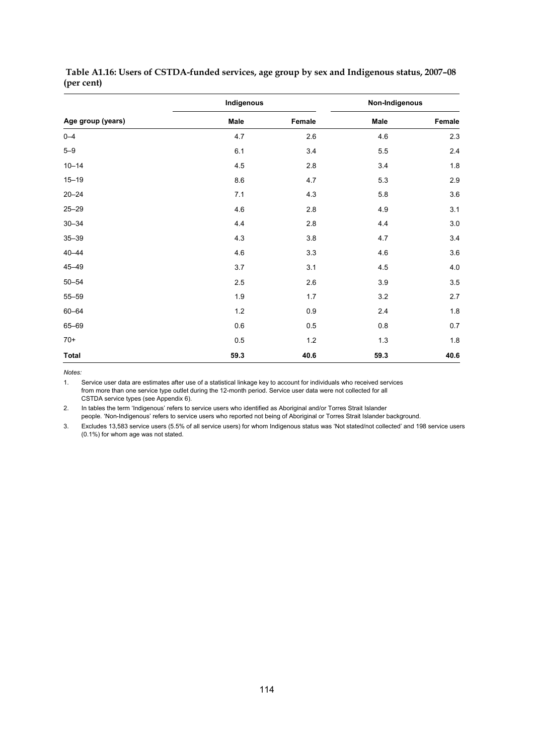|                   | Indigenous |         | Non-Indigenous |         |  |  |
|-------------------|------------|---------|----------------|---------|--|--|
| Age group (years) | Male       | Female  | Male           | Female  |  |  |
| $0 - 4$           | 4.7        | 2.6     | 4.6            | $2.3\,$ |  |  |
| $5 - 9$           | 6.1        | 3.4     | 5.5            | $2.4\,$ |  |  |
| $10 - 14$         | 4.5        | 2.8     | 3.4            | 1.8     |  |  |
| $15 - 19$         | 8.6        | 4.7     | 5.3            | 2.9     |  |  |
| $20 - 24$         | 7.1        | 4.3     | 5.8            | 3.6     |  |  |
| $25 - 29$         | 4.6        | $2.8\,$ | 4.9            | 3.1     |  |  |
| $30 - 34$         | 4.4        | 2.8     | 4.4            | $3.0\,$ |  |  |
| $35 - 39$         | 4.3        | $3.8\,$ | 4.7            | 3.4     |  |  |
| $40 - 44$         | 4.6        | 3.3     | 4.6            | 3.6     |  |  |
| 45-49             | 3.7        | 3.1     | 4.5            | $4.0\,$ |  |  |
| $50 - 54$         | 2.5        | 2.6     | 3.9            | 3.5     |  |  |
| $55 - 59$         | 1.9        | 1.7     | 3.2            | 2.7     |  |  |
| 60-64             | 1.2        | 0.9     | 2.4            | 1.8     |  |  |
| 65-69             | $0.6\,$    | 0.5     | 0.8            | $0.7\,$ |  |  |
| $70+$             | $0.5\,$    | $1.2$   | $1.3$          | 1.8     |  |  |
| Total             | 59.3       | 40.6    | 59.3           | 40.6    |  |  |

 **Table A1.16: Users of CSTDA-funded services, age group by sex and Indigenous status, 2007–08 (per cent)** 

*Notes:* 

1. Service user data are estimates after use of a statistical linkage key to account for individuals who received services from more than one service type outlet during the 12-month period. Service user data were not collected for all CSTDA service types (see Appendix 6).

2. In tables the term 'Indigenous' refers to service users who identified as Aboriginal and/or Torres Strait Islander people. 'Non-Indigenous' refers to service users who reported not being of Aboriginal or Torres Strait Islander background.

3. Excludes 13,583 service users (5.5% of all service users) for whom Indigenous status was 'Not stated/not collected' and 198 service users (0.1%) for whom age was not stated.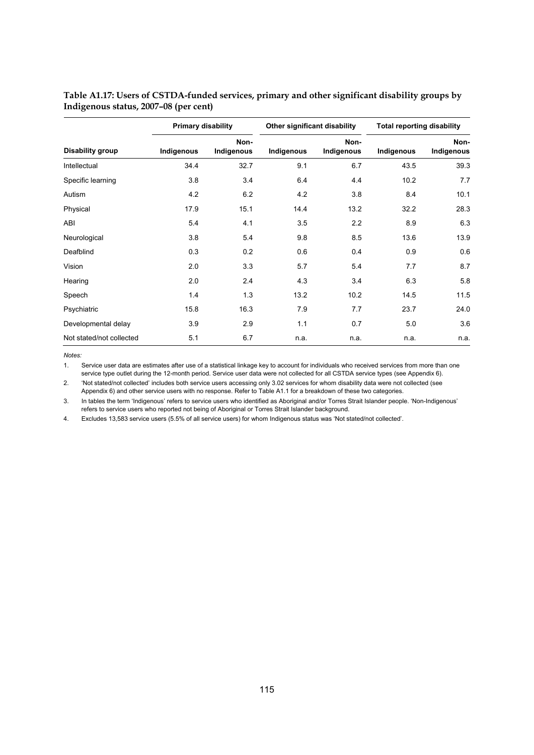|                          | <b>Primary disability</b> |                    | Other significant disability |                    | <b>Total reporting disability</b> |                    |
|--------------------------|---------------------------|--------------------|------------------------------|--------------------|-----------------------------------|--------------------|
| Disability group         | Indigenous                | Non-<br>Indigenous | Indigenous                   | Non-<br>Indigenous | Indigenous                        | Non-<br>Indigenous |
| Intellectual             | 34.4                      | 32.7               | 9.1                          | 6.7                | 43.5                              | 39.3               |
| Specific learning        | 3.8                       | 3.4                | 6.4                          | 4.4                | 10.2                              | 7.7                |
| Autism                   | 4.2                       | 6.2                | 4.2                          | 3.8                | 8.4                               | 10.1               |
| Physical                 | 17.9                      | 15.1               | 14.4                         | 13.2               | 32.2                              | 28.3               |
| ABI                      | 5.4                       | 4.1                | 3.5                          | 2.2                | 8.9                               | 6.3                |
| Neurological             | 3.8                       | 5.4                | 9.8                          | 8.5                | 13.6                              | 13.9               |
| Deafblind                | 0.3                       | 0.2                | 0.6                          | 0.4                | 0.9                               | 0.6                |
| Vision                   | 2.0                       | 3.3                | 5.7                          | 5.4                | 7.7                               | 8.7                |
| Hearing                  | 2.0                       | 2.4                | 4.3                          | 3.4                | 6.3                               | 5.8                |
| Speech                   | 1.4                       | 1.3                | 13.2                         | 10.2               | 14.5                              | 11.5               |
| Psychiatric              | 15.8                      | 16.3               | 7.9                          | 7.7                | 23.7                              | 24.0               |
| Developmental delay      | 3.9                       | 2.9                | 1.1                          | 0.7                | 5.0                               | 3.6                |
| Not stated/not collected | 5.1                       | 6.7                | n.a.                         | n.a.               | n.a.                              | n.a.               |

**Table A1.17: Users of CSTDA-funded services, primary and other significant disability groups by Indigenous status, 2007–08 (per cent)** 

*Notes:* 

1. Service user data are estimates after use of a statistical linkage key to account for individuals who received services from more than one service type outlet during the 12-month period. Service user data were not collected for all CSTDA service types (see Appendix 6).

2. 'Not stated/not collected' includes both service users accessing only 3.02 services for whom disability data were not collected (see Appendix 6) and other service users with no response. Refer to Table A1.1 for a breakdown of these two categories.

3. In tables the term 'Indigenous' refers to service users who identified as Aboriginal and/or Torres Strait Islander people. 'Non-Indigenous' refers to service users who reported not being of Aboriginal or Torres Strait Islander background.

4. Excludes 13,583 service users (5.5% of all service users) for whom Indigenous status was 'Not stated/not collected'.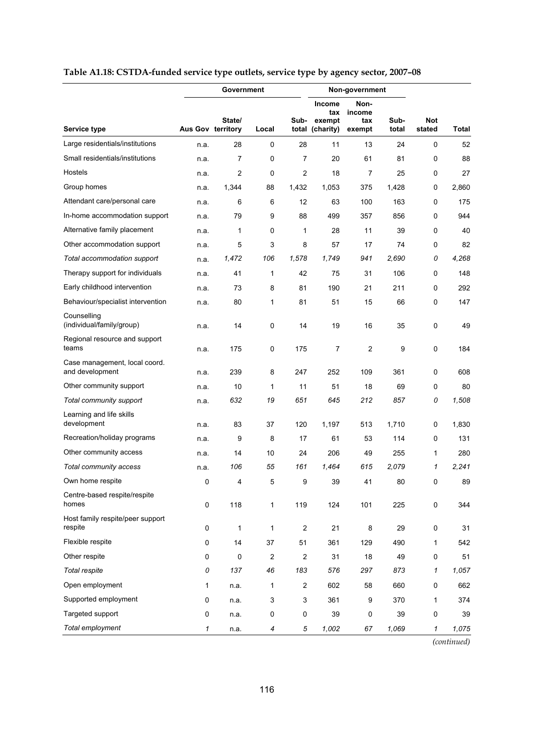|                                                  |                   | Government     |                |                  |                                      | Non-government                  |               |                      |              |
|--------------------------------------------------|-------------------|----------------|----------------|------------------|--------------------------------------|---------------------------------|---------------|----------------------|--------------|
| <b>Service type</b>                              | Aus Gov territory | State/         | Local          | Sub-<br>total    | Income<br>tax<br>exempt<br>(charity) | Non-<br>income<br>tax<br>exempt | Sub-<br>total | <b>Not</b><br>stated | <b>Total</b> |
| Large residentials/institutions                  | n.a.              | 28             | 0              | 28               | 11                                   | 13                              | 24            | 0                    | 52           |
| Small residentials/institutions                  | n.a.              | 7              | 0              | 7                | 20                                   | 61                              | 81            | 0                    | 88           |
| Hostels                                          | n.a.              | $\overline{2}$ | 0              | $\overline{2}$   | 18                                   | 7                               | 25            | 0                    | 27           |
| Group homes                                      | n.a.              | 1,344          | 88             | 1,432            | 1,053                                | 375                             | 1,428         | 0                    | 2,860        |
| Attendant care/personal care                     | n.a.              | 6              | 6              | 12               | 63                                   | 100                             | 163           | 0                    | 175          |
| In-home accommodation support                    | n.a.              | 79             | 9              | 88               | 499                                  | 357                             | 856           | 0                    | 944          |
| Alternative family placement                     | n.a.              | 1              | 0              | 1                | 28                                   | 11                              | 39            | 0                    | 40           |
| Other accommodation support                      | n.a.              | 5              | 3              | 8                | 57                                   | 17                              | 74            | 0                    | 82           |
| Total accommodation support                      | n.a.              | 1,472          | 106            | 1,578            | 1,749                                | 941                             | 2.690         | 0                    | 4,268        |
| Therapy support for individuals                  | n.a.              | 41             | 1              | 42               | 75                                   | 31                              | 106           | 0                    | 148          |
| Early childhood intervention                     | n.a.              | 73             | 8              | 81               | 190                                  | 21                              | 211           | 0                    | 292          |
| Behaviour/specialist intervention                | n.a.              | 80             | 1              | 81               | 51                                   | 15                              | 66            | 0                    | 147          |
| Counselling<br>(individual/family/group)         | n.a.              | 14             | 0              | 14               | 19                                   | 16                              | 35            | 0                    | 49           |
| Regional resource and support<br>teams           | n.a.              | 175            | $\pmb{0}$      | 175              | 7                                    | 2                               | 9             | 0                    | 184          |
| Case management, local coord.<br>and development | n.a.              | 239            | 8              | 247              | 252                                  | 109                             | 361           | 0                    | 608          |
| Other community support                          | n.a.              | 10             | 1              | 11               | 51                                   | 18                              | 69            | 0                    | 80           |
| Total community support                          | n.a.              | 632            | 19             | 651              | 645                                  | 212                             | 857           | 0                    | 1,508        |
| Learning and life skills<br>development          | n.a.              | 83             | 37             | 120              | 1,197                                | 513                             | 1,710         | 0                    | 1,830        |
| Recreation/holiday programs                      | n.a.              | 9              | 8              | 17               | 61                                   | 53                              | 114           | 0                    | 131          |
| Other community access                           | n.a.              | 14             | 10             | 24               | 206                                  | 49                              | 255           | 1                    | 280          |
| Total community access                           | n.a.              | 106            | 55             | 161              | 1,464                                | 615                             | 2.079         | 1                    | 2,241        |
| Own home respite                                 | 0                 | 4              | 5              | 9                | 39                                   | 41                              | 80            | 0                    | 89           |
| Centre-based respite/respite<br>homes            | $\pmb{0}$         | 118            | 1              | 119              | 124                                  | 101                             | 225           | 0                    | 344          |
| Host family respite/peer support<br>respite      | 0                 | 1              | 1              | $\boldsymbol{2}$ | 21                                   | 8                               | 29            | 0                    | 31           |
| Flexible respite                                 | 0                 | 14             | 37             | 51               | 361                                  | 129                             | 490           | 1                    | 542          |
| Other respite                                    | 0                 | $\mathbf 0$    | $\overline{c}$ | $\overline{2}$   | 31                                   | 18                              | 49            | 0                    | 51           |
| Total respite                                    | 0                 | 137            | 46             | 183              | 576                                  | 297                             | 873           | 1                    | 1,057        |
| Open employment                                  | 1                 | n.a.           | 1              | $\overline{c}$   | 602                                  | 58                              | 660           | 0                    | 662          |
| Supported employment                             | 0                 | n.a.           | 3              | 3                | 361                                  | 9                               | 370           | 1                    | 374          |
| Targeted support                                 | 0                 | n.a.           | $\pmb{0}$      | $\pmb{0}$        | 39                                   | 0                               | 39            | $\pmb{0}$            | 39           |
| Total employment                                 | 1                 | n.a.           | 4              | 5                | 1,002                                | 67                              | 1,069         | 1                    | 1,075        |

# **Table A1.18: CSTDA-funded service type outlets, service type by agency sector, 2007–08**

*(continued)*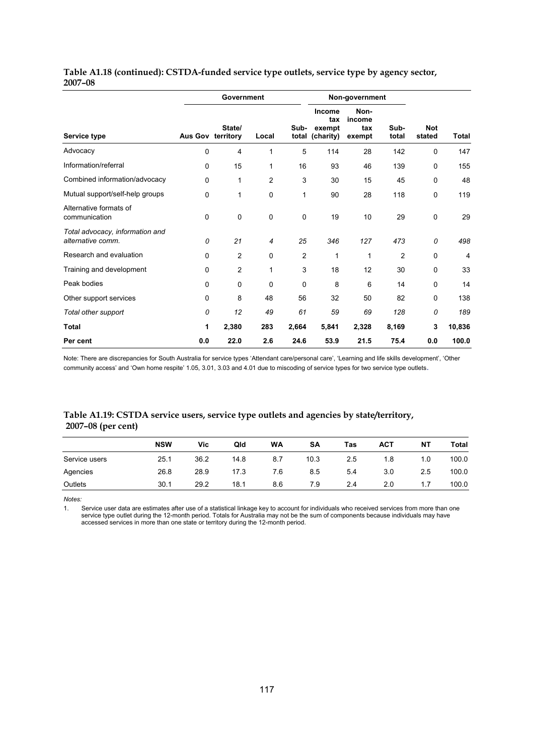|                                                      |                   | Government     |       |               | Non-government                       |                                 |                |                      |                |
|------------------------------------------------------|-------------------|----------------|-------|---------------|--------------------------------------|---------------------------------|----------------|----------------------|----------------|
| Service type                                         | Aus Gov territory | State/         | Local | Sub-<br>total | Income<br>tax<br>exempt<br>(charity) | Non-<br>income<br>tax<br>exempt | Sub-<br>total  | <b>Not</b><br>stated | <b>Total</b>   |
| Advocacy                                             | 0                 | 4              | 1     | 5             | 114                                  | 28                              | 142            | 0                    | 147            |
| Information/referral                                 | 0                 | 15             | 1     | 16            | 93                                   | 46                              | 139            | 0                    | 155            |
| Combined information/advocacy                        | 0                 | 1              | 2     | 3             | 30                                   | 15                              | 45             | 0                    | 48             |
| Mutual support/self-help groups                      | 0                 | 1              | 0     | 1             | 90                                   | 28                              | 118            | 0                    | 119            |
| Alternative formats of<br>communication              | 0                 | 0              | 0     | 0             | 19                                   | 10                              | 29             | 0                    | 29             |
| Total advocacy, information and<br>alternative comm. | 0                 | 21             | 4     | 25            | 346                                  | 127                             | 473            | 0                    | 498            |
| Research and evaluation                              | 0                 | 2              | 0     | 2             | 1                                    | 1                               | $\overline{2}$ | $\mathbf 0$          | $\overline{4}$ |
| Training and development                             | 0                 | $\overline{2}$ | 1     | 3             | 18                                   | 12                              | 30             | 0                    | 33             |
| Peak bodies                                          | 0                 | 0              | 0     | 0             | 8                                    | 6                               | 14             | 0                    | 14             |
| Other support services                               | 0                 | 8              | 48    | 56            | 32                                   | 50                              | 82             | 0                    | 138            |
| Total other support                                  | 0                 | 12             | 49    | 61            | 59                                   | 69                              | 128            | 0                    | 189            |
| Total                                                | 1                 | 2,380          | 283   | 2,664         | 5,841                                | 2,328                           | 8,169          | 3                    | 10,836         |
| Per cent                                             | 0.0               | 22.0           | 2.6   | 24.6          | 53.9                                 | 21.5                            | 75.4           | 0.0                  | 100.0          |

# **Table A1.18 (continued): CSTDA-funded service type outlets, service type by agency sector, 2007–08**

Note: There are discrepancies for South Australia for service types 'Attendant care/personal care', 'Learning and life skills development', 'Other community access' and 'Own home respite' 1.05, 3.01, 3.03 and 4.01 due to miscoding of service types for two service type outlets.

# **Table A1.19: CSTDA service users, service type outlets and agencies by state/territory, 2007–08 (per cent)**

|               | <b>NSW</b> | Vic  | Qld  | <b>WA</b> | SA   | Tas | <b>ACT</b> | <b>NT</b> | Total |
|---------------|------------|------|------|-----------|------|-----|------------|-----------|-------|
| Service users | 25.1       | 36.2 | 14.8 | 8.7       | 10.3 | 2.5 | 1.8        | 1.0       | 100.0 |
| Agencies      | 26.8       | 28.9 | 17.3 | 7.6       | 8.5  | 5.4 | 3.0        | 2.5       | 100.0 |
| Outlets       | 30.1       | 29.2 | 18.1 | 8.6       | 7.9  | 2.4 | 2.0        |           | 100.0 |

*Notes:* 

1. Service user data are estimates after use of a statistical linkage key to account for individuals who received services from more than one service type outlet during the 12-month period. Totals for Australia may not be the sum of components because individuals may have accessed services in more than one state or territory during the 12-month period.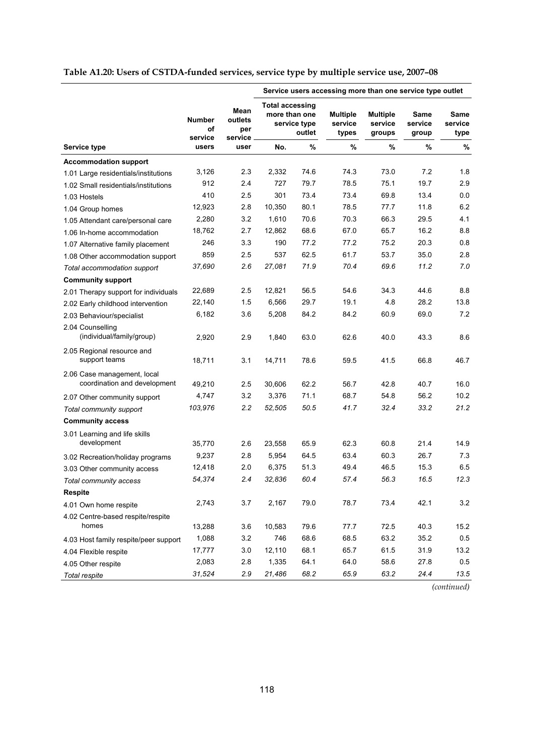|  |  |  |  | Table A1.20: Users of CSTDA-funded services, service type by multiple service use, 2007-08 |  |
|--|--|--|--|--------------------------------------------------------------------------------------------|--|
|--|--|--|--|--------------------------------------------------------------------------------------------|--|

|                                                             |                                |                                   | Service users accessing more than one service type outlet |                        |                                     |                                      |                          |                         |
|-------------------------------------------------------------|--------------------------------|-----------------------------------|-----------------------------------------------------------|------------------------|-------------------------------------|--------------------------------------|--------------------------|-------------------------|
|                                                             | <b>Number</b><br>οf<br>service | Mean<br>outlets<br>per<br>service | <b>Total accessing</b><br>more than one                   | service type<br>outlet | <b>Multiple</b><br>service<br>types | <b>Multiple</b><br>service<br>groups | Same<br>service<br>group | Same<br>service<br>type |
| <b>Service type</b>                                         | users                          | user                              | No.                                                       | $\%$                   | %                                   | %                                    | %                        | %                       |
| <b>Accommodation support</b>                                |                                |                                   |                                                           |                        |                                     |                                      |                          |                         |
| 1.01 Large residentials/institutions                        | 3,126                          | 2.3                               | 2,332                                                     | 74.6                   | 74.3                                | 73.0                                 | 7.2                      | 1.8                     |
| 1.02 Small residentials/institutions                        | 912                            | 2.4                               | 727                                                       | 79.7                   | 78.5                                | 75.1                                 | 19.7                     | 2.9                     |
| 1.03 Hostels                                                | 410                            | 2.5                               | 301                                                       | 73.4                   | 73.4                                | 69.8                                 | 13.4                     | 0.0                     |
| 1.04 Group homes                                            | 12,923                         | 2.8                               | 10,350                                                    | 80.1                   | 78.5                                | 77.7                                 | 11.8                     | 6.2                     |
| 1.05 Attendant care/personal care                           | 2,280                          | 3.2                               | 1,610                                                     | 70.6                   | 70.3                                | 66.3                                 | 29.5                     | 4.1                     |
| 1.06 In-home accommodation                                  | 18,762                         | 2.7                               | 12,862                                                    | 68.6                   | 67.0                                | 65.7                                 | 16.2                     | 8.8                     |
| 1.07 Alternative family placement                           | 246                            | 3.3                               | 190                                                       | 77.2                   | 77.2                                | 75.2                                 | 20.3                     | 0.8                     |
| 1.08 Other accommodation support                            | 859                            | 2.5                               | 537                                                       | 62.5                   | 61.7                                | 53.7                                 | 35.0                     | 2.8                     |
| Total accommodation support                                 | 37,690                         | 2.6                               | 27,081                                                    | 71.9                   | 70.4                                | 69.6                                 | 11.2                     | 7.0                     |
| <b>Community support</b>                                    |                                |                                   |                                                           |                        |                                     |                                      |                          |                         |
| 2.01 Therapy support for individuals                        | 22,689                         | 2.5                               | 12,821                                                    | 56.5                   | 54.6                                | 34.3                                 | 44.6                     | 8.8                     |
| 2.02 Early childhood intervention                           | 22,140                         | 1.5                               | 6,566                                                     | 29.7                   | 19.1                                | 4.8                                  | 28.2                     | 13.8                    |
| 2.03 Behaviour/specialist                                   | 6,182                          | 3.6                               | 5,208                                                     | 84.2                   | 84.2                                | 60.9                                 | 69.0                     | 7.2                     |
| 2.04 Counselling<br>(individual/family/group)               | 2,920                          | 2.9                               | 1,840                                                     | 63.0                   | 62.6                                | 40.0                                 | 43.3                     | 8.6                     |
| 2.05 Regional resource and<br>support teams                 | 18,711                         | 3.1                               | 14,711                                                    | 78.6                   | 59.5                                | 41.5                                 | 66.8                     | 46.7                    |
| 2.06 Case management, local<br>coordination and development | 49,210                         | 2.5                               | 30,606                                                    | 62.2                   | 56.7                                | 42.8                                 | 40.7                     | 16.0                    |
| 2.07 Other community support                                | 4,747                          | 3.2                               | 3,376                                                     | 71.1                   | 68.7                                | 54.8                                 | 56.2                     | 10.2                    |
| Total community support                                     | 103,976                        | 2.2                               | 52,505                                                    | 50.5                   | 41.7                                | 32.4                                 | 33.2                     | 21.2                    |
| <b>Community access</b>                                     |                                |                                   |                                                           |                        |                                     |                                      |                          |                         |
| 3.01 Learning and life skills                               |                                |                                   |                                                           |                        |                                     |                                      |                          |                         |
| development                                                 | 35,770                         | 2.6                               | 23,558                                                    | 65.9                   | 62.3                                | 60.8                                 | 21.4                     | 14.9                    |
| 3.02 Recreation/holiday programs                            | 9,237                          | 2.8                               | 5,954                                                     | 64.5                   | 63.4                                | 60.3                                 | 26.7                     | 7.3                     |
| 3.03 Other community access                                 | 12,418                         | 2.0                               | 6,375                                                     | 51.3                   | 49.4                                | 46.5                                 | 15.3                     | 6.5                     |
| Total community access                                      | 54,374                         | 2.4                               | 32,836                                                    | 60.4                   | 57.4                                | 56.3                                 | 16.5                     | 12.3                    |
| <b>Respite</b>                                              |                                |                                   |                                                           |                        |                                     |                                      |                          |                         |
| 4.01 Own home respite                                       | 2,743                          | 3.7                               | 2,167                                                     | 79.0                   | 78.7                                | 73.4                                 | 42.1                     | $3.2\,$                 |
| 4.02 Centre-based respite/respite                           |                                |                                   |                                                           |                        |                                     |                                      |                          |                         |
| homes                                                       | 13,288                         | 3.6                               | 10,583                                                    | 79.6                   | 77.7                                | 72.5                                 | 40.3                     | 15.2                    |
| 4.03 Host family respite/peer support                       | 1,088                          | 3.2                               | 746                                                       | 68.6                   | 68.5                                | 63.2                                 | 35.2                     | 0.5                     |
| 4.04 Flexible respite                                       | 17,777                         | 3.0                               | 12,110                                                    | 68.1                   | 65.7                                | 61.5                                 | 31.9                     | 13.2                    |
| 4.05 Other respite                                          | 2,083                          | 2.8                               | 1,335                                                     | 64.1                   | 64.0                                | 58.6                                 | 27.8                     | 0.5                     |
| Total respite                                               | 31,524                         | 2.9                               | 21,486                                                    | 68.2                   | 65.9                                | 63.2                                 | 24.4                     | 13.5                    |

*(continued)*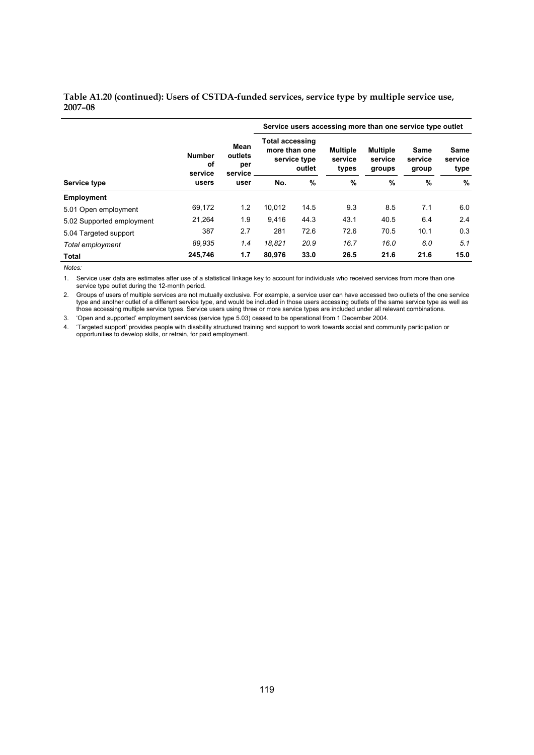#### **Table A1.20 (continued): Users of CSTDA-funded services, service type by multiple service use, 2007–08**

|                           |                                |                                   | Service users accessing more than one service type outlet |                        |                                     |                                      |                          |                                |  |
|---------------------------|--------------------------------|-----------------------------------|-----------------------------------------------------------|------------------------|-------------------------------------|--------------------------------------|--------------------------|--------------------------------|--|
|                           | <b>Number</b><br>οf<br>service | Mean<br>outlets<br>per<br>service | <b>Total accessing</b><br>more than one                   | service type<br>outlet | <b>Multiple</b><br>service<br>types | <b>Multiple</b><br>service<br>groups | Same<br>service<br>group | <b>Same</b><br>service<br>type |  |
| Service type              | users                          | user                              | No.                                                       | $\%$                   | %                                   | %                                    | %                        | $\%$                           |  |
| <b>Employment</b>         |                                |                                   |                                                           |                        |                                     |                                      |                          |                                |  |
| 5.01 Open employment      | 69,172                         | 1.2                               | 10.012                                                    | 14.5                   | 9.3                                 | 8.5                                  | 7.1                      | 6.0                            |  |
| 5.02 Supported employment | 21,264                         | 1.9                               | 9.416                                                     | 44.3                   | 43.1                                | 40.5                                 | 6.4                      | 2.4                            |  |
| 5.04 Targeted support     | 387                            | 2.7                               | 281                                                       | 72.6                   | 72.6                                | 70.5                                 | 10.1                     | 0.3                            |  |
| Total employment          | 89.935                         | 1.4                               | 18.821                                                    | 20.9                   | 16.7                                | 16.0                                 | 6.0                      | 5.1                            |  |
| Total                     | 245,746                        | 1.7                               | 80,976                                                    | 33.0                   | 26.5                                | 21.6                                 | 21.6                     | 15.0                           |  |

*Notes:* 

1. Service user data are estimates after use of a statistical linkage key to account for individuals who received services from more than one service type outlet during the 12-month period.

2. Groups of users of multiple services are not mutually exclusive. For example, a service user can have accessed two outlets of the one service type and another outlet of a different service type, and would be included in those users accessing outlets of the same service type as well as those accessing multiple service types. Service users using three or more service types are included under all relevant combinations.

3. 'Open and supported' employment services (service type 5.03) ceased to be operational from 1 December 2004.

4. 'Targeted support' provides people with disability structured training and support to work towards social and community participation or opportunities to develop skills, or retrain, for paid employment.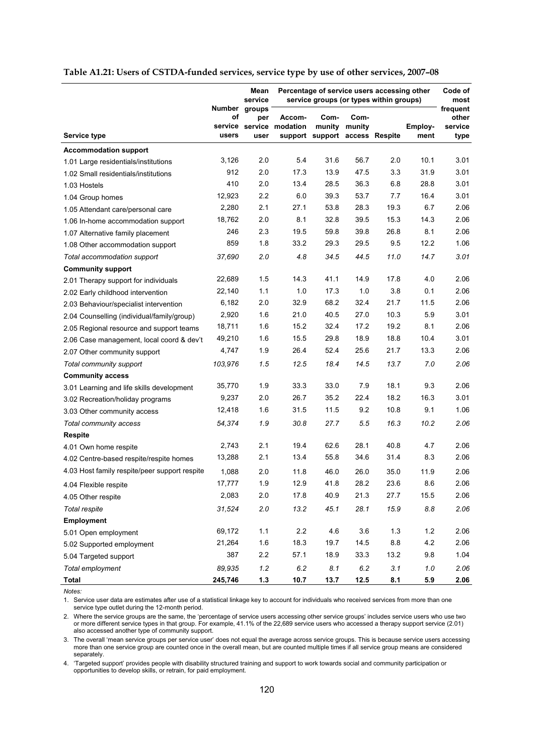|                                               |                                         | Mean<br>service                  | Percentage of service users accessing other<br>service groups (or types within groups) |                                                  |                |      |                 | Code of<br>most                      |
|-----------------------------------------------|-----------------------------------------|----------------------------------|----------------------------------------------------------------------------------------|--------------------------------------------------|----------------|------|-----------------|--------------------------------------|
| Service type                                  | <b>Number</b><br>οf<br>service<br>users | groups<br>per<br>service<br>user | Accom-<br>modation                                                                     | Com-<br>munity<br>support support access Respite | Com-<br>munity |      | Employ-<br>ment | frequent<br>other<br>service<br>type |
| <b>Accommodation support</b>                  |                                         |                                  |                                                                                        |                                                  |                |      |                 |                                      |
| 1.01 Large residentials/institutions          | 3,126                                   | 2.0                              | 5.4                                                                                    | 31.6                                             | 56.7           | 2.0  | 10.1            | 3.01                                 |
| 1.02 Small residentials/institutions          | 912                                     | 2.0                              | 17.3                                                                                   | 13.9                                             | 47.5           | 3.3  | 31.9            | 3.01                                 |
| 1.03 Hostels                                  | 410                                     | 2.0                              | 13.4                                                                                   | 28.5                                             | 36.3           | 6.8  | 28.8            | 3.01                                 |
| 1.04 Group homes                              | 12,923                                  | 2.2                              | 6.0                                                                                    | 39.3                                             | 53.7           | 7.7  | 16.4            | 3.01                                 |
| 1.05 Attendant care/personal care             | 2,280                                   | 2.1                              | 27.1                                                                                   | 53.8                                             | 28.3           | 19.3 | 6.7             | 2.06                                 |
| 1.06 In-home accommodation support            | 18,762                                  | 2.0                              | 8.1                                                                                    | 32.8                                             | 39.5           | 15.3 | 14.3            | 2.06                                 |
| 1.07 Alternative family placement             | 246                                     | 2.3                              | 19.5                                                                                   | 59.8                                             | 39.8           | 26.8 | 8.1             | 2.06                                 |
| 1.08 Other accommodation support              | 859                                     | 1.8                              | 33.2                                                                                   | 29.3                                             | 29.5           | 9.5  | 12.2            | 1.06                                 |
| Total accommodation support                   | 37,690                                  | 2.0                              | 4.8                                                                                    | 34.5                                             | 44.5           | 11.0 | 14.7            | 3.01                                 |
| <b>Community support</b>                      |                                         |                                  |                                                                                        |                                                  |                |      |                 |                                      |
| 2.01 Therapy support for individuals          | 22,689                                  | 1.5                              | 14.3                                                                                   | 41.1                                             | 14.9           | 17.8 | 4.0             | 2.06                                 |
| 2.02 Early childhood intervention             | 22,140                                  | 1.1                              | 1.0                                                                                    | 17.3                                             | 1.0            | 3.8  | 0.1             | 2.06                                 |
| 2.03 Behaviour/specialist intervention        | 6,182                                   | 2.0                              | 32.9                                                                                   | 68.2                                             | 32.4           | 21.7 | 11.5            | 2.06                                 |
| 2.04 Counselling (individual/family/group)    | 2,920                                   | 1.6                              | 21.0                                                                                   | 40.5                                             | 27.0           | 10.3 | 5.9             | 3.01                                 |
| 2.05 Regional resource and support teams      | 18,711                                  | 1.6                              | 15.2                                                                                   | 32.4                                             | 17.2           | 19.2 | 8.1             | 2.06                                 |
| 2.06 Case management, local coord & dev't     | 49,210                                  | 1.6                              | 15.5                                                                                   | 29.8                                             | 18.9           | 18.8 | 10.4            | 3.01                                 |
| 2.07 Other community support                  | 4,747                                   | 1.9                              | 26.4                                                                                   | 52.4                                             | 25.6           | 21.7 | 13.3            | 2.06                                 |
| Total community support                       | 103,976                                 | 1.5                              | 12.5                                                                                   | 18.4                                             | 14.5           | 13.7 | 7.0             | 2.06                                 |
| <b>Community access</b>                       |                                         |                                  |                                                                                        |                                                  |                |      |                 |                                      |
| 3.01 Learning and life skills development     | 35,770                                  | 1.9                              | 33.3                                                                                   | 33.0                                             | 7.9            | 18.1 | 9.3             | 2.06                                 |
| 3.02 Recreation/holiday programs              | 9,237                                   | 2.0                              | 26.7                                                                                   | 35.2                                             | 22.4           | 18.2 | 16.3            | 3.01                                 |
| 3.03 Other community access                   | 12,418                                  | 1.6                              | 31.5                                                                                   | 11.5                                             | 9.2            | 10.8 | 9.1             | 1.06                                 |
| Total community access                        | 54,374                                  | 1.9                              | 30.8                                                                                   | 27.7                                             | 5.5            | 16.3 | 10.2            | 2.06                                 |
| <b>Respite</b>                                |                                         |                                  |                                                                                        |                                                  |                |      |                 |                                      |
| 4.01 Own home respite                         | 2,743                                   | 2.1                              | 19.4                                                                                   | 62.6                                             | 28.1           | 40.8 | 4.7             | 2.06                                 |
| 4.02 Centre-based respite/respite homes       | 13,288                                  | 2.1                              | 13.4                                                                                   | 55.8                                             | 34.6           | 31.4 | 8.3             | 2.06                                 |
| 4.03 Host family respite/peer support respite | 1,088                                   | 2.0                              | 11.8                                                                                   | 46.0                                             | 26.0           | 35.0 | 11.9            | 2.06                                 |
| 4.04 Flexible respite                         | 17,777                                  | 1.9                              | 12.9                                                                                   | 41.8                                             | 28.2           | 23.6 | 8.6             | 2.06                                 |
| 4.05 Other respite                            | 2,083                                   | 2.0                              | 17.8                                                                                   | 40.9                                             | 21.3           | 27.7 | 15.5            | 2.06                                 |
| Total respite                                 | 31,524                                  | 2.0                              | 13.2                                                                                   | 45.1                                             | 28.1           | 15.9 | $8.8\,$         | 2.06                                 |
| <b>Employment</b>                             |                                         |                                  |                                                                                        |                                                  |                |      |                 |                                      |
| 5.01 Open employment                          | 69,172                                  | 1.1                              | $2.2\,$                                                                                | 4.6                                              | 3.6            | 1.3  | $1.2$           | 2.06                                 |
| 5.02 Supported employment                     | 21,264                                  | 1.6                              | 18.3                                                                                   | 19.7                                             | 14.5           | 8.8  | 4.2             | 2.06                                 |
| 5.04 Targeted support                         | 387                                     | 2.2                              | 57.1                                                                                   | 18.9                                             | 33.3           | 13.2 | 9.8             | 1.04                                 |
| Total employment                              | 89,935                                  | 1.2                              | 6.2                                                                                    | 8.1                                              | 6.2            | 3.1  | $1.0\,$         | 2.06                                 |
| Total                                         | 245,746                                 | $1.3$                            | 10.7                                                                                   | 13.7                                             | 12.5           | 8.1  | 5.9             | 2.06                                 |

#### **Table A1.21: Users of CSTDA-funded services, service type by use of other services, 2007–08**

*Notes:* 

1. Service user data are estimates after use of a statistical linkage key to account for individuals who received services from more than one service type outlet during the 12-month period.

2. Where the service groups are the same, the 'percentage of service users accessing other service groups' includes service users who use two or more different service types in that group. For example, 41.1% of the 22,689 service users who accessed a therapy support service (2.01) also accessed another type of community support.

3. The overall 'mean service groups per service user' does not equal the average across service groups. This is because service users accessing more than one service group are counted once in the overall mean, but are counted multiple times if all service group means are considered separately.

4. 'Targeted support' provides people with disability structured training and support to work towards social and community participation or opportunities to develop skills, or retrain, for paid employment.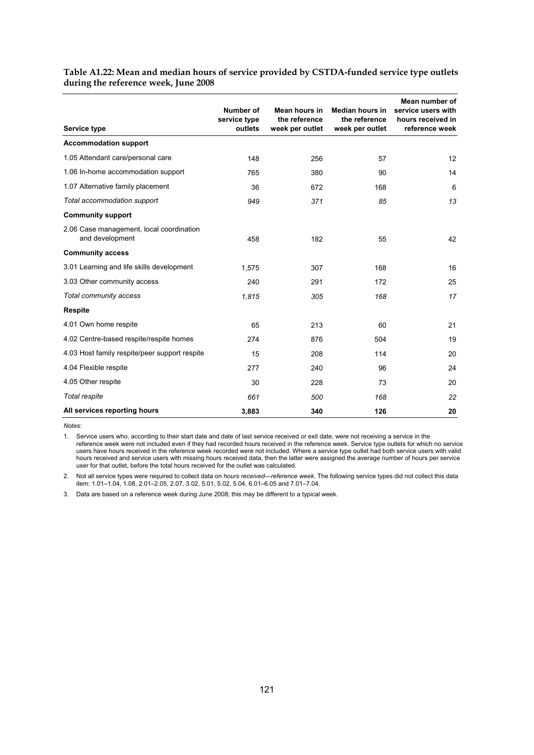| Table A1.22: Mean and median hours of service provided by CSTDA-funded service type outlets |  |
|---------------------------------------------------------------------------------------------|--|
| during the reference week, June 2008                                                        |  |

| Service type                                                | Number of<br>service type<br>outlets | Mean hours in<br>the reference<br>week per outlet | <b>Median hours in</b><br>the reference<br>week per outlet | Mean number of<br>service users with<br>hours received in<br>reference week |
|-------------------------------------------------------------|--------------------------------------|---------------------------------------------------|------------------------------------------------------------|-----------------------------------------------------------------------------|
| <b>Accommodation support</b>                                |                                      |                                                   |                                                            |                                                                             |
| 1.05 Attendant care/personal care                           | 148                                  | 256                                               | 57                                                         | 12                                                                          |
| 1.06 In-home accommodation support                          | 765                                  | 380                                               | 90                                                         | 14                                                                          |
| 1.07 Alternative family placement                           | 36                                   | 672                                               | 168                                                        | 6                                                                           |
| Total accommodation support                                 | 949                                  | 371                                               | 85                                                         | 13                                                                          |
| <b>Community support</b>                                    |                                      |                                                   |                                                            |                                                                             |
| 2.06 Case management, local coordination<br>and development | 458                                  | 182                                               | 55                                                         | 42                                                                          |
| <b>Community access</b>                                     |                                      |                                                   |                                                            |                                                                             |
| 3.01 Learning and life skills development                   | 1.575                                | 307                                               | 168                                                        | 16                                                                          |
| 3.03 Other community access                                 | 240                                  | 291                                               | 172                                                        | 25                                                                          |
| Total community access                                      | 1,815                                | 305                                               | 168                                                        | 17                                                                          |
| <b>Respite</b>                                              |                                      |                                                   |                                                            |                                                                             |
| 4.01 Own home respite                                       | 65                                   | 213                                               | 60                                                         | 21                                                                          |
| 4.02 Centre-based respite/respite homes                     | 274                                  | 876                                               | 504                                                        | 19                                                                          |
| 4.03 Host family respite/peer support respite               | 15                                   | 208                                               | 114                                                        | 20                                                                          |
| 4.04 Flexible respite                                       | 277                                  | 240                                               | 96                                                         | 24                                                                          |
| 4.05 Other respite                                          | 30                                   | 228                                               | 73                                                         | 20                                                                          |
| Total respite                                               | 661                                  | 500                                               | 168                                                        | 22                                                                          |
| All services reporting hours                                | 3,883                                | 340                                               | 126                                                        | 20                                                                          |

1. Service users who, according to their start date and date of last service received or exit date, were not receiving a service in the reference week were not included even if they had recorded hours received in the reference week. Service type outlets for which no service users have hours received in the reference week recorded were not included. Where a service type outlet had both service users with valid hours received and service users with missing hours received data, then the latter were assigned the average number of hours per service user for that outlet, before the total hours received for the outlet was calculated.

2. Not all service types were required to collect data on *hours received—reference week*. The following service types did not collect this data item: 1.01–1.04, 1.08, 2.01–2.05, 2.07, 3.02, 5.01, 5.02, 5.04, 6.01–6.05 and 7.01–7.04.

3. Data are based on a reference week during June 2008; this may be different to a typical week.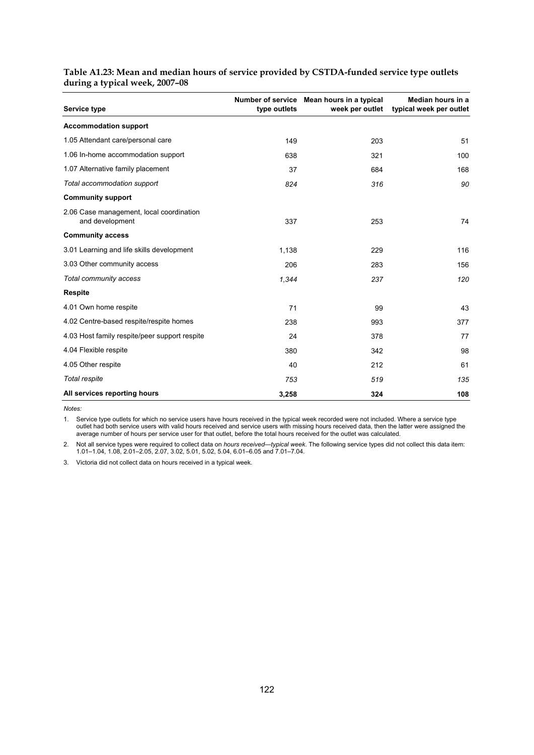| Service type                                                | type outlets | Number of service Mean hours in a typical<br>week per outlet | Median hours in a<br>typical week per outlet |
|-------------------------------------------------------------|--------------|--------------------------------------------------------------|----------------------------------------------|
| <b>Accommodation support</b>                                |              |                                                              |                                              |
| 1.05 Attendant care/personal care                           | 149          | 203                                                          | 51                                           |
| 1.06 In-home accommodation support                          | 638          | 321                                                          | 100                                          |
| 1.07 Alternative family placement                           | 37           | 684                                                          | 168                                          |
| Total accommodation support                                 | 824          | 316                                                          | 90                                           |
| <b>Community support</b>                                    |              |                                                              |                                              |
| 2.06 Case management, local coordination<br>and development | 337          | 253                                                          | 74                                           |
| <b>Community access</b>                                     |              |                                                              |                                              |
| 3.01 Learning and life skills development                   | 1,138        | 229                                                          | 116                                          |
| 3.03 Other community access                                 | 206          | 283                                                          | 156                                          |
| Total community access                                      | 1,344        | 237                                                          | 120                                          |
| <b>Respite</b>                                              |              |                                                              |                                              |
| 4.01 Own home respite                                       | 71           | 99                                                           | 43                                           |
| 4.02 Centre-based respite/respite homes                     | 238          | 993                                                          | 377                                          |
| 4.03 Host family respite/peer support respite               | 24           | 378                                                          | 77                                           |
| 4.04 Flexible respite                                       | 380          | 342                                                          | 98                                           |
| 4.05 Other respite                                          | 40           | 212                                                          | 61                                           |
| Total respite                                               | 753          | 519                                                          | 135                                          |
| All services reporting hours                                | 3,258        | 324                                                          | 108                                          |

#### **Table A1.23: Mean and median hours of service provided by CSTDA-funded service type outlets during a typical week, 2007–08**

*Notes:* 

1. Service type outlets for which no service users have hours received in the typical week recorded were not included. Where a service type outlet had both service users with valid hours received and service users with missing hours received data, then the latter were assigned the average number of hours per service user for that outlet, before the total hours received for the outlet was calculated.

2. Not all service types were required to collect data on *hours received—typical week*. The following service types did not collect this data item: 1.01–1.04, 1.08, 2.01–2.05, 2.07, 3.02, 5.01, 5.02, 5.04, 6.01–6.05 and 7.01–7.04.

3. Victoria did not collect data on hours received in a typical week.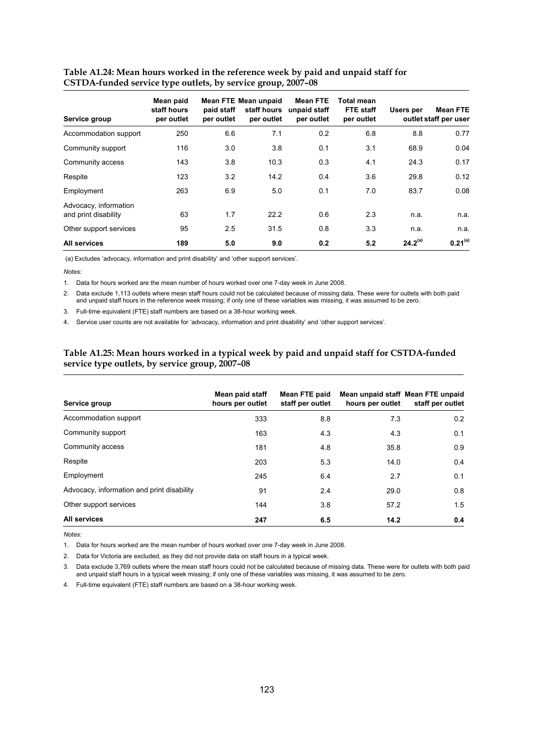| Service group                                 | Mean paid<br>staff hours<br>per outlet | paid staff<br>per outlet | Mean FTE Mean unpaid<br>staff hours<br>per outlet | <b>Mean FTE</b><br>unpaid staff<br>per outlet | Total mean<br>FTE staff<br>per outlet | Users per    | <b>Mean FTE</b><br>outlet staff per user |
|-----------------------------------------------|----------------------------------------|--------------------------|---------------------------------------------------|-----------------------------------------------|---------------------------------------|--------------|------------------------------------------|
| Accommodation support                         | 250                                    | 6.6                      | 7.1                                               | 0.2                                           | 6.8                                   | 8.8          | 0.77                                     |
| Community support                             | 116                                    | 3.0                      | 3.8                                               | 0.1                                           | 3.1                                   | 68.9         | 0.04                                     |
| Community access                              | 143                                    | 3.8                      | 10.3                                              | 0.3                                           | 4.1                                   | 24.3         | 0.17                                     |
| Respite                                       | 123                                    | 3.2                      | 14.2                                              | 0.4                                           | 3.6                                   | 29.8         | 0.12                                     |
| Employment                                    | 263                                    | 6.9                      | 5.0                                               | 0.1                                           | 7.0                                   | 83.7         | 0.08                                     |
| Advocacy, information<br>and print disability | 63                                     | 1.7                      | 22.2                                              | 0.6                                           | 2.3                                   | n.a.         | n.a.                                     |
| Other support services                        | 95                                     | 2.5                      | 31.5                                              | 0.8                                           | 3.3                                   | n.a.         | n.a.                                     |
| All services                                  | 189                                    | 5.0                      | 9.0                                               | 0.2                                           | 5.2                                   | $24.2^{(a)}$ | $0.21^{(a)}$                             |

#### **Table A1.24: Mean hours worked in the reference week by paid and unpaid staff for CSTDA-funded service type outlets, by service group, 2007–08**

(a) Excludes 'advocacy, information and print disability' and 'other support services'.

#### *Notes:*

1. Data for hours worked are the mean number of hours worked over one 7-day week in June 2008.

2. Data exclude 1,113 outlets where mean staff hours could not be calculated because of missing data. These were for outlets with both paid and unpaid staff hours in the reference week missing; if only one of these variables was missing, it was assumed to be zero.

3. Full-time equivalent (FTE) staff numbers are based on a 38-hour working week.

4. Service user counts are not available for 'advocacy, information and print disability' and 'other support services'.

#### **Table A1.25: Mean hours worked in a typical week by paid and unpaid staff for CSTDA-funded service type outlets, by service group, 2007–08**

| Service group                              | Mean paid staff<br>hours per outlet | Mean FTE paid<br>staff per outlet | Mean unpaid staff Mean FTE unpaid<br>hours per outlet | staff per outlet |
|--------------------------------------------|-------------------------------------|-----------------------------------|-------------------------------------------------------|------------------|
| Accommodation support                      | 333                                 | 8.8                               | 7.3                                                   | 0.2              |
| Community support                          | 163                                 | 4.3                               | 4.3                                                   | 0.1              |
| Community access                           | 181                                 | 4.8                               | 35.8                                                  | 0.9              |
| Respite                                    | 203                                 | 5.3                               | 14.0                                                  | 0.4              |
| Employment                                 | 245                                 | 6.4                               | 2.7                                                   | 0.1              |
| Advocacy, information and print disability | 91                                  | 2.4                               | 29.0                                                  | 0.8              |
| Other support services                     | 144                                 | 3.8                               | 57.2                                                  | 1.5              |
| All services                               | 247                                 | 6.5                               | 14.2                                                  | 0.4              |

*Notes:* 

1. Data for hours worked are the mean number of hours worked over one 7-day week in June 2008.

2. Data for Victoria are excluded, as they did not provide data on staff hours in a typical week.

3. Data exclude 3,769 outlets where the mean staff hours could not be calculated because of missing data. These were for outlets with both paid and unpaid staff hours in a typical week missing; if only one of these variables was missing, it was assumed to be zero.

4. Full-time equivalent (FTE) staff numbers are based on a 38-hour working week.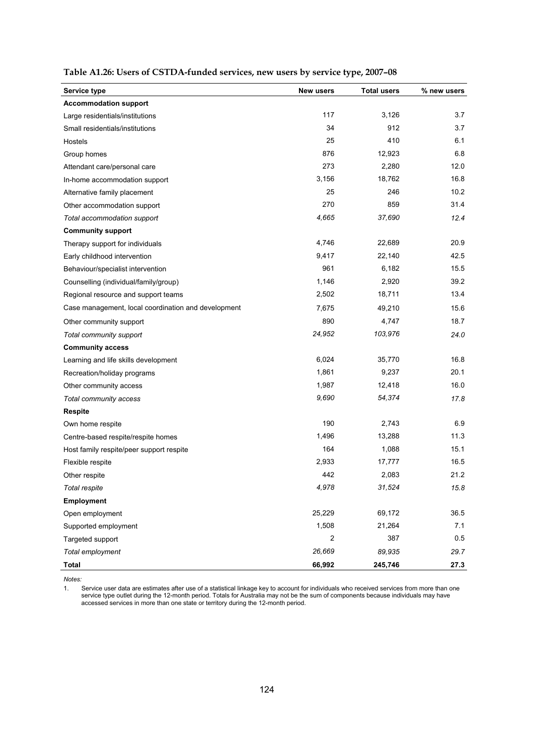| Service type                                        | New users      | <b>Total users</b> | % new users |
|-----------------------------------------------------|----------------|--------------------|-------------|
| <b>Accommodation support</b>                        |                |                    |             |
| Large residentials/institutions                     | 117            | 3,126              | 3.7         |
| Small residentials/institutions                     | 34             | 912                | 3.7         |
| Hostels                                             | 25             | 410                | 6.1         |
| Group homes                                         | 876            | 12,923             | 6.8         |
| Attendant care/personal care                        | 273            | 2,280              | 12.0        |
| In-home accommodation support                       | 3,156          | 18,762             | 16.8        |
| Alternative family placement                        | 25             | 246                | 10.2        |
| Other accommodation support                         | 270            | 859                | 31.4        |
| Total accommodation support                         | 4,665          | 37,690             | 12.4        |
| <b>Community support</b>                            |                |                    |             |
| Therapy support for individuals                     | 4,746          | 22,689             | 20.9        |
| Early childhood intervention                        | 9,417          | 22,140             | 42.5        |
| Behaviour/specialist intervention                   | 961            | 6,182              | 15.5        |
| Counselling (individual/family/group)               | 1,146          | 2,920              | 39.2        |
| Regional resource and support teams                 | 2,502          | 18,711             | 13.4        |
| Case management, local coordination and development | 7,675          | 49,210             | 15.6        |
| Other community support                             | 890            | 4,747              | 18.7        |
| Total community support                             | 24,952         | 103,976            | 24.0        |
| <b>Community access</b>                             |                |                    |             |
| Learning and life skills development                | 6,024          | 35,770             | 16.8        |
| Recreation/holiday programs                         | 1,861          | 9,237              | 20.1        |
| Other community access                              | 1,987          | 12,418             | 16.0        |
| Total community access                              | 9,690          | 54,374             | 17.8        |
| <b>Respite</b>                                      |                |                    |             |
| Own home respite                                    | 190            | 2,743              | 6.9         |
| Centre-based respite/respite homes                  | 1,496          | 13,288             | 11.3        |
| Host family respite/peer support respite            | 164            | 1,088              | 15.1        |
| Flexible respite                                    | 2,933          | 17,777             | 16.5        |
| Other respite                                       | 442            | 2,083              | 21.2        |
| Total respite                                       | 4,978          | 31,524             | 15.8        |
| <b>Employment</b>                                   |                |                    |             |
| Open employment                                     | 25,229         | 69,172             | 36.5        |
| Supported employment                                | 1,508          | 21,264             | 7.1         |
| Targeted support                                    | $\overline{c}$ | 387                | 0.5         |
| Total employment                                    | 26,669         | 89,935             | 29.7        |
| <b>Total</b>                                        | 66,992         | 245,746            | 27.3        |

| Table A1.26: Users of CSTDA-funded services, new users by service type, 2007-08 |  |
|---------------------------------------------------------------------------------|--|
|                                                                                 |  |

1. Service user data are estimates after use of a statistical linkage key to account for individuals who received services from more than one service type outlet during the 12-month period. Totals for Australia may not be the sum of components because individuals may have accessed services in more than one state or territory during the 12-month period.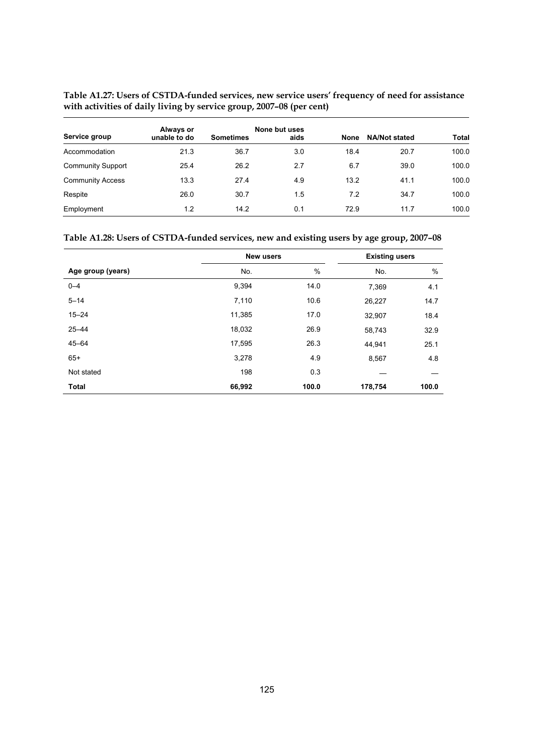**Table A1.27: Users of CSTDA-funded services, new service users' frequency of need for assistance with activities of daily living by service group, 2007–08 (per cent)** 

| Service group            | Always or<br>unable to do | <b>Sometimes</b> | None but uses<br>aids | <b>None</b> | <b>NA/Not stated</b> | <b>Total</b> |
|--------------------------|---------------------------|------------------|-----------------------|-------------|----------------------|--------------|
| Accommodation            | 21.3                      | 36.7             | 3.0                   | 18.4        | 20.7                 | 100.0        |
| <b>Community Support</b> | 25.4                      | 26.2             | 2.7                   | 6.7         | 39.0                 | 100.0        |
| <b>Community Access</b>  | 13.3                      | 27.4             | 4.9                   | 13.2        | 41.1                 | 100.0        |
| Respite                  | 26.0                      | 30.7             | 1.5                   | 7.2         | 34.7                 | 100.0        |
| Employment               | 1.2                       | 14.2             | 0.1                   | 72.9        | 11.7                 | 100.0        |

|                   | New users |       | <b>Existing users</b> |       |
|-------------------|-----------|-------|-----------------------|-------|
| Age group (years) | No.       | $\%$  | No.                   | %     |
| $0 - 4$           | 9,394     | 14.0  | 7,369                 | 4.1   |
| $5 - 14$          | 7,110     | 10.6  | 26,227                | 14.7  |
| $15 - 24$         | 11,385    | 17.0  | 32,907                | 18.4  |
| $25 - 44$         | 18,032    | 26.9  | 58,743                | 32.9  |
| $45 - 64$         | 17,595    | 26.3  | 44,941                | 25.1  |
| $65+$             | 3,278     | 4.9   | 8,567                 | 4.8   |
| Not stated        | 198       | 0.3   |                       |       |
| <b>Total</b>      | 66,992    | 100.0 | 178,754               | 100.0 |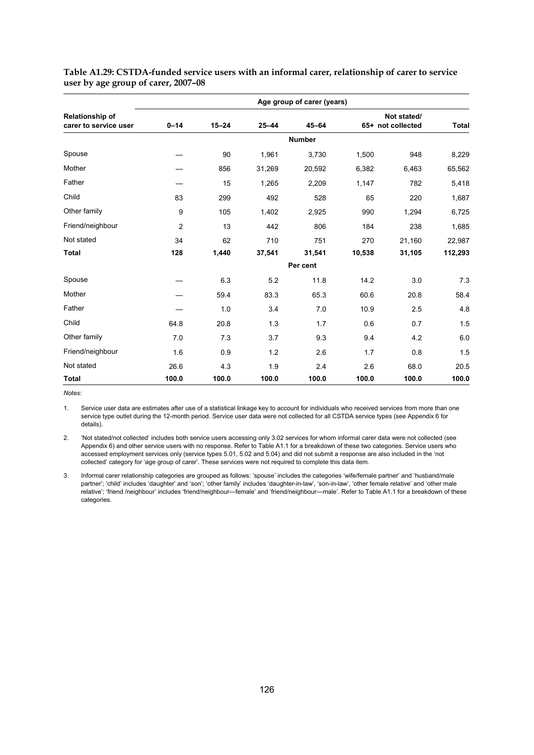|                                          |                |           |           | Age group of carer (years) |        |                                  |              |
|------------------------------------------|----------------|-----------|-----------|----------------------------|--------|----------------------------------|--------------|
| Relationship of<br>carer to service user | $0 - 14$       | $15 - 24$ | $25 - 44$ | $45 - 64$                  |        | Not stated/<br>65+ not collected | <b>Total</b> |
|                                          |                |           |           | <b>Number</b>              |        |                                  |              |
| Spouse                                   |                | 90        | 1,961     | 3,730                      | 1,500  | 948                              | 8,229        |
| Mother                                   |                | 856       | 31,269    | 20,592                     | 6,382  | 6,463                            | 65,562       |
| Father                                   |                | 15        | 1,265     | 2,209                      | 1,147  | 782                              | 5,418        |
| Child                                    | 83             | 299       | 492       | 528                        | 65     | 220                              | 1,687        |
| Other family                             | 9              | 105       | 1,402     | 2,925                      | 990    | 1,294                            | 6,725        |
| Friend/neighbour                         | $\overline{2}$ | 13        | 442       | 806                        | 184    | 238                              | 1,685        |
| Not stated                               | 34             | 62        | 710       | 751                        | 270    | 21,160                           | 22,987       |
| <b>Total</b>                             | 128            | 1,440     | 37,541    | 31,541                     | 10,538 | 31,105                           | 112,293      |
|                                          |                |           |           | Per cent                   |        |                                  |              |
| Spouse                                   |                | 6.3       | 5.2       | 11.8                       | 14.2   | 3.0                              | 7.3          |
| Mother                                   |                | 59.4      | 83.3      | 65.3                       | 60.6   | 20.8                             | 58.4         |
| Father                                   |                | 1.0       | 3.4       | 7.0                        | 10.9   | 2.5                              | 4.8          |
| Child                                    | 64.8           | 20.8      | 1.3       | 1.7                        | 0.6    | 0.7                              | 1.5          |
| Other family                             | 7.0            | 7.3       | 3.7       | 9.3                        | 9.4    | 4.2                              | 6.0          |
| Friend/neighbour                         | 1.6            | 0.9       | 1.2       | 2.6                        | 1.7    | 0.8                              | 1.5          |
| Not stated                               | 26.6           | 4.3       | 1.9       | 2.4                        | 2.6    | 68.0                             | 20.5         |
| <b>Total</b>                             | 100.0          | 100.0     | 100.0     | 100.0                      | 100.0  | 100.0                            | 100.0        |

**Table A1.29: CSTDA-funded service users with an informal carer, relationship of carer to service user by age group of carer, 2007–08** 

*Notes:* 

1. Service user data are estimates after use of a statistical linkage key to account for individuals who received services from more than one service type outlet during the 12-month period. Service user data were not collected for all CSTDA service types (see Appendix 6 for details).

2. 'Not stated/not collected' includes both service users accessing only 3.02 services for whom informal carer data were not collected (see Appendix 6) and other service users with no response. Refer to Table A1.1 for a breakdown of these two categories. Service users who accessed employment services only (service types 5.01, 5.02 and 5.04) and did not submit a response are also included in the 'not collected' category for 'age group of carer'. These services were not required to complete this data item.

3. Informal carer relationship categories are grouped as follows: 'spouse' includes the categories 'wife/female partner' and 'husband/male partner'; 'child' includes 'daughter' and 'son'; 'other family' includes 'daughter-in-law', 'son-in-law', 'other female relative' and 'other male relative'; 'friend /neighbour' includes 'friend/neighbour—female' and 'friend/neighbour—male'. Refer to Table A1.1 for a breakdown of these categories.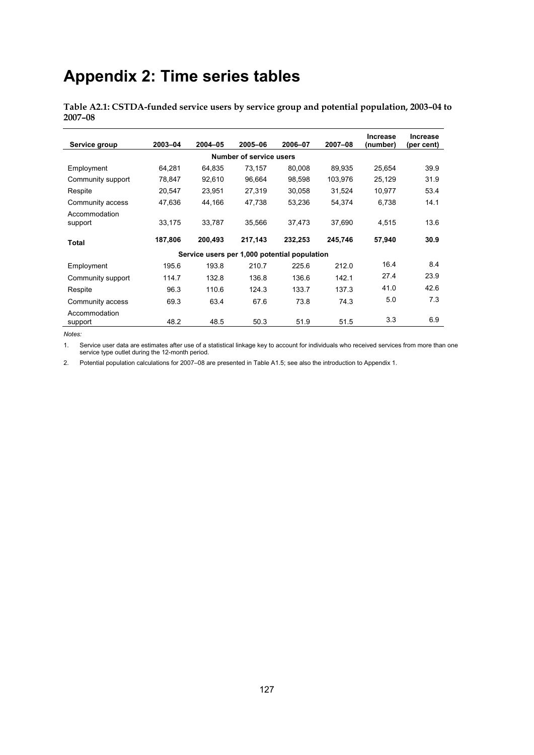# **Appendix 2: Time series tables**

**Table A2.1: CSTDA-funded service users by service group and potential population, 2003–04 to 2007–08** 

| Service group            | 2003-04 | 2004-05                                      | 2005-06                        | 2006-07 | 2007-08 | <b>Increase</b><br>(number) | <b>Increase</b><br>(per cent) |
|--------------------------|---------|----------------------------------------------|--------------------------------|---------|---------|-----------------------------|-------------------------------|
|                          |         |                                              | <b>Number of service users</b> |         |         |                             |                               |
| Employment               | 64,281  | 64,835                                       | 73.157                         | 80,008  | 89.935  | 25.654                      | 39.9                          |
| Community support        | 78,847  | 92,610                                       | 96.664                         | 98.598  | 103,976 | 25,129                      | 31.9                          |
| Respite                  | 20,547  | 23,951                                       | 27.319                         | 30,058  | 31.524  | 10.977                      | 53.4                          |
| Community access         | 47,636  | 44,166                                       | 47,738                         | 53,236  | 54,374  | 6,738                       | 14.1                          |
| Accommodation<br>support | 33,175  | 33,787                                       | 35,566                         | 37,473  | 37,690  | 4,515                       | 13.6                          |
| Total                    | 187,806 | 200,493                                      | 217,143                        | 232,253 | 245,746 | 57,940                      | 30.9                          |
|                          |         | Service users per 1,000 potential population |                                |         |         |                             |                               |
| Employment               | 195.6   | 193.8                                        | 210.7                          | 225.6   | 212.0   | 16.4                        | 8.4                           |
| Community support        | 114.7   | 132.8                                        | 136.8                          | 136.6   | 142.1   | 27.4                        | 23.9                          |
| Respite                  | 96.3    | 110.6                                        | 124.3                          | 133.7   | 137.3   | 41.0                        | 42.6                          |
| Community access         | 69.3    | 63.4                                         | 67.6                           | 73.8    | 74.3    | 5.0                         | 7.3                           |
| Accommodation<br>support | 48.2    | 48.5                                         | 50.3                           | 51.9    | 51.5    | 3.3                         | 6.9                           |

*Notes:* 

1. Service user data are estimates after use of a statistical linkage key to account for individuals who received services from more than one service type outlet during the 12-month period.

2. Potential population calculations for 2007–08 are presented in Table A1.5; see also the introduction to Appendix 1.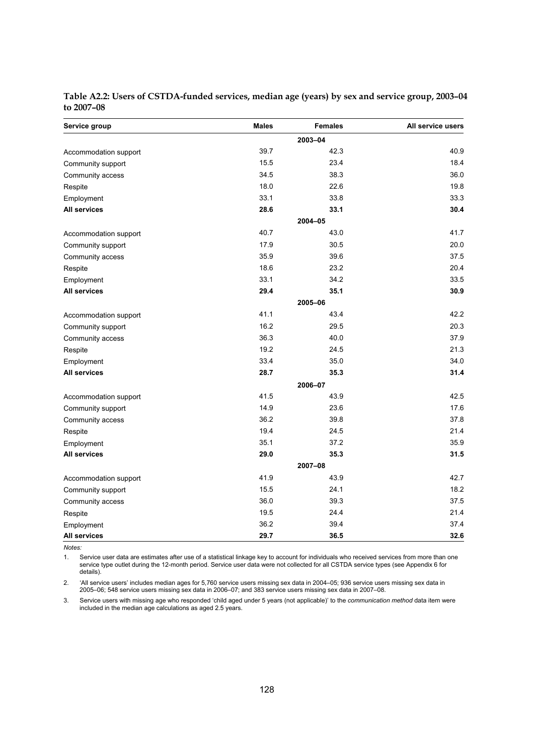| Service group         | <b>Males</b> | <b>Females</b> | All service users |
|-----------------------|--------------|----------------|-------------------|
|                       |              | 2003-04        |                   |
| Accommodation support | 39.7         | 42.3           | 40.9              |
| Community support     | 15.5         | 23.4           | 18.4              |
| Community access      | 34.5         | 38.3           | 36.0              |
| Respite               | 18.0         | 22.6           | 19.8              |
| Employment            | 33.1         | 33.8           | 33.3              |
| <b>All services</b>   | 28.6         | 33.1           | 30.4              |
|                       |              | 2004-05        |                   |
| Accommodation support | 40.7         | 43.0           | 41.7              |
| Community support     | 17.9         | 30.5           | 20.0              |
| Community access      | 35.9         | 39.6           | 37.5              |
| Respite               | 18.6         | 23.2           | 20.4              |
| Employment            | 33.1         | 34.2           | 33.5              |
| <b>All services</b>   | 29.4         | 35.1           | 30.9              |
|                       |              | 2005-06        |                   |
| Accommodation support | 41.1         | 43.4           | 42.2              |
| Community support     | 16.2         | 29.5           | 20.3              |
| Community access      | 36.3         | 40.0           | 37.9              |
| Respite               | 19.2         | 24.5           | 21.3              |
| Employment            | 33.4         | 35.0           | 34.0              |
| <b>All services</b>   | 28.7         | 35.3           | 31.4              |
|                       |              | 2006-07        |                   |
| Accommodation support | 41.5         | 43.9           | 42.5              |
| Community support     | 14.9         | 23.6           | 17.6              |
| Community access      | 36.2         | 39.8           | 37.8              |
| Respite               | 19.4         | 24.5           | 21.4              |
| Employment            | 35.1         | 37.2           | 35.9              |
| <b>All services</b>   | 29.0         | 35.3           | 31.5              |
|                       |              | 2007-08        |                   |
| Accommodation support | 41.9         | 43.9           | 42.7              |
| Community support     | 15.5         | 24.1           | 18.2              |
| Community access      | 36.0         | 39.3           | 37.5              |
| Respite               | 19.5         | 24.4           | 21.4              |
| Employment            | 36.2         | 39.4           | 37.4              |
| <b>All services</b>   | 29.7         | 36.5           | 32.6              |

| Table A2.2: Users of CSTDA-funded services, median age (years) by sex and service group, 2003-04 |  |  |
|--------------------------------------------------------------------------------------------------|--|--|
| to 2007-08                                                                                       |  |  |

1. Service user data are estimates after use of a statistical linkage key to account for individuals who received services from more than one service type outlet during the 12-month period. Service user data were not collected for all CSTDA service types (see Appendix 6 for details).

2. 'All service users' includes median ages for 5,760 service users missing sex data in 2004–05; 936 service users missing sex data in 2005–06; 548 service users missing sex data in 2006–07; and 383 service users missing sex data in 2007–08.

3. Service users with missing age who responded 'child aged under 5 years (not applicable)' to the *communication method* data item were included in the median age calculations as aged 2.5 years.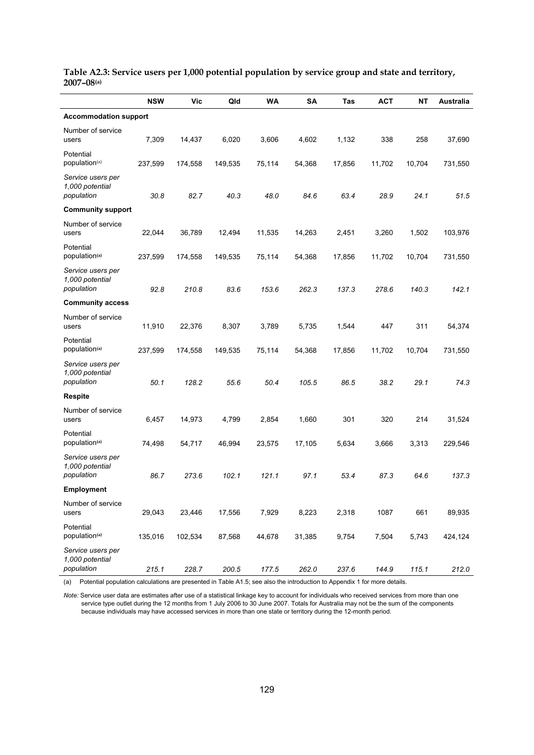|                                                    | <b>NSW</b> | <b>Vic</b> | Qld     | <b>WA</b> | SA     | Tas    | <b>ACT</b> | <b>NT</b> | Australia |
|----------------------------------------------------|------------|------------|---------|-----------|--------|--------|------------|-----------|-----------|
| <b>Accommodation support</b>                       |            |            |         |           |        |        |            |           |           |
| Number of service<br>users                         | 7,309      | 14,437     | 6,020   | 3,606     | 4,602  | 1,132  | 338        | 258       | 37,690    |
| Potential<br>population <sup>(a)</sup>             | 237,599    | 174,558    | 149,535 | 75,114    | 54,368 | 17,856 | 11,702     | 10,704    | 731,550   |
| Service users per<br>1,000 potential<br>population | 30.8       | 82.7       | 40.3    | 48.0      | 84.6   | 63.4   | 28.9       | 24.1      | 51.5      |
| <b>Community support</b>                           |            |            |         |           |        |        |            |           |           |
| Number of service<br>users                         | 22,044     | 36,789     | 12,494  | 11,535    | 14,263 | 2,451  | 3,260      | 1,502     | 103,976   |
| Potential<br>population <sup>(a)</sup>             | 237,599    | 174,558    | 149,535 | 75,114    | 54,368 | 17,856 | 11,702     | 10,704    | 731,550   |
| Service users per<br>1,000 potential<br>population | 92.8       | 210.8      | 83.6    | 153.6     | 262.3  | 137.3  | 278.6      | 140.3     | 142.1     |
| <b>Community access</b>                            |            |            |         |           |        |        |            |           |           |
| Number of service<br>users                         | 11,910     | 22,376     | 8,307   | 3,789     | 5,735  | 1,544  | 447        | 311       | 54,374    |
| Potential<br>population <sup>(a)</sup>             | 237,599    | 174,558    | 149,535 | 75,114    | 54,368 | 17,856 | 11,702     | 10,704    | 731,550   |
| Service users per<br>1,000 potential<br>population | 50.1       | 128.2      | 55.6    | 50.4      | 105.5  | 86.5   | 38.2       | 29.1      | 74.3      |
| <b>Respite</b>                                     |            |            |         |           |        |        |            |           |           |
| Number of service<br>users                         | 6,457      | 14,973     | 4,799   | 2,854     | 1,660  | 301    | 320        | 214       | 31,524    |
| Potential<br>population <sup>(a)</sup>             | 74,498     | 54,717     | 46,994  | 23,575    | 17,105 | 5,634  | 3,666      | 3,313     | 229,546   |
| Service users per<br>1,000 potential<br>population | 86.7       | 273.6      | 102.1   | 121.1     | 97.1   | 53.4   | 87.3       | 64.6      | 137.3     |
| <b>Employment</b>                                  |            |            |         |           |        |        |            |           |           |
| Number of service<br>users                         | 29,043     | 23,446     | 17,556  | 7,929     | 8,223  | 2,318  | 1087       | 661       | 89,935    |
| Potential<br>population <sup>(a)</sup>             | 135,016    | 102,534    | 87,568  | 44,678    | 31,385 | 9,754  | 7,504      | 5,743     | 424,124   |
| Service users per<br>1,000 potential<br>population | 215.1      | 228.7      | 200.5   | 177.5     | 262.0  | 237.6  | 144.9      | 115.1     | 212.0     |

**Table A2.3: Service users per 1,000 potential population by service group and state and territory, 2007–08(a)**

(a) Potential population calculations are presented in Table A1.5; see also the introduction to Appendix 1 for more details.

*Note:* Service user data are estimates after use of a statistical linkage key to account for individuals who received services from more than one service type outlet during the 12 months from 1 July 2006 to 30 June 2007. Totals for Australia may not be the sum of the components because individuals may have accessed services in more than one state or territory during the 12-month period.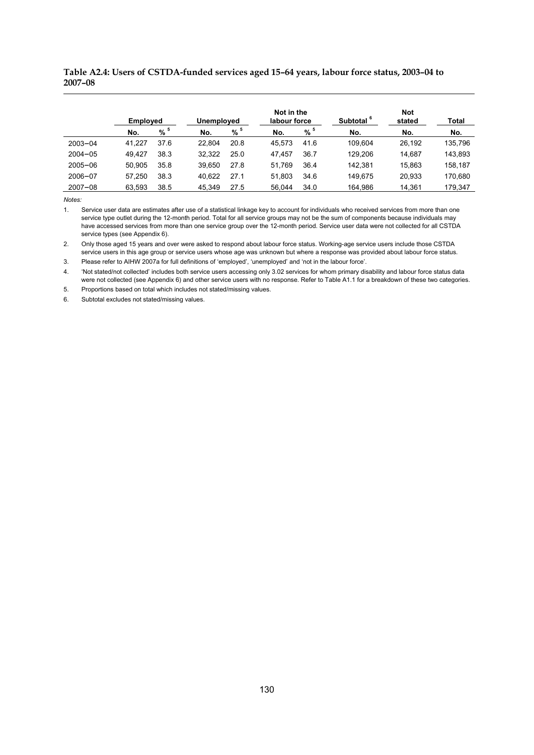#### **Table A2.4: Users of CSTDA-funded services aged 15–64 years, labour force status, 2003–04 to 2007–08**

|             | <b>Employed</b> |          | Unemployed |      | Not in the<br>labour force |      | Subtotal <sup>6</sup> | <b>Not</b><br>stated | Total   |
|-------------|-----------------|----------|------------|------|----------------------------|------|-----------------------|----------------------|---------|
|             | No.             | $% ^{5}$ | No.        | % 5  | No.                        | % 5  | No.                   | No.                  | No.     |
| $2003 - 04$ | 41.227          | 37.6     | 22.804     | 20.8 | 45.573                     | 41.6 | 109.604               | 26.192               | 135,796 |
| $2004 - 05$ | 49.427          | 38.3     | 32.322     | 25.0 | 47.457                     | 36.7 | 129.206               | 14.687               | 143,893 |
| $2005 - 06$ | 50.905          | 35.8     | 39.650     | 27.8 | 51.769                     | 36.4 | 142.381               | 15.863               | 158,187 |
| 2006-07     | 57.250          | 38.3     | 40.622     | 27.1 | 51.803                     | 34.6 | 149.675               | 20.933               | 170,680 |
| $2007 - 08$ | 63.593          | 38.5     | 45.349     | 27.5 | 56.044                     | 34.0 | 164.986               | 14.361               | 179,347 |

*Notes:* 

1. Service user data are estimates after use of a statistical linkage key to account for individuals who received services from more than one service type outlet during the 12-month period. Total for all service groups may not be the sum of components because individuals may have accessed services from more than one service group over the 12-month period. Service user data were not collected for all CSTDA service types (see Appendix 6).

2. Only those aged 15 years and over were asked to respond about labour force status. Working-age service users include those CSTDA service users in this age group or service users whose age was unknown but where a response was provided about labour force status. 3. Please refer to AIHW 2007a for full definitions of 'employed', 'unemployed' and 'not in the labour force'.

4. 'Not stated/not collected' includes both service users accessing only 3.02 services for whom primary disability and labour force status data were not collected (see Appendix 6) and other service users with no response. Refer to Table A1.1 for a breakdown of these two categories.

5. Proportions based on total which includes not stated/missing values.

6. Subtotal excludes not stated/missing values.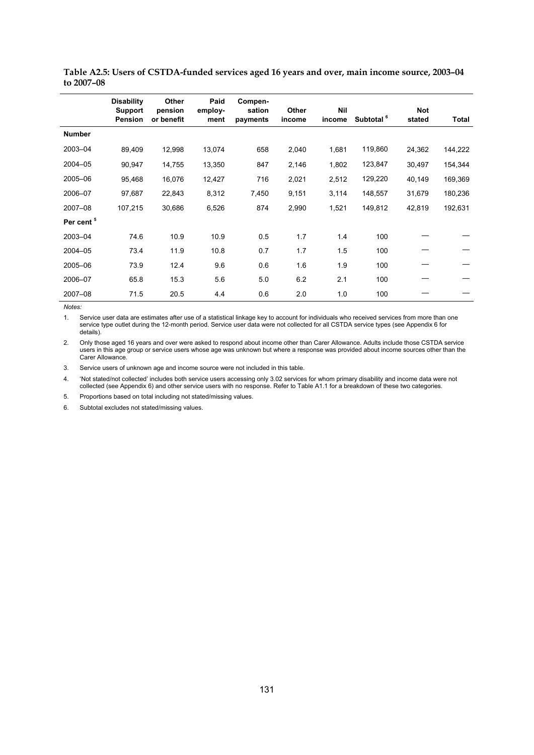|                       | <b>Disability</b><br><b>Support</b><br>Pension | Other<br>pension<br>or benefit | Paid<br>employ-<br>ment | Compen-<br>sation<br>payments | Other<br>income | <b>Nil</b><br>income | Subtotal <sup>6</sup> | <b>Not</b><br>stated | Total   |
|-----------------------|------------------------------------------------|--------------------------------|-------------------------|-------------------------------|-----------------|----------------------|-----------------------|----------------------|---------|
| <b>Number</b>         |                                                |                                |                         |                               |                 |                      |                       |                      |         |
| 2003-04               | 89,409                                         | 12,998                         | 13,074                  | 658                           | 2,040           | 1,681                | 119,860               | 24,362               | 144,222 |
| 2004-05               | 90,947                                         | 14,755                         | 13,350                  | 847                           | 2,146           | 1,802                | 123,847               | 30,497               | 154,344 |
| 2005-06               | 95,468                                         | 16,076                         | 12,427                  | 716                           | 2,021           | 2,512                | 129,220               | 40,149               | 169,369 |
| 2006-07               | 97,687                                         | 22,843                         | 8,312                   | 7,450                         | 9,151           | 3,114                | 148,557               | 31,679               | 180,236 |
| 2007-08               | 107,215                                        | 30,686                         | 6,526                   | 874                           | 2,990           | 1,521                | 149,812               | 42,819               | 192,631 |
| Per cent <sup>5</sup> |                                                |                                |                         |                               |                 |                      |                       |                      |         |
| 2003-04               | 74.6                                           | 10.9                           | 10.9                    | 0.5                           | 1.7             | 1.4                  | 100                   |                      |         |
| 2004-05               | 73.4                                           | 11.9                           | 10.8                    | 0.7                           | 1.7             | 1.5                  | 100                   |                      |         |
| 2005-06               | 73.9                                           | 12.4                           | 9.6                     | 0.6                           | 1.6             | 1.9                  | 100                   |                      |         |
| 2006-07               | 65.8                                           | 15.3                           | 5.6                     | 5.0                           | 6.2             | 2.1                  | 100                   |                      |         |
| 2007-08               | 71.5                                           | 20.5                           | 4.4                     | 0.6                           | 2.0             | 1.0                  | 100                   |                      |         |

**Table A2.5: Users of CSTDA-funded services aged 16 years and over, main income source, 2003–04 to 2007–08**

1. Service user data are estimates after use of a statistical linkage key to account for individuals who received services from more than one service type outlet during the 12-month period. Service user data were not collected for all CSTDA service types (see Appendix 6 for details).

2. Only those aged 16 years and over were asked to respond about income other than Carer Allowance. Adults include those CSTDA service users in this age group or service users whose age was unknown but where a response was provided about income sources other than the Carer Allowance.

3. Service users of unknown age and income source were not included in this table.

4. 'Not stated/not collected' includes both service users accessing only 3.02 services for whom primary disability and income data were not collected (see Appendix 6) and other service users with no response. Refer to Table A1.1 for a breakdown of these two categories.

5. Proportions based on total including not stated/missing values.

6. Subtotal excludes not stated/missing values.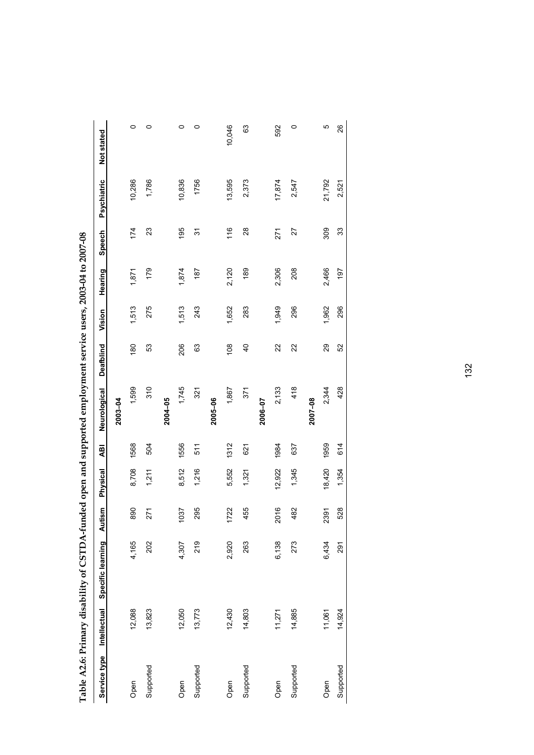|                           |        | Table A2.6: Primary disability of CSTDA-funded open and supported employment service users, 2003-04 to 2007-08 |        |          |      |              |                |        |         |        |             |            |
|---------------------------|--------|----------------------------------------------------------------------------------------------------------------|--------|----------|------|--------------|----------------|--------|---------|--------|-------------|------------|
| Service type Intellectual |        | Specific learning                                                                                              | Autism | Physical | ₽₫   | Neurological | Deafblind      | Vision | Hearing | Speech | Psychiatric | Not stated |
|                           |        |                                                                                                                |        |          |      | 2003-04      |                |        |         |        |             |            |
| Open                      | 12,088 | 4,165                                                                                                          | 890    | 8,708    | 1568 | 1,599        | 180            | 1,513  | 1,871   | 174    | 10,286      | 0          |
| Supported                 | 13,823 | 202                                                                                                            | 271    | 1,211    | 504  | 310          | 53             | 275    | 179     | 23     | 1,786       | 0          |
|                           |        |                                                                                                                |        |          |      | 2004-05      |                |        |         |        |             |            |
| Open                      | 12,050 | 4,307                                                                                                          | 1037   | 8,512    | 1556 | 1,745        | 206            | 1,513  | 1,874   | 195    | 10,836      | 0          |
| Supported                 | 13,773 | 219                                                                                                            | 295    | 1,216    | 511  | 321          | 63             | 243    | 187     | 51     | 1756        | 0          |
|                           |        |                                                                                                                |        |          |      | 2005-06      |                |        |         |        |             |            |
| Open                      | 12,430 | 2,920                                                                                                          | 1722   | 5,552    | 1312 | 1,867        | 108            | 1,652  | 2,120   | 116    | 13,595      | 10,046     |
| Supported                 | 14,803 | 263                                                                                                            | 455    | 1,321    | 621  | 371          | $\overline{6}$ | 283    | 189     | 28     | 2,373       | 63         |
|                           |        |                                                                                                                |        |          |      | 2006-07      |                |        |         |        |             |            |
| Open                      | 11,271 | 6,138                                                                                                          | 2016   | 12,922   | 1984 | 2,133        | 22             | 1,949  | 2,306   | 271    | 17,874      | 592        |
| Supported                 | 14,885 | 273                                                                                                            | 482    | 1,345    | 637  | 418          | $\approx$      | 296    | 208     | 27     | 2,547       | 0          |

**2007–08**  Open 11,061 2.454 2.3434 2.344 2.344 2.344 2.353 2.395 1.982 2.344 2.434 2.344 2.454 2.454 2.454 2.454 2.454 2.454 2.454 2.454 2.454 2.454 2.454 2.454 2.454 2.454 2.454 2.454 2.454 2.454 2.454 2.454 2.454 2.454 2.454 2.454 Supported 14,924 14,924 14,924 528 528 528 528 528 528 528 529 338 31,521 2.521 2.521

2007-08

 $\overline{c}$ 26

21,792 2,521

309  $33$ 

2,466 197

1,962 296

29<br>52

2,344 428

18,420 1959

2391 528

6,434  $\overline{29}$ 

11,061 14,924

Supported Open

614

1,354

132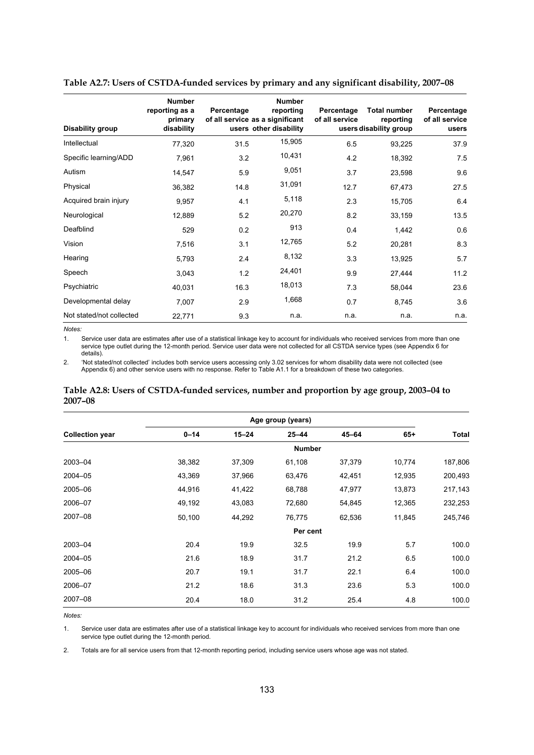| Disability group         | <b>Number</b><br>reporting as a<br>primary<br>disability | Percentage | <b>Number</b><br>reporting<br>of all service as a significant<br>users other disability | Percentage<br>of all service | <b>Total number</b><br>reporting<br>users disability group | Percentage<br>of all service<br>users |
|--------------------------|----------------------------------------------------------|------------|-----------------------------------------------------------------------------------------|------------------------------|------------------------------------------------------------|---------------------------------------|
| Intellectual             | 77,320                                                   | 31.5       | 15,905                                                                                  | 6.5                          | 93,225                                                     | 37.9                                  |
| Specific learning/ADD    | 7,961                                                    | 3.2        | 10,431                                                                                  | 4.2                          | 18,392                                                     | 7.5                                   |
| Autism                   | 14,547                                                   | 5.9        | 9,051                                                                                   | 3.7                          | 23,598                                                     | 9.6                                   |
| Physical                 | 36,382                                                   | 14.8       | 31,091                                                                                  | 12.7                         | 67,473                                                     | 27.5                                  |
| Acquired brain injury    | 9,957                                                    | 4.1        | 5,118                                                                                   | 2.3                          | 15,705                                                     | 6.4                                   |
| Neurological             | 12,889                                                   | 5.2        | 20,270                                                                                  | 8.2                          | 33,159                                                     | 13.5                                  |
| Deafblind                | 529                                                      | 0.2        | 913                                                                                     | 0.4                          | 1,442                                                      | 0.6                                   |
| Vision                   | 7,516                                                    | 3.1        | 12,765                                                                                  | 5.2                          | 20,281                                                     | 8.3                                   |
| Hearing                  | 5,793                                                    | 2.4        | 8,132                                                                                   | 3.3                          | 13,925                                                     | 5.7                                   |
| Speech                   | 3,043                                                    | 1.2        | 24,401                                                                                  | 9.9                          | 27,444                                                     | 11.2                                  |
| Psychiatric              | 40,031                                                   | 16.3       | 18,013                                                                                  | 7.3                          | 58,044                                                     | 23.6                                  |
| Developmental delay      | 7,007                                                    | 2.9        | 1,668                                                                                   | 0.7                          | 8,745                                                      | 3.6                                   |
| Not stated/not collected | 22,771                                                   | 9.3        | n.a.                                                                                    | n.a.                         | n.a.                                                       | n.a.                                  |

**Table A2.7: Users of CSTDA-funded services by primary and any significant disability, 2007–08** 

1. Service user data are estimates after use of a statistical linkage key to account for individuals who received services from more than one service type outlet during the 12-month period. Service user data were not collected for all CSTDA service types (see Appendix 6 for details).

2. 'Not stated/not collected' includes both service users accessing only 3.02 services for whom disability data were not collected (see Appendix 6) and other service users with no response. Refer to Table A1.1 for a breakdown of these two categories.

#### **Table A2.8: Users of CSTDA-funded services, number and proportion by age group, 2003–04 to 2007–08**

|                        | Age group (years) |           |               |        |        |         |
|------------------------|-------------------|-----------|---------------|--------|--------|---------|
| <b>Collection year</b> | $0 - 14$          | $15 - 24$ | $25 - 44$     | 45-64  | $65+$  | Total   |
|                        |                   |           | <b>Number</b> |        |        |         |
| 2003-04                | 38,382            | 37,309    | 61,108        | 37,379 | 10,774 | 187,806 |
| 2004-05                | 43,369            | 37,966    | 63,476        | 42,451 | 12,935 | 200,493 |
| 2005-06                | 44,916            | 41,422    | 68,788        | 47,977 | 13,873 | 217,143 |
| 2006-07                | 49,192            | 43,083    | 72,680        | 54,845 | 12,365 | 232,253 |
| 2007-08                | 50,100            | 44,292    | 76,775        | 62,536 | 11,845 | 245,746 |
|                        |                   |           | Per cent      |        |        |         |
| 2003-04                | 20.4              | 19.9      | 32.5          | 19.9   | 5.7    | 100.0   |
| 2004-05                | 21.6              | 18.9      | 31.7          | 21.2   | 6.5    | 100.0   |
| 2005-06                | 20.7              | 19.1      | 31.7          | 22.1   | 6.4    | 100.0   |
| 2006-07                | 21.2              | 18.6      | 31.3          | 23.6   | 5.3    | 100.0   |
| 2007-08                | 20.4              | 18.0      | 31.2          | 25.4   | 4.8    | 100.0   |

*Notes:* 

1. Service user data are estimates after use of a statistical linkage key to account for individuals who received services from more than one service type outlet during the 12-month period.

2. Totals are for all service users from that 12-month reporting period, including service users whose age was not stated.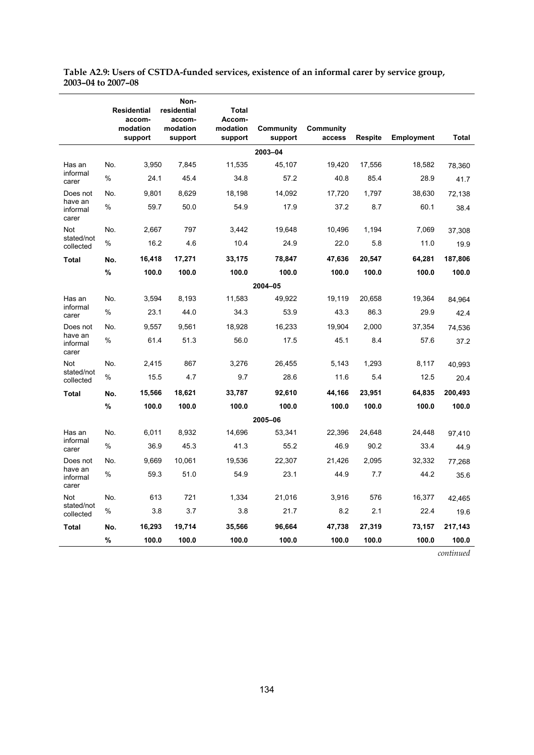| Table A2.9: Users of CSTDA-funded services, existence of an informal carer by service group, |  |
|----------------------------------------------------------------------------------------------|--|
| 2003-04 to 2007-08                                                                           |  |

|                                          |      | <b>Residential</b><br>accom- | Non-<br>residential<br>accom- | Total<br>Accom-     |                      |                     |                |                   |              |
|------------------------------------------|------|------------------------------|-------------------------------|---------------------|----------------------|---------------------|----------------|-------------------|--------------|
|                                          |      | modation<br>support          | modation<br>support           | modation<br>support | Community<br>support | Community<br>access | <b>Respite</b> | <b>Employment</b> | <b>Total</b> |
|                                          |      |                              |                               |                     | 2003-04              |                     |                |                   |              |
| Has an<br>informal<br>carer              | No.  | 3,950                        | 7,845                         | 11,535              | 45,107               | 19,420              | 17,556         | 18,582            | 78,360       |
|                                          | %    | 24.1                         | 45.4                          | 34.8                | 57.2                 | 40.8                | 85.4           | 28.9              | 41.7         |
| Does not<br>have an<br>informal<br>carer | No.  | 9,801                        | 8,629                         | 18,198              | 14,092               | 17,720              | 1,797          | 38,630            | 72,138       |
|                                          | %    | 59.7                         | 50.0                          | 54.9                | 17.9                 | 37.2                | 8.7            | 60.1              | 38.4         |
| <b>Not</b><br>stated/not<br>collected    | No.  | 2,667                        | 797                           | 3.442               | 19,648               | 10.496              | 1.194          | 7,069             | 37,308       |
|                                          | %    | 16.2                         | 4.6                           | 10.4                | 24.9                 | 22.0                | 5.8            | 11.0              | 19.9         |
| <b>Total</b>                             | No.  | 16,418                       | 17,271                        | 33,175              | 78,847               | 47,636              | 20,547         | 64,281            | 187,806      |
|                                          | %    | 100.0                        | 100.0                         | 100.0               | 100.0                | 100.0               | 100.0          | 100.0             | 100.0        |
|                                          |      |                              |                               |                     | 2004-05              |                     |                |                   |              |
| Has an<br>informal                       | No.  | 3,594                        | 8,193                         | 11,583              | 49,922               | 19,119              | 20,658         | 19,364            | 84,964       |
| carer                                    | %    | 23.1                         | 44.0                          | 34.3                | 53.9                 | 43.3                | 86.3           | 29.9              | 42.4         |
| Does not<br>have an<br>informal<br>carer | No.  | 9,557                        | 9,561                         | 18,928              | 16,233               | 19,904              | 2,000          | 37,354            | 74,536       |
|                                          | %    | 61.4                         | 51.3                          | 56.0                | 17.5                 | 45.1                | 8.4            | 57.6              | 37.2         |
| <b>Not</b><br>stated/not<br>collected    | No.  | 2,415                        | 867                           | 3,276               | 26,455               | 5,143               | 1,293          | 8,117             | 40,993       |
|                                          | %    | 15.5                         | 4.7                           | 9.7                 | 28.6                 | 11.6                | 5.4            | 12.5              | 20.4         |
| <b>Total</b>                             | No.  | 15,566                       | 18,621                        | 33,787              | 92,610               | 44,166              | 23,951         | 64,835            | 200,493      |
|                                          | %    | 100.0                        | 100.0                         | 100.0               | 100.0                | 100.0               | 100.0          | 100.0             | 100.0        |
| 2005-06                                  |      |                              |                               |                     |                      |                     |                |                   |              |
| Has an<br>informal                       | No.  | 6,011                        | 8,932                         | 14.696              | 53,341               | 22,396              | 24,648         | 24,448            | 97,410       |
| carer                                    | %    | 36.9                         | 45.3                          | 41.3                | 55.2                 | 46.9                | 90.2           | 33.4              | 44.9         |
| Does not<br>have an<br>informal<br>carer | No.  | 9,669                        | 10,061                        | 19,536              | 22,307               | 21,426              | 2,095          | 32,332            | 77,268       |
|                                          | %    | 59.3                         | 51.0                          | 54.9                | 23.1                 | 44.9                | 7.7            | 44.2              | 35.6         |
| Not<br>stated/not                        | No.  | 613                          | 721                           | 1,334               | 21,016               | 3,916               | 576            | 16,377            | 42.465       |
| collected                                | $\%$ | 3.8                          | 3.7                           | 3.8                 | 21.7                 | 8.2                 | 2.1            | 22.4              | 19.6         |
| <b>Total</b>                             | No.  | 16,293                       | 19,714                        | 35,566              | 96,664               | 47,738              | 27,319         | 73,157            | 217,143      |
|                                          | $\%$ | 100.0                        | 100.0                         | 100.0               | 100.0                | 100.0               | 100.0          | 100.0             | 100.0        |

*continued*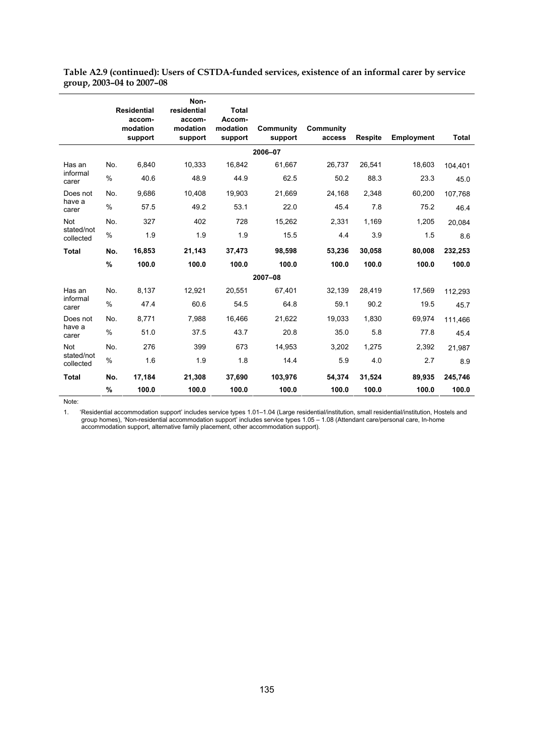**Table A2.9 (continued): Users of CSTDA-funded services, existence of an informal carer by service group, 2003–04 to 2007–08**

|                         |      | <b>Residential</b><br>accom- | Non-<br>residential<br>accom- | <b>Total</b><br>Accom- |                      |                     |                |            |              |
|-------------------------|------|------------------------------|-------------------------------|------------------------|----------------------|---------------------|----------------|------------|--------------|
|                         |      | modation<br>support          | modation<br>support           | modation<br>support    | Community<br>support | Community<br>access | <b>Respite</b> | Employment | <b>Total</b> |
|                         |      |                              |                               |                        | 2006-07              |                     |                |            |              |
| Has an                  | No.  | 6,840                        | 10,333                        | 16,842                 | 61,667               | 26,737              | 26,541         | 18,603     | 104,401      |
| informal<br>carer       | $\%$ | 40.6                         | 48.9                          | 44.9                   | 62.5                 | 50.2                | 88.3           | 23.3       | 45.0         |
| Does not                | No.  | 9,686                        | 10,408                        | 19,903                 | 21,669               | 24,168              | 2,348          | 60,200     | 107,768      |
| have a<br>carer         | %    | 57.5                         | 49.2                          | 53.1                   | 22.0                 | 45.4                | 7.8            | 75.2       | 46.4         |
| <b>Not</b>              | No.  | 327                          | 402                           | 728                    | 15,262               | 2,331               | 1,169          | 1,205      | 20,084       |
| stated/not<br>collected | $\%$ | 1.9                          | 1.9                           | 1.9                    | 15.5                 | 4.4                 | 3.9            | 1.5        | 8.6          |
| <b>Total</b>            | No.  | 16,853                       | 21,143                        | 37,473                 | 98,598               | 53.236              | 30,058         | 80,008     | 232,253      |
|                         | %    | 100.0                        | 100.0                         | 100.0                  | 100.0                | 100.0               | 100.0          | 100.0      | 100.0        |
|                         |      |                              |                               |                        | 2007-08              |                     |                |            |              |
| Has an<br>informal      | No.  | 8,137                        | 12,921                        | 20.551                 | 67.401               | 32,139              | 28,419         | 17,569     | 112,293      |
| carer                   | $\%$ | 47.4                         | 60.6                          | 54.5                   | 64.8                 | 59.1                | 90.2           | 19.5       | 45.7         |
| Does not                | No.  | 8,771                        | 7,988                         | 16,466                 | 21,622               | 19,033              | 1,830          | 69,974     | 111,466      |
| have a<br>carer         | $\%$ | 51.0                         | 37.5                          | 43.7                   | 20.8                 | 35.0                | 5.8            | 77.8       | 45.4         |
| <b>Not</b>              | No.  | 276                          | 399                           | 673                    | 14,953               | 3,202               | 1,275          | 2,392      | 21,987       |
| stated/not<br>collected | $\%$ | 1.6                          | 1.9                           | 1.8                    | 14.4                 | 5.9                 | 4.0            | 2.7        | 8.9          |
| <b>Total</b>            | No.  | 17,184                       | 21,308                        | 37,690                 | 103,976              | 54,374              | 31,524         | 89,935     | 245,746      |
|                         | %    | 100.0                        | 100.0                         | 100.0                  | 100.0                | 100.0               | 100.0          | 100.0      | 100.0        |

Note:

1. 'Residential accommodation support' includes service types 1.01–1.04 (Large residential/institution, small residential/institution, Hostels and group homes), 'Non-residential accommodation support' includes service types 1.05 – 1.08 (Attendant care/personal care, In-home accommodation support, alternative family placement, other accommodation support).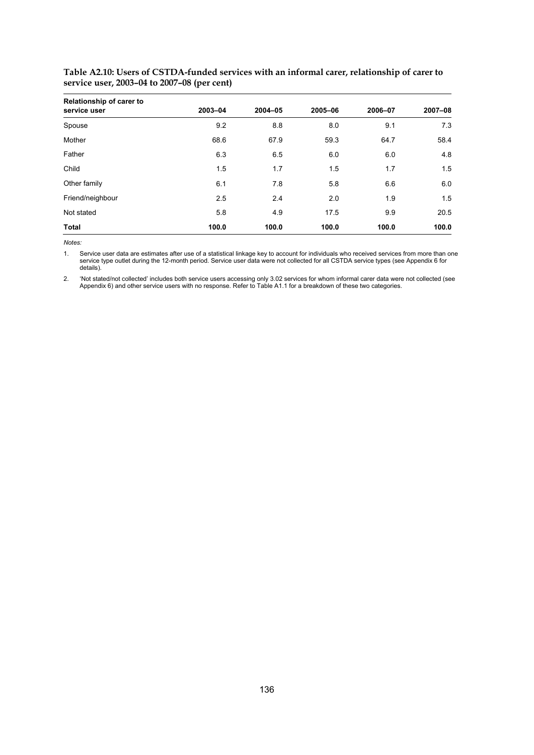| <b>Relationship of carer to</b><br>service user | 2003-04 | 2004-05 | 2005-06 | 2006-07 | 2007-08 |
|-------------------------------------------------|---------|---------|---------|---------|---------|
| Spouse                                          | 9.2     | 8.8     | 8.0     | 9.1     | 7.3     |
|                                                 |         |         |         |         |         |
| Mother                                          | 68.6    | 67.9    | 59.3    | 64.7    | 58.4    |
| Father                                          | 6.3     | 6.5     | 6.0     | 6.0     | 4.8     |
| Child                                           | 1.5     | 1.7     | 1.5     | 1.7     | 1.5     |
| Other family                                    | 6.1     | 7.8     | 5.8     | 6.6     | 6.0     |
| Friend/neighbour                                | 2.5     | 2.4     | 2.0     | 1.9     | 1.5     |
| Not stated                                      | 5.8     | 4.9     | 17.5    | 9.9     | 20.5    |
| <b>Total</b>                                    | 100.0   | 100.0   | 100.0   | 100.0   | 100.0   |

**Table A2.10: Users of CSTDA-funded services with an informal carer, relationship of carer to service user, 2003–04 to 2007–08 (per cent)**

1. Service user data are estimates after use of a statistical linkage key to account for individuals who received services from more than one service type outlet during the 12-month period. Service user data were not collected for all CSTDA service types (see Appendix 6 for details).

2. 'Not stated/not collected' includes both service users accessing only 3.02 services for whom informal carer data were not collected (see Appendix 6) and other service users with no response. Refer to Table A1.1 for a breakdown of these two categories.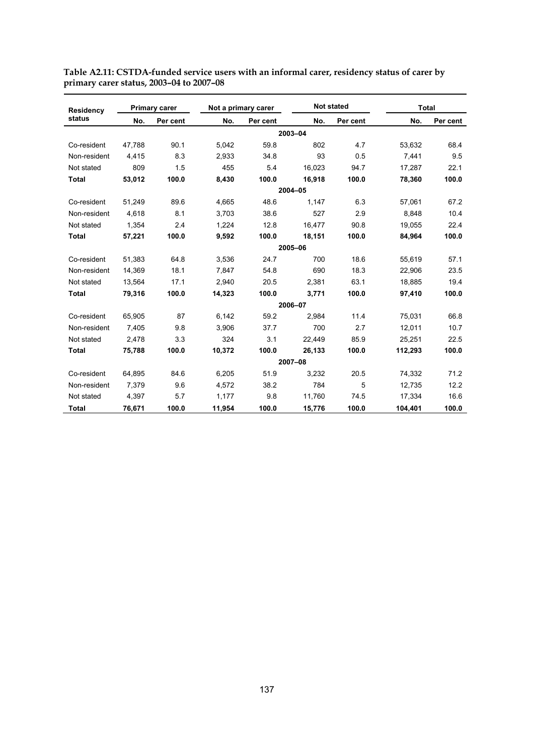| <b>Residency</b> |        | <b>Primary carer</b> |        | Not a primary carer |         | <b>Not stated</b> | <b>Total</b> |          |
|------------------|--------|----------------------|--------|---------------------|---------|-------------------|--------------|----------|
| status           | No.    | Per cent             | No.    | Per cent            | No.     | Per cent          | No.          | Per cent |
|                  |        |                      |        |                     | 2003-04 |                   |              |          |
| Co-resident      | 47.788 | 90.1                 | 5.042  | 59.8                | 802     | 4.7               | 53.632       | 68.4     |
| Non-resident     | 4,415  | 8.3                  | 2,933  | 34.8                | 93      | 0.5               | 7,441        | 9.5      |
| Not stated       | 809    | 1.5                  | 455    | 5.4                 | 16,023  | 94.7              | 17,287       | 22.1     |
| <b>Total</b>     | 53,012 | 100.0                | 8,430  | 100.0               | 16,918  | 100.0             | 78,360       | 100.0    |
|                  |        |                      |        |                     | 2004-05 |                   |              |          |
| Co-resident      | 51,249 | 89.6                 | 4,665  | 48.6                | 1,147   | 6.3               | 57,061       | 67.2     |
| Non-resident     | 4,618  | 8.1                  | 3.703  | 38.6                | 527     | 2.9               | 8,848        | 10.4     |
| Not stated       | 1,354  | 2.4                  | 1,224  | 12.8                | 16,477  | 90.8              | 19,055       | 22.4     |
| <b>Total</b>     | 57,221 | 100.0                | 9,592  | 100.0               | 18,151  | 100.0             | 84,964       | 100.0    |
|                  |        |                      |        | 2005-06             |         |                   |              |          |
| Co-resident      | 51,383 | 64.8                 | 3.536  | 24.7                | 700     | 18.6              | 55.619       | 57.1     |
| Non-resident     | 14,369 | 18.1                 | 7,847  | 54.8                | 690     | 18.3              | 22,906       | 23.5     |
| Not stated       | 13,564 | 17.1                 | 2,940  | 20.5                | 2,381   | 63.1              | 18,885       | 19.4     |
| <b>Total</b>     | 79,316 | 100.0                | 14,323 | 100.0               | 3,771   | 100.0             | 97,410       | 100.0    |
|                  |        |                      |        |                     | 2006-07 |                   |              |          |
| Co-resident      | 65,905 | 87                   | 6.142  | 59.2                | 2,984   | 11.4              | 75,031       | 66.8     |
| Non-resident     | 7.405  | 9.8                  | 3,906  | 37.7                | 700     | 2.7               | 12,011       | 10.7     |
| Not stated       | 2.478  | 3.3                  | 324    | 3.1                 | 22,449  | 85.9              | 25,251       | 22.5     |
| <b>Total</b>     | 75,788 | 100.0                | 10,372 | 100.0               | 26,133  | 100.0             | 112,293      | 100.0    |
|                  |        |                      |        |                     | 2007-08 |                   |              |          |
| Co-resident      | 64.895 | 84.6                 | 6.205  | 51.9                | 3.232   | 20.5              | 74,332       | 71.2     |
| Non-resident     | 7.379  | 9.6                  | 4.572  | 38.2                | 784     | 5                 | 12.735       | 12.2     |
| Not stated       | 4,397  | 5.7                  | 1,177  | 9.8                 | 11,760  | 74.5              | 17,334       | 16.6     |
| <b>Total</b>     | 76,671 | 100.0                | 11,954 | 100.0               | 15,776  | 100.0             | 104,401      | 100.0    |

**Table A2.11: CSTDA-funded service users with an informal carer, residency status of carer by primary carer status, 2003–04 to 2007–08**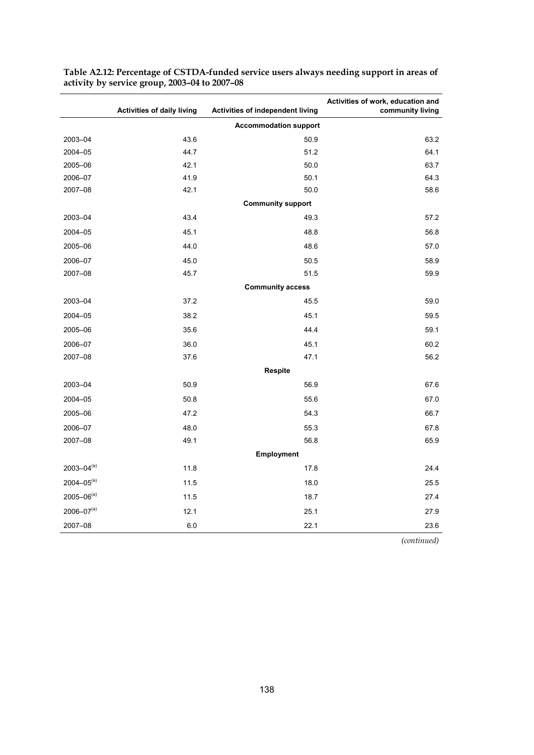|                   | <b>Activities of daily living</b> | <b>Activities of independent living</b> | Activities of work, education and<br>community living |
|-------------------|-----------------------------------|-----------------------------------------|-------------------------------------------------------|
|                   |                                   | <b>Accommodation support</b>            |                                                       |
| 2003-04           | 43.6                              | 50.9                                    | 63.2                                                  |
| 2004-05           | 44.7                              | 51.2                                    | 64.1                                                  |
| 2005-06           | 42.1                              | 50.0                                    | 63.7                                                  |
| 2006-07           | 41.9                              | 50.1                                    | 64.3                                                  |
| 2007-08           | 42.1                              | 50.0                                    | 58.6                                                  |
|                   |                                   | <b>Community support</b>                |                                                       |
| 2003-04           | 43.4                              | 49.3                                    | 57.2                                                  |
| 2004-05           | 45.1                              | 48.8                                    | 56.8                                                  |
| 2005-06           | 44.0                              | 48.6                                    | 57.0                                                  |
| 2006-07           | 45.0                              | 50.5                                    | 58.9                                                  |
| 2007-08           | 45.7                              | 51.5                                    | 59.9                                                  |
|                   |                                   | <b>Community access</b>                 |                                                       |
| 2003-04           | 37.2                              | 45.5                                    | 59.0                                                  |
| 2004-05           | 38.2                              | 45.1                                    | 59.5                                                  |
| 2005-06           | 35.6                              | 44.4                                    | 59.1                                                  |
| 2006-07           | 36.0                              | 45.1                                    | 60.2                                                  |
| 2007-08           | 37.6                              | 47.1                                    | 56.2                                                  |
|                   |                                   | Respite                                 |                                                       |
| 2003-04           | 50.9                              | 56.9                                    | 67.6                                                  |
| 2004-05           | 50.8                              | 55.6                                    | 67.0                                                  |
| 2005-06           | 47.2                              | 54.3                                    | 66.7                                                  |
| 2006-07           | 48.0                              | 55.3                                    | 67.8                                                  |
| 2007-08           | 49.1                              | 56.8                                    | 65.9                                                  |
|                   |                                   | Employment                              |                                                       |
| $2003 - 04^{(a)}$ | 11.8                              | 17.8                                    | 24.4                                                  |
| $2004 - 05^{(a)}$ | 11.5                              | 18.0                                    | 25.5                                                  |
| $2005 - 06^{(a)}$ | 11.5                              | 18.7                                    | 27.4                                                  |
| $2006 - 07(a)$    | 12.1                              | 25.1                                    | 27.9                                                  |
| 2007-08           | 6.0                               | 22.1                                    | 23.6                                                  |

**Table A2.12: Percentage of CSTDA-funded service users always needing support in areas of activity by service group, 2003–04 to 2007–08** 

 *(continued)*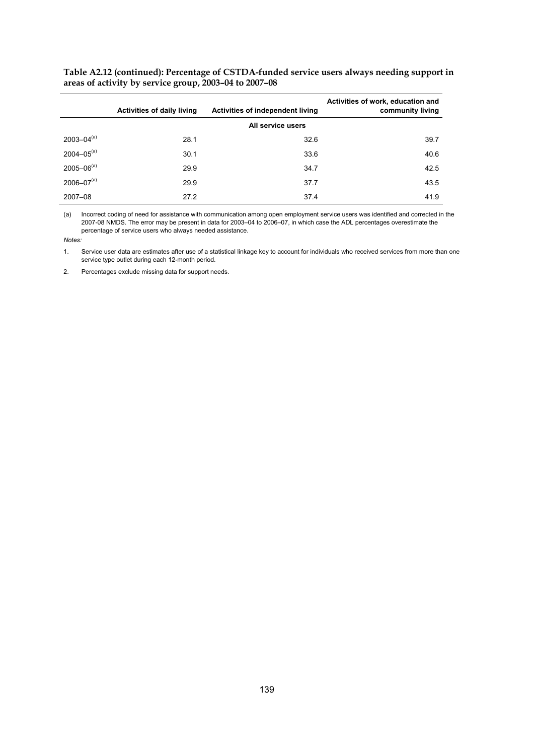|                   | <b>Activities of daily living</b> | Activities of independent living | Activities of work, education and<br>community living |
|-------------------|-----------------------------------|----------------------------------|-------------------------------------------------------|
|                   |                                   | All service users                |                                                       |
| $2003 - 04^{(a)}$ | 28.1                              | 32.6                             | 39.7                                                  |
| $2004 - 05^{(a)}$ | 30.1                              | 33.6                             | 40.6                                                  |
| $2005 - 06^{(a)}$ | 29.9                              | 34.7                             | 42.5                                                  |
| $2006 - 07^{(a)}$ | 29.9                              | 37.7                             | 43.5                                                  |
| 2007-08           | 27.2                              | 37.4                             | 41.9                                                  |

**Table A2.12 (continued): Percentage of CSTDA-funded service users always needing support in areas of activity by service group, 2003–04 to 2007–08** 

(a) Incorrect coding of need for assistance with communication among open employment service users was identified and corrected in the 2007-08 NMDS. The error may be present in data for 2003–04 to 2006–07, in which case the ADL percentages overestimate the percentage of service users who always needed assistance.

*Notes:* 

1. Service user data are estimates after use of a statistical linkage key to account for individuals who received services from more than one service type outlet during each 12-month period.

2. Percentages exclude missing data for support needs.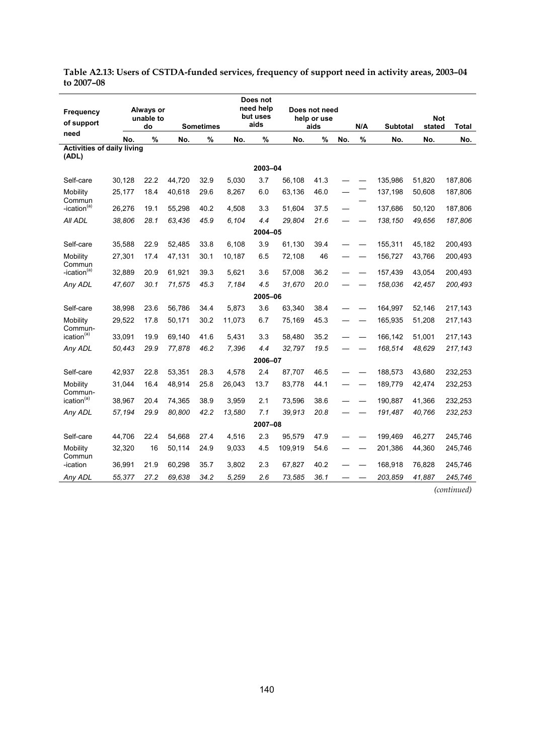|                                   |        |                 |        |                  |        | Does not         |         |                     |     |      |                 |                      |         |
|-----------------------------------|--------|-----------------|--------|------------------|--------|------------------|---------|---------------------|-----|------|-----------------|----------------------|---------|
| Frequency                         |        | Always or       |        |                  |        | need help        |         | Does not need       |     |      |                 |                      |         |
| of support                        |        | unable to<br>do |        | <b>Sometimes</b> |        | but uses<br>aids |         | help or use<br>aids |     | N/A  | <b>Subtotal</b> | <b>Not</b><br>stated | Total   |
| need                              | No.    | $\%$            | No.    | $\%$             | No.    | $\%$             | No.     | %                   | No. | $\%$ | No.             | No.                  | No.     |
| <b>Activities of daily living</b> |        |                 |        |                  |        |                  |         |                     |     |      |                 |                      |         |
| (ADL)                             |        |                 |        |                  |        |                  |         |                     |     |      |                 |                      |         |
|                                   |        |                 |        |                  |        | 2003-04          |         |                     |     |      |                 |                      |         |
| Self-care                         | 30.128 | 22.2            | 44.720 | 32.9             | 5.030  | 3.7              | 56,108  | 41.3                |     |      | 135.986         | 51.820               | 187,806 |
| Mobility<br>Commun                | 25,177 | 18.4            | 40,618 | 29.6             | 8,267  | 6.0              | 63,136  | 46.0                |     |      | 137,198         | 50,608               | 187,806 |
| -ication <sup>(a)</sup>           | 26,276 | 19.1            | 55,298 | 40.2             | 4.508  | 3.3              | 51.604  | 37.5                |     |      | 137,686         | 50.120               | 187,806 |
| All ADL                           | 38,806 | 28.1            | 63,436 | 45.9             | 6,104  | 4.4              | 29,804  | 21.6                |     |      | 138,150         | 49,656               | 187,806 |
|                                   |        |                 |        |                  |        | 2004-05          |         |                     |     |      |                 |                      |         |
| Self-care                         | 35,588 | 22.9            | 52,485 | 33.8             | 6,108  | 3.9              | 61,130  | 39.4                |     |      | 155,311         | 45,182               | 200,493 |
| Mobility                          | 27,301 | 17.4            | 47,131 | 30.1             | 10,187 | 6.5              | 72,108  | 46                  |     |      | 156,727         | 43,766               | 200,493 |
| Commun<br>-ication <sup>(a)</sup> | 32.889 | 20.9            | 61.921 | 39.3             | 5.621  | 3.6              | 57.008  | 36.2                |     |      | 157.439         | 43.054               | 200,493 |
| Any ADL                           | 47,607 | 30.1            | 71,575 | 45.3             | 7,184  | 4.5              | 31,670  | 20.0                |     |      | 158,036         | 42,457               | 200,493 |
|                                   |        |                 |        |                  |        | 2005-06          |         |                     |     |      |                 |                      |         |
| Self-care                         | 38,998 | 23.6            | 56,786 | 34.4             | 5,873  | 3.6              | 63,340  | 38.4                |     |      | 164,997         | 52,146               | 217,143 |
| Mobility                          | 29,522 | 17.8            | 50,171 | 30.2             | 11,073 | 6.7              | 75,169  | 45.3                |     |      | 165,935         | 51,208               | 217,143 |
| Commun-<br>ication <sup>(a)</sup> | 33,091 | 19.9            | 69,140 | 41.6             | 5,431  | 3.3              | 58,480  | 35.2                |     |      | 166,142         | 51,001               | 217,143 |
| Any ADL                           | 50,443 | 29.9            | 77,878 | 46.2             | 7,396  | 4.4              | 32.797  | 19.5                |     |      | 168,514         | 48,629               | 217,143 |
|                                   |        |                 |        |                  |        | 2006-07          |         |                     |     |      |                 |                      |         |
| Self-care                         | 42.937 | 22.8            | 53.351 | 28.3             | 4.578  | 2.4              | 87,707  | 46.5                |     |      | 188,573         | 43.680               | 232,253 |
| Mobility                          | 31,044 | 16.4            | 48,914 | 25.8             | 26,043 | 13.7             | 83,778  | 44.1                |     |      | 189,779         | 42,474               | 232,253 |
| Commun-<br>ication <sup>(a)</sup> | 38,967 | 20.4            | 74,365 | 38.9             | 3,959  | 2.1              | 73,596  | 38.6                |     |      | 190,887         | 41,366               | 232,253 |
| Any ADL                           | 57,194 | 29.9            | 80,800 | 42.2             | 13,580 | 7.1              | 39,913  | 20.8                |     |      | 191,487         | 40,766               | 232,253 |
|                                   |        |                 |        |                  |        | 2007-08          |         |                     |     |      |                 |                      |         |
| Self-care                         | 44.706 | 22.4            | 54.668 | 27.4             | 4.516  | 2.3              | 95.579  | 47.9                |     |      | 199.469         | 46.277               | 245.746 |
| Mobility                          | 32,320 | 16              | 50,114 | 24.9             | 9,033  | 4.5              | 109,919 | 54.6                |     |      | 201,386         | 44,360               | 245,746 |
| Commun<br>-ication                | 36,991 | 21.9            | 60,298 | 35.7             | 3,802  | 2.3              | 67,827  | 40.2                |     |      | 168,918         | 76,828               | 245,746 |
| Any ADL                           | 55,377 | 27.2            | 69,638 | 34.2             | 5,259  | 2.6              | 73,585  | 36.1                |     |      | 203,859         | 41,887               | 245,746 |

**Table A2.13: Users of CSTDA-funded services, frequency of support need in activity areas, 2003–04 to 2007–08** 

*(continued)*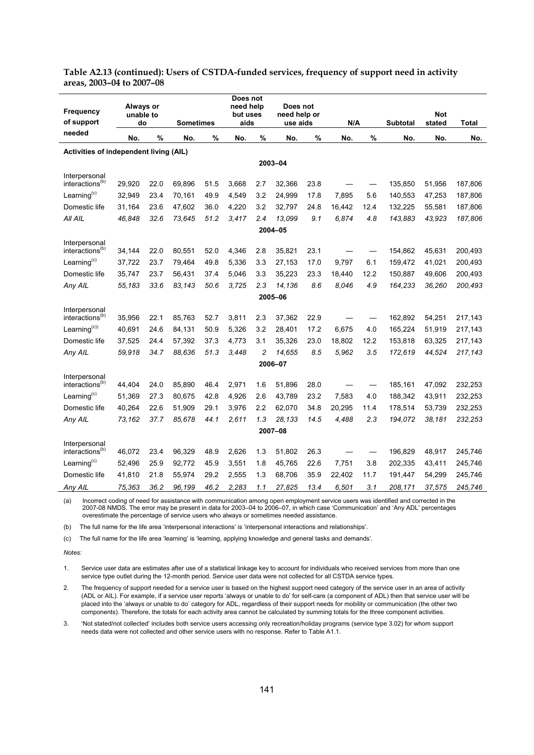| Table A2.13 (continued): Users of CSTDA-funded services, frequency of support need in activity |  |  |  |
|------------------------------------------------------------------------------------------------|--|--|--|
| areas, 2003–04 to 2007–08                                                                      |  |  |  |

| Frequency<br>of support                      | Always or<br>unable to<br>do |      | <b>Sometimes</b> |      | Does not<br>need help<br>but uses<br>aids |                | Does not<br>need help or<br>use aids |      | N/A    |      | <b>Subtotal</b> | <b>Not</b><br>stated | Total   |
|----------------------------------------------|------------------------------|------|------------------|------|-------------------------------------------|----------------|--------------------------------------|------|--------|------|-----------------|----------------------|---------|
| needed                                       | No.                          | %    | No.              | $\%$ | No.                                       | %              | No.                                  | $\%$ | No.    | $\%$ | No.             | No.                  | No.     |
| Activities of independent living (AIL)       |                              |      |                  |      |                                           |                |                                      |      |        |      |                 |                      |         |
|                                              |                              |      |                  |      |                                           |                | 2003-04                              |      |        |      |                 |                      |         |
| Interpersonal<br>interactions <sup>(b)</sup> | 29,920                       | 22.0 | 69,896           | 51.5 | 3,668                                     | 2.7            | 32,366                               | 23.8 |        |      | 135,850         | 51,956               | 187,806 |
| Learning <sup>(c)</sup>                      | 32,949                       | 23.4 | 70,161           | 49.9 | 4,549                                     | 3.2            | 24,999                               | 178  | 7,895  | 5.6  | 140,553         | 47,253               | 187,806 |
| Domestic life                                | 31,164                       | 23.6 | 47,602           | 36.0 | 4,220                                     | 3.2            | 32.797                               | 24.8 | 16.442 | 12.4 | 132,225         | 55,581               | 187,806 |
| All AIL                                      | 46,848                       | 32.6 | 73,645           | 51.2 | 3.417                                     | 2.4            | 13,099                               | 9.1  | 6,874  | 4.8  | 143,883         | 43,923               | 187,806 |
|                                              |                              |      |                  |      |                                           |                | 2004-05                              |      |        |      |                 |                      |         |
| Interpersonal<br>interactions <sup>(b)</sup> | 34,144                       | 22.0 | 80,551           | 52.0 | 4,346                                     | 2.8            | 35,821                               | 23.1 |        |      | 154,862         | 45,631               | 200,493 |
| Learning <sup>(c)</sup>                      | 37,722                       | 23.7 | 79,464           | 49.8 | 5,336                                     | 3.3            | 27,153                               | 17.0 | 9.797  | 6.1  | 159,472         | 41.021               | 200,493 |
| Domestic life                                | 35,747                       | 23.7 | 56,431           | 37.4 | 5,046                                     | 3.3            | 35,223                               | 23.3 | 18,440 | 12.2 | 150,887         | 49,606               | 200,493 |
| Any AIL                                      | 55,183                       | 33.6 | 83,143           | 50.6 | 3,725                                     | 2.3            | 14,136                               | 8.6  | 8,046  | 4.9  | 164,233         | 36,260               | 200,493 |
|                                              |                              |      |                  |      |                                           |                | 2005-06                              |      |        |      |                 |                      |         |
| Interpersonal<br>interactions <sup>(b)</sup> | 35,956                       | 22.1 | 85,763           | 52.7 | 3,811                                     | 2.3            | 37,362                               | 22.9 |        |      | 162,892         | 54,251               | 217,143 |
| Learning <sup>(c))</sup>                     | 40,691                       | 24.6 | 84,131           | 50.9 | 5,326                                     | 3.2            | 28,401                               | 17.2 | 6.675  | 4.0  | 165,224         | 51,919               | 217,143 |
| Domestic life                                | 37,525                       | 24.4 | 57,392           | 37.3 | 4,773                                     | 3.1            | 35,326                               | 23.0 | 18,802 | 12.2 | 153,818         | 63,325               | 217,143 |
| Any AIL                                      | 59,918                       | 34.7 | 88,636           | 51.3 | 3,448                                     | $\overline{c}$ | 14,655                               | 8.5  | 5,962  | 3.5  | 172,619         | 44,524               | 217,143 |
|                                              |                              |      |                  |      |                                           |                | 2006-07                              |      |        |      |                 |                      |         |
| Interpersonal<br>interactions <sup>(b)</sup> | 44,404                       | 24.0 | 85.890           | 46.4 | 2,971                                     | 1.6            | 51.896                               | 28.0 |        |      | 185,161         | 47,092               | 232,253 |
| Learning <sup>(c)</sup>                      | 51,369                       | 27.3 | 80,675           | 42.8 | 4,926                                     | 2.6            | 43,789                               | 23.2 | 7,583  | 4.0  | 188,342         | 43,911               | 232,253 |
| Domestic life                                | 40,264                       | 22.6 | 51,909           | 29.1 | 3,976                                     | 2.2            | 62,070                               | 34.8 | 20,295 | 11.4 | 178,514         | 53,739               | 232,253 |
| Any AIL                                      | 73,162                       | 37.7 | 85,678           | 44.1 | 2,611                                     | 1.3            | 28,133                               | 14.5 | 4,488  | 2.3  | 194,072         | 38,181               | 232,253 |
|                                              |                              |      |                  |      |                                           |                | 2007-08                              |      |        |      |                 |                      |         |
| Interpersonal<br>interactions <sup>(b)</sup> | 46,072                       | 23.4 | 96,329           | 48.9 | 2,626                                     | 1.3            | 51,802                               | 26.3 |        |      | 196,829         | 48,917               | 245,746 |
| Learning $(c)$                               | 52,496                       | 25.9 | 92,772           | 45.9 | 3,551                                     | 1.8            | 45,765                               | 22.6 | 7,751  | 3.8  | 202,335         | 43,411               | 245,746 |
| Domestic life                                | 41,810                       | 21.8 | 55,974           | 29.2 | 2,555                                     | 1.3            | 68,706                               | 35.9 | 22,402 | 11.7 | 191,447         | 54,299               | 245,746 |
| Any AIL                                      | 75,363                       | 36.2 | 96,199           | 46.2 | 2,283                                     | 1.1            | 27,825                               | 13.4 | 6,501  | 3.1  | 208,171         | 37,575               | 245,746 |

(a) Incorrect coding of need for assistance with communication among open employment service users was identified and corrected in the 2007-08 NMDS. The error may be present in data for 2003–04 to 2006–07, in which case 'Communication' and 'Any ADL' percentages overestimate the percentage of service users who always or sometimes needed assistance.

(b) The full name for the life area 'interpersonal interactions' is 'interpersonal interactions and relationships'.

(c) The full name for the life area 'learning' is 'learning, applying knowledge and general tasks and demands'.

#### *Notes:*

1. Service user data are estimates after use of a statistical linkage key to account for individuals who received services from more than one service type outlet during the 12-month period. Service user data were not collected for all CSTDA service types.

2. The frequency of support needed for a service user is based on the highest support need category of the service user in an area of activity (ADL or AIL). For example, if a service user reports 'always or unable to do' for self-care (a component of ADL) then that service user will be placed into the 'always or unable to do' category for ADL, regardless of their support needs for mobility or communication (the other two components). Therefore, the totals for each activity area cannot be calculated by summing totals for the three component activities.

3. 'Not stated/not collected' includes both service users accessing only recreation/holiday programs (service type 3.02) for whom support needs data were not collected and other service users with no response. Refer to Table A1.1.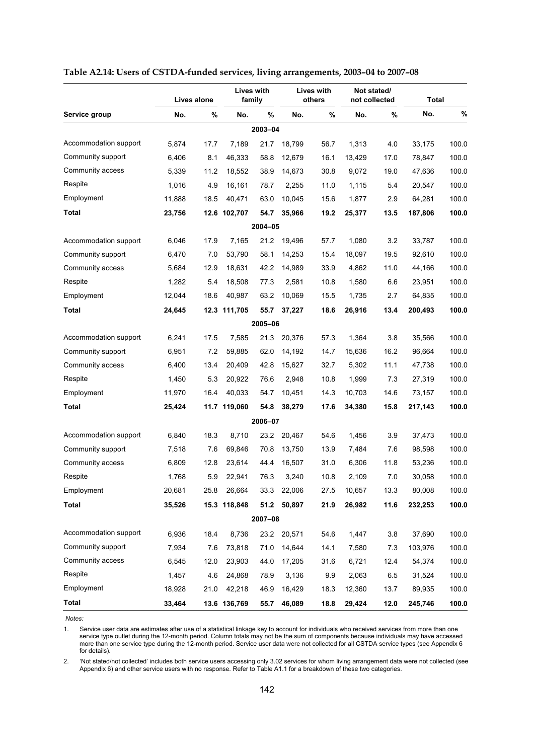|                       |        | Lives alone | family       | <b>Lives with</b> |        | Lives with<br>others |        | Not stated/<br>not collected | Total   |       |
|-----------------------|--------|-------------|--------------|-------------------|--------|----------------------|--------|------------------------------|---------|-------|
| Service group         | No.    | %           | No.          | %                 | No.    | %                    | No.    | %                            | No.     | %     |
|                       |        |             |              | 2003-04           |        |                      |        |                              |         |       |
| Accommodation support | 5.874  | 17.7        | 7,189        | 21.7              | 18,799 | 56.7                 | 1,313  | 4.0                          | 33,175  | 100.0 |
| Community support     | 6,406  | 8.1         | 46,333       | 58.8              | 12,679 | 16.1                 | 13,429 | 17.0                         | 78,847  | 100.0 |
| Community access      | 5,339  | 11.2        | 18,552       | 38.9              | 14,673 | 30.8                 | 9,072  | 19.0                         | 47,636  | 100.0 |
| Respite               | 1,016  | 4.9         | 16,161       | 78.7              | 2,255  | 11.0                 | 1,115  | 5.4                          | 20,547  | 100.0 |
| Employment            | 11,888 | 18.5        | 40,471       | 63.0              | 10,045 | 15.6                 | 1,877  | 2.9                          | 64,281  | 100.0 |
| Total                 | 23,756 |             | 12.6 102,707 | 54.7              | 35,966 | 19.2                 | 25,377 | 13.5                         | 187,806 | 100.0 |
|                       |        |             |              | 2004-05           |        |                      |        |                              |         |       |
| Accommodation support | 6,046  | 17.9        | 7,165        | 21.2              | 19,496 | 57.7                 | 1,080  | 3.2                          | 33,787  | 100.0 |
| Community support     | 6,470  | 7.0         | 53,790       | 58.1              | 14,253 | 15.4                 | 18,097 | 19.5                         | 92,610  | 100.0 |
| Community access      | 5,684  | 12.9        | 18,631       | 42.2              | 14,989 | 33.9                 | 4,862  | 11.0                         | 44,166  | 100.0 |
| Respite               | 1,282  | 5.4         | 18,508       | 77.3              | 2,581  | 10.8                 | 1,580  | 6.6                          | 23,951  | 100.0 |
| Employment            | 12,044 | 18.6        | 40,987       | 63.2              | 10,069 | 15.5                 | 1,735  | 2.7                          | 64,835  | 100.0 |
| <b>Total</b>          | 24,645 |             | 12.3 111,705 | 55.7              | 37,227 | 18.6                 | 26,916 | 13.4                         | 200,493 | 100.0 |
|                       |        |             |              | 2005-06           |        |                      |        |                              |         |       |
| Accommodation support | 6,241  | 17.5        | 7,585        | 21.3              | 20,376 | 57.3                 | 1,364  | 3.8                          | 35,566  | 100.0 |
| Community support     | 6,951  | 7.2         | 59,885       | 62.0              | 14,192 | 14.7                 | 15,636 | 16.2                         | 96,664  | 100.0 |
| Community access      | 6,400  | 13.4        | 20,409       | 42.8              | 15,627 | 32.7                 | 5,302  | 11.1                         | 47,738  | 100.0 |
| Respite               | 1,450  | 5.3         | 20,922       | 76.6              | 2,948  | 10.8                 | 1,999  | 7.3                          | 27,319  | 100.0 |
| Employment            | 11,970 | 16.4        | 40,033       | 54.7              | 10,451 | 14.3                 | 10,703 | 14.6                         | 73,157  | 100.0 |
| Total                 | 25,424 |             | 11.7 119,060 | 54.8              | 38,279 | 17.6                 | 34,380 | 15.8                         | 217,143 | 100.0 |
|                       |        |             |              | 2006-07           |        |                      |        |                              |         |       |
| Accommodation support | 6,840  | 18.3        | 8,710        | 23.2              | 20,467 | 54.6                 | 1,456  | 3.9                          | 37,473  | 100.0 |
| Community support     | 7,518  | 7.6         | 69,846       | 70.8              | 13,750 | 13.9                 | 7,484  | 7.6                          | 98,598  | 100.0 |
| Community access      | 6,809  | 12.8        | 23,614       | 44.4              | 16,507 | 31.0                 | 6,306  | 11.8                         | 53,236  | 100.0 |
| Respite               | 1,768  | 5.9         | 22,941       | 76.3              | 3,240  | 10.8                 | 2,109  | 7.0                          | 30,058  | 100.0 |
| Employment            | 20,681 | 25.8        | 26,664       | 33.3              | 22,006 | 27.5                 | 10,657 | 13.3                         | 80,008  | 100.0 |
| <b>Total</b>          | 35,526 |             | 15.3 118,848 | 51.2              | 50,897 | 21.9                 | 26,982 | 11.6                         | 232,253 | 100.0 |
|                       |        |             |              | 2007-08           |        |                      |        |                              |         |       |
| Accommodation support | 6,936  | 18.4        | 8,736        | 23.2              | 20,571 | 54.6                 | 1,447  | 3.8                          | 37,690  | 100.0 |
| Community support     | 7,934  | 7.6         | 73,818       | 71.0              | 14,644 | 14.1                 | 7,580  | 7.3                          | 103,976 | 100.0 |
| Community access      | 6,545  | 12.0        | 23,903       | 44.0              | 17,205 | 31.6                 | 6,721  | 12.4                         | 54,374  | 100.0 |
| Respite               | 1,457  | 4.6         | 24,868       | 78.9              | 3,136  | 9.9                  | 2,063  | 6.5                          | 31,524  | 100.0 |
| Employment            | 18,928 | 21.0        | 42,218       | 46.9              | 16,429 | 18.3                 | 12,360 | 13.7                         | 89,935  | 100.0 |
| Total                 | 33,464 |             | 13.6 136,769 | 55.7              | 46,089 | 18.8                 | 29,424 | 12.0                         | 245,746 | 100.0 |

#### **Table A2.14: Users of CSTDA-funded services, living arrangements, 2003–04 to 2007–08**

1. Service user data are estimates after use of a statistical linkage key to account for individuals who received services from more than one service type outlet during the 12-month period. Column totals may not be the sum of components because individuals may have accessed more than one service type during the 12-month period. Service user data were not collected for all CSTDA service types (see Appendix 6 for details).

2. 'Not stated/not collected' includes both service users accessing only 3.02 services for whom living arrangement data were not collected (see Appendix 6) and other service users with no response. Refer to Table A1.1 for a breakdown of these two categories.

*Notes:*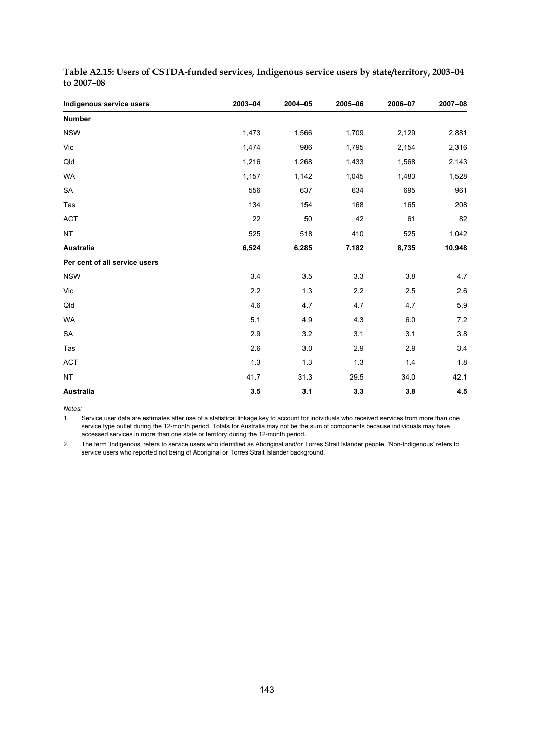| Indigenous service users      | 2003-04 | 2004-05 | 2005-06 | 2006-07 | 2007-08 |
|-------------------------------|---------|---------|---------|---------|---------|
| <b>Number</b>                 |         |         |         |         |         |
| <b>NSW</b>                    | 1,473   | 1,566   | 1,709   | 2,129   | 2,881   |
| Vic                           | 1,474   | 986     | 1,795   | 2,154   | 2,316   |
| Qld                           | 1,216   | 1,268   | 1,433   | 1,568   | 2,143   |
| <b>WA</b>                     | 1,157   | 1,142   | 1,045   | 1,483   | 1,528   |
| SA                            | 556     | 637     | 634     | 695     | 961     |
| Tas                           | 134     | 154     | 168     | 165     | 208     |
| <b>ACT</b>                    | 22      | 50      | 42      | 61      | 82      |
| <b>NT</b>                     | 525     | 518     | 410     | 525     | 1,042   |
| <b>Australia</b>              | 6,524   | 6,285   | 7,182   | 8,735   | 10,948  |
| Per cent of all service users |         |         |         |         |         |
| <b>NSW</b>                    | 3.4     | 3.5     | 3.3     | 3.8     | 4.7     |
| Vic                           | 2.2     | 1.3     | 2.2     | 2.5     | 2.6     |
| Qld                           | 4.6     | 4.7     | 4.7     | 4.7     | 5.9     |
| <b>WA</b>                     | 5.1     | 4.9     | 4.3     | 6.0     | 7.2     |
| SA                            | 2.9     | 3.2     | 3.1     | 3.1     | 3.8     |
| Tas                           | 2.6     | 3.0     | 2.9     | 2.9     | 3.4     |
| <b>ACT</b>                    | 1.3     | 1.3     | 1.3     | 1.4     | 1.8     |
| <b>NT</b>                     | 41.7    | 31.3    | 29.5    | 34.0    | 42.1    |
| <b>Australia</b>              | 3.5     | 3.1     | 3.3     | 3.8     | 4.5     |

| Table A2.15: Users of CSTDA-funded services, Indigenous service users by state/territory, 2003–04 |  |
|---------------------------------------------------------------------------------------------------|--|
| to 2007-08                                                                                        |  |

1. Service user data are estimates after use of a statistical linkage key to account for individuals who received services from more than one service type outlet during the 12-month period. Totals for Australia may not be the sum of components because individuals may have accessed services in more than one state or territory during the 12-month period.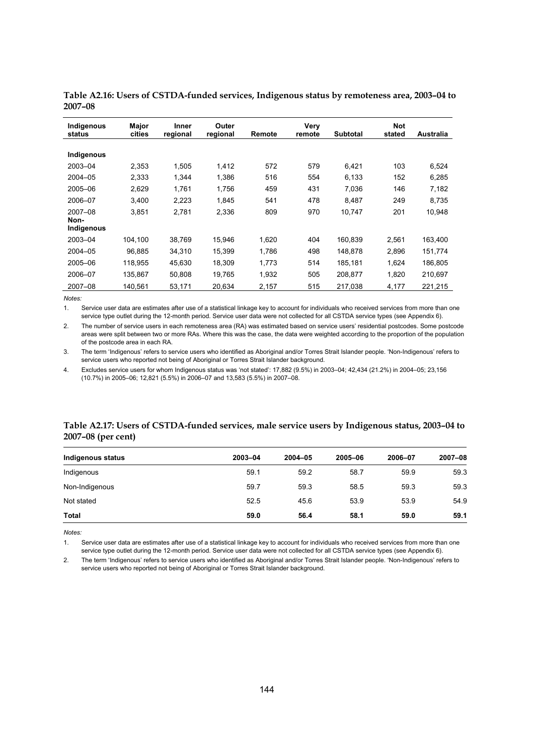| Indigenous<br>status | Major<br>cities | Inner<br>regional | Outer<br>regional | Remote | Very<br>remote | <b>Subtotal</b> | <b>Not</b><br>stated | Australia |
|----------------------|-----------------|-------------------|-------------------|--------|----------------|-----------------|----------------------|-----------|
|                      |                 |                   |                   |        |                |                 |                      |           |
| Indigenous           |                 |                   |                   |        |                |                 |                      |           |
| 2003-04              | 2,353           | 1,505             | 1.412             | 572    | 579            | 6,421           | 103                  | 6,524     |
| 2004-05              | 2.333           | 1.344             | 1.386             | 516    | 554            | 6.133           | 152                  | 6,285     |
| 2005-06              | 2.629           | 1.761             | 1,756             | 459    | 431            | 7.036           | 146                  | 7,182     |
| 2006-07              | 3.400           | 2.223             | 1.845             | 541    | 478            | 8.487           | 249                  | 8.735     |
| 2007-08              | 3,851           | 2,781             | 2,336             | 809    | 970            | 10.747          | 201                  | 10,948    |
| Non-                 |                 |                   |                   |        |                |                 |                      |           |
| Indigenous           |                 |                   |                   |        |                |                 |                      |           |
| 2003-04              | 104.100         | 38.769            | 15.946            | 1.620  | 404            | 160.839         | 2.561                | 163,400   |
| 2004-05              | 96,885          | 34,310            | 15,399            | 1,786  | 498            | 148.878         | 2,896                | 151,774   |
| 2005-06              | 118.955         | 45.630            | 18.309            | 1,773  | 514            | 185.181         | 1.624                | 186.805   |
| 2006-07              | 135.867         | 50.808            | 19.765            | 1,932  | 505            | 208.877         | 1,820                | 210.697   |
| 2007-08              | 140.561         | 53.171            | 20.634            | 2.157  | 515            | 217.038         | 4.177                | 221.215   |

**Table A2.16: Users of CSTDA-funded services, Indigenous status by remoteness area, 2003–04 to 2007–08** 

1. Service user data are estimates after use of a statistical linkage key to account for individuals who received services from more than one service type outlet during the 12-month period. Service user data were not collected for all CSTDA service types (see Appendix 6).

2. The number of service users in each remoteness area (RA) was estimated based on service users' residential postcodes. Some postcode areas were split between two or more RAs. Where this was the case, the data were weighted according to the proportion of the population of the postcode area in each RA.

3. The term 'Indigenous' refers to service users who identified as Aboriginal and/or Torres Strait Islander people. 'Non-Indigenous' refers to service users who reported not being of Aboriginal or Torres Strait Islander background.

4. Excludes service users for whom Indigenous status was 'not stated': 17,882 (9.5%) in 2003–04; 42,434 (21.2%) in 2004–05; 23,156 (10.7%) in 2005–06; 12,821 (5.5%) in 2006–07 and 13,583 (5.5%) in 2007–08.

#### **Table A2.17: Users of CSTDA-funded services, male service users by Indigenous status, 2003–04 to 2007–08 (per cent)**

| Indigenous status | 2003-04 | 2004-05 | 2005-06 | 2006-07 | 2007-08 |
|-------------------|---------|---------|---------|---------|---------|
| Indigenous        | 59.1    | 59.2    | 58.7    | 59.9    | 59.3    |
| Non-Indigenous    | 59.7    | 59.3    | 58.5    | 59.3    | 59.3    |
| Not stated        | 52.5    | 45.6    | 53.9    | 53.9    | 54.9    |
| Total             | 59.0    | 56.4    | 58.1    | 59.0    | 59.1    |

*Notes:* 

1. Service user data are estimates after use of a statistical linkage key to account for individuals who received services from more than one service type outlet during the 12-month period. Service user data were not collected for all CSTDA service types (see Appendix 6).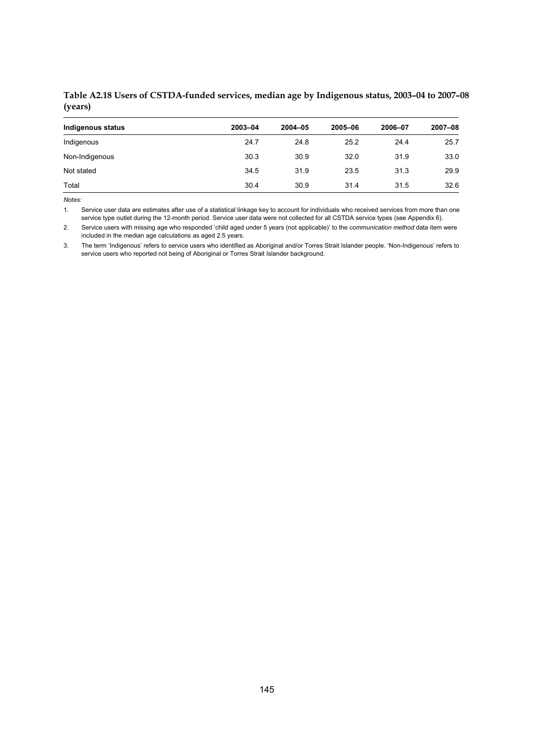#### **Table A2.18 Users of CSTDA-funded services, median age by Indigenous status, 2003–04 to 2007–08 (years)**

| Indigenous status | 2003-04 | $2004 - 05$ | 2005-06 | 2006-07 | 2007-08 |
|-------------------|---------|-------------|---------|---------|---------|
| Indigenous        | 24.7    | 24.8        | 25.2    | 24.4    | 25.7    |
| Non-Indigenous    | 30.3    | 30.9        | 32.0    | 31.9    | 33.0    |
| Not stated        | 34.5    | 31.9        | 23.5    | 31.3    | 29.9    |
| Total             | 30.4    | 30.9        | 31.4    | 31.5    | 32.6    |

*Notes:* 

1. Service user data are estimates after use of a statistical linkage key to account for individuals who received services from more than one service type outlet during the 12-month period. Service user data were not collected for all CSTDA service types (see Appendix 6).

2. Service users with missing age who responded 'child aged under 5 years (not applicable)' to the *communication method* data item were included in the median age calculations as aged 2.5 years.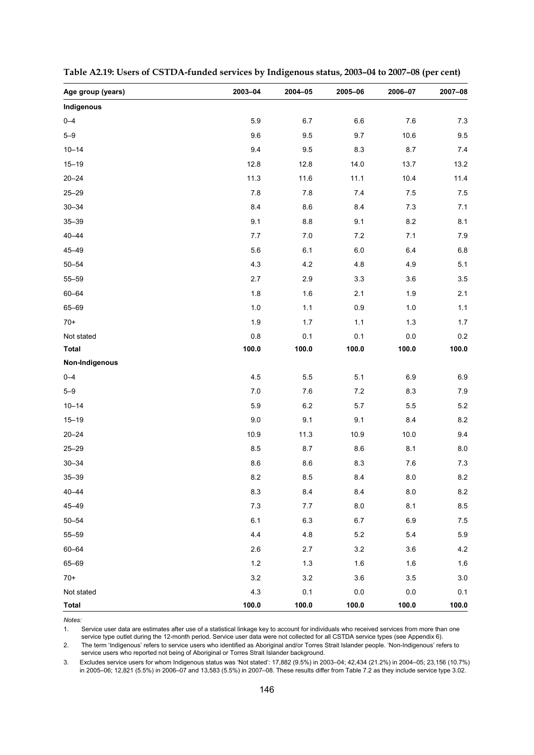| Age group (years) | 2003-04 | 2004-05 | 2005-06 | 2006-07 | 2007-08 |
|-------------------|---------|---------|---------|---------|---------|
| Indigenous        |         |         |         |         |         |
| $0 - 4$           | 5.9     | 6.7     | $6.6\,$ | 7.6     | 7.3     |
| $5 - 9$           | 9.6     | 9.5     | 9.7     | 10.6    | 9.5     |
| $10 - 14$         | 9.4     | 9.5     | 8.3     | 8.7     | 7.4     |
| $15 - 19$         | 12.8    | 12.8    | 14.0    | 13.7    | 13.2    |
| $20 - 24$         | 11.3    | 11.6    | 11.1    | 10.4    | 11.4    |
| $25 - 29$         | $7.8$   | 7.8     | 7.4     | 7.5     | 7.5     |
| $30 - 34$         | 8.4     | 8.6     | 8.4     | $7.3$   | 7.1     |
| $35 - 39$         | 9.1     | $8.8\,$ | 9.1     | 8.2     | 8.1     |
| $40 - 44$         | 7.7     | $7.0\,$ | 7.2     | 7.1     | 7.9     |
| $45 - 49$         | 5.6     | 6.1     | $6.0\,$ | $6.4\,$ | $6.8\,$ |
| $50 - 54$         | 4.3     | 4.2     | 4.8     | 4.9     | 5.1     |
| $55 - 59$         | 2.7     | 2.9     | 3.3     | 3.6     | 3.5     |
| $60 - 64$         | 1.8     | 1.6     | 2.1     | $1.9$   | 2.1     |
| 65-69             | $1.0$   | 1.1     | $0.9\,$ | $1.0$   | $1.1$   |
| $70+$             | 1.9     | 1.7     | 1.1     | $1.3$   | $1.7$   |
| Not stated        | $0.8\,$ | 0.1     | 0.1     | $0.0\,$ | 0.2     |
| <b>Total</b>      | 100.0   | 100.0   | 100.0   | 100.0   | 100.0   |
| Non-Indigenous    |         |         |         |         |         |
| $0 - 4$           | 4.5     | 5.5     | 5.1     | 6.9     | 6.9     |
| $5 - 9$           | 7.0     | 7.6     | 7.2     | 8.3     | 7.9     |
| $10 - 14$         | 5.9     | $6.2\,$ | 5.7     | 5.5     | 5.2     |
| $15 - 19$         | $9.0\,$ | 9.1     | 9.1     | 8.4     | 8.2     |
| $20 - 24$         | 10.9    | 11.3    | 10.9    | 10.0    | 9.4     |
| $25 - 29$         | 8.5     | 8.7     | 8.6     | 8.1     | 8.0     |
| $30 - 34$         | 8.6     | $8.6\,$ | 8.3     | 7.6     | $7.3$   |
| $35 - 39$         | $8.2\,$ | 8.5     | 8.4     | 8.0     | 8.2     |
| $40 - 44$         | 8.3     | 8.4     | 8.4     | 8.0     | 8.2     |
| 45-49             | $7.3$   | 7.7     | $8.0\,$ | 8.1     | 8.5     |
| $50 - 54$         | 6.1     | 6.3     | 6.7     | 6.9     | 7.5     |
| $55 - 59$         | 4.4     | 4.8     | $5.2\,$ | 5.4     | 5.9     |
| $60 - 64$         | 2.6     | 2.7     | 3.2     | 3.6     | 4.2     |
| 65-69             | $1.2$   | $1.3$   | 1.6     | 1.6     | 1.6     |
| $70+$             | 3.2     | $3.2\,$ | $3.6\,$ | $3.5\,$ | $3.0\,$ |
| Not stated        | 4.3     | 0.1     | $0.0\,$ | $0.0\,$ | 0.1     |
| <b>Total</b>      | 100.0   | 100.0   | 100.0   | 100.0   | 100.0   |

**Table A2.19: Users of CSTDA-funded services by Indigenous status, 2003–04 to 2007–08 (per cent)** 

1. Service user data are estimates after use of a statistical linkage key to account for individuals who received services from more than one service type outlet during the 12-month period. Service user data were not collected for all CSTDA service types (see Appendix 6).

2. The term 'Indigenous' refers to service users who identified as Aboriginal and/or Torres Strait Islander people. 'Non-Indigenous' refers to service users who reported not being of Aboriginal or Torres Strait Islander background.

3. Excludes service users for whom Indigenous status was 'Not stated': 17,882 (9.5%) in 2003–04; 42,434 (21.2%) in 2004–05; 23,156 (10.7%) in 2005–06; 12,821 (5.5%) in 2006–07 and 13,583 (5.5%) in 2007–08. These results differ from Table 7.2 as they include service type 3.02.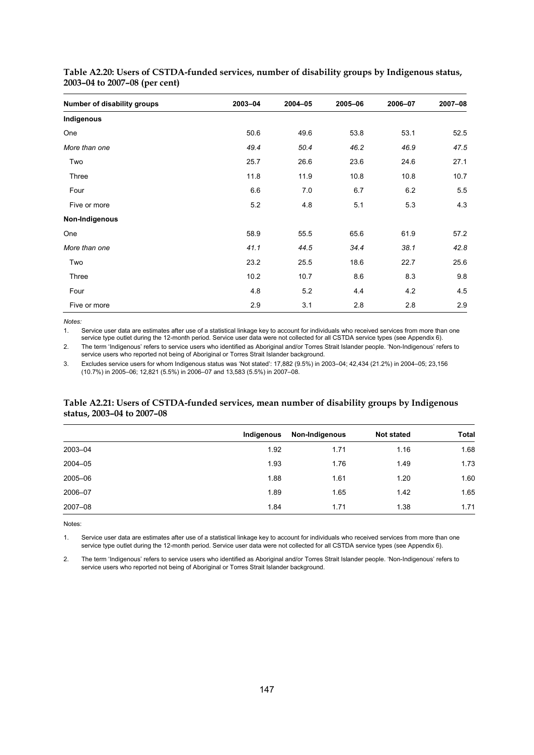| Number of disability groups | 2003-04 | 2004-05 | 2005-06 | 2006-07 | 2007-08 |
|-----------------------------|---------|---------|---------|---------|---------|
| Indigenous                  |         |         |         |         |         |
| One                         | 50.6    | 49.6    | 53.8    | 53.1    | 52.5    |
| More than one               | 49.4    | 50.4    | 46.2    | 46.9    | 47.5    |
| Two                         | 25.7    | 26.6    | 23.6    | 24.6    | 27.1    |
| Three                       | 11.8    | 11.9    | 10.8    | 10.8    | 10.7    |
| Four                        | 6.6     | 7.0     | 6.7     | 6.2     | 5.5     |
| Five or more                | 5.2     | 4.8     | 5.1     | 5.3     | 4.3     |
| Non-Indigenous              |         |         |         |         |         |
| One                         | 58.9    | 55.5    | 65.6    | 61.9    | 57.2    |
| More than one               | 41.1    | 44.5    | 34.4    | 38.1    | 42.8    |
| Two                         | 23.2    | 25.5    | 18.6    | 22.7    | 25.6    |
| Three                       | 10.2    | 10.7    | 8.6     | 8.3     | 9.8     |
| Four                        | 4.8     | 5.2     | 4.4     | 4.2     | 4.5     |
| Five or more                | 2.9     | 3.1     | 2.8     | 2.8     | 2.9     |

**Table A2.20: Users of CSTDA-funded services, number of disability groups by Indigenous status, 2003–04 to 2007–08 (per cent)** 

*Notes:* 

1. Service user data are estimates after use of a statistical linkage key to account for individuals who received services from more than one service type outlet during the 12-month period. Service user data were not collected for all CSTDA service types (see Appendix 6).

2. The term 'Indigenous' refers to service users who identified as Aboriginal and/or Torres Strait Islander people. 'Non-Indigenous' refers to service users who reported not being of Aboriginal or Torres Strait Islander background.

3. Excludes service users for whom Indigenous status was 'Not stated': 17,882 (9.5%) in 2003–04; 42,434 (21.2%) in 2004–05; 23,156 (10.7%) in 2005–06; 12,821 (5.5%) in 2006–07 and 13,583 (5.5%) in 2007–08.

#### **Table A2.21: Users of CSTDA-funded services, mean number of disability groups by Indigenous status, 2003–04 to 2007–08**

|         | Indigenous | Non-Indigenous | <b>Not stated</b> | <b>Total</b> |
|---------|------------|----------------|-------------------|--------------|
| 2003-04 | 1.92       | 1.71           | 1.16              | 1.68         |
| 2004-05 | 1.93       | 1.76           | 1.49              | 1.73         |
| 2005-06 | 1.88       | 1.61           | 1.20              | 1.60         |
| 2006-07 | 1.89       | 1.65           | 1.42              | 1.65         |
| 2007-08 | 1.84       | 1.71           | 1.38              | 1.71         |

Notes:

1. Service user data are estimates after use of a statistical linkage key to account for individuals who received services from more than one service type outlet during the 12-month period. Service user data were not collected for all CSTDA service types (see Appendix 6).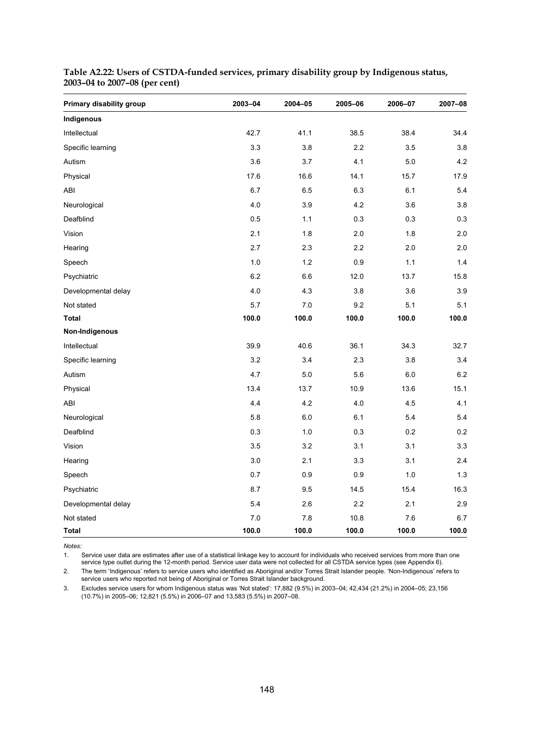| Primary disability group | 2003-04 | 2004-05 | 2005-06 | 2006-07 | 2007-08 |
|--------------------------|---------|---------|---------|---------|---------|
| Indigenous               |         |         |         |         |         |
| Intellectual             | 42.7    | 41.1    | 38.5    | 38.4    | 34.4    |
| Specific learning        | 3.3     | 3.8     | 2.2     | 3.5     | 3.8     |
| Autism                   | 3.6     | 3.7     | 4.1     | 5.0     | 4.2     |
| Physical                 | 17.6    | 16.6    | 14.1    | 15.7    | 17.9    |
| ABI                      | 6.7     | 6.5     | 6.3     | 6.1     | 5.4     |
| Neurological             | 4.0     | 3.9     | 4.2     | 3.6     | 3.8     |
| Deafblind                | 0.5     | 1.1     | 0.3     | 0.3     | 0.3     |
| Vision                   | 2.1     | 1.8     | 2.0     | 1.8     | 2.0     |
| Hearing                  | 2.7     | 2.3     | 2.2     | 2.0     | 2.0     |
| Speech                   | 1.0     | 1.2     | 0.9     | 1.1     | 1.4     |
| Psychiatric              | 6.2     | 6.6     | 12.0    | 13.7    | 15.8    |
| Developmental delay      | 4.0     | 4.3     | 3.8     | 3.6     | 3.9     |
| Not stated               | 5.7     | 7.0     | 9.2     | 5.1     | 5.1     |
| <b>Total</b>             | 100.0   | 100.0   | 100.0   | 100.0   | 100.0   |
| Non-Indigenous           |         |         |         |         |         |
| Intellectual             | 39.9    | 40.6    | 36.1    | 34.3    | 32.7    |
| Specific learning        | 3.2     | 3.4     | 2.3     | 3.8     | 3.4     |
| Autism                   | 4.7     | 5.0     | 5.6     | 6.0     | 6.2     |
| Physical                 | 13.4    | 13.7    | 10.9    | 13.6    | 15.1    |
| ABI                      | 4.4     | 4.2     | 4.0     | 4.5     | 4.1     |
| Neurological             | 5.8     | 6.0     | 6.1     | 5.4     | 5.4     |
| Deafblind                | 0.3     | 1.0     | 0.3     | 0.2     | 0.2     |
| Vision                   | 3.5     | 3.2     | 3.1     | 3.1     | 3.3     |
| Hearing                  | 3.0     | 2.1     | 3.3     | 3.1     | 2.4     |
| Speech                   | 0.7     | 0.9     | 0.9     | 1.0     | 1.3     |
| Psychiatric              | 8.7     | 9.5     | 14.5    | 15.4    | 16.3    |
| Developmental delay      | 5.4     | 2.6     | 2.2     | 2.1     | 2.9     |
| Not stated               | 7.0     | 7.8     | 10.8    | 7.6     | 6.7     |
| Total                    | 100.0   | 100.0   | 100.0   | 100.0   | 100.0   |

#### **Table A2.22: Users of CSTDA-funded services, primary disability group by Indigenous status, 2003–04 to 2007–08 (per cent)**

*Notes:* 

1. Service user data are estimates after use of a statistical linkage key to account for individuals who received services from more than one service type outlet during the 12-month period. Service user data were not collected for all CSTDA service types (see Appendix 6).

2. The term 'Indigenous' refers to service users who identified as Aboriginal and/or Torres Strait Islander people. 'Non-Indigenous' refers to service users who reported not being of Aboriginal or Torres Strait Islander background.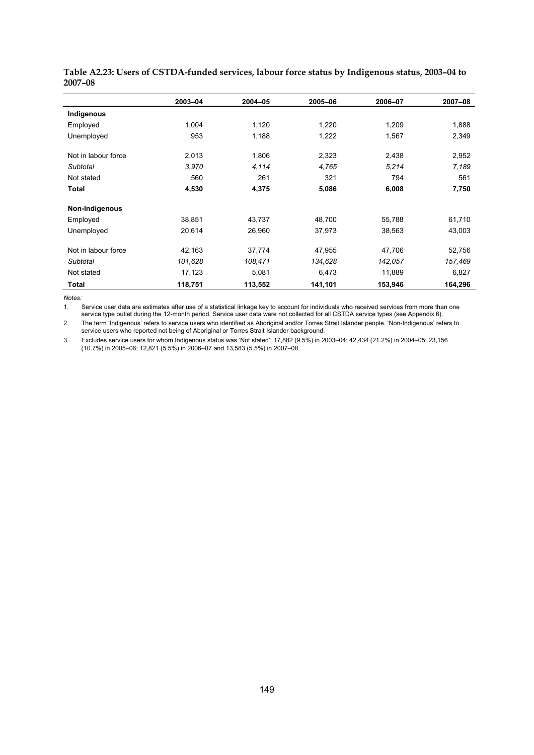|                     | 2003-04 | 2004-05 | 2005-06 | 2006-07 | 2007-08 |
|---------------------|---------|---------|---------|---------|---------|
| Indigenous          |         |         |         |         |         |
| Employed            | 1,004   | 1,120   | 1,220   | 1,209   | 1,888   |
| Unemployed          | 953     | 1,188   | 1,222   | 1,567   | 2,349   |
| Not in labour force | 2,013   | 1,806   | 2,323   | 2,438   | 2,952   |
| Subtotal            | 3,970   | 4,114   | 4,765   | 5,214   | 7,189   |
| Not stated          | 560     | 261     | 321     | 794     | 561     |
| Total               | 4,530   | 4,375   | 5,086   | 6,008   | 7,750   |
| Non-Indigenous      |         |         |         |         |         |
| Employed            | 38,851  | 43,737  | 48,700  | 55,788  | 61,710  |
| Unemployed          | 20,614  | 26,960  | 37,973  | 38,563  | 43,003  |
| Not in labour force | 42,163  | 37,774  | 47,955  | 47,706  | 52,756  |
| Subtotal            | 101,628 | 108,471 | 134,628 | 142,057 | 157,469 |
| Not stated          | 17,123  | 5,081   | 6,473   | 11,889  | 6,827   |
| Total               | 118,751 | 113,552 | 141,101 | 153,946 | 164,296 |

**Table A2.23: Users of CSTDA-funded services, labour force status by Indigenous status, 2003–04 to 2007–08** 

1. Service user data are estimates after use of a statistical linkage key to account for individuals who received services from more than one service type outlet during the 12-month period. Service user data were not collected for all CSTDA service types (see Appendix 6).

2. The term 'Indigenous' refers to service users who identified as Aboriginal and/or Torres Strait Islander people. 'Non-Indigenous' refers to service users who reported not being of Aboriginal or Torres Strait Islander background.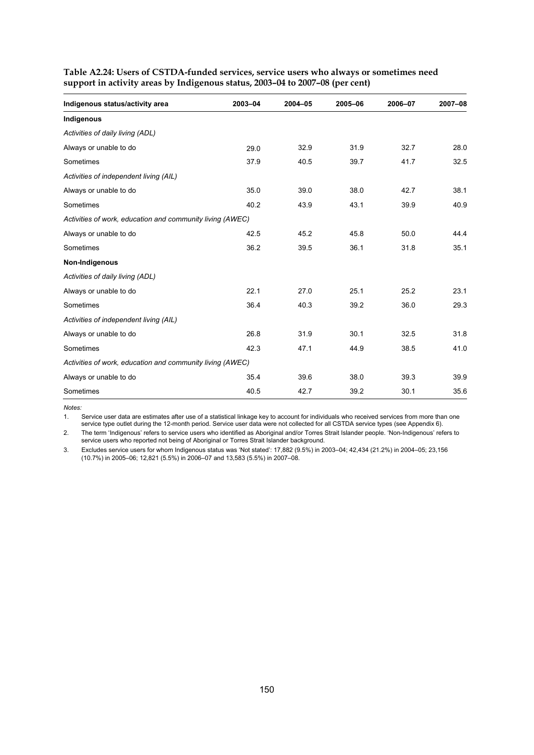| Indigenous status/activity area                           | 2003-04 | 2004-05 | 2005-06 | 2006-07 | 2007-08 |
|-----------------------------------------------------------|---------|---------|---------|---------|---------|
| Indigenous                                                |         |         |         |         |         |
| Activities of daily living (ADL)                          |         |         |         |         |         |
| Always or unable to do                                    | 29.0    | 32.9    | 31.9    | 32.7    | 28.0    |
| Sometimes                                                 | 37.9    | 40.5    | 39.7    | 41.7    | 32.5    |
| Activities of independent living (AIL)                    |         |         |         |         |         |
| Always or unable to do                                    | 35.0    | 39.0    | 38.0    | 42.7    | 38.1    |
| Sometimes                                                 | 40.2    | 43.9    | 43.1    | 39.9    | 40.9    |
| Activities of work, education and community living (AWEC) |         |         |         |         |         |
| Always or unable to do                                    | 42.5    | 45.2    | 45.8    | 50.0    | 44.4    |
| Sometimes                                                 | 36.2    | 39.5    | 36.1    | 31.8    | 35.1    |
| Non-Indigenous                                            |         |         |         |         |         |
| Activities of daily living (ADL)                          |         |         |         |         |         |
| Always or unable to do                                    | 22.1    | 27.0    | 25.1    | 25.2    | 23.1    |
| Sometimes                                                 | 36.4    | 40.3    | 39.2    | 36.0    | 29.3    |
| Activities of independent living (AIL)                    |         |         |         |         |         |
| Always or unable to do                                    | 26.8    | 31.9    | 30.1    | 32.5    | 31.8    |
| Sometimes                                                 | 42.3    | 47.1    | 44.9    | 38.5    | 41.0    |
| Activities of work, education and community living (AWEC) |         |         |         |         |         |
| Always or unable to do                                    | 35.4    | 39.6    | 38.0    | 39.3    | 39.9    |
| Sometimes                                                 | 40.5    | 42.7    | 39.2    | 30.1    | 35.6    |

**Table A2.24: Users of CSTDA-funded services, service users who always or sometimes need support in activity areas by Indigenous status, 2003–04 to 2007–08 (per cent)** 

*Notes:* 

1. Service user data are estimates after use of a statistical linkage key to account for individuals who received services from more than one service type outlet during the 12-month period. Service user data were not collected for all CSTDA service types (see Appendix 6).

2. The term 'Indigenous' refers to service users who identified as Aboriginal and/or Torres Strait Islander people. 'Non-Indigenous' refers to service users who reported not being of Aboriginal or Torres Strait Islander background.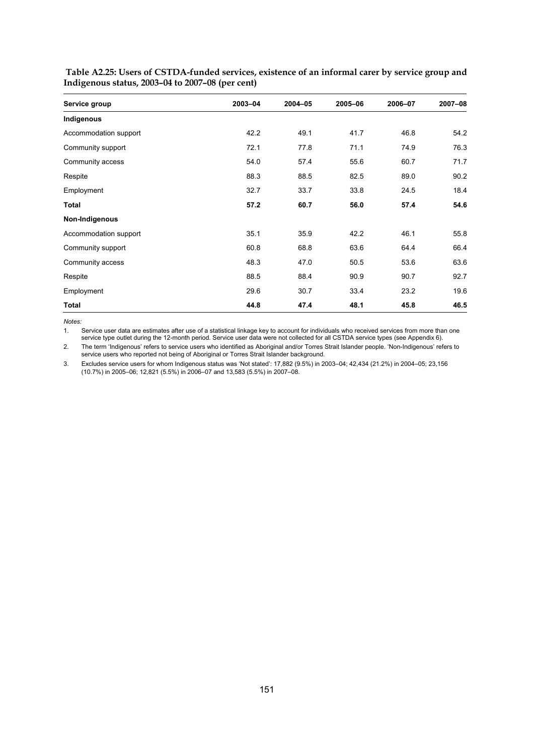| Service group         | 2003-04 | 2004-05 | 2005-06 | 2006-07 | 2007-08 |
|-----------------------|---------|---------|---------|---------|---------|
| Indigenous            |         |         |         |         |         |
| Accommodation support | 42.2    | 49.1    | 41.7    | 46.8    | 54.2    |
| Community support     | 72.1    | 77.8    | 71.1    | 74.9    | 76.3    |
| Community access      | 54.0    | 57.4    | 55.6    | 60.7    | 71.7    |
| Respite               | 88.3    | 88.5    | 82.5    | 89.0    | 90.2    |
| Employment            | 32.7    | 33.7    | 33.8    | 24.5    | 18.4    |
| Total                 | 57.2    | 60.7    | 56.0    | 57.4    | 54.6    |
| Non-Indigenous        |         |         |         |         |         |
| Accommodation support | 35.1    | 35.9    | 42.2    | 46.1    | 55.8    |
| Community support     | 60.8    | 68.8    | 63.6    | 64.4    | 66.4    |
| Community access      | 48.3    | 47.0    | 50.5    | 53.6    | 63.6    |
| Respite               | 88.5    | 88.4    | 90.9    | 90.7    | 92.7    |
| Employment            | 29.6    | 30.7    | 33.4    | 23.2    | 19.6    |
| <b>Total</b>          | 44.8    | 47.4    | 48.1    | 45.8    | 46.5    |

 **Table A2.25: Users of CSTDA-funded services, existence of an informal carer by service group and Indigenous status, 2003–04 to 2007–08 (per cent)** 

*Notes:* 

1. Service user data are estimates after use of a statistical linkage key to account for individuals who received services from more than one service type outlet during the 12-month period. Service user data were not collected for all CSTDA service types (see Appendix 6).

2. The term 'Indigenous' refers to service users who identified as Aboriginal and/or Torres Strait Islander people. 'Non-Indigenous' refers to service users who reported not being of Aboriginal or Torres Strait Islander background.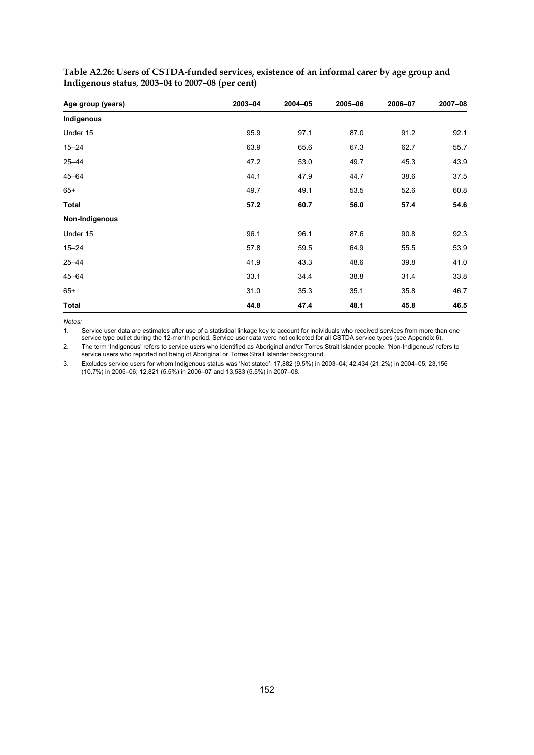| Age group (years) | 2003-04 | 2004-05 | 2005-06 | 2006-07 | 2007-08 |
|-------------------|---------|---------|---------|---------|---------|
| Indigenous        |         |         |         |         |         |
| Under 15          | 95.9    | 97.1    | 87.0    | 91.2    | 92.1    |
| $15 - 24$         | 63.9    | 65.6    | 67.3    | 62.7    | 55.7    |
| $25 - 44$         | 47.2    | 53.0    | 49.7    | 45.3    | 43.9    |
| $45 - 64$         | 44.1    | 47.9    | 44.7    | 38.6    | 37.5    |
| $65+$             | 49.7    | 49.1    | 53.5    | 52.6    | 60.8    |
| Total             | 57.2    | 60.7    | 56.0    | 57.4    | 54.6    |
| Non-Indigenous    |         |         |         |         |         |
| Under 15          | 96.1    | 96.1    | 87.6    | 90.8    | 92.3    |
| $15 - 24$         | 57.8    | 59.5    | 64.9    | 55.5    | 53.9    |
| $25 - 44$         | 41.9    | 43.3    | 48.6    | 39.8    | 41.0    |
| $45 - 64$         | 33.1    | 34.4    | 38.8    | 31.4    | 33.8    |
| $65+$             | 31.0    | 35.3    | 35.1    | 35.8    | 46.7    |
| <b>Total</b>      | 44.8    | 47.4    | 48.1    | 45.8    | 46.5    |

**Table A2.26: Users of CSTDA-funded services, existence of an informal carer by age group and Indigenous status, 2003–04 to 2007–08 (per cent)** 

1. Service user data are estimates after use of a statistical linkage key to account for individuals who received services from more than one service type outlet during the 12-month period. Service user data were not collected for all CSTDA service types (see Appendix 6).

2. The term 'Indigenous' refers to service users who identified as Aboriginal and/or Torres Strait Islander people. 'Non-Indigenous' refers to service users who reported not being of Aboriginal or Torres Strait Islander background.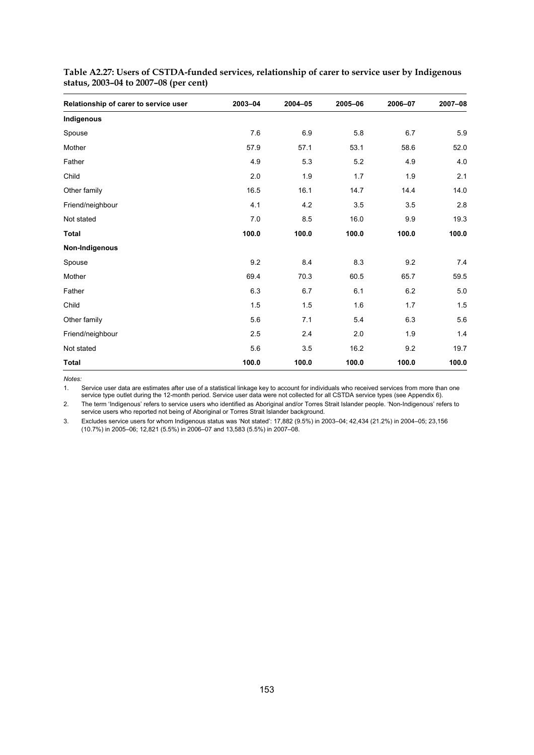| Relationship of carer to service user | 2003-04 | 2004-05 | 2005-06 | 2006-07 | 2007-08 |
|---------------------------------------|---------|---------|---------|---------|---------|
| Indigenous                            |         |         |         |         |         |
| Spouse                                | 7.6     | 6.9     | 5.8     | 6.7     | 5.9     |
| Mother                                | 57.9    | 57.1    | 53.1    | 58.6    | 52.0    |
| Father                                | 4.9     | 5.3     | 5.2     | 4.9     | 4.0     |
| Child                                 | 2.0     | 1.9     | 1.7     | 1.9     | 2.1     |
| Other family                          | 16.5    | 16.1    | 14.7    | 14.4    | 14.0    |
| Friend/neighbour                      | 4.1     | 4.2     | 3.5     | 3.5     | 2.8     |
| Not stated                            | 7.0     | 8.5     | 16.0    | 9.9     | 19.3    |
| <b>Total</b>                          | 100.0   | 100.0   | 100.0   | 100.0   | 100.0   |
| Non-Indigenous                        |         |         |         |         |         |
| Spouse                                | 9.2     | 8.4     | 8.3     | 9.2     | 7.4     |
| Mother                                | 69.4    | 70.3    | 60.5    | 65.7    | 59.5    |
| Father                                | 6.3     | 6.7     | 6.1     | 6.2     | 5.0     |
| Child                                 | 1.5     | 1.5     | 1.6     | 1.7     | 1.5     |
| Other family                          | 5.6     | 7.1     | 5.4     | 6.3     | 5.6     |
| Friend/neighbour                      | 2.5     | 2.4     | 2.0     | 1.9     | 1.4     |
| Not stated                            | 5.6     | 3.5     | 16.2    | 9.2     | 19.7    |
| <b>Total</b>                          | 100.0   | 100.0   | 100.0   | 100.0   | 100.0   |

|                                       | Table A2.27: Users of CSTDA-funded services, relationship of carer to service user by Indigenous |
|---------------------------------------|--------------------------------------------------------------------------------------------------|
| status, 2003–04 to 2007–08 (per cent) |                                                                                                  |

1. Service user data are estimates after use of a statistical linkage key to account for individuals who received services from more than one service type outlet during the 12-month period. Service user data were not collected for all CSTDA service types (see Appendix 6).

2. The term 'Indigenous' refers to service users who identified as Aboriginal and/or Torres Strait Islander people. 'Non-Indigenous' refers to service users who reported not being of Aboriginal or Torres Strait Islander background.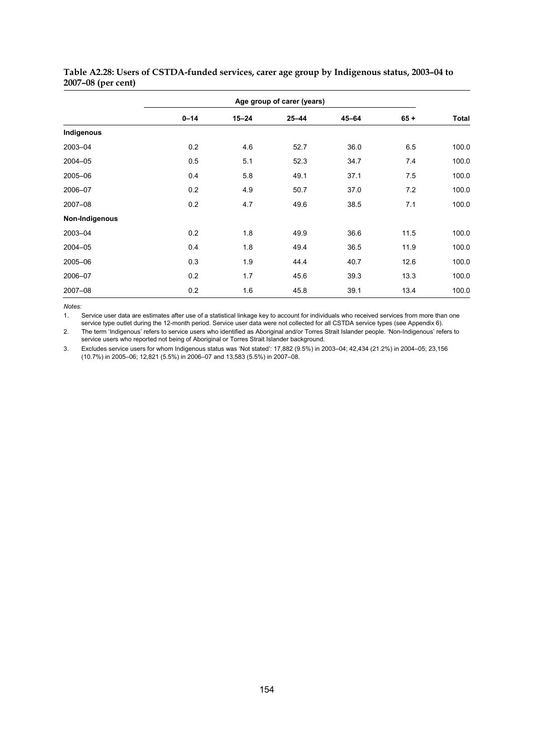|                |          |           | Age group of carer (years) |           |        |              |
|----------------|----------|-----------|----------------------------|-----------|--------|--------------|
|                | $0 - 14$ | $15 - 24$ | $25 - 44$                  | $45 - 64$ | $65 +$ | <b>Total</b> |
| Indigenous     |          |           |                            |           |        |              |
| 2003-04        | 0.2      | 4.6       | 52.7                       | 36.0      | 6.5    | 100.0        |
| 2004-05        | 0.5      | 5.1       | 52.3                       | 34.7      | 7.4    | 100.0        |
| 2005-06        | 0.4      | 5.8       | 49.1                       | 37.1      | 7.5    | 100.0        |
| 2006-07        | 0.2      | 4.9       | 50.7                       | 37.0      | 7.2    | 100.0        |
| 2007-08        | 0.2      | 4.7       | 49.6                       | 38.5      | 7.1    | 100.0        |
| Non-Indigenous |          |           |                            |           |        |              |
| 2003-04        | 0.2      | 1.8       | 49.9                       | 36.6      | 11.5   | 100.0        |
| 2004-05        | 0.4      | 1.8       | 49.4                       | 36.5      | 11.9   | 100.0        |
| 2005-06        | 0.3      | 1.9       | 44.4                       | 40.7      | 12.6   | 100.0        |
| 2006-07        | 0.2      | 1.7       | 45.6                       | 39.3      | 13.3   | 100.0        |
| 2007-08        | 0.2      | 1.6       | 45.8                       | 39.1      | 13.4   | 100.0        |

**Table A2.28: Users of CSTDA-funded services, carer age group by Indigenous status, 2003–04 to 2007–08 (per cent)** 

1. Service user data are estimates after use of a statistical linkage key to account for individuals who received services from more than one service type outlet during the 12-month period. Service user data were not collected for all CSTDA service types (see Appendix 6).

2. The term 'Indigenous' refers to service users who identified as Aboriginal and/or Torres Strait Islander people. 'Non-Indigenous' refers to service users who reported not being of Aboriginal or Torres Strait Islander background.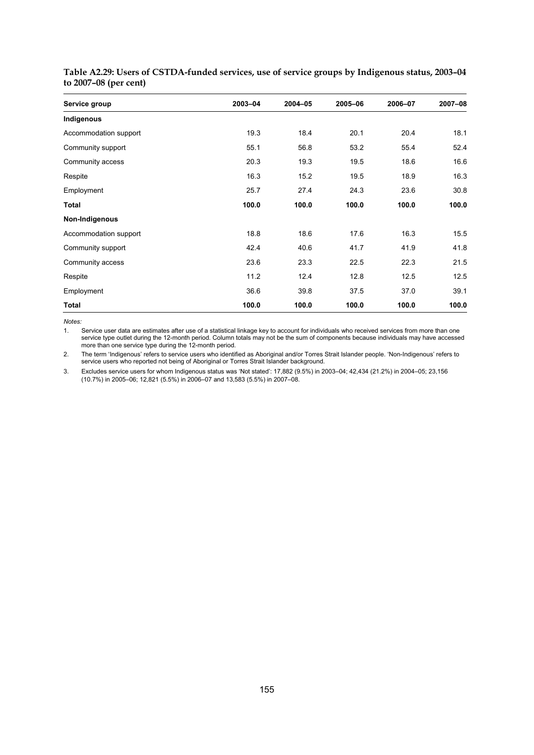| Service group         | 2003-04 | 2004-05 | 2005-06 | 2006-07 | 2007-08 |
|-----------------------|---------|---------|---------|---------|---------|
| Indigenous            |         |         |         |         |         |
| Accommodation support | 19.3    | 18.4    | 20.1    | 20.4    | 18.1    |
| Community support     | 55.1    | 56.8    | 53.2    | 55.4    | 52.4    |
| Community access      | 20.3    | 19.3    | 19.5    | 18.6    | 16.6    |
| Respite               | 16.3    | 15.2    | 19.5    | 18.9    | 16.3    |
| Employment            | 25.7    | 27.4    | 24.3    | 23.6    | 30.8    |
| Total                 | 100.0   | 100.0   | 100.0   | 100.0   | 100.0   |
| Non-Indigenous        |         |         |         |         |         |
| Accommodation support | 18.8    | 18.6    | 17.6    | 16.3    | 15.5    |
| Community support     | 42.4    | 40.6    | 41.7    | 41.9    | 41.8    |
| Community access      | 23.6    | 23.3    | 22.5    | 22.3    | 21.5    |
| Respite               | 11.2    | 12.4    | 12.8    | 12.5    | 12.5    |
| Employment            | 36.6    | 39.8    | 37.5    | 37.0    | 39.1    |
| Total                 | 100.0   | 100.0   | 100.0   | 100.0   | 100.0   |

#### **Table A2.29: Users of CSTDA-funded services, use of service groups by Indigenous status, 2003–04 to 2007–08 (per cent)**

*Notes:* 

1. Service user data are estimates after use of a statistical linkage key to account for individuals who received services from more than one service type outlet during the 12-month period. Column totals may not be the sum of components because individuals may have accessed more than one service type during the 12-month period.

2. The term 'Indigenous' refers to service users who identified as Aboriginal and/or Torres Strait Islander people. 'Non-Indigenous' refers to service users who reported not being of Aboriginal or Torres Strait Islander background.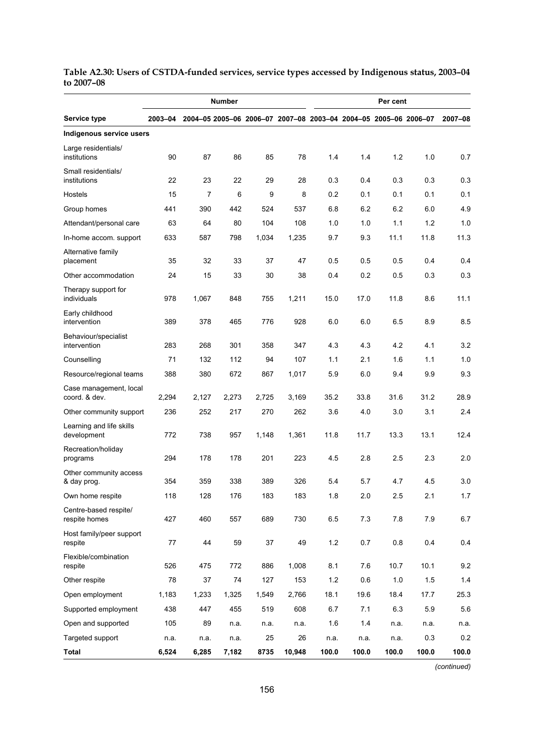|                                         |         |       | Number |       |                                                                 | Per cent |       |       |       |         |
|-----------------------------------------|---------|-------|--------|-------|-----------------------------------------------------------------|----------|-------|-------|-------|---------|
| Service type                            | 2003-04 |       |        |       | 2004-05 2005-06 2006-07 2007-08 2003-04 2004-05 2005-06 2006-07 |          |       |       |       | 2007-08 |
| Indigenous service users                |         |       |        |       |                                                                 |          |       |       |       |         |
| Large residentials/<br>institutions     | 90      | 87    | 86     | 85    | 78                                                              | 1.4      | 1.4   | 1.2   | 1.0   | 0.7     |
| Small residentials/<br>institutions     | 22      | 23    | 22     | 29    | 28                                                              | 0.3      | 0.4   | 0.3   | 0.3   | 0.3     |
| Hostels                                 | 15      | 7     | 6      | 9     | 8                                                               | 0.2      | 0.1   | 0.1   | 0.1   | 0.1     |
| Group homes                             | 441     | 390   | 442    | 524   | 537                                                             | 6.8      | 6.2   | 6.2   | 6.0   | 4.9     |
| Attendant/personal care                 | 63      | 64    | 80     | 104   | 108                                                             | 1.0      | 1.0   | 1.1   | 1.2   | 1.0     |
| In-home accom. support                  | 633     | 587   | 798    | 1,034 | 1,235                                                           | 9.7      | 9.3   | 11.1  | 11.8  | 11.3    |
| Alternative family<br>placement         | 35      | 32    | 33     | 37    | 47                                                              | 0.5      | 0.5   | 0.5   | 0.4   | 0.4     |
| Other accommodation                     | 24      | 15    | 33     | 30    | 38                                                              | 0.4      | 0.2   | 0.5   | 0.3   | 0.3     |
| Therapy support for<br>individuals      | 978     | 1,067 | 848    | 755   | 1,211                                                           | 15.0     | 17.0  | 11.8  | 8.6   | 11.1    |
| Early childhood<br>intervention         | 389     | 378   | 465    | 776   | 928                                                             | 6.0      | 6.0   | 6.5   | 8.9   | 85      |
| Behaviour/specialist<br>intervention    | 283     | 268   | 301    | 358   | 347                                                             | 4.3      | 4.3   | 4.2   | 4.1   | 3.2     |
| Counselling                             | 71      | 132   | 112    | 94    | 107                                                             | 1.1      | 2.1   | 1.6   | 1.1   | 1.0     |
| Resource/regional teams                 | 388     | 380   | 672    | 867   | 1,017                                                           | 5.9      | 6.0   | 9.4   | 9.9   | 9.3     |
| Case management, local<br>coord. & dev. | 2,294   | 2,127 | 2,273  | 2,725 | 3,169                                                           | 35.2     | 33.8  | 31.6  | 31.2  | 28.9    |
| Other community support                 | 236     | 252   | 217    | 270   | 262                                                             | 3.6      | 4.0   | 3.0   | 3.1   | 2.4     |
| Learning and life skills<br>development | 772     | 738   | 957    | 1,148 | 1,361                                                           | 11.8     | 11.7  | 13.3  | 13.1  | 12.4    |
| Recreation/holiday<br>programs          | 294     | 178   | 178    | 201   | 223                                                             | 4.5      | 2.8   | 2.5   | 2.3   | 2.0     |
| Other community access<br>& day prog.   | 354     | 359   | 338    | 389   | 326                                                             | 5.4      | 5.7   | 4.7   | 4.5   | 3.0     |
| Own home respite                        | 118     | 128   | 176    | 183   | 183                                                             | 1.8      | 2.0   | 2.5   | 2.1   | 1.7     |
| Centre-based respite/<br>respite homes  | 427     | 460   | 557    | 689   | 730                                                             | 6.5      | 7.3   | 7.8   | 7.9   | 6.7     |
| Host family/peer support<br>respite     | 77      | 44    | 59     | 37    | 49                                                              | 1.2      | 0.7   | 0.8   | 0.4   | 0.4     |
| Flexible/combination<br>respite         | 526     | 475   | 772    | 886   | 1,008                                                           | 8.1      | 7.6   | 10.7  | 10.1  | 9.2     |
| Other respite                           | 78      | 37    | 74     | 127   | 153                                                             | 1.2      | 0.6   | 1.0   | 1.5   | 1.4     |
| Open employment                         | 1,183   | 1,233 | 1,325  | 1,549 | 2,766                                                           | 18.1     | 19.6  | 18.4  | 17.7  | 25.3    |
| Supported employment                    | 438     | 447   | 455    | 519   | 608                                                             | 6.7      | 7.1   | 6.3   | 5.9   | 5.6     |
| Open and supported                      | 105     | 89    | n.a.   | n.a.  | n.a.                                                            | 1.6      | 1.4   | n.a.  | n.a.  | n.a.    |
| Targeted support                        | n.a.    | n.a.  | n.a.   | 25    | 26                                                              | n.a.     | n.a.  | n.a.  | 0.3   | 0.2     |
| <b>Total</b>                            | 6,524   | 6,285 | 7,182  | 8735  | 10,948                                                          | 100.0    | 100.0 | 100.0 | 100.0 | 100.0   |

**Table A2.30: Users of CSTDA-funded services, service types accessed by Indigenous status, 2003–04 to 2007–08** 

*(continued)*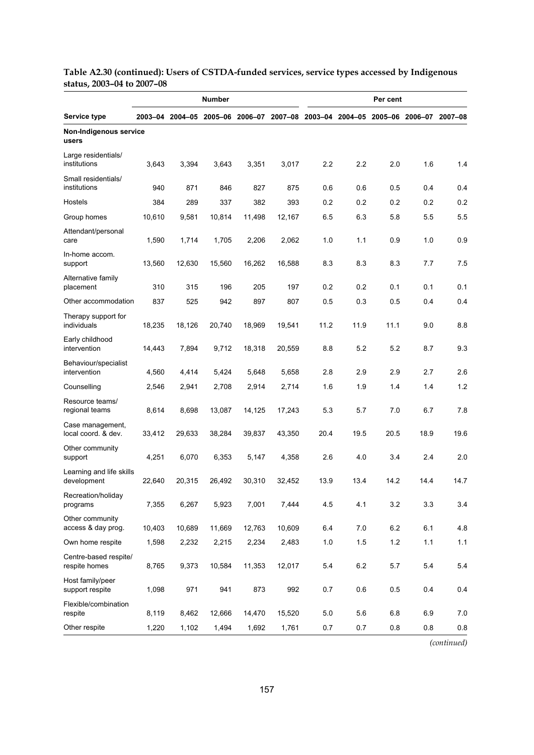|                                         |        |                                                                                 | <b>Number</b> | Per cent |        |         |         |         |      |         |  |  |
|-----------------------------------------|--------|---------------------------------------------------------------------------------|---------------|----------|--------|---------|---------|---------|------|---------|--|--|
| Service type                            |        | 2003-04 2004-05 2005-06 2006-07 2007-08 2003-04 2004-05 2005-06 2006-07 2007-08 |               |          |        |         |         |         |      |         |  |  |
| Non-Indigenous service<br>users         |        |                                                                                 |               |          |        |         |         |         |      |         |  |  |
| Large residentials/<br>institutions     | 3,643  | 3,394                                                                           | 3,643         | 3,351    | 3,017  | 2.2     | 2.2     | 2.0     | 1.6  | 1.4     |  |  |
| Small residentials/<br>institutions     | 940    | 871                                                                             | 846           | 827      | 875    | 0.6     | 0.6     | 0.5     | 0.4  | 0.4     |  |  |
| Hostels                                 | 384    | 289                                                                             | 337           | 382      | 393    | 0.2     | 0.2     | 0.2     | 0.2  | 0.2     |  |  |
| Group homes                             | 10,610 | 9,581                                                                           | 10,814        | 11,498   | 12,167 | 6.5     | 6.3     | 5.8     | 55   | 5.5     |  |  |
| Attendant/personal<br>care              | 1,590  | 1,714                                                                           | 1,705         | 2,206    | 2,062  | 1.0     | 1.1     | 0.9     | 1.0  | 0.9     |  |  |
| In-home accom.<br>support               | 13,560 | 12,630                                                                          | 15,560        | 16,262   | 16,588 | 8.3     | 8.3     | 8.3     | 7.7  | 7.5     |  |  |
| Alternative family<br>placement         | 310    | 315                                                                             | 196           | 205      | 197    | 0.2     | 0.2     | 0.1     | 0.1  | 0.1     |  |  |
| Other accommodation                     | 837    | 525                                                                             | 942           | 897      | 807    | 0.5     | 0.3     | 0.5     | 0.4  | 0.4     |  |  |
| Therapy support for<br>individuals      | 18,235 | 18,126                                                                          | 20,740        | 18,969   | 19,541 | 11.2    | 11.9    | 11.1    | 9.0  | 8.8     |  |  |
| Early childhood<br>intervention         | 14,443 | 7,894                                                                           | 9,712         | 18,318   | 20,559 | 8.8     | 5.2     | 5.2     | 8.7  | 9.3     |  |  |
| Behaviour/specialist<br>intervention    | 4,560  | 4,414                                                                           | 5,424         | 5,648    | 5,658  | 2.8     | 2.9     | 2.9     | 2.7  | 2.6     |  |  |
| Counselling                             | 2,546  | 2,941                                                                           | 2,708         | 2,914    | 2,714  | 1.6     | 1.9     | 1.4     | 1.4  | 1.2     |  |  |
| Resource teams/<br>regional teams       | 8,614  | 8,698                                                                           | 13,087        | 14,125   | 17,243 | 5.3     | 5.7     | 7.0     | 6.7  | 7.8     |  |  |
| Case management,<br>local coord. & dev. | 33,412 | 29,633                                                                          | 38,284        | 39,837   | 43,350 | 20.4    | 19.5    | 20.5    | 18.9 | 19.6    |  |  |
| Other community<br>support              | 4,251  | 6,070                                                                           | 6,353         | 5,147    | 4,358  | 2.6     | 4.0     | 3.4     | 2.4  | 2.0     |  |  |
| Learning and life skills<br>development | 22,640 | 20,315                                                                          | 26,492        | 30,310   | 32,452 | 13.9    | 13.4    | 14.2    | 14.4 | 14.7    |  |  |
| Recreation/holiday<br>programs          | 7,355  | 6,267                                                                           | 5,923         | 7,001    | 7,444  | 4.5     | 4.1     | 3.2     | 3.3  | 3.4     |  |  |
| Other community<br>access & day prog.   | 10,403 | 10,689                                                                          | 11,669        | 12,763   | 10,609 | 6.4     | 7.0     | 6.2     | 6.1  | 4.8     |  |  |
| Own home respite                        | 1,598  | 2,232                                                                           | 2,215         | 2,234    | 2,483  | $1.0\,$ | 1.5     | $1.2\,$ | 1.1  | 1.1     |  |  |
| Centre-based respite/<br>respite homes  | 8,765  | 9,373                                                                           | 10,584        | 11,353   | 12,017 | 5.4     | $6.2\,$ | 5.7     | 5.4  | 5.4     |  |  |
| Host family/peer<br>support respite     | 1,098  | 971                                                                             | 941           | 873      | 992    | 0.7     | 0.6     | 0.5     | 0.4  | 0.4     |  |  |
| Flexible/combination<br>respite         | 8,119  | 8,462                                                                           | 12,666        | 14,470   | 15,520 | 5.0     | 5.6     | 6.8     | 6.9  | 7.0     |  |  |
| Other respite                           | 1,220  | 1,102                                                                           | 1,494         | 1,692    | 1,761  | 0.7     | 0.7     | 0.8     | 0.8  | $0.8\,$ |  |  |

### **Table A2.30 (continued): Users of CSTDA-funded services, service types accessed by Indigenous status, 2003–04 to 2007–08**

*(continued)*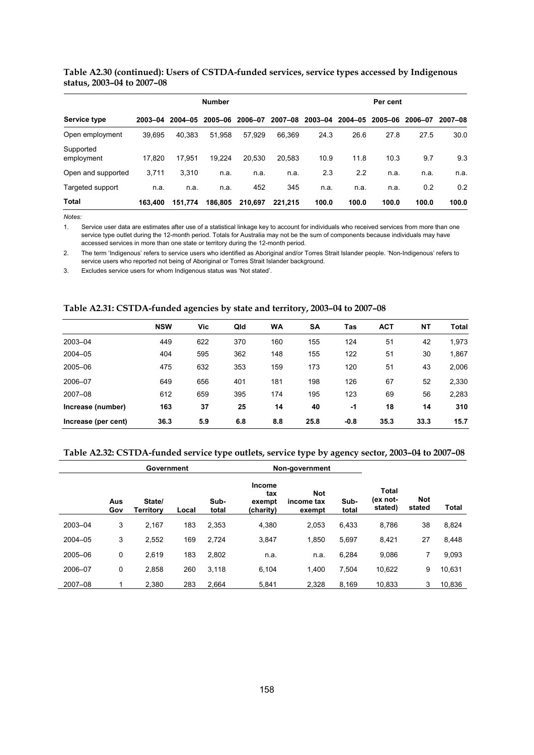|                            | Table A2.30 (continued): Users of CSTDA-funded services, service types accessed by Indigenous |  |  |
|----------------------------|-----------------------------------------------------------------------------------------------|--|--|
| status, 2003–04 to 2007–08 |                                                                                               |  |  |

|                         |         |             | <b>Number</b> |         |             |         |         | Per cent |         |         |
|-------------------------|---------|-------------|---------------|---------|-------------|---------|---------|----------|---------|---------|
| Service type            | 2003-04 | $2004 - 05$ | 2005-06       | 2006-07 | $2007 - 08$ | 2003-04 | 2004-05 | 2005-06  | 2006-07 | 2007-08 |
| Open employment         | 39.695  | 40.383      | 51.958        | 57.929  | 66.369      | 24.3    | 26.6    | 27.8     | 27.5    | 30.0    |
| Supported<br>employment | 17.820  | 17.951      | 19.224        | 20.530  | 20.583      | 10.9    | 11.8    | 10.3     | 9.7     | 9.3     |
| Open and supported      | 3.711   | 3.310       | n.a.          | n.a.    | n.a.        | 2.3     | 2.2     | n.a.     | n.a.    | n.a.    |
| Targeted support        | n.a.    | n.a.        | n.a.          | 452     | 345         | n.a.    | n.a.    | n.a.     | 0.2     | 0.2     |
| Total                   | 163.400 | 151.774     | 186.805       | 210.697 | 221.215     | 100.0   | 100.0   | 100.0    | 100.0   | 100.0   |

1. Service user data are estimates after use of a statistical linkage key to account for individuals who received services from more than one service type outlet during the 12-month period. Totals for Australia may not be the sum of components because individuals may have accessed services in more than one state or territory during the 12-month period.

2. The term 'Indigenous' refers to service users who identified as Aboriginal and/or Torres Strait Islander people. 'Non-Indigenous' refers to service users who reported not being of Aboriginal or Torres Strait Islander background.

3. Excludes service users for whom Indigenous status was 'Not stated'.

#### **Table A2.31: CSTDA-funded agencies by state and territory, 2003–04 to 2007–08**

|                     | <b>NSW</b> | Vic | Qld | <b>WA</b> | <b>SA</b> | Tas    | <b>ACT</b> | <b>NT</b> | Total |
|---------------------|------------|-----|-----|-----------|-----------|--------|------------|-----------|-------|
| 2003-04             | 449        | 622 | 370 | 160       | 155       | 124    | 51         | 42        | 1,973 |
| 2004-05             | 404        | 595 | 362 | 148       | 155       | 122    | 51         | 30        | 1,867 |
| 2005-06             | 475        | 632 | 353 | 159       | 173       | 120    | 51         | 43        | 2,006 |
| 2006-07             | 649        | 656 | 401 | 181       | 198       | 126    | 67         | 52        | 2,330 |
| 2007-08             | 612        | 659 | 395 | 174       | 195       | 123    | 69         | 56        | 2,283 |
| Increase (number)   | 163        | 37  | 25  | 14        | 40        | -1     | 18         | 14        | 310   |
| Increase (per cent) | 36.3       | 5.9 | 6.8 | 8.8       | 25.8      | $-0.8$ | 35.3       | 33.3      | 15.7  |

#### **Table A2.32: CSTDA-funded service type outlets, service type by agency sector, 2003–04 to 2007–08**

|         | Government |                     |       |               | Non-government                              |                                    |               |                                     |                      |              |
|---------|------------|---------------------|-------|---------------|---------------------------------------------|------------------------------------|---------------|-------------------------------------|----------------------|--------------|
|         | Aus<br>Gov | State/<br>Territorv | Local | Sub-<br>total | <b>Income</b><br>tax<br>exempt<br>(charity) | <b>Not</b><br>income tax<br>exempt | Sub-<br>total | <b>Total</b><br>(ex not-<br>stated) | <b>Not</b><br>stated | <b>Total</b> |
| 2003-04 | 3          | 2,167               | 183   | 2,353         | 4,380                                       | 2,053                              | 6,433         | 8,786                               | 38                   | 8,824        |
| 2004-05 | 3          | 2,552               | 169   | 2,724         | 3,847                                       | 1,850                              | 5,697         | 8,421                               | 27                   | 8,448        |
| 2005-06 | 0          | 2,619               | 183   | 2,802         | n.a.                                        | n.a.                               | 6,284         | 9,086                               | 7                    | 9,093        |
| 2006-07 | 0          | 2,858               | 260   | 3,118         | 6.104                                       | 1.400                              | 7,504         | 10,622                              | 9                    | 10,631       |
| 2007-08 |            | 2,380               | 283   | 2,664         | 5.841                                       | 2,328                              | 8.169         | 10,833                              | 3                    | 10,836       |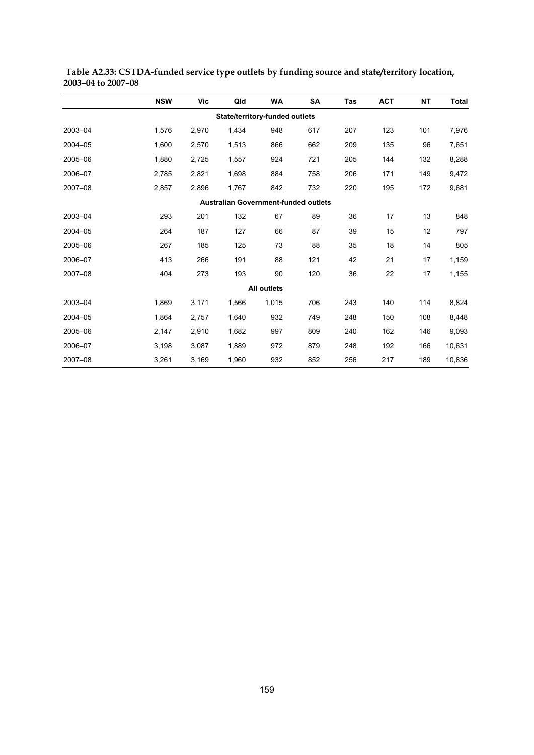|         | <b>NSW</b> | Vic   | Qld                                  | <b>WA</b>          | SA  | Tas | <b>ACT</b> | <b>NT</b> | <b>Total</b> |
|---------|------------|-------|--------------------------------------|--------------------|-----|-----|------------|-----------|--------------|
|         |            |       | State/territory-funded outlets       |                    |     |     |            |           |              |
| 2003-04 | 1,576      | 2,970 | 1,434                                | 948                | 617 | 207 | 123        | 101       | 7,976        |
| 2004-05 | 1,600      | 2,570 | 1,513                                | 866                | 662 | 209 | 135        | 96        | 7,651        |
| 2005-06 | 1,880      | 2,725 | 1,557                                | 924                | 721 | 205 | 144        | 132       | 8,288        |
| 2006-07 | 2,785      | 2,821 | 1,698                                | 884                | 758 | 206 | 171        | 149       | 9,472        |
| 2007-08 | 2,857      | 2,896 | 1,767                                | 842                | 732 | 220 | 195        | 172       | 9,681        |
|         |            |       | Australian Government-funded outlets |                    |     |     |            |           |              |
| 2003-04 | 293        | 201   | 132                                  | 67                 | 89  | 36  | 17         | 13        | 848          |
| 2004-05 | 264        | 187   | 127                                  | 66                 | 87  | 39  | 15         | $12 \,$   | 797          |
| 2005-06 | 267        | 185   | 125                                  | 73                 | 88  | 35  | 18         | 14        | 805          |
| 2006-07 | 413        | 266   | 191                                  | 88                 | 121 | 42  | 21         | 17        | 1,159        |
| 2007-08 | 404        | 273   | 193                                  | 90                 | 120 | 36  | 22         | 17        | 1,155        |
|         |            |       |                                      | <b>All outlets</b> |     |     |            |           |              |
| 2003-04 | 1,869      | 3,171 | 1,566                                | 1,015              | 706 | 243 | 140        | 114       | 8,824        |
| 2004-05 | 1,864      | 2,757 | 1,640                                | 932                | 749 | 248 | 150        | 108       | 8,448        |
| 2005-06 | 2,147      | 2,910 | 1,682                                | 997                | 809 | 240 | 162        | 146       | 9,093        |
| 2006-07 | 3,198      | 3,087 | 1,889                                | 972                | 879 | 248 | 192        | 166       | 10,631       |
| 2007-08 | 3,261      | 3,169 | 1,960                                | 932                | 852 | 256 | 217        | 189       | 10,836       |

 **Table A2.33: CSTDA-funded service type outlets by funding source and state/territory location, 2003–04 to 2007–08**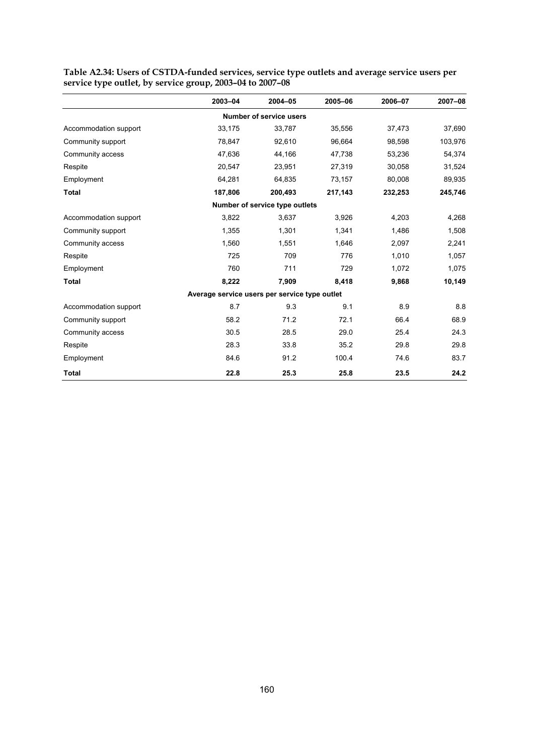|                       | 2003-04                                       | 2004-05                        | 2005-06 | 2006-07 | 2007-08 |
|-----------------------|-----------------------------------------------|--------------------------------|---------|---------|---------|
|                       |                                               | <b>Number of service users</b> |         |         |         |
| Accommodation support | 33,175                                        | 33,787                         | 35,556  | 37,473  | 37,690  |
| Community support     | 78,847                                        | 92,610                         | 96,664  | 98,598  | 103,976 |
| Community access      | 47,636                                        | 44,166                         | 47,738  | 53,236  | 54,374  |
| Respite               | 20,547                                        | 23,951                         | 27,319  | 30,058  | 31,524  |
| Employment            | 64,281                                        | 64,835                         | 73,157  | 80,008  | 89,935  |
| <b>Total</b>          | 187,806                                       | 200.493                        | 217,143 | 232,253 | 245,746 |
|                       |                                               | Number of service type outlets |         |         |         |
| Accommodation support | 3,822                                         | 3,637                          | 3,926   | 4,203   | 4,268   |
| Community support     | 1,355                                         | 1,301                          | 1,341   | 1,486   | 1,508   |
| Community access      | 1,560                                         | 1,551                          | 1,646   | 2,097   | 2,241   |
| Respite               | 725                                           | 709                            | 776     | 1,010   | 1,057   |
| Employment            | 760                                           | 711                            | 729     | 1,072   | 1,075   |
| <b>Total</b>          | 8,222                                         | 7,909                          | 8,418   | 9,868   | 10,149  |
|                       | Average service users per service type outlet |                                |         |         |         |
| Accommodation support | 8.7                                           | 9.3                            | 9.1     | 8.9     | 8.8     |
| Community support     | 58.2                                          | 71.2                           | 72.1    | 66.4    | 68.9    |
| Community access      | 30.5                                          | 28.5                           | 29.0    | 25.4    | 24.3    |
| Respite               | 28.3                                          | 33.8                           | 35.2    | 29.8    | 29.8    |
| Employment            | 84.6                                          | 91.2                           | 100.4   | 74.6    | 83.7    |
| <b>Total</b>          | 22.8                                          | 25.3                           | 25.8    | 23.5    | 24.2    |

**Table A2.34: Users of CSTDA-funded services, service type outlets and average service users per service type outlet, by service group, 2003–04 to 2007–08**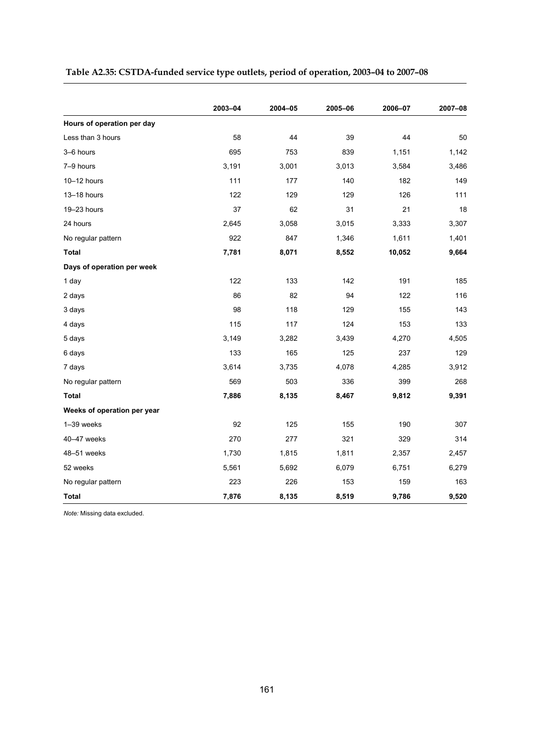|                             | 2003-04 | 2004-05 | 2005-06 | 2006-07 | 2007-08 |
|-----------------------------|---------|---------|---------|---------|---------|
| Hours of operation per day  |         |         |         |         |         |
| Less than 3 hours           | 58      | 44      | 39      | 44      | 50      |
| 3-6 hours                   | 695     | 753     | 839     | 1,151   | 1,142   |
| 7-9 hours                   | 3,191   | 3,001   | 3,013   | 3,584   | 3,486   |
| 10-12 hours                 | 111     | 177     | 140     | 182     | 149     |
| 13-18 hours                 | 122     | 129     | 129     | 126     | 111     |
| 19-23 hours                 | 37      | 62      | 31      | 21      | 18      |
| 24 hours                    | 2,645   | 3.058   | 3,015   | 3,333   | 3,307   |
| No regular pattern          | 922     | 847     | 1,346   | 1,611   | 1,401   |
| <b>Total</b>                | 7,781   | 8,071   | 8,552   | 10,052  | 9,664   |
| Days of operation per week  |         |         |         |         |         |
| 1 day                       | 122     | 133     | 142     | 191     | 185     |
| 2 days                      | 86      | 82      | 94      | 122     | 116     |
| 3 days                      | 98      | 118     | 129     | 155     | 143     |
| 4 days                      | 115     | 117     | 124     | 153     | 133     |
| 5 days                      | 3,149   | 3,282   | 3,439   | 4,270   | 4,505   |
| 6 days                      | 133     | 165     | 125     | 237     | 129     |
| 7 days                      | 3,614   | 3,735   | 4,078   | 4,285   | 3,912   |
| No regular pattern          | 569     | 503     | 336     | 399     | 268     |
| Total                       | 7,886   | 8,135   | 8,467   | 9,812   | 9,391   |
| Weeks of operation per year |         |         |         |         |         |
| 1-39 weeks                  | 92      | 125     | 155     | 190     | 307     |
| 40-47 weeks                 | 270     | 277     | 321     | 329     | 314     |
| 48-51 weeks                 | 1,730   | 1,815   | 1,811   | 2,357   | 2,457   |
| 52 weeks                    | 5,561   | 5,692   | 6,079   | 6,751   | 6,279   |
| No regular pattern          | 223     | 226     | 153     | 159     | 163     |
| Total                       | 7,876   | 8,135   | 8,519   | 9,786   | 9,520   |

# **Table A2.35: CSTDA-funded service type outlets, period of operation, 2003–04 to 2007–08**

*Note:* Missing data excluded.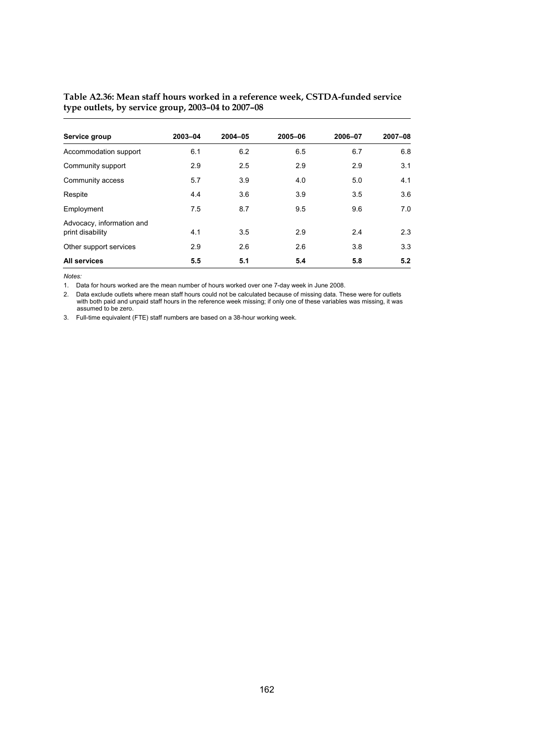| Service group                                 | 2003-04 | $2004 - 05$ | 2005-06 | 2006-07 | 2007-08 |
|-----------------------------------------------|---------|-------------|---------|---------|---------|
| Accommodation support                         | 6.1     | 6.2         | 6.5     | 6.7     | 6.8     |
| Community support                             | 2.9     | 2.5         | 2.9     | 2.9     | 3.1     |
| Community access                              | 5.7     | 3.9         | 4.0     | 5.0     | 4.1     |
| Respite                                       | 4.4     | 3.6         | 3.9     | 3.5     | 3.6     |
| Employment                                    | 7.5     | 8.7         | 9.5     | 9.6     | 7.0     |
| Advocacy, information and<br>print disability | 4.1     | 3.5         | 2.9     | 2.4     | 2.3     |
| Other support services                        | 2.9     | 2.6         | 2.6     | 3.8     | 3.3     |
| All services                                  | 5.5     | 5.1         | 5.4     | 5.8     | 5.2     |

#### **Table A2.36: Mean staff hours worked in a reference week, CSTDA-funded service type outlets, by service group, 2003–04 to 2007–08**

*Notes:* 

1. Data for hours worked are the mean number of hours worked over one 7-day week in June 2008.

2. Data exclude outlets where mean staff hours could not be calculated because of missing data. These were for outlets with both paid and unpaid staff hours in the reference week missing; if only one of these variables was missing, it was assumed to be zero.

3. Full-time equivalent (FTE) staff numbers are based on a 38-hour working week.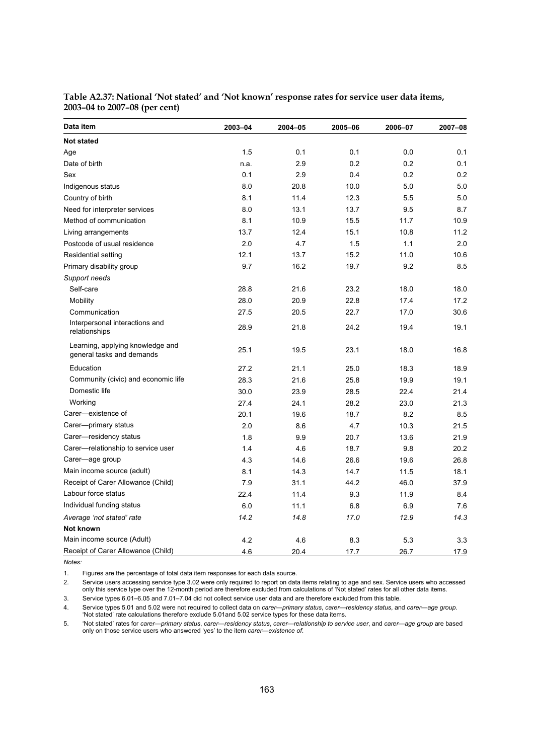| Data item                                                     | 2003-04 | 2004-05 | 2005-06 | 2006-07 | 2007-08 |
|---------------------------------------------------------------|---------|---------|---------|---------|---------|
| <b>Not stated</b>                                             |         |         |         |         |         |
| Age                                                           | 1.5     | 0.1     | 0.1     | 0.0     | 0.1     |
| Date of birth                                                 | n.a.    | 2.9     | 0.2     | 0.2     | 0.1     |
| Sex                                                           | 0.1     | 2.9     | 0.4     | 0.2     | 0.2     |
| Indigenous status                                             | 8.0     | 20.8    | 10.0    | 5.0     | 5.0     |
| Country of birth                                              | 8.1     | 11.4    | 12.3    | 5.5     | 5.0     |
| Need for interpreter services                                 | 8.0     | 13.1    | 13.7    | 9.5     | 8.7     |
| Method of communication                                       | 8.1     | 10.9    | 15.5    | 11.7    | 10.9    |
| Living arrangements                                           | 13.7    | 12.4    | 15.1    | 10.8    | 11.2    |
| Postcode of usual residence                                   | 2.0     | 4.7     | 1.5     | 1.1     | 2.0     |
| Residential setting                                           | 12.1    | 13.7    | 15.2    | 11.0    | 10.6    |
| Primary disability group                                      | 9.7     | 16.2    | 19.7    | 9.2     | 8.5     |
| Support needs                                                 |         |         |         |         |         |
| Self-care                                                     | 28.8    | 21.6    | 23.2    | 18.0    | 18.0    |
| Mobility                                                      | 28.0    | 20.9    | 22.8    | 17.4    | 17.2    |
| Communication                                                 | 27.5    | 20.5    | 22.7    | 17.0    | 30.6    |
| Interpersonal interactions and<br>relationships               | 28.9    | 21.8    | 24.2    | 19.4    | 19.1    |
| Learning, applying knowledge and<br>general tasks and demands | 25.1    | 19.5    | 23.1    | 18.0    | 16.8    |
| Education                                                     | 27.2    | 21.1    | 25.0    | 18.3    | 18.9    |
| Community (civic) and economic life                           | 28.3    | 21.6    | 25.8    | 19.9    | 19.1    |
| Domestic life                                                 | 30.0    | 23.9    | 28.5    | 22.4    | 21.4    |
| Working                                                       | 27.4    | 24.1    | 28.2    | 23.0    | 21.3    |
| Carer-existence of                                            | 20.1    | 19.6    | 18.7    | 8.2     | 8.5     |
| Carer-primary status                                          | 2.0     | 8.6     | 4.7     | 10.3    | 21.5    |
| Carer-residency status                                        | 1.8     | 9.9     | 20.7    | 13.6    | 21.9    |
| Carer-relationship to service user                            | 1.4     | 4.6     | 18.7    | 9.8     | 20.2    |
| Carer-age group                                               | 4.3     | 14.6    | 26.6    | 19.6    | 26.8    |
| Main income source (adult)                                    | 8.1     | 14.3    | 14.7    | 11.5    | 18.1    |
| Receipt of Carer Allowance (Child)                            | 7.9     | 31.1    | 44.2    | 46.0    | 37.9    |
| Labour force status                                           | 22.4    | 11.4    | 9.3     | 11.9    | 8.4     |
| Individual funding status                                     | 6.0     | 11.1    | 6.8     | 6.9     | 7.6     |
| Average 'not stated' rate                                     | 14.2    | 14.8    | 17.0    | 12.9    | 14.3    |
| Not known                                                     |         |         |         |         |         |
| Main income source (Adult)                                    | 4.2     | 4.6     | 8.3     | 5.3     | 3.3     |
| Receipt of Carer Allowance (Child)                            | 4.6     | 20.4    | 17.7    | 26.7    | 17.9    |

#### **Table A2.37: National 'Not stated' and 'Not known' response rates for service user data items, 2003–04 to 2007–08 (per cent)**

*Notes:* 

1. Figures are the percentage of total data item responses for each data source.

2. Service users accessing service type 3.02 were only required to report on data items relating to age and sex. Service users who accessed only this service type over the 12-month period are therefore excluded from calculations of 'Not stated' rates for all other data items.

3. Service types 6.01–6.05 and 7.01–7.04 did not collect service user data and are therefore excluded from this table.

4. Service types 5.01 and 5.02 were not required to collect data on *carer—primary status*, *carer—residency status*, and *carer—age group*. 'Not stated' rate calculations therefore exclude 5.01and 5.02 service types for these data items.

5. 'Not stated' rates for *carer—primary status*, *carer—residency status*, *carer—relationship to service user*, and *carer—age group* are based only on those service users who answered 'yes' to the item *carer—existence of*.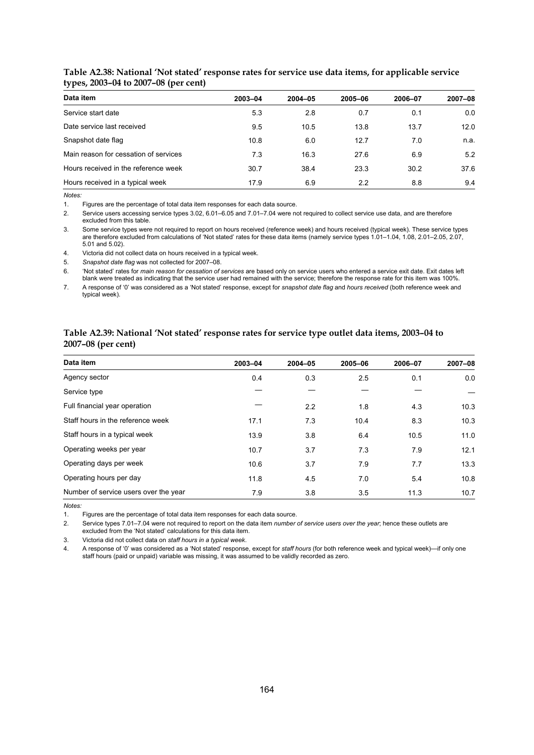| Data item                             | 2003-04 | $2004 - 05$ | 2005-06 | 2006-07 | 2007-08 |
|---------------------------------------|---------|-------------|---------|---------|---------|
| Service start date                    | 5.3     | 2.8         | 0.7     | 0.1     | 0.0     |
| Date service last received            | 9.5     | 10.5        | 13.8    | 13.7    | 12.0    |
| Snapshot date flag                    | 10.8    | 6.0         | 12.7    | 7.0     | n.a.    |
| Main reason for cessation of services | 7.3     | 16.3        | 27.6    | 6.9     | 5.2     |
| Hours received in the reference week  | 30.7    | 38.4        | 23.3    | 30.2    | 37.6    |
| Hours received in a typical week      | 17.9    | 6.9         | 2.2     | 8.8     | 9.4     |

#### **Table A2.38: National 'Not stated' response rates for service use data items, for applicable service types, 2003–04 to 2007–08 (per cent)**

*Notes:* 

1. Figures are the percentage of total data item responses for each data source.

2. Service users accessing service types 3.02, 6.01–6.05 and 7.01–7.04 were not required to collect service use data, and are therefore excluded from this table.

3. Some service types were not required to report on hours received (reference week) and hours received (typical week). These service types are therefore excluded from calculations of 'Not stated' rates for these data items (namely service types 1.01–1.04, 1.08, 2.01–2.05, 2.07, 5.01 and 5.02).

4. Victoria did not collect data on hours received in a typical week.

5. *Snapshot date flag* was not collected for 2007–08.

6. 'Not stated' rates for *main reason for cessation of services* are based only on service users who entered a service exit date. Exit dates left blank were treated as indicating that the service user had remained with the service; therefore the response rate for this item was 100%.

7. A response of '0' was considered as a 'Not stated' response, except for *snapshot date flag* and *hours received* (both reference week and typical week).

#### **Table A2.39: National 'Not stated' response rates for service type outlet data items, 2003–04 to 2007–08 (per cent)**

| Data item                             | 2003-04 | $2004 - 05$ | 2005-06 | 2006-07 | 2007-08 |
|---------------------------------------|---------|-------------|---------|---------|---------|
| Agency sector                         | 0.4     | 0.3         | 2.5     | 0.1     | 0.0     |
| Service type                          |         |             |         |         |         |
| Full financial year operation         |         | 2.2         | 1.8     | 4.3     | 10.3    |
| Staff hours in the reference week     | 17.1    | 7.3         | 10.4    | 8.3     | 10.3    |
| Staff hours in a typical week         | 13.9    | 3.8         | 6.4     | 10.5    | 11.0    |
| Operating weeks per year              | 10.7    | 3.7         | 7.3     | 7.9     | 12.1    |
| Operating days per week               | 10.6    | 3.7         | 7.9     | 7.7     | 13.3    |
| Operating hours per day               | 11.8    | 4.5         | 7.0     | 5.4     | 10.8    |
| Number of service users over the year | 7.9     | 3.8         | 3.5     | 11.3    | 10.7    |

*Notes:* 

1. Figures are the percentage of total data item responses for each data source.

2. Service types 7.01–7.04 were not required to report on the data item *number of service users over the year*; hence these outlets are excluded from the 'Not stated' calculations for this data item.

3. Victoria did not collect data on *staff hours in a typical week*.

4. A response of '0' was considered as a 'Not stated' response, except for *staff hours* (for both reference week and typical week)—if only one staff hours (paid or unpaid) variable was missing, it was assumed to be validly recorded as zero.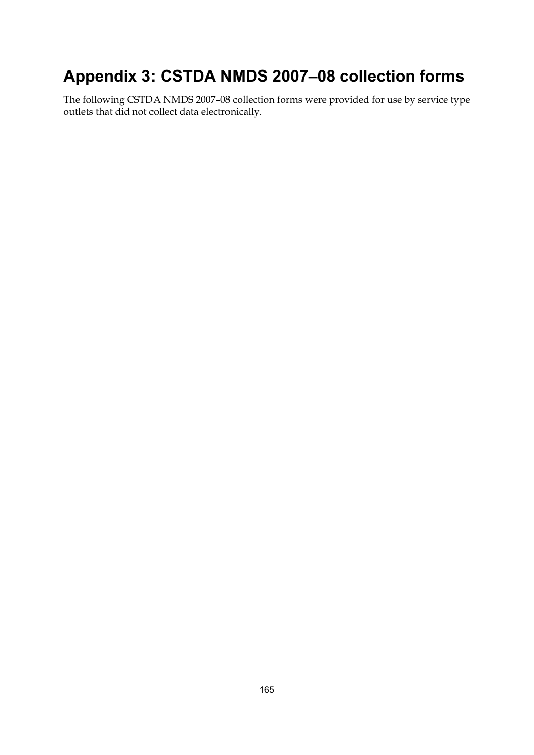# **Appendix 3: CSTDA NMDS 2007–08 collection forms**

The following CSTDA NMDS 2007–08 collection forms were provided for use by service type outlets that did not collect data electronically.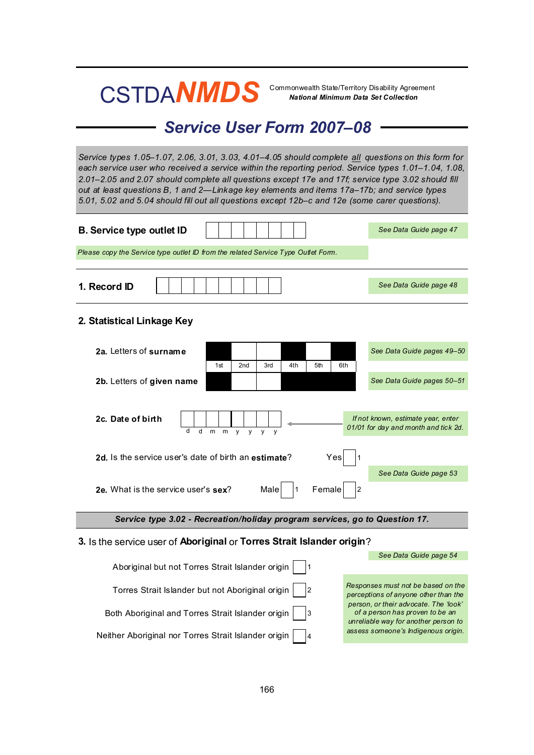# CSTDA**NMDS**

Commonwealth State/Territory Disability Agreement<br>**National Minimum Data Set Collection** 

# *Service User Form 2007–08*

*Service types 1.05–1.07, 2.06, 3.01, 3.03, 4.01–4.05 should complete all questions on this form for each service user who received a service within the reporting period. Service types 1.01–1.04, 1.08, 2.01–2.05 and 2.07 should complete all questions except 17e and 17f; service type 3.02 should fill out at least questions B, 1 and 2—Linkage key elements and items 17a–17b; and service types 5.01, 5.02 and 5.04 should fill out all questions except 12b–c and 12e (some carer questions).*

| <b>B. Service type outlet ID</b>                                                                                                                                                                                                          | See Data Guide page 47                                                                                           |  |  |  |
|-------------------------------------------------------------------------------------------------------------------------------------------------------------------------------------------------------------------------------------------|------------------------------------------------------------------------------------------------------------------|--|--|--|
| Please copy the Service type outlet ID from the related Service Type Outlet Form.                                                                                                                                                         |                                                                                                                  |  |  |  |
| 1. Record ID                                                                                                                                                                                                                              | See Data Guide page 48                                                                                           |  |  |  |
| 2. Statistical Linkage Key                                                                                                                                                                                                                |                                                                                                                  |  |  |  |
| 2a. Letters of surname<br>1st<br>2nd<br>3rd<br>4th<br>5th<br>6th                                                                                                                                                                          | See Data Guide pages 49-50                                                                                       |  |  |  |
| 2b. Letters of given name                                                                                                                                                                                                                 | See Data Guide pages 50-51                                                                                       |  |  |  |
| 2c. Date of birth<br>d<br>d<br>m<br>m<br>V<br>V<br>$\mathsf{V}$<br>$\mathsf{V}$<br>2d. Is the service user's date of birth an estimate?<br>Yes<br>Male<br>2e. What is the service user's sex?<br>Female<br>$\overline{2}$<br>$\mathbf{1}$ | If not known, estimate year, enter<br>01/01 for day and month and tick 2d.<br>See Data Guide page 53             |  |  |  |
|                                                                                                                                                                                                                                           |                                                                                                                  |  |  |  |
| Service type 3.02 - Recreation/holiday program services, go to Question 17.                                                                                                                                                               |                                                                                                                  |  |  |  |
| 3. Is the service user of Aboriginal or Torres Strait Islander origin?                                                                                                                                                                    |                                                                                                                  |  |  |  |
| Aboriginal but not Torres Strait Islander origin<br>l 1                                                                                                                                                                                   | See Data Guide page 54                                                                                           |  |  |  |
| Torres Strait Islander but not Aboriginal origin<br>l2                                                                                                                                                                                    | Responses must not be based on the<br>perceptions of anyone other than the                                       |  |  |  |
| Both Aboriginal and Torres Strait Islander origin<br>Iз                                                                                                                                                                                   | person, or their advocate. The 'look'<br>of a person has proven to be an<br>unreliable way for another person to |  |  |  |

Neither Aboriginal nor Torres Strait Islander origin 4

*assess someone's Indigenous origin.*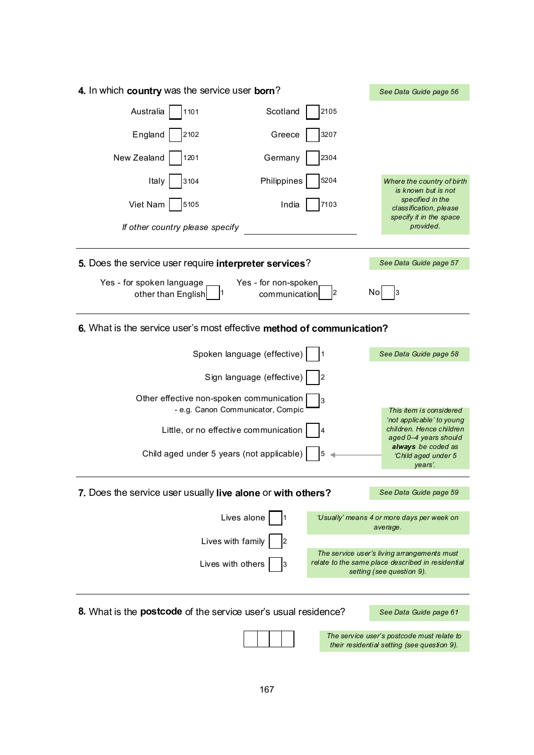| 4. In which country was the service user born?                        |                                       |      | See Data Guide page 56                                                                                                        |
|-----------------------------------------------------------------------|---------------------------------------|------|-------------------------------------------------------------------------------------------------------------------------------|
| Australia<br>1101                                                     | Scotland                              | 2105 |                                                                                                                               |
| England<br>2102                                                       | Greece                                | 3207 |                                                                                                                               |
| New Zealand<br>1201                                                   | Germany                               | 2304 |                                                                                                                               |
| Italy<br>3104                                                         | Philippines                           | 5204 | Where the country of birth<br>is known but is not                                                                             |
| Viet Nam<br>5105                                                      | India                                 | 7103 | specified in the<br>classification, please                                                                                    |
| If other country please specify                                       |                                       |      | specify it in the space<br>provided.                                                                                          |
|                                                                       |                                       |      |                                                                                                                               |
| 5. Does the service user require interpreter services?                |                                       |      | See Data Guide page 57                                                                                                        |
| Yes - for spoken language<br>other than English                       | Yes - for non-spoken<br>communication | 2    | No                                                                                                                            |
| 6. What is the service user's most effective method of communication? |                                       |      |                                                                                                                               |
|                                                                       | Spoken language (effective)           |      | See Data Guide page 58                                                                                                        |
|                                                                       | Sign language (effective)             | 2    |                                                                                                                               |
| Other effective non-spoken communication                              | - e.g. Canon Communicator, Compic     | 3    | This item is considered                                                                                                       |
|                                                                       | Little, or no effective communication | 4    | 'not applicable' to young<br>children. Hence children<br>aged 0-4 years should                                                |
| Child aged under 5 years (not applicable)                             |                                       | 5    | always be coded as<br>'Child aged under 5<br>years'.                                                                          |
| 7. Does the service user usually live alone or with others?           |                                       |      | See Data Guide page 59                                                                                                        |
|                                                                       |                                       |      |                                                                                                                               |
|                                                                       | Lives alone                           |      | 'Usually' means 4 or more days per week on<br>average.                                                                        |
|                                                                       | Lives with family<br>2                |      |                                                                                                                               |
|                                                                       | Lives with others<br>3                |      | The service user's living arrangements must<br>relate to the same place described in residential<br>setting (see question 9). |
|                                                                       |                                       |      |                                                                                                                               |
| 8. What is the <b>postcode</b> of the service user's usual residence? |                                       |      | See Data Guide page 61                                                                                                        |

167

*The service user's postcode must relate to their residential setting (see question 9).*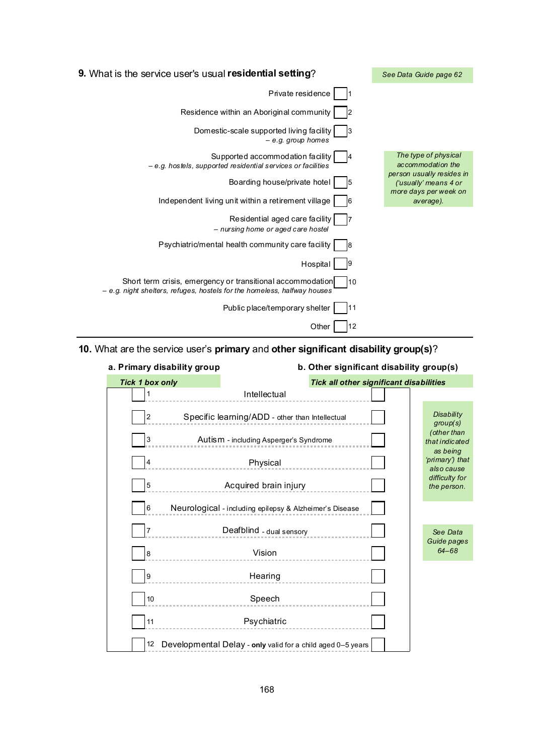| 9. What is the service user's usual residential setting?                                                                                      | See Data Guide page 62                             |
|-----------------------------------------------------------------------------------------------------------------------------------------------|----------------------------------------------------|
| Private residence                                                                                                                             |                                                    |
| Residence within an Aboriginal community                                                                                                      |                                                    |
| Domestic-scale supported living facility<br>$-$ e.g. group homes                                                                              |                                                    |
| Supported accommodation facility<br>- e.g. hostels, supported residential services or facilities                                              | The type of physical<br>accommodation the          |
| Boarding house/private hotel<br>15                                                                                                            | person usually resides in<br>('usually' means 4 or |
| Independent living unit within a retirement village<br>16                                                                                     | more days per week on<br>average).                 |
| Residential aged care facility<br>- nursing home or aged care hostel                                                                          |                                                    |
| Psychiatric/mental health community care facility<br>18                                                                                       |                                                    |
| Hospital                                                                                                                                      |                                                    |
| Short term crisis, emergency or transitional accommodation<br>110<br>- e.g. night shelters, refuges, hostels for the homeless, halfway houses |                                                    |
| Public place/temporary shelter<br>11                                                                                                          |                                                    |
| 12<br>Other                                                                                                                                   |                                                    |

## **10.** What are the service user's **primary** and **other significant disability group(s)**?

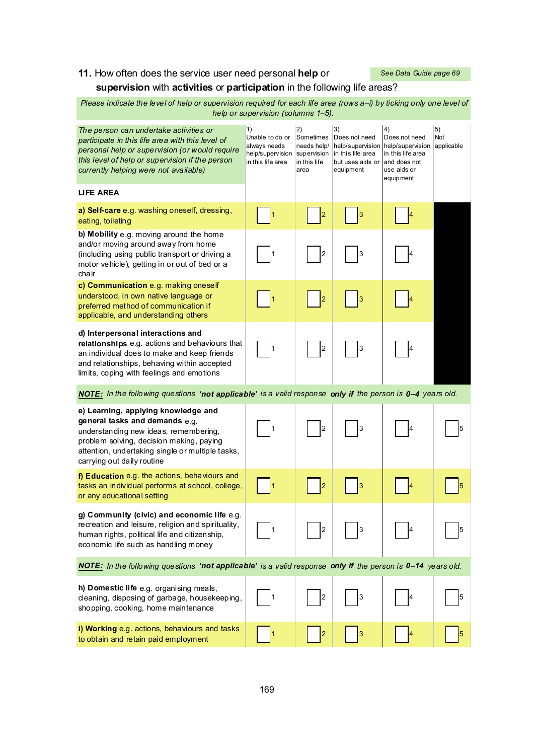# **11.** How often does the service user need personal **help** or

*See Data Guide page 69*

## **supervision** with **activities** or **participation** in the following life areas?

 *Please indicate the level of help or supervision required for each life area (rows a–i) by ticking only one level of help or supervision (columns 1–5).*

| The person can undertake activities or<br>participate in this life area with this level of<br>personal help or supervision (or would require<br>this level of help or supervision if the person<br>currently helping were not available)     | 1)<br>Unable to do or<br>always needs<br>help/supervision<br>in this life area | 2)<br>Sometimes<br>needs help/<br>supervision<br>in this life<br>area | 3)<br>Does not need<br>help/supervision<br>in this life area<br>but uses aids or<br>equipment | 4)<br>Does not need<br>help/supervision<br>in this life area<br>and does not<br>use aids or<br>equip ment | 5)<br>Not<br>applicable |
|----------------------------------------------------------------------------------------------------------------------------------------------------------------------------------------------------------------------------------------------|--------------------------------------------------------------------------------|-----------------------------------------------------------------------|-----------------------------------------------------------------------------------------------|-----------------------------------------------------------------------------------------------------------|-------------------------|
| <b>LIFE AREA</b>                                                                                                                                                                                                                             |                                                                                |                                                                       |                                                                                               |                                                                                                           |                         |
| a) Self-care e.g. washing oneself, dressing,<br>eating, toileting                                                                                                                                                                            |                                                                                | $\overline{\mathbf{c}}$                                               | 3                                                                                             |                                                                                                           |                         |
| b) Mobility e.g. moving around the home<br>and/or moving around away from home<br>(including using public transport or driving a<br>motor vehicle), getting in or out of bed or a<br>chair                                                   |                                                                                | $\overline{2}$                                                        | 3                                                                                             |                                                                                                           |                         |
| c) Communication e.g. making oneself<br>understood, in own native language or<br>preferred method of communication if<br>applicable, and understanding others                                                                                | 1                                                                              | $\overline{2}$                                                        | 3                                                                                             |                                                                                                           |                         |
| d) Interpersonal interactions and<br>relationships e.g. actions and behaviours that<br>an individual does to make and keep friends<br>and relationships, behaving within accepted<br>limits, coping with feelings and emotions               | 1                                                                              | 2                                                                     | 3                                                                                             |                                                                                                           |                         |
| NOTE: In the following questions 'not applicable' is a valid response only if the person is 0-4 years old.                                                                                                                                   |                                                                                |                                                                       |                                                                                               |                                                                                                           |                         |
| e) Learning, applying knowledge and<br>general tasks and demands e.g.<br>understanding new ideas, remembering,<br>problem solving, decision making, paying<br>attention, undertaking single or multiple tasks,<br>carrying out daily routine | 1                                                                              | $\overline{c}$                                                        | 3                                                                                             |                                                                                                           |                         |
| f) Education e.g. the actions, behaviours and<br>tasks an individual performs at school, college,<br>or any educational setting                                                                                                              |                                                                                | $\overline{2}$                                                        | 3                                                                                             |                                                                                                           |                         |
| g) Community (civic) and economic life e.g.<br>recreation and leisure, religion and spirituality,<br>human rights, political life and citizenship,<br>economic life such as handling money                                                   |                                                                                | 2                                                                     | 3                                                                                             |                                                                                                           | 5                       |
| NOTE: In the following questions 'not applicable' is a valid response only if the person is 0-14 years old.                                                                                                                                  |                                                                                |                                                                       |                                                                                               |                                                                                                           |                         |
| h) Domestic life e.g. organising meals,<br>cleaning, disposing of garbage, housekeeping,<br>shopping, cooking, home maintenance                                                                                                              | 1                                                                              | 2                                                                     | 3                                                                                             |                                                                                                           | 5                       |
| i) Working e.g. actions, behaviours and tasks<br>to obtain and retain paid employment                                                                                                                                                        |                                                                                |                                                                       | 3                                                                                             |                                                                                                           |                         |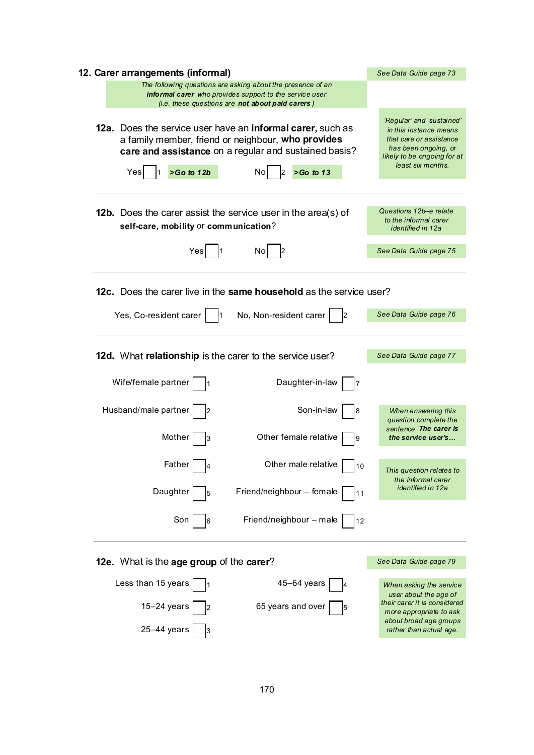| 12. Carer arrangements (informal)                                                                                                                                                                                      | See Data Guide page 73                                                                                                                                     |
|------------------------------------------------------------------------------------------------------------------------------------------------------------------------------------------------------------------------|------------------------------------------------------------------------------------------------------------------------------------------------------------|
| The following questions are asking about the presence of an<br><b>informal carer</b> who provides support to the service user<br>(i.e. these questions are not about paid carers)                                      |                                                                                                                                                            |
| 12a. Does the service user have an informal carer, such as<br>a family member, friend or neighbour, who provides<br>care and assistance on a regular and sustained basis?<br>$>Go$ to 12b<br>$>Go$ to 13<br>Yes<br>No. | 'Regular' and 'sustained'<br>in this instance means<br>that care or assistance<br>has been ongoing, or<br>likely to be ongoing for at<br>least six months. |
| <b>12b.</b> Does the carer assist the service user in the area(s) of<br>self-care, mobility or communication?                                                                                                          | Questions 12b-e relate<br>to the informal carer<br><i>identified in 12a</i>                                                                                |
| Yes<br>No                                                                                                                                                                                                              | See Data Guide page 75                                                                                                                                     |
| 12c. Does the carer live in the same household as the service user?<br>Yes, Co-resident carer<br>No, Non-resident carer<br>2                                                                                           | See Data Guide page 76                                                                                                                                     |
| 12d. What relationship is the carer to the service user?                                                                                                                                                               | See Data Guide page 77                                                                                                                                     |
| Wife/female partner<br>Daughter-in-law                                                                                                                                                                                 |                                                                                                                                                            |
| Husband/male partner<br>Son-in-law<br>8<br>Other female relative<br>Mother<br>9                                                                                                                                        | When answering this<br>question complete the<br>sentence The carer is<br>the service user's                                                                |
| Father<br>Other male relative<br>10                                                                                                                                                                                    | This question relates to<br>the informal carer                                                                                                             |
| Daughter<br>Friend/neighbour - female<br>11<br>5                                                                                                                                                                       | identified in 12a                                                                                                                                          |
| Friend/neighbour - male<br>Son<br>12<br>6                                                                                                                                                                              |                                                                                                                                                            |
| 12e. What is the age group of the carer?                                                                                                                                                                               | See Data Guide page 79                                                                                                                                     |
| Less than 15 years<br>$45 - 64$ years                                                                                                                                                                                  | When asking the service<br>user about the age of                                                                                                           |
| $15-24$ years<br>65 years and over<br>5<br>25-44 years                                                                                                                                                                 | their carer it is considered<br>more appropriate to ask<br>about broad age groups<br>rather than actual age.                                               |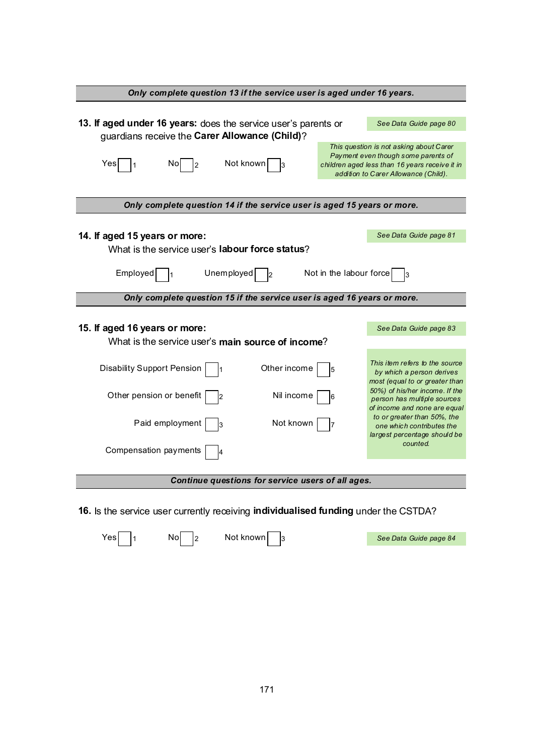| Only complete question 13 if the service user is aged under 16 years.                                            |                                                                                               |
|------------------------------------------------------------------------------------------------------------------|-----------------------------------------------------------------------------------------------|
|                                                                                                                  |                                                                                               |
| 13. If aged under 16 years: does the service user's parents or<br>guardians receive the Carer Allowance (Child)? | See Data Guide page 80                                                                        |
|                                                                                                                  | This question is not asking about Carer<br>Payment even though some parents of                |
| Not known<br>Yes<br>Noj<br>3                                                                                     | children aged less than 16 years receive it in<br>addition to Carer Allowance (Child).        |
|                                                                                                                  |                                                                                               |
| Only complete question 14 if the service user is aged 15 years or more.                                          |                                                                                               |
|                                                                                                                  |                                                                                               |
| 14. If aged 15 years or more:                                                                                    | See Data Guide page 81                                                                        |
| What is the service user's labour force status?                                                                  |                                                                                               |
| Employed<br>Unemployed<br>Not in the labour force                                                                | 3                                                                                             |
| Only complete question 15 if the service user is aged 16 years or more.                                          |                                                                                               |
|                                                                                                                  |                                                                                               |
| 15. If aged 16 years or more:                                                                                    | See Data Guide page 83                                                                        |
| What is the service user's main source of income?                                                                |                                                                                               |
| <b>Disability Support Pension</b><br>Other income<br>1                                                           | This item refers to the source<br>by which a person derives<br>most (equal to or greater than |
| Other pension or benefit<br>Nil income<br>2                                                                      | 50%) of his/her income. If the<br>person has multiple sources<br>of income and none are equal |
| Paid employment<br>Not known<br>ıз                                                                               | to or greater than 50%, the<br>one which contributes the<br>largest percentage should be      |
| Compensation payments                                                                                            | counted.                                                                                      |
| Continue questions for service users of all ages.                                                                |                                                                                               |
|                                                                                                                  |                                                                                               |
| 16. Is the service user currently receiving <b>individualised funding</b> under the CSTDA?                       |                                                                                               |

 $Yes \frown 1$  No  $2$  Not known 3

*See Data Guide page 84*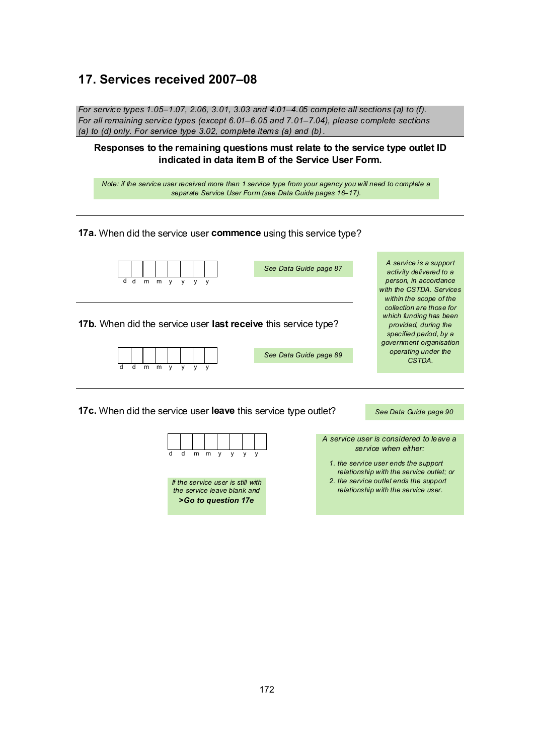#### **17. Services received 2007–08**

*For service types 1.05–1.07, 2.06, 3.01, 3.03 and 4.01–4.05 complete all sections (a) to (f). For all remaining service types (except 6.01–6.05 and 7.01–7.04), please complete sections (a) to (d) only. For service type 3.02, complete items (a) and (b) .*

**Responses to the remaining questions must relate to the service type outlet ID indicated in data item B of the Service User Form.**

*Note: if the service user received more than 1 service type from your agency you will need to complete a separate Service User Form (see Data Guide pages 16–17).*

#### **17a.** When did the service user **commence** using this service type?



d d mmy y y y



*A service user is considered to leave a service when either:*

- *1. the service user ends the support relationship with the service outlet; or*
- *2. the service outlet ends the support relationship with the service user.*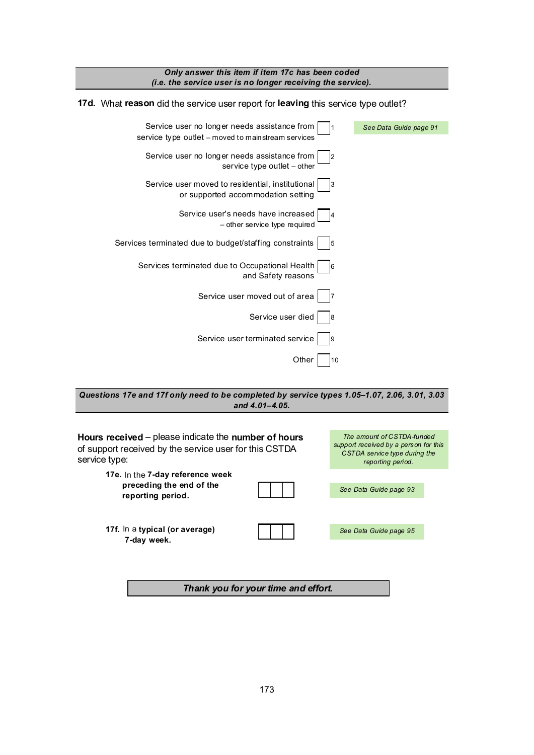

*Questions 17e and 17f only need to be completed by service types 1.05–1.07, 2.06, 3.01, 3.03 and 4.01–4.05.*



*Thank you for your time and effort.*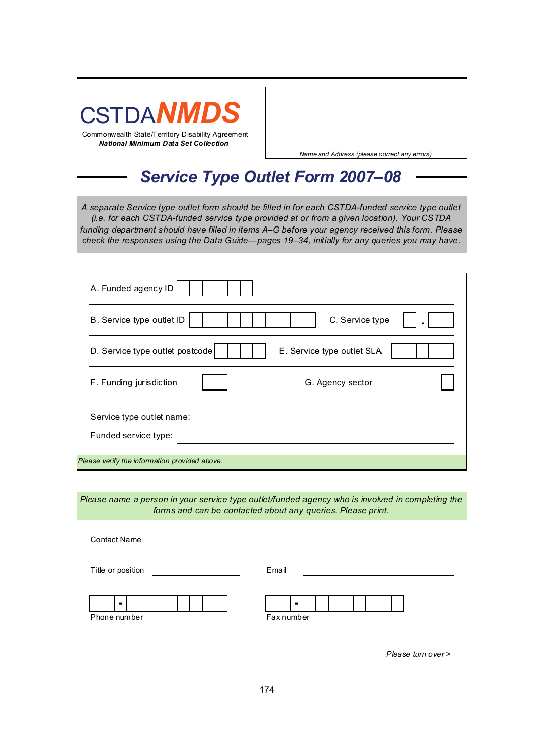

*Name and Address (please correct any errors)*

### *Service Type Outlet Form 2007–08*

*A separate Service type outlet form should be filled in for each CSTDA-funded service type outlet (i.e. for each CSTDA-funded service type provided at or from a given location). Your CSTDA funding department should have filled in items A–G before your agency received this form. Please check the responses using the Data Guide—pages 19–34, initially for any queries you may have.*

| A. Funded agency ID                                           |
|---------------------------------------------------------------|
| C. Service type<br>B. Service type outlet ID                  |
| D. Service type outlet postcode<br>E. Service type outlet SLA |
| F. Funding jurisdiction<br>G. Agency sector                   |
| Service type outlet name:<br>Funded service type:             |
| Please verify the information provided above.                 |

*Please name a person in your service type outlet/funded agency who is involved in completing the forms and can be contacted about any queries. Please print.*

| <b>Contact Name</b> |                 |
|---------------------|-----------------|
| Title or position   | Email           |
| -<br>Phone number   | -<br>Fax number |

*Please turn over >*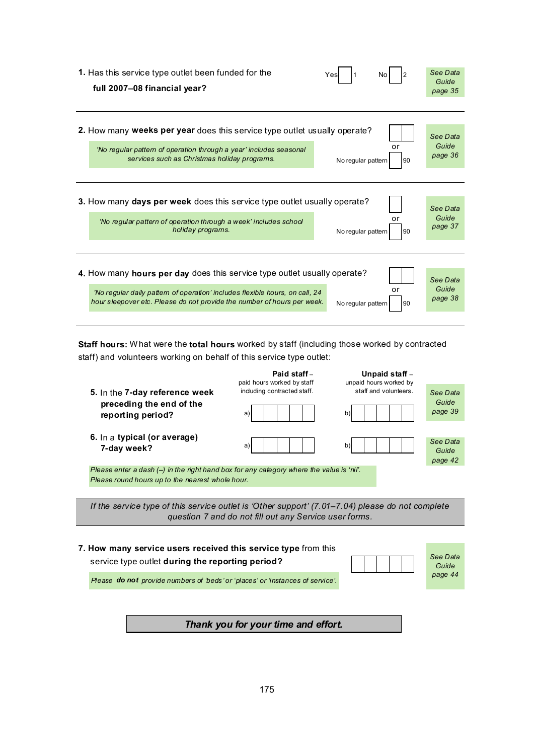| 1. Has this service type outlet been funded for the<br>Yes<br>full 2007-08 financial year?                                                                                          | See Data<br>Guide<br>page 35 |
|-------------------------------------------------------------------------------------------------------------------------------------------------------------------------------------|------------------------------|
|                                                                                                                                                                                     |                              |
| 2. How many weeks per year does this service type outlet usually operate?                                                                                                           | See Data                     |
| or<br>'No regular pattern of operation through a year' includes seasonal<br>services such as Christmas holiday programs.<br>No regular pattern                                      | Guide<br>page 36<br>90       |
|                                                                                                                                                                                     |                              |
|                                                                                                                                                                                     |                              |
| 3. How many days per week does this service type outlet usually operate?                                                                                                            | See Data                     |
| or<br>'No regular pattern of operation through a week' includes school<br>holiday programs.<br>No regular pattern                                                                   | Guide<br>page 37<br>90       |
|                                                                                                                                                                                     |                              |
|                                                                                                                                                                                     |                              |
| 4. How many hours per day does this service type outlet usually operate?                                                                                                            | See Data                     |
| or<br>'No regular daily pattern of operation' includes flexible hours, on call, 24<br>hour sleepover etc. Please do not provide the number of hours per week.<br>No regular pattern | Guide<br>page 38<br>90       |

**Staff hours:** What were the **total hours** worked by staff (including those worked by contracted staff) and volunteers working on behalf of this service type outlet:

|                                                                                                                                                            | Paid staff-<br>paid hours worked by staff | Unpaid staff -<br>unpaid hours worked by |                              |  |
|------------------------------------------------------------------------------------------------------------------------------------------------------------|-------------------------------------------|------------------------------------------|------------------------------|--|
| 5. In the 7-day reference week<br>preceding the end of the<br>reporting period?                                                                            | including contracted staff.<br>a)         | staff and volunteers.<br>b)              | See Data<br>Guide<br>page 39 |  |
| 6. In a typical (or average)<br>7-day week?                                                                                                                | a)                                        | b)                                       | See Data<br>Guide<br>page 42 |  |
| Please enter a dash $(-)$ in the right hand box for any category where the value is 'nil'.<br>Please round hours up to the nearest whole hour.             |                                           |                                          |                              |  |
| If the service type of this service outlet is 'Other support' (7.01–7.04) please do not complete<br>question 7 and do not fill out any Service user forms. |                                           |                                          |                              |  |
|                                                                                                                                                            |                                           |                                          |                              |  |
| 7. How many service users received this service type from this<br>service type outlet during the reporting period?                                         |                                           |                                          | See Data<br>Guide            |  |
| Please do not provide numbers of 'beds' or 'places' or 'instances of service'.                                                                             |                                           |                                          | page 44                      |  |

*Thank you for your time and effort.*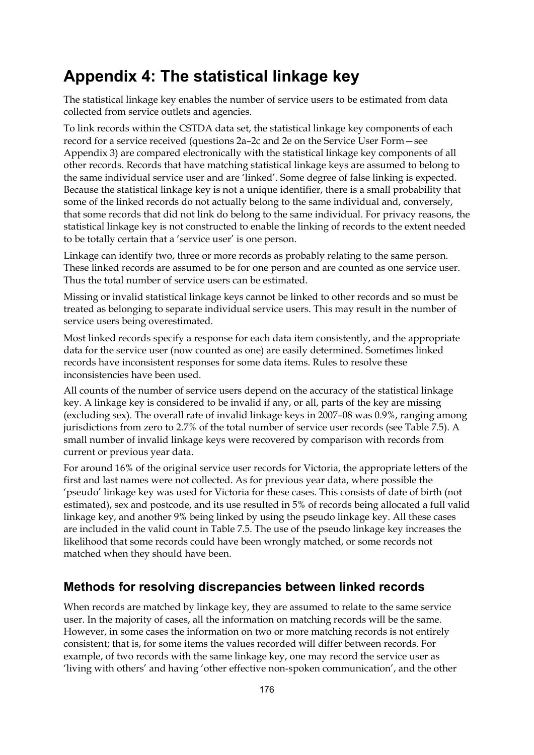### **Appendix 4: The statistical linkage key**

The statistical linkage key enables the number of service users to be estimated from data collected from service outlets and agencies.

To link records within the CSTDA data set, the statistical linkage key components of each record for a service received (questions 2a–2c and 2e on the Service User Form—see Appendix 3) are compared electronically with the statistical linkage key components of all other records. Records that have matching statistical linkage keys are assumed to belong to the same individual service user and are 'linked'. Some degree of false linking is expected. Because the statistical linkage key is not a unique identifier, there is a small probability that some of the linked records do not actually belong to the same individual and, conversely, that some records that did not link do belong to the same individual. For privacy reasons, the statistical linkage key is not constructed to enable the linking of records to the extent needed to be totally certain that a 'service user' is one person.

Linkage can identify two, three or more records as probably relating to the same person. These linked records are assumed to be for one person and are counted as one service user. Thus the total number of service users can be estimated.

Missing or invalid statistical linkage keys cannot be linked to other records and so must be treated as belonging to separate individual service users. This may result in the number of service users being overestimated.

Most linked records specify a response for each data item consistently, and the appropriate data for the service user (now counted as one) are easily determined. Sometimes linked records have inconsistent responses for some data items. Rules to resolve these inconsistencies have been used.

All counts of the number of service users depend on the accuracy of the statistical linkage key. A linkage key is considered to be invalid if any, or all, parts of the key are missing (excluding sex). The overall rate of invalid linkage keys in 2007–08 was 0.9%, ranging among jurisdictions from zero to 2.7% of the total number of service user records (see [Table 7.5\)](#page-99-0). A small number of invalid linkage keys were recovered by comparison with records from current or previous year data.

For around 16% of the original service user records for Victoria, the appropriate letters of the first and last names were not collected. As for previous year data, where possible the 'pseudo' linkage key was used for Victoria for these cases. This consists of date of birth (not estimated), sex and postcode, and its use resulted in 5% of records being allocated a full valid linkage key, and another 9% being linked by using the pseudo linkage key. All these cases are included in the valid count in [Table 7.5](#page-99-0). The use of the pseudo linkage key increases the likelihood that some records could have been wrongly matched, or some records not matched when they should have been.

#### **Methods for resolving discrepancies between linked records**

When records are matched by linkage key, they are assumed to relate to the same service user. In the majority of cases, all the information on matching records will be the same. However, in some cases the information on two or more matching records is not entirely consistent; that is, for some items the values recorded will differ between records. For example, of two records with the same linkage key, one may record the service user as 'living with others' and having 'other effective non-spoken communication', and the other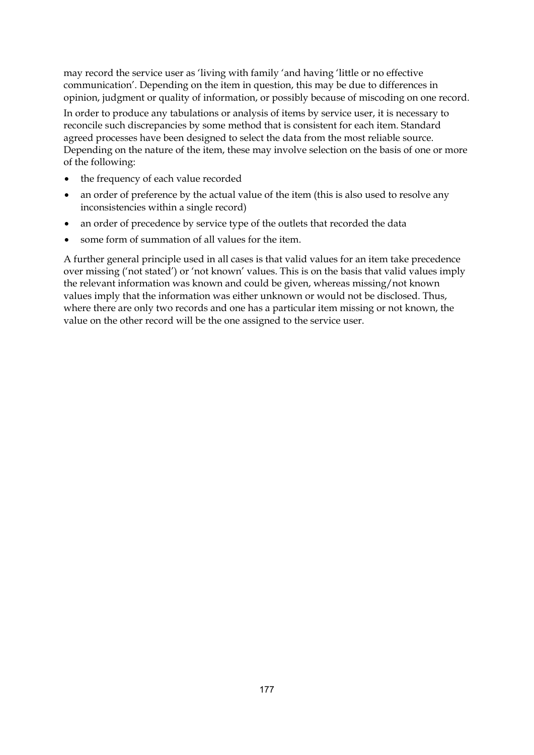may record the service user as 'living with family 'and having 'little or no effective communication'. Depending on the item in question, this may be due to differences in opinion, judgment or quality of information, or possibly because of miscoding on one record.

In order to produce any tabulations or analysis of items by service user, it is necessary to reconcile such discrepancies by some method that is consistent for each item. Standard agreed processes have been designed to select the data from the most reliable source. Depending on the nature of the item, these may involve selection on the basis of one or more of the following:

- the frequency of each value recorded
- an order of preference by the actual value of the item (this is also used to resolve any inconsistencies within a single record)
- an order of precedence by service type of the outlets that recorded the data
- some form of summation of all values for the item.

A further general principle used in all cases is that valid values for an item take precedence over missing ('not stated') or 'not known' values. This is on the basis that valid values imply the relevant information was known and could be given, whereas missing/not known values imply that the information was either unknown or would not be disclosed. Thus, where there are only two records and one has a particular item missing or not known, the value on the other record will be the one assigned to the service user.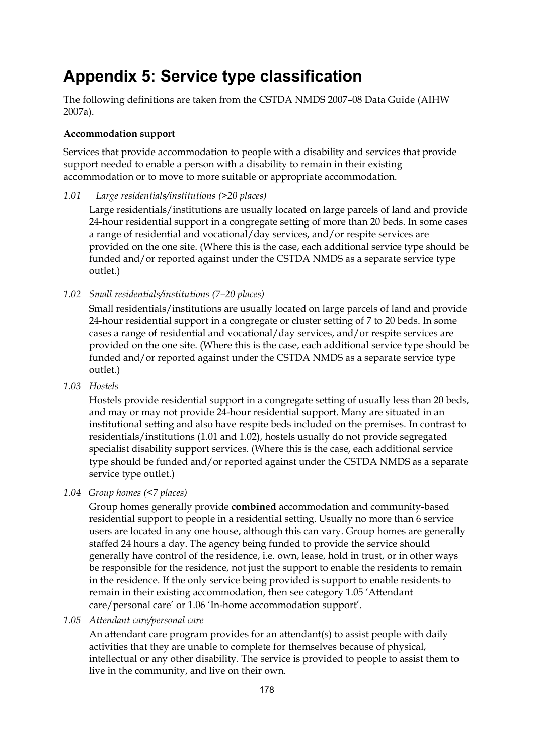### **Appendix 5: Service type classification**

The following definitions are taken from the CSTDA NMDS 2007–08 Data Guide (AIHW 2007a).

#### **Accommodation support**

Services that provide accommodation to people with a disability and services that provide support needed to enable a person with a disability to remain in their existing accommodation or to move to more suitable or appropriate accommodation.

*1.01 Large residentials/institutions (>20 places)* 

 Large residentials/institutions are usually located on large parcels of land and provide 24-hour residential support in a congregate setting of more than 20 beds. In some cases a range of residential and vocational/day services, and/or respite services are provided on the one site. (Where this is the case, each additional service type should be funded and/or reported against under the CSTDA NMDS as a separate service type outlet.)

*1.02 Small residentials/institutions (7–20 places)* 

Small residentials/institutions are usually located on large parcels of land and provide 24-hour residential support in a congregate or cluster setting of 7 to 20 beds. In some cases a range of residential and vocational/day services, and/or respite services are provided on the one site. (Where this is the case, each additional service type should be funded and/or reported against under the CSTDA NMDS as a separate service type outlet.)

*1.03 Hostels* 

Hostels provide residential support in a congregate setting of usually less than 20 beds, and may or may not provide 24-hour residential support. Many are situated in an institutional setting and also have respite beds included on the premises. In contrast to residentials/institutions (1.01 and 1.02), hostels usually do not provide segregated specialist disability support services. (Where this is the case, each additional service type should be funded and/or reported against under the CSTDA NMDS as a separate service type outlet.)

#### *1.04 Group homes (<7 places)*

Group homes generally provide **combined** accommodation and community-based residential support to people in a residential setting. Usually no more than 6 service users are located in any one house, although this can vary. Group homes are generally staffed 24 hours a day. The agency being funded to provide the service should generally have control of the residence, i.e. own, lease, hold in trust, or in other ways be responsible for the residence, not just the support to enable the residents to remain in the residence. If the only service being provided is support to enable residents to remain in their existing accommodation, then see category 1.05 'Attendant care/personal care' or 1.06 'In-home accommodation support'.

*1.05 Attendant care/personal care*

An attendant care program provides for an attendant(s) to assist people with daily activities that they are unable to complete for themselves because of physical, intellectual or any other disability. The service is provided to people to assist them to live in the community, and live on their own.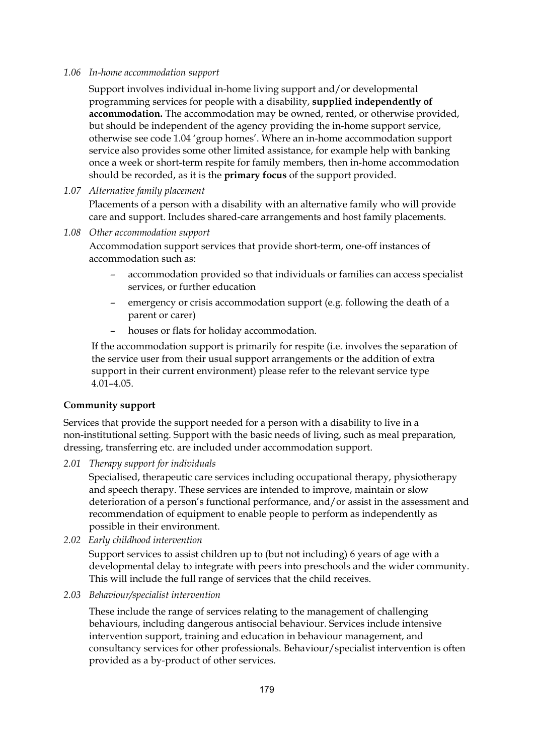#### *1.06 In-home accommodation support*

Support involves individual in-home living support and/or developmental programming services for people with a disability, **supplied independently of accommodation.** The accommodation may be owned, rented, or otherwise provided, but should be independent of the agency providing the in-home support service, otherwise see code 1.04 'group homes'. Where an in-home accommodation support service also provides some other limited assistance, for example help with banking once a week or short-term respite for family members, then in-home accommodation should be recorded, as it is the **primary focus** of the support provided.

#### *1.07 Alternative family placement*

Placements of a person with a disability with an alternative family who will provide care and support. Includes shared-care arrangements and host family placements.

*1.08 Other accommodation support* 

Accommodation support services that provide short-term, one-off instances of accommodation such as:

- accommodation provided so that individuals or families can access specialist services, or further education
- emergency or crisis accommodation support (e.g. following the death of a parent or carer)
- houses or flats for holiday accommodation.

If the accommodation support is primarily for respite (i.e. involves the separation of the service user from their usual support arrangements or the addition of extra support in their current environment) please refer to the relevant service type 4.01–4.05.

#### **Community support**

Services that provide the support needed for a person with a disability to live in a non-institutional setting. Support with the basic needs of living, such as meal preparation, dressing, transferring etc. are included under accommodation support.

*2.01 Therapy support for individuals* 

Specialised, therapeutic care services including occupational therapy, physiotherapy and speech therapy. These services are intended to improve, maintain or slow deterioration of a person's functional performance, and/or assist in the assessment and recommendation of equipment to enable people to perform as independently as possible in their environment.

*2.02 Early childhood intervention*

Support services to assist children up to (but not including) 6 years of age with a developmental delay to integrate with peers into preschools and the wider community. This will include the full range of services that the child receives.

*2.03 Behaviour/specialist intervention* 

These include the range of services relating to the management of challenging behaviours, including dangerous antisocial behaviour. Services include intensive intervention support, training and education in behaviour management, and consultancy services for other professionals. Behaviour/specialist intervention is often provided as a by-product of other services.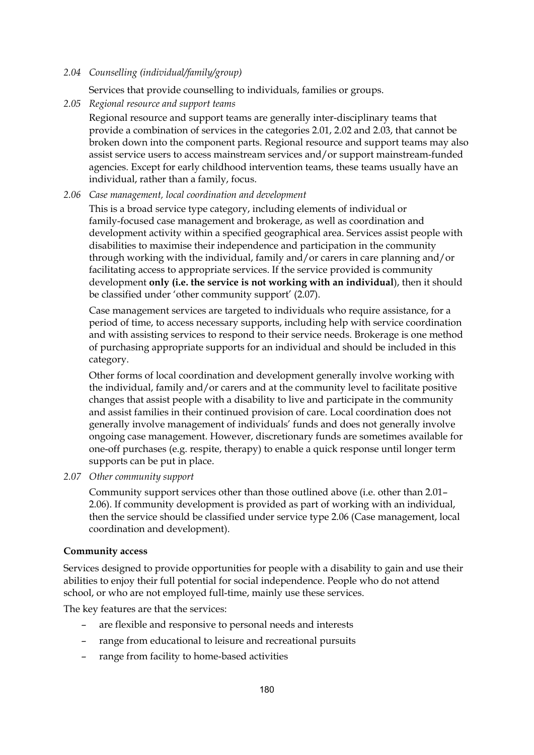#### *2.04 Counselling (individual/family/group)*

Services that provide counselling to individuals, families or groups.

*2.05 Regional resource and support teams*

Regional resource and support teams are generally inter-disciplinary teams that provide a combination of services in the categories 2.01, 2.02 and 2.03, that cannot be broken down into the component parts. Regional resource and support teams may also assist service users to access mainstream services and/or support mainstream-funded agencies. Except for early childhood intervention teams, these teams usually have an individual, rather than a family, focus.

#### *2.06 Case management, local coordination and development*

This is a broad service type category, including elements of individual or family-focused case management and brokerage, as well as coordination and development activity within a specified geographical area. Services assist people with disabilities to maximise their independence and participation in the community through working with the individual, family and/or carers in care planning and/or facilitating access to appropriate services. If the service provided is community development **only (i.e. the service is not working with an individual**), then it should be classified under 'other community support' (2.07).

Case management services are targeted to individuals who require assistance, for a period of time, to access necessary supports, including help with service coordination and with assisting services to respond to their service needs. Brokerage is one method of purchasing appropriate supports for an individual and should be included in this category.

Other forms of local coordination and development generally involve working with the individual, family and/or carers and at the community level to facilitate positive changes that assist people with a disability to live and participate in the community and assist families in their continued provision of care. Local coordination does not generally involve management of individuals' funds and does not generally involve ongoing case management. However, discretionary funds are sometimes available for one-off purchases (e.g. respite, therapy) to enable a quick response until longer term supports can be put in place.

#### *2.07 Other community support*

Community support services other than those outlined above (i.e. other than 2.01– 2.06). If community development is provided as part of working with an individual, then the service should be classified under service type 2.06 (Case management, local coordination and development).

#### **Community access**

Services designed to provide opportunities for people with a disability to gain and use their abilities to enjoy their full potential for social independence. People who do not attend school, or who are not employed full-time, mainly use these services.

The key features are that the services:

- are flexible and responsive to personal needs and interests
- range from educational to leisure and recreational pursuits
- range from facility to home-based activities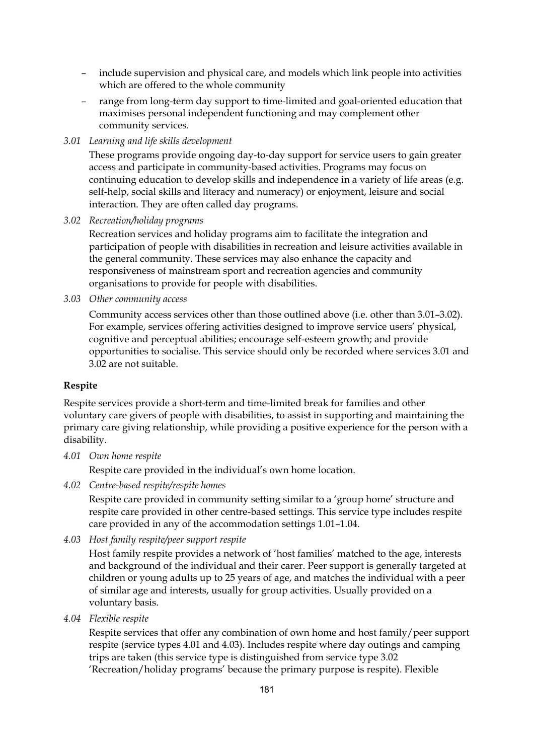- include supervision and physical care, and models which link people into activities which are offered to the whole community
- range from long-term day support to time-limited and goal-oriented education that maximises personal independent functioning and may complement other community services.
- *3.01 Learning and life skills development*

These programs provide ongoing day-to-day support for service users to gain greater access and participate in community-based activities. Programs may focus on continuing education to develop skills and independence in a variety of life areas (e.g. self-help, social skills and literacy and numeracy) or enjoyment, leisure and social interaction. They are often called day programs.

*3.02 Recreation/holiday programs* 

Recreation services and holiday programs aim to facilitate the integration and participation of people with disabilities in recreation and leisure activities available in the general community. These services may also enhance the capacity and responsiveness of mainstream sport and recreation agencies and community organisations to provide for people with disabilities.

*3.03 Other community access* 

Community access services other than those outlined above (i.e. other than 3.01–3.02). For example, services offering activities designed to improve service users' physical, cognitive and perceptual abilities; encourage self-esteem growth; and provide opportunities to socialise. This service should only be recorded where services 3.01 and 3.02 are not suitable.

#### **Respite**

Respite services provide a short-term and time-limited break for families and other voluntary care givers of people with disabilities, to assist in supporting and maintaining the primary care giving relationship, while providing a positive experience for the person with a disability.

*4.01 Own home respite* 

Respite care provided in the individual's own home location.

*4.02 Centre-based respite/respite homes*

Respite care provided in community setting similar to a 'group home' structure and respite care provided in other centre-based settings. This service type includes respite care provided in any of the accommodation settings 1.01–1.04.

*4.03 Host family respite/peer support respite* 

Host family respite provides a network of 'host families' matched to the age, interests and background of the individual and their carer. Peer support is generally targeted at children or young adults up to 25 years of age, and matches the individual with a peer of similar age and interests, usually for group activities. Usually provided on a voluntary basis.

*4.04 Flexible respite* 

Respite services that offer any combination of own home and host family/peer support respite (service types 4.01 and 4.03). Includes respite where day outings and camping trips are taken (this service type is distinguished from service type 3.02 'Recreation/holiday programs' because the primary purpose is respite). Flexible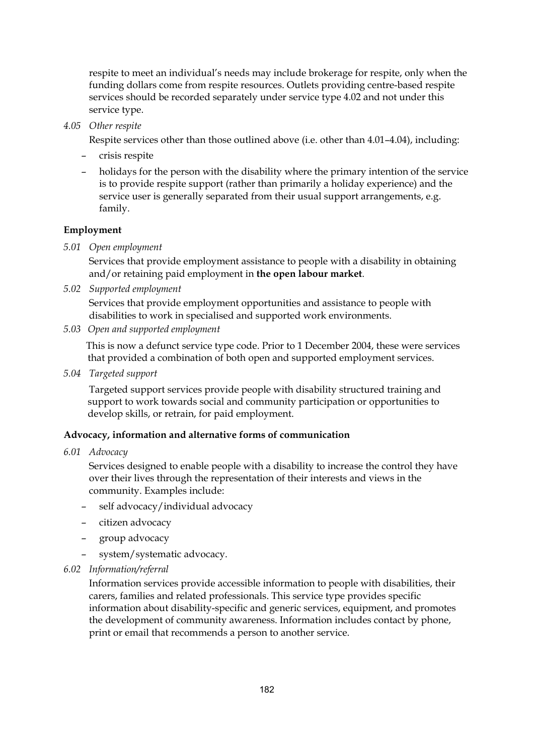respite to meet an individual's needs may include brokerage for respite, only when the funding dollars come from respite resources. Outlets providing centre-based respite services should be recorded separately under service type 4.02 and not under this service type.

*4.05 Other respite* 

Respite services other than those outlined above (i.e. other than 4.01–4.04), including:

- crisis respite
- holidays for the person with the disability where the primary intention of the service is to provide respite support (rather than primarily a holiday experience) and the service user is generally separated from their usual support arrangements, e.g. family.

#### **Employment**

*5.01 Open employment* 

Services that provide employment assistance to people with a disability in obtaining and/or retaining paid employment in **the open labour market**.

*5.02 Supported employment* 

Services that provide employment opportunities and assistance to people with disabilities to work in specialised and supported work environments.

*5.03 Open and supported employment* 

This is now a defunct service type code. Prior to 1 December 2004, these were services that provided a combination of both open and supported employment services.

*5.04 Targeted support* 

 Targeted support services provide people with disability structured training and support to work towards social and community participation or opportunities to develop skills, or retrain, for paid employment.

#### **Advocacy, information and alternative forms of communication**

*6.01 Advocacy* 

Services designed to enable people with a disability to increase the control they have over their lives through the representation of their interests and views in the community. Examples include:

- self advocacy/individual advocacy
- citizen advocacy
- group advocacy
- system/systematic advocacy.
- *6.02 Information/referral*

Information services provide accessible information to people with disabilities, their carers, families and related professionals. This service type provides specific information about disability-specific and generic services, equipment, and promotes the development of community awareness. Information includes contact by phone, print or email that recommends a person to another service.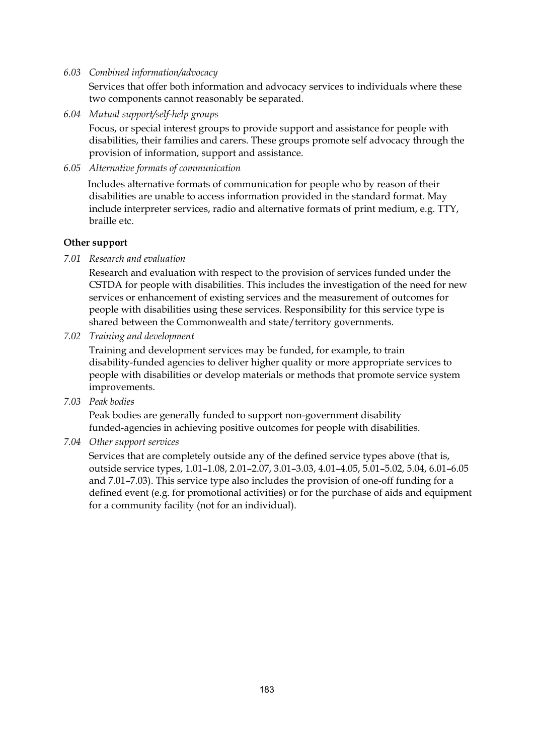#### *6.03 Combined information/advocacy*

Services that offer both information and advocacy services to individuals where these two components cannot reasonably be separated.

*6.04 Mutual support/self-help groups* 

Focus, or special interest groups to provide support and assistance for people with disabilities, their families and carers. These groups promote self advocacy through the provision of information, support and assistance.

*6.05 Alternative formats of communication* 

Includes alternative formats of communication for people who by reason of their disabilities are unable to access information provided in the standard format. May include interpreter services, radio and alternative formats of print medium, e.g. TTY, braille etc.

#### **Other support**

*7.01 Research and evaluation* 

Research and evaluation with respect to the provision of services funded under the CSTDA for people with disabilities. This includes the investigation of the need for new services or enhancement of existing services and the measurement of outcomes for people with disabilities using these services. Responsibility for this service type is shared between the Commonwealth and state/territory governments.

*7.02 Training and development* 

Training and development services may be funded, for example, to train disability-funded agencies to deliver higher quality or more appropriate services to people with disabilities or develop materials or methods that promote service system improvements.

*7.03 Peak bodies* 

Peak bodies are generally funded to support non-government disability funded-agencies in achieving positive outcomes for people with disabilities.

*7.04 Other support services* 

Services that are completely outside any of the defined service types above (that is, outside service types, 1.01–1.08, 2.01–2.07, 3.01–3.03, 4.01–4.05, 5.01–5.02, 5.04, 6.01–6.05 and 7.01–7.03). This service type also includes the provision of one-off funding for a defined event (e.g. for promotional activities) or for the purchase of aids and equipment for a community facility (not for an individual).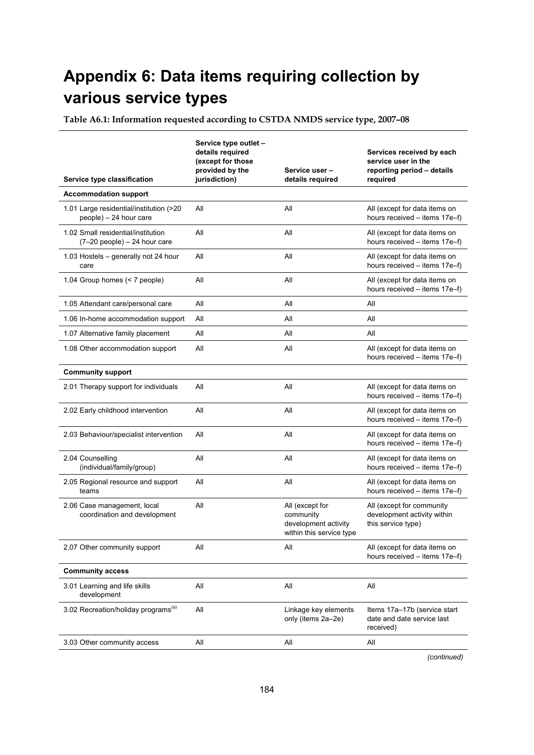### **Appendix 6: Data items requiring collection by various service types**

**Table A6.1: Information requested according to CSTDA NMDS service type, 2007–08** 

| Service type classification                                           | Service type outlet -<br>details required<br>(except for those<br>provided by the<br>jurisdiction) | Service user-<br>details required                                                | Services received by each<br>service user in the<br>reporting period - details<br>required |
|-----------------------------------------------------------------------|----------------------------------------------------------------------------------------------------|----------------------------------------------------------------------------------|--------------------------------------------------------------------------------------------|
| <b>Accommodation support</b>                                          |                                                                                                    |                                                                                  |                                                                                            |
| 1.01 Large residential/institution (>20<br>people) - 24 hour care     | All                                                                                                | All                                                                              | All (except for data items on<br>hours received - items 17e-f)                             |
| 1.02 Small residential/institution<br>$(7-20$ people) $-24$ hour care | All                                                                                                | All                                                                              | All (except for data items on<br>hours received - items 17e-f)                             |
| 1.03 Hostels - generally not 24 hour<br>care                          | All                                                                                                | All                                                                              | All (except for data items on<br>hours received - items 17e-f)                             |
| 1.04 Group homes (< 7 people)                                         | All                                                                                                | All                                                                              | All (except for data items on<br>hours received - items 17e-f)                             |
| 1.05 Attendant care/personal care                                     | All                                                                                                | All                                                                              | All                                                                                        |
| 1.06 In-home accommodation support                                    | All                                                                                                | All                                                                              | All                                                                                        |
| 1.07 Alternative family placement                                     | All                                                                                                | All                                                                              | All                                                                                        |
| 1.08 Other accommodation support                                      | All                                                                                                | All                                                                              | All (except for data items on<br>hours received - items 17e-f)                             |
| <b>Community support</b>                                              |                                                                                                    |                                                                                  |                                                                                            |
| 2.01 Therapy support for individuals                                  | All                                                                                                | All                                                                              | All (except for data items on<br>hours received - items 17e-f)                             |
| 2.02 Early childhood intervention                                     | All                                                                                                | All                                                                              | All (except for data items on<br>hours received – items 17e–f)                             |
| 2.03 Behaviour/specialist intervention                                | All                                                                                                | All                                                                              | All (except for data items on<br>hours received - items 17e-f)                             |
| 2.04 Counselling<br>(individual/family/group)                         | All                                                                                                | All                                                                              | All (except for data items on<br>hours received - items 17e-f)                             |
| 2.05 Regional resource and support<br>teams                           | All                                                                                                | All                                                                              | All (except for data items on<br>hours received - items 17e-f)                             |
| 2.06 Case management, local<br>coordination and development           | All                                                                                                | All (except for<br>community<br>development activity<br>within this service type | All (except for community<br>development activity within<br>this service type)             |
| 2.07 Other community support                                          | All                                                                                                | ail                                                                              | All (except for data items on<br>hours received - items 17e-f)                             |
| <b>Community access</b>                                               |                                                                                                    |                                                                                  |                                                                                            |
| 3.01 Learning and life skills<br>development                          | All                                                                                                | All                                                                              | All                                                                                        |
| 3.02 Recreation/holiday programs <sup>(a)</sup>                       | All                                                                                                | Linkage key elements<br>only (items 2a-2e)                                       | Items 17a-17b (service start<br>date and date service last<br>received)                    |
| 3.03 Other community access                                           | All                                                                                                | All                                                                              | All                                                                                        |
|                                                                       |                                                                                                    |                                                                                  |                                                                                            |

*(continued)*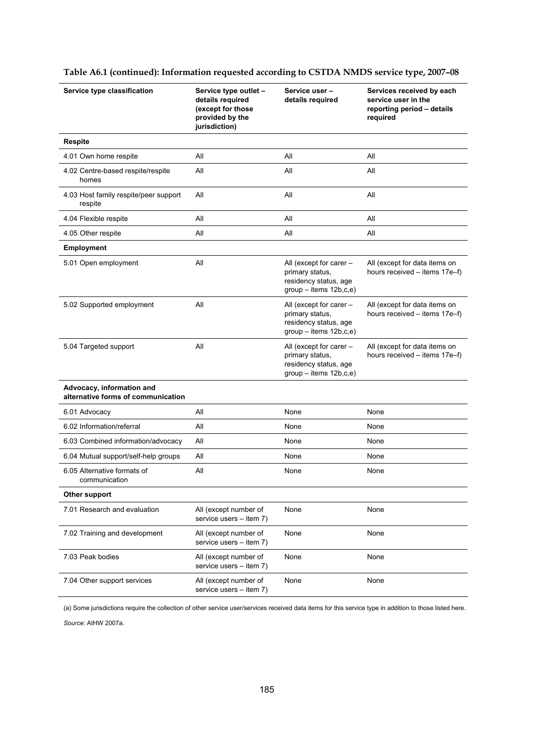| Service type classification                                     | Service type outlet -<br>details required<br>(except for those<br>provided by the<br>jurisdiction) | Service user-<br>details required                                                               | Services received by each<br>service user in the<br>reporting period - details<br>required |
|-----------------------------------------------------------------|----------------------------------------------------------------------------------------------------|-------------------------------------------------------------------------------------------------|--------------------------------------------------------------------------------------------|
| <b>Respite</b>                                                  |                                                                                                    |                                                                                                 |                                                                                            |
| 4.01 Own home respite                                           | All                                                                                                | All                                                                                             | All                                                                                        |
| 4.02 Centre-based respite/respite<br>homes                      | All                                                                                                | All                                                                                             | All                                                                                        |
| 4.03 Host family respite/peer support<br>respite                | All                                                                                                | All                                                                                             | All                                                                                        |
| 4.04 Flexible respite                                           | All                                                                                                | All                                                                                             | All                                                                                        |
| 4.05 Other respite                                              | All                                                                                                | All                                                                                             | All                                                                                        |
| Employment                                                      |                                                                                                    |                                                                                                 |                                                                                            |
| 5.01 Open employment                                            | All                                                                                                | All (except for carer -<br>primary status,<br>residency status, age<br>$group - items 12b,c,e)$ | All (except for data items on<br>hours received - items 17e-f)                             |
| 5.02 Supported employment                                       | All                                                                                                | All (except for carer -<br>primary status,<br>residency status, age<br>$qroup - items 12b.c.e.$ | All (except for data items on<br>hours received - items 17e-f)                             |
| 5.04 Targeted support                                           | All                                                                                                | All (except for carer -<br>primary status,<br>residency status, age<br>$group - items 12b,c,e)$ | All (except for data items on<br>hours received - items 17e-f)                             |
| Advocacy, information and<br>alternative forms of communication |                                                                                                    |                                                                                                 |                                                                                            |
| 6.01 Advocacy                                                   | All                                                                                                | None                                                                                            | None                                                                                       |
| 6.02 Information/referral                                       | All                                                                                                | None                                                                                            | None                                                                                       |
| 6.03 Combined information/advocacy                              | All                                                                                                | None                                                                                            | None                                                                                       |
| 6.04 Mutual support/self-help groups                            | Αll                                                                                                | None                                                                                            | None                                                                                       |
| 6.05 Alternative formats of<br>communication                    | All                                                                                                | None                                                                                            | None                                                                                       |
| Other support                                                   |                                                                                                    |                                                                                                 |                                                                                            |
| 7.01 Research and evaluation                                    | All (except number of<br>service users - item 7)                                                   | None                                                                                            | None                                                                                       |
| 7.02 Training and development                                   | All (except number of<br>service users - item 7)                                                   | None                                                                                            | None                                                                                       |
| 7.03 Peak bodies                                                | All (except number of<br>service users – item 7)                                                   | None                                                                                            | None                                                                                       |
| 7.04 Other support services                                     | All (except number of<br>service users - item 7)                                                   | None                                                                                            | None                                                                                       |

#### **Table A6.1 (continued): Information requested according to CSTDA NMDS service type, 2007–08**

(a) Some jurisdictions require the collection of other service user/services received data items for this service type in addition to those listed here.

*Source:* AIHW 2007a.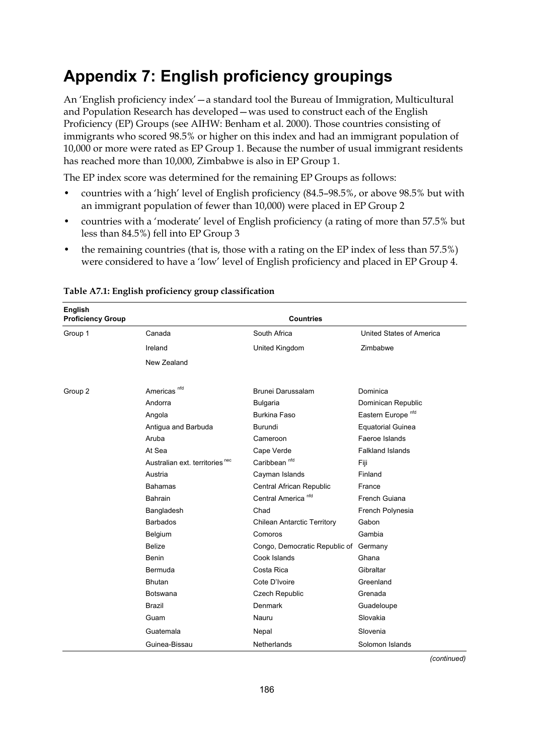### **Appendix 7: English proficiency groupings**

An 'English proficiency index'—a standard tool the Bureau of Immigration, Multicultural and Population Research has developed—was used to construct each of the English Proficiency (EP) Groups (see AIHW: Benham et al. 2000). Those countries consisting of immigrants who scored 98.5% or higher on this index and had an immigrant population of 10,000 or more were rated as EP Group 1. Because the number of usual immigrant residents has reached more than 10,000, Zimbabwe is also in EP Group 1.

The EP index score was determined for the remaining EP Groups as follows:

- countries with a 'high' level of English proficiency (84.5–98.5%, or above 98.5% but with an immigrant population of fewer than 10,000) were placed in EP Group 2
- countries with a 'moderate' level of English proficiency (a rating of more than 57.5% but less than 84.5%) fell into EP Group 3
- the remaining countries (that is, those with a rating on the EP index of less than 57.5%) were considered to have a 'low' level of English proficiency and placed in EP Group 4.

| English<br><b>Proficiency Group</b> |                                            | <b>Countries</b>                   |                               |
|-------------------------------------|--------------------------------------------|------------------------------------|-------------------------------|
| Group 1                             | Canada                                     | South Africa                       | United States of America      |
|                                     | Ireland                                    | United Kingdom                     | Zimbabwe                      |
|                                     | New Zealand                                |                                    |                               |
| Group 2                             | Americas <sup>nfd</sup>                    | Brunei Darussalam                  | Dominica                      |
|                                     | Andorra                                    | <b>Bulgaria</b>                    | Dominican Republic            |
|                                     | Angola                                     | <b>Burkina Faso</b>                | Eastern Europe <sup>nfd</sup> |
|                                     | Antigua and Barbuda                        | Burundi                            | <b>Equatorial Guinea</b>      |
|                                     | Aruba                                      | Cameroon                           | Faeroe Islands                |
|                                     | At Sea                                     | Cape Verde                         | <b>Falkland Islands</b>       |
|                                     | Australian ext. territories <sup>nec</sup> | Caribbean <sup>nfd</sup>           | Fiji                          |
|                                     | Austria                                    | Cayman Islands                     | Finland                       |
|                                     | <b>Bahamas</b>                             | Central African Republic           | France                        |
|                                     | <b>Bahrain</b>                             | Central America <sup>nfd</sup>     | French Guiana                 |
|                                     | Bangladesh                                 | Chad                               | French Polynesia              |
|                                     | <b>Barbados</b>                            | <b>Chilean Antarctic Territory</b> | Gabon                         |
|                                     | Belgium                                    | Comoros                            | Gambia                        |
|                                     | <b>Belize</b>                              | Congo, Democratic Republic of      | Germany                       |
|                                     | Benin                                      | Cook Islands                       | Ghana                         |
|                                     | Bermuda                                    | Costa Rica                         | Gibraltar                     |
|                                     | <b>Bhutan</b>                              | Cote D'Ivoire                      | Greenland                     |
|                                     | <b>Botswana</b>                            | Czech Republic                     | Grenada                       |
|                                     | <b>Brazil</b>                              | Denmark                            | Guadeloupe                    |
|                                     | Guam                                       | Nauru                              | Slovakia                      |
|                                     | Guatemala                                  | Nepal                              | Slovenia                      |
|                                     | Guinea-Bissau                              | Netherlands                        | Solomon Islands               |

#### **Table A7.1: English proficiency group classification**

*(continued)*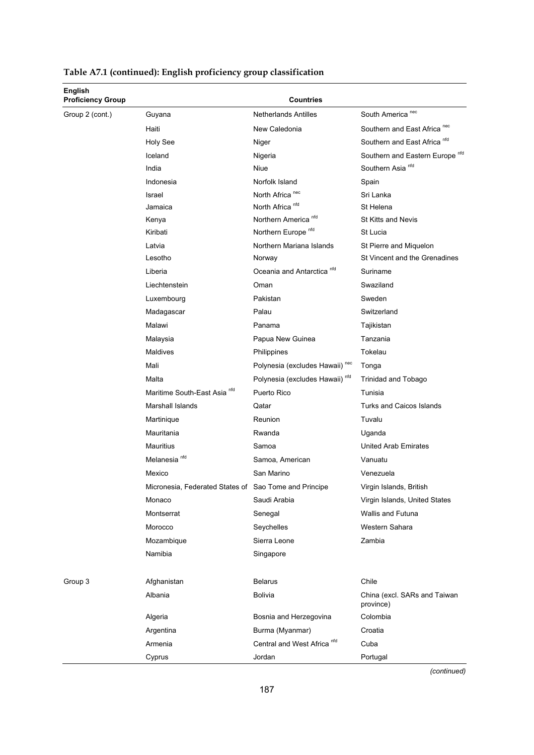| <b>English</b><br><b>Proficiency Group</b> |                                                       | <b>Countries</b>                           |                                            |
|--------------------------------------------|-------------------------------------------------------|--------------------------------------------|--------------------------------------------|
| Group 2 (cont.)                            | Guyana                                                | <b>Netherlands Antilles</b>                | South America <sup>nec</sup>               |
|                                            | Haiti                                                 | New Caledonia                              | Southern and East Africa <sup>nec</sup>    |
|                                            | Holy See                                              | Niger                                      | Southern and East Africa <sup>nfd</sup>    |
|                                            | Iceland                                               | Nigeria                                    | Southern and Eastern Europe <sup>nfd</sup> |
|                                            | India                                                 | Niue                                       | Southern Asia <sup>nfd</sup>               |
|                                            | Indonesia                                             | Norfolk Island                             | Spain                                      |
|                                            | Israel                                                | North Africa <sup>nec</sup>                | Sri Lanka                                  |
|                                            | Jamaica                                               | North Africa <sup>nfd</sup>                | St Helena                                  |
|                                            | Kenya                                                 | Northern America <sup>nfd</sup>            | <b>St Kitts and Nevis</b>                  |
|                                            | Kiribati                                              | Northern Europe <sup>nfd</sup>             | St Lucia                                   |
|                                            | Latvia                                                | Northern Mariana Islands                   | St Pierre and Miquelon                     |
|                                            | Lesotho                                               | Norway                                     | St Vincent and the Grenadines              |
|                                            | Liberia                                               | Oceania and Antarctica <sup>nfd</sup>      | Suriname                                   |
|                                            | Liechtenstein                                         | Oman                                       | Swaziland                                  |
|                                            | Luxembourg                                            | Pakistan                                   | Sweden                                     |
|                                            | Madagascar                                            | Palau                                      | Switzerland                                |
|                                            | Malawi                                                | Panama                                     | Tajikistan                                 |
|                                            | Malaysia                                              | Papua New Guinea                           | Tanzania                                   |
|                                            | Maldives                                              | Philippines                                | Tokelau                                    |
|                                            | Mali                                                  | Polynesia (excludes Hawaii) nec            | Tonga                                      |
|                                            | Malta                                                 | Polynesia (excludes Hawaii) <sup>nfd</sup> | <b>Trinidad and Tobago</b>                 |
|                                            | Maritime South-East Asia <sup>nfd</sup>               | Puerto Rico                                | Tunisia                                    |
|                                            | <b>Marshall Islands</b>                               | Qatar                                      | <b>Turks and Caicos Islands</b>            |
|                                            | Martinique                                            | Reunion                                    | Tuvalu                                     |
|                                            | Mauritania                                            | Rwanda                                     | Uganda                                     |
|                                            | Mauritius                                             | Samoa                                      | United Arab Emirates                       |
|                                            | Melanesia <sup>nfd</sup>                              | Samoa, American                            | Vanuatu                                    |
|                                            | Mexico                                                | San Marino                                 | Venezuela                                  |
|                                            | Micronesia, Federated States of Sao Tome and Principe |                                            | Virgin Islands, British                    |
|                                            | Monaco                                                | Saudi Arabia                               | Virgin Islands, United States              |
|                                            | Montserrat                                            | Senegal                                    | <b>Wallis and Futuna</b>                   |
|                                            | Morocco                                               | Seychelles                                 | Western Sahara                             |
|                                            | Mozambique                                            | Sierra Leone                               | Zambia                                     |
|                                            | Namibia                                               | Singapore                                  |                                            |
|                                            |                                                       |                                            |                                            |
| Group 3                                    | Afghanistan                                           | <b>Belarus</b>                             | Chile                                      |
|                                            | Albania                                               | Bolivia                                    | China (excl. SARs and Taiwan<br>province)  |
|                                            | Algeria                                               | Bosnia and Herzegovina                     | Colombia                                   |
|                                            | Argentina                                             | Burma (Myanmar)                            | Croatia                                    |
|                                            | Armenia                                               | Central and West Africa <sup>nfd</sup>     | Cuba                                       |
|                                            | Cyprus                                                | Jordan                                     | Portugal                                   |

**Table A7.1 (continued): English proficiency group classification** 

*(continued)*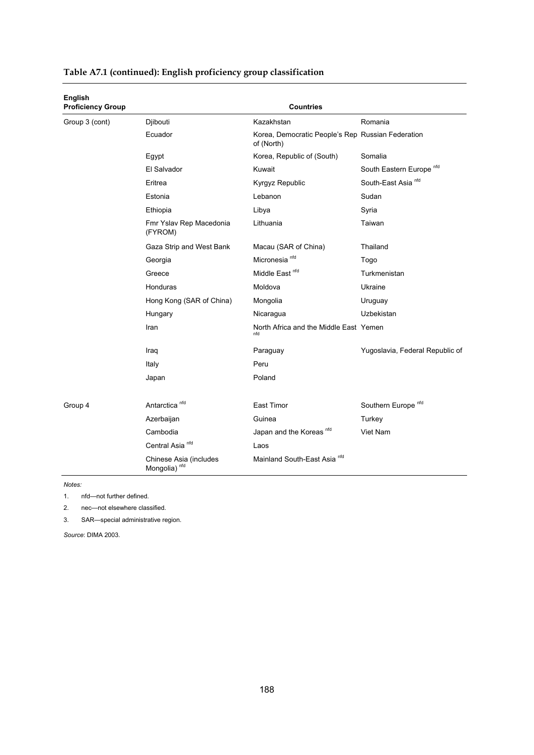| English<br><b>Proficiency Group</b> |                                                    | <b>Countries</b>                                                |                                     |
|-------------------------------------|----------------------------------------------------|-----------------------------------------------------------------|-------------------------------------|
| Group 3 (cont)                      | Djibouti                                           | Kazakhstan                                                      | Romania                             |
|                                     | Ecuador                                            | Korea, Democratic People's Rep Russian Federation<br>of (North) |                                     |
|                                     | Egypt                                              | Korea, Republic of (South)                                      | Somalia                             |
|                                     | El Salvador                                        | Kuwait                                                          | South Eastern Europe <sup>nfd</sup> |
|                                     | Eritrea                                            | Kyrgyz Republic                                                 | South-East Asia <sup>nfd</sup>      |
|                                     | Estonia                                            | Lebanon                                                         | Sudan                               |
|                                     | Ethiopia                                           | Libya                                                           | Syria                               |
|                                     | Fmr Yslav Rep Macedonia<br>(FYROM)                 | Lithuania                                                       | Taiwan                              |
|                                     | Gaza Strip and West Bank                           | Macau (SAR of China)                                            | Thailand                            |
|                                     | Georgia                                            | Micronesia <sup>nfd</sup>                                       | Togo                                |
|                                     | Greece                                             | Middle East <sup>nfd</sup>                                      | Turkmenistan                        |
|                                     | Honduras                                           | Moldova                                                         | Ukraine                             |
|                                     | Hong Kong (SAR of China)                           | Mongolia                                                        | Uruguay                             |
|                                     | Hungary                                            | Nicaragua                                                       | Uzbekistan                          |
|                                     | Iran                                               | North Africa and the Middle East Yemen<br>nfd                   |                                     |
|                                     | Iraq                                               | Paraguay                                                        | Yugoslavia, Federal Republic of     |
|                                     | Italy                                              | Peru                                                            |                                     |
|                                     | Japan                                              | Poland                                                          |                                     |
| Group 4                             | Antarctica <sup>nfd</sup>                          | East Timor                                                      | Southern Europe <sup>nfd</sup>      |
|                                     | Azerbaijan                                         | Guinea                                                          | Turkey                              |
|                                     | Cambodia                                           | Japan and the Koreas nfd                                        | Viet Nam                            |
|                                     | Central Asia <sup>nfd</sup>                        | Laos                                                            |                                     |
|                                     | Chinese Asia (includes<br>Mongolia) <sup>nfd</sup> | Mainland South-East Asia <sup>nfd</sup>                         |                                     |

#### **Table A7.1 (continued): English proficiency group classification**

*Notes:* 

1. nfd—not further defined.

2. nec—not elsewhere classified.

3. SAR—special administrative region.

*Source*: DIMA 2003.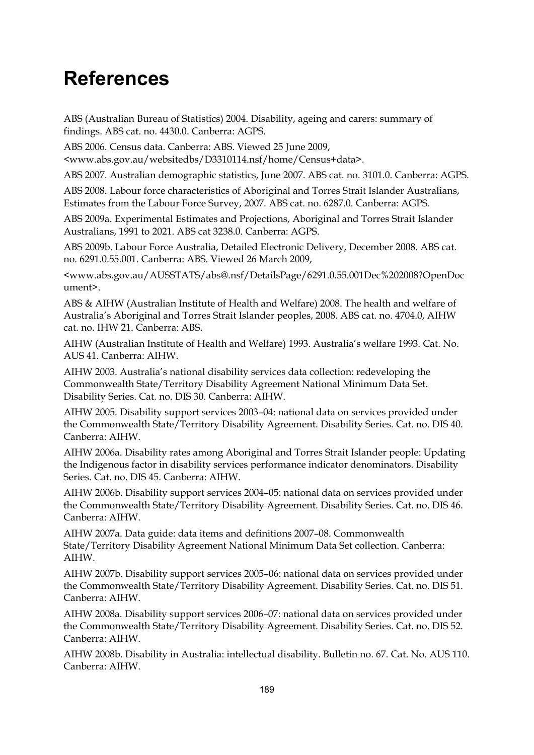### **References**

ABS (Australian Bureau of Statistics) 2004. Disability, ageing and carers: summary of findings. ABS cat. no. 4430.0. Canberra: AGPS.

ABS 2006. Census data. Canberra: ABS. Viewed 25 June 2009, <www.abs.gov.au/websitedbs/D3310114.nsf/home/Census+data>.

ABS 2007. Australian demographic statistics, June 2007. ABS cat. no. 3101.0. Canberra: AGPS.

ABS 2008. Labour force characteristics of Aboriginal and Torres Strait Islander Australians, Estimates from the Labour Force Survey, 2007. ABS cat. no. 6287.0. Canberra: AGPS.

ABS 2009a. Experimental Estimates and Projections, Aboriginal and Torres Strait Islander Australians, 1991 to 2021. ABS cat 3238.0. Canberra: AGPS.

ABS 2009b. Labour Force Australia, Detailed Electronic Delivery, December 2008. ABS cat. no. 6291.0.55.001. Canberra: ABS. Viewed 26 March 2009,

<www.abs.gov.au/AUSSTATS/abs@.nsf/DetailsPage/6291.0.55.001Dec%202008?OpenDoc ument>.

ABS & AIHW (Australian Institute of Health and Welfare) 2008. The health and welfare of Australia's Aboriginal and Torres Strait Islander peoples, 2008. ABS cat. no. 4704.0, AIHW cat. no. IHW 21. Canberra: ABS.

AIHW (Australian Institute of Health and Welfare) 1993. Australia's welfare 1993. Cat. No. AUS 41. Canberra: AIHW.

AIHW 2003. Australia's national disability services data collection: redeveloping the Commonwealth State/Territory Disability Agreement National Minimum Data Set. Disability Series. Cat. no. DIS 30. Canberra: AIHW.

AIHW 2005. Disability support services 2003–04: national data on services provided under the Commonwealth State/Territory Disability Agreement. Disability Series. Cat. no. DIS 40. Canberra: AIHW.

AIHW 2006a. Disability rates among Aboriginal and Torres Strait Islander people: Updating the Indigenous factor in disability services performance indicator denominators. Disability Series. Cat. no. DIS 45. Canberra: AIHW.

AIHW 2006b. Disability support services 2004–05: national data on services provided under the Commonwealth State/Territory Disability Agreement. Disability Series. Cat. no. DIS 46. Canberra: AIHW.

AIHW 2007a. Data guide: data items and definitions 2007–08. Commonwealth State/Territory Disability Agreement National Minimum Data Set collection. Canberra: AIHW.

AIHW 2007b. Disability support services 2005–06: national data on services provided under the Commonwealth State/Territory Disability Agreement. Disability Series. Cat. no. DIS 51. Canberra: AIHW.

AIHW 2008a. Disability support services 2006–07: national data on services provided under the Commonwealth State/Territory Disability Agreement. Disability Series. Cat. no. DIS 52. Canberra: AIHW.

AIHW 2008b. Disability in Australia: intellectual disability. Bulletin no. 67. Cat. No. AUS 110. Canberra: AIHW.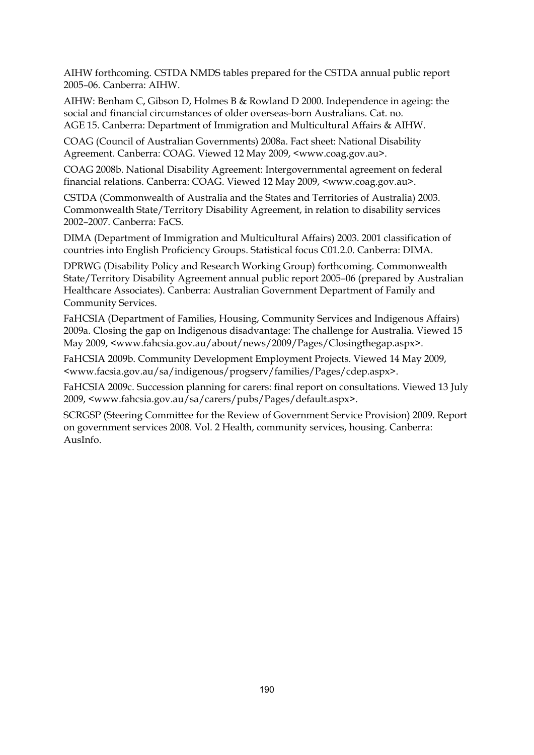AIHW forthcoming. CSTDA NMDS tables prepared for the CSTDA annual public report 2005–06. Canberra: AIHW.

AIHW: Benham C, Gibson D, Holmes B & Rowland D 2000. Independence in ageing: the social and financial circumstances of older overseas-born Australians. Cat. no. AGE 15. Canberra: Department of Immigration and Multicultural Affairs & AIHW.

COAG (Council of Australian Governments) 2008a. Fact sheet: National Disability Agreement. Canberra: COAG. Viewed 12 May 2009, <www.coag.gov.au>.

COAG 2008b. National Disability Agreement: Intergovernmental agreement on federal financial relations. Canberra: COAG. Viewed 12 May 2009, <www.coag.gov.au>.

CSTDA (Commonwealth of Australia and the States and Territories of Australia) 2003. Commonwealth State/Territory Disability Agreement, in relation to disability services 2002–2007. Canberra: FaCS.

DIMA (Department of Immigration and Multicultural Affairs) 2003. 2001 classification of countries into English Proficiency Groups. Statistical focus C01.2.0. Canberra: DIMA.

DPRWG (Disability Policy and Research Working Group) forthcoming. Commonwealth State/Territory Disability Agreement annual public report 2005–06 (prepared by Australian Healthcare Associates). Canberra: Australian Government Department of Family and Community Services.

FaHCSIA (Department of Families, Housing, Community Services and Indigenous Affairs) 2009a. Closing the gap on Indigenous disadvantage: The challenge for Australia. Viewed 15 May 2009, <www.fahcsia.gov.au/about/news/2009/Pages/Closingthegap.aspx>.

FaHCSIA 2009b. Community Development Employment Projects. Viewed 14 May 2009, <www.facsia.gov.au/sa/indigenous/progserv/families/Pages/cdep.aspx>.

FaHCSIA 2009c. Succession planning for carers: final report on consultations. Viewed 13 July 2009, <www.fahcsia.gov.au/sa/carers/pubs/Pages/default.aspx>.

SCRGSP (Steering Committee for the Review of Government Service Provision) 2009. Report on government services 2008. Vol. 2 Health, community services, housing. Canberra: AusInfo.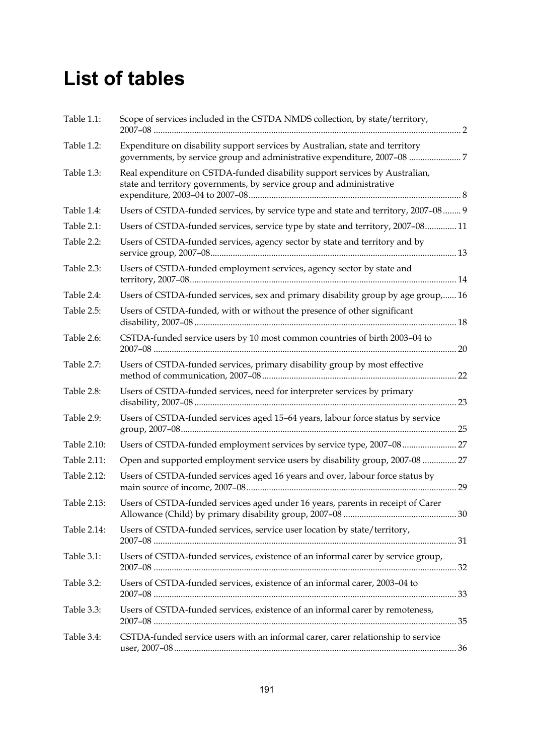## **List of tables**

| Table 1.1:  | Scope of services included in the CSTDA NMDS collection, by state/territory,                                                                        |  |
|-------------|-----------------------------------------------------------------------------------------------------------------------------------------------------|--|
| Table 1.2:  | Expenditure on disability support services by Australian, state and territory                                                                       |  |
| Table 1.3:  | Real expenditure on CSTDA-funded disability support services by Australian,<br>state and territory governments, by service group and administrative |  |
| Table 1.4:  | Users of CSTDA-funded services, by service type and state and territory, 2007-08  9                                                                 |  |
| Table 2.1:  | Users of CSTDA-funded services, service type by state and territory, 2007-08 11                                                                     |  |
| Table 2.2:  | Users of CSTDA-funded services, agency sector by state and territory and by                                                                         |  |
| Table 2.3:  | Users of CSTDA-funded employment services, agency sector by state and                                                                               |  |
| Table 2.4:  | Users of CSTDA-funded services, sex and primary disability group by age group, 16                                                                   |  |
| Table 2.5:  | Users of CSTDA-funded, with or without the presence of other significant                                                                            |  |
| Table 2.6:  | CSTDA-funded service users by 10 most common countries of birth 2003-04 to                                                                          |  |
| Table 2.7:  | Users of CSTDA-funded services, primary disability group by most effective                                                                          |  |
| Table 2.8:  | Users of CSTDA-funded services, need for interpreter services by primary                                                                            |  |
| Table 2.9:  | Users of CSTDA-funded services aged 15-64 years, labour force status by service                                                                     |  |
| Table 2.10: |                                                                                                                                                     |  |
| Table 2.11: | Open and supported employment service users by disability group, 2007-08  27                                                                        |  |
| Table 2.12: | Users of CSTDA-funded services aged 16 years and over, labour force status by                                                                       |  |
| Table 2.13: | Users of CSTDA-funded services aged under 16 years, parents in receipt of Carer                                                                     |  |
| Table 2.14: | Users of CSTDA-funded services, service user location by state/territory,                                                                           |  |
| Table 3.1:  | Users of CSTDA-funded services, existence of an informal carer by service group,                                                                    |  |
| Table 3.2:  | Users of CSTDA-funded services, existence of an informal carer, 2003-04 to                                                                          |  |
| Table 3.3:  | Users of CSTDA-funded services, existence of an informal carer by remoteness,                                                                       |  |
| Table 3.4:  | CSTDA-funded service users with an informal carer, carer relationship to service                                                                    |  |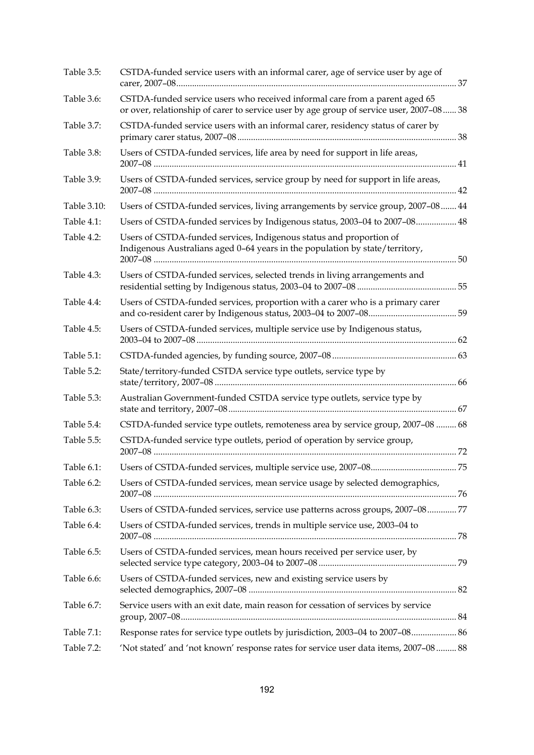| Table 3.5:    | CSTDA-funded service users with an informal carer, age of service user by age of                                                                                        |  |
|---------------|-------------------------------------------------------------------------------------------------------------------------------------------------------------------------|--|
| Table 3.6:    | CSTDA-funded service users who received informal care from a parent aged 65<br>or over, relationship of carer to service user by age group of service user, 2007-08  38 |  |
| Table 3.7:    | CSTDA-funded service users with an informal carer, residency status of carer by                                                                                         |  |
| Table 3.8:    | Users of CSTDA-funded services, life area by need for support in life areas,                                                                                            |  |
| Table 3.9:    | Users of CSTDA-funded services, service group by need for support in life areas,                                                                                        |  |
| Table 3.10:   | Users of CSTDA-funded services, living arrangements by service group, 2007-08  44                                                                                       |  |
| Table $4.1$ : | Users of CSTDA-funded services by Indigenous status, 2003-04 to 2007-08 48                                                                                              |  |
| Table 4.2:    | Users of CSTDA-funded services, Indigenous status and proportion of<br>Indigenous Australians aged 0-64 years in the population by state/territory,                     |  |
| Table 4.3:    | Users of CSTDA-funded services, selected trends in living arrangements and                                                                                              |  |
| Table 4.4:    | Users of CSTDA-funded services, proportion with a carer who is a primary carer                                                                                          |  |
| Table 4.5:    | Users of CSTDA-funded services, multiple service use by Indigenous status,                                                                                              |  |
| Table 5.1:    |                                                                                                                                                                         |  |
| Table 5.2:    | State/territory-funded CSTDA service type outlets, service type by                                                                                                      |  |
| Table 5.3:    | Australian Government-funded CSTDA service type outlets, service type by                                                                                                |  |
| Table 5.4:    | CSTDA-funded service type outlets, remoteness area by service group, 2007-08  68                                                                                        |  |
| Table 5.5:    | CSTDA-funded service type outlets, period of operation by service group,                                                                                                |  |
| Table 6.1:    |                                                                                                                                                                         |  |
| Table 6.2:    | Users of CSTDA-funded services, mean service usage by selected demographics,                                                                                            |  |
| Table 6.3:    | Users of CSTDA-funded services, service use patterns across groups, 2007-0877                                                                                           |  |
| Table 6.4:    | Users of CSTDA-funded services, trends in multiple service use, 2003-04 to                                                                                              |  |
| Table 6.5:    | Users of CSTDA-funded services, mean hours received per service user, by                                                                                                |  |
| Table 6.6:    | Users of CSTDA-funded services, new and existing service users by                                                                                                       |  |
| Table 6.7:    | Service users with an exit date, main reason for cessation of services by service                                                                                       |  |
| Table 7.1:    | Response rates for service type outlets by jurisdiction, 2003-04 to 2007-08 86                                                                                          |  |
| Table 7.2:    | 'Not stated' and 'not known' response rates for service user data items, 2007-08  88                                                                                    |  |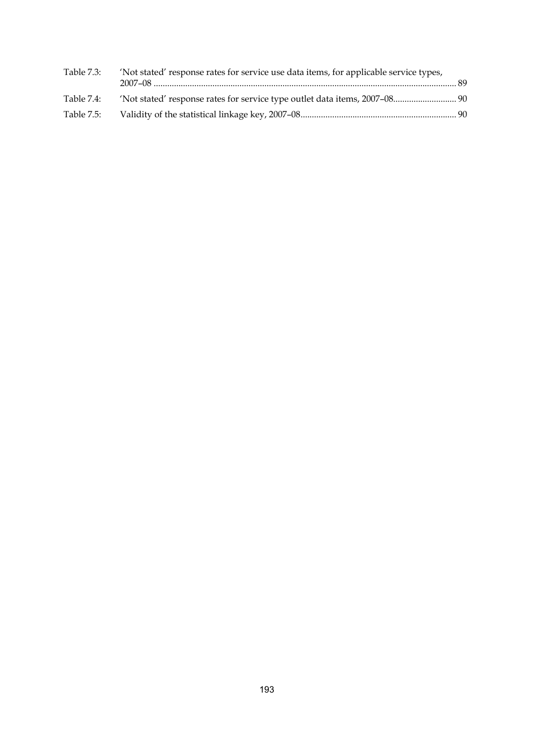| Table 7.3: | 'Not stated' response rates for service use data items, for applicable service types, |  |
|------------|---------------------------------------------------------------------------------------|--|
| Table 7.4: | 1907) 'Not stated' response rates for service type outlet data items, 2007–08         |  |
| Table 7.5: |                                                                                       |  |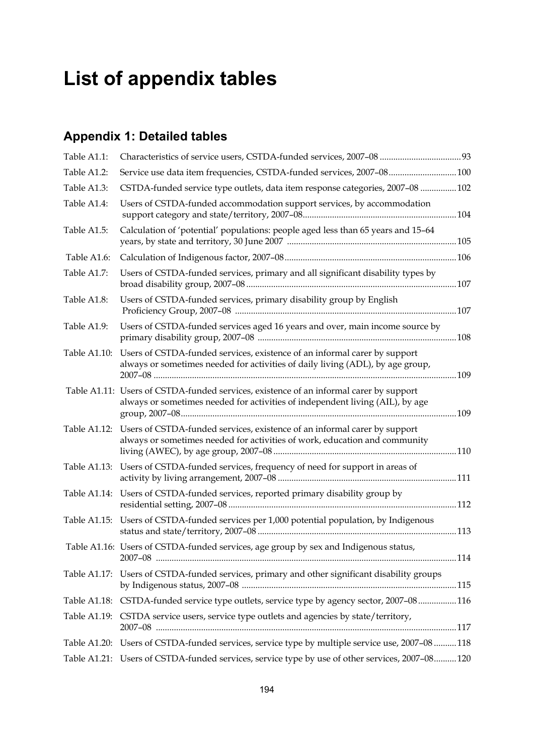## **List of appendix tables**

### **Appendix 1: Detailed tables**

| Table A1.1:  | Characteristics of service users, CSTDA-funded services, 2007-08  93                                                                                                    |  |
|--------------|-------------------------------------------------------------------------------------------------------------------------------------------------------------------------|--|
| Table A1.2:  | Service use data item frequencies, CSTDA-funded services, 2007-08 100                                                                                                   |  |
| Table A1.3:  | CSTDA-funded service type outlets, data item response categories, 2007-08 102                                                                                           |  |
| Table A1.4:  | Users of CSTDA-funded accommodation support services, by accommodation                                                                                                  |  |
| Table A1.5:  | Calculation of 'potential' populations: people aged less than 65 years and 15-64                                                                                        |  |
| Table A1.6:  |                                                                                                                                                                         |  |
| Table A1.7:  | Users of CSTDA-funded services, primary and all significant disability types by                                                                                         |  |
| Table A1.8:  | Users of CSTDA-funded services, primary disability group by English                                                                                                     |  |
| Table A1.9:  | Users of CSTDA-funded services aged 16 years and over, main income source by                                                                                            |  |
| Table A1.10: | Users of CSTDA-funded services, existence of an informal carer by support<br>always or sometimes needed for activities of daily living (ADL), by age group,             |  |
|              | Table A1.11: Users of CSTDA-funded services, existence of an informal carer by support<br>always or sometimes needed for activities of independent living (AIL), by age |  |
|              | Table A1.12: Users of CSTDA-funded services, existence of an informal carer by support<br>always or sometimes needed for activities of work, education and community    |  |
|              | Table A1.13: Users of CSTDA-funded services, frequency of need for support in areas of                                                                                  |  |
|              | Table A1.14: Users of CSTDA-funded services, reported primary disability group by                                                                                       |  |
|              | Table A1.15: Users of CSTDA-funded services per 1,000 potential population, by Indigenous                                                                               |  |
|              | Table A1.16: Users of CSTDA-funded services, age group by sex and Indigenous status,                                                                                    |  |
|              | Table A1.17: Users of CSTDA-funded services, primary and other significant disability groups                                                                            |  |
|              | Table A1.18: CSTDA-funded service type outlets, service type by agency sector, 2007-08116                                                                               |  |
|              | Table A1.19: CSTDA service users, service type outlets and agencies by state/territory,                                                                                 |  |
|              | Table A1.20: Users of CSTDA-funded services, service type by multiple service use, 2007-08  118                                                                         |  |
|              | Table A1.21: Users of CSTDA-funded services, service type by use of other services, 2007-08120                                                                          |  |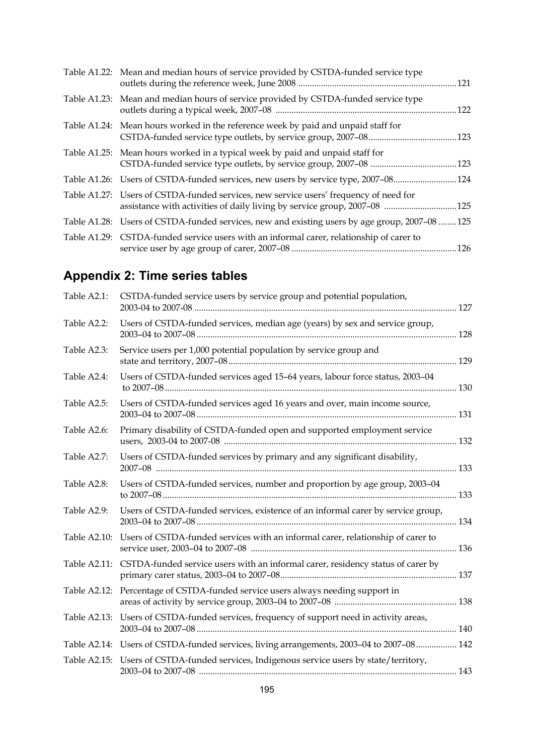| Table A1.22: Mean and median hours of service provided by CSTDA-funded service type                                                                                |      |
|--------------------------------------------------------------------------------------------------------------------------------------------------------------------|------|
| Table A1.23: Mean and median hours of service provided by CSTDA-funded service type                                                                                | .122 |
| Table A1.24: Mean hours worked in the reference week by paid and unpaid staff for                                                                                  |      |
| Table A1.25: Mean hours worked in a typical week by paid and unpaid staff for                                                                                      |      |
| Table A1.26: Users of CSTDA-funded services, new users by service type, 2007-08124                                                                                 |      |
| Table A1.27: Users of CSTDA-funded services, new service users' frequency of need for<br>assistance with activities of daily living by service group, 2007-08  125 |      |
| Table A1.28: Users of CSTDA-funded services, new and existing users by age group, 2007-08 125                                                                      |      |
| Table A1.29: CSTDA-funded service users with an informal carer, relationship of carer to                                                                           |      |

### **Appendix 2: Time series tables**

| Table A2.1:  | CSTDA-funded service users by service group and potential population,                        |  |
|--------------|----------------------------------------------------------------------------------------------|--|
| Table A2.2:  | Users of CSTDA-funded services, median age (years) by sex and service group,                 |  |
| Table A2.3:  | Service users per 1,000 potential population by service group and                            |  |
| Table A2.4:  | Users of CSTDA-funded services aged 15-64 years, labour force status, 2003-04                |  |
| Table A2.5:  | Users of CSTDA-funded services aged 16 years and over, main income source,                   |  |
| Table A2.6:  | Primary disability of CSTDA-funded open and supported employment service                     |  |
| Table A2.7:  | Users of CSTDA-funded services by primary and any significant disability,                    |  |
| Table A2.8:  | Users of CSTDA-funded services, number and proportion by age group, 2003-04                  |  |
| Table A2.9:  | Users of CSTDA-funded services, existence of an informal carer by service group,             |  |
| Table A2.10: | Users of CSTDA-funded services with an informal carer, relationship of carer to              |  |
|              | Table A2.11: CSTDA-funded service users with an informal carer, residency status of carer by |  |
|              | Table A2.12: Percentage of CSTDA-funded service users always needing support in              |  |
|              | Table A2.13: Users of CSTDA-funded services, frequency of support need in activity areas,    |  |
|              | Table A2.14: Users of CSTDA-funded services, living arrangements, 2003-04 to 2007-08 142     |  |
| Table A2.15: | Users of CSTDA-funded services, Indigenous service users by state/territory,                 |  |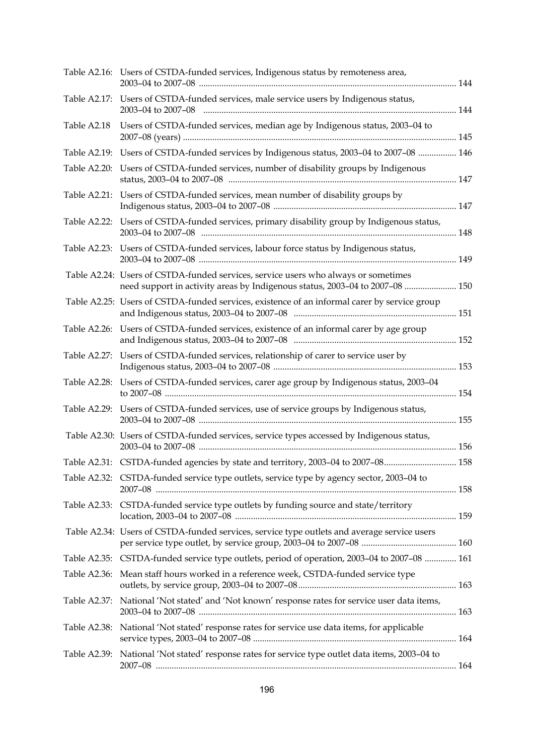|              | Table A2.16: Users of CSTDA-funded services, Indigenous status by remoteness area,                                                                                 |  |
|--------------|--------------------------------------------------------------------------------------------------------------------------------------------------------------------|--|
|              | Table A2.17: Users of CSTDA-funded services, male service users by Indigenous status,<br>2003-04 to 2007-08                                                        |  |
| Table A2.18  | Users of CSTDA-funded services, median age by Indigenous status, 2003-04 to                                                                                        |  |
|              | Table A2.19: Users of CSTDA-funded services by Indigenous status, 2003-04 to 2007-08  146                                                                          |  |
|              | Table A2.20: Users of CSTDA-funded services, number of disability groups by Indigenous                                                                             |  |
| Table A2.21: | Users of CSTDA-funded services, mean number of disability groups by                                                                                                |  |
|              | Table A2.22: Users of CSTDA-funded services, primary disability group by Indigenous status,                                                                        |  |
|              | Table A2.23: Users of CSTDA-funded services, labour force status by Indigenous status,                                                                             |  |
|              | Table A2.24: Users of CSTDA-funded services, service users who always or sometimes<br>need support in activity areas by Indigenous status, 2003-04 to 2007-08  150 |  |
|              | Table A2.25: Users of CSTDA-funded services, existence of an informal carer by service group                                                                       |  |
|              | Table A2.26: Users of CSTDA-funded services, existence of an informal carer by age group                                                                           |  |
|              | Table A2.27: Users of CSTDA-funded services, relationship of carer to service user by                                                                              |  |
|              | Table A2.28: Users of CSTDA-funded services, carer age group by Indigenous status, 2003-04                                                                         |  |
|              | Table A2.29: Users of CSTDA-funded services, use of service groups by Indigenous status,                                                                           |  |
|              | Table A2.30: Users of CSTDA-funded services, service types accessed by Indigenous status,                                                                          |  |
|              | Table A2.31: CSTDA-funded agencies by state and territory, 2003-04 to 2007-08 158                                                                                  |  |
|              | Table A2.32: CSTDA-funded service type outlets, service type by agency sector, 2003-04 to                                                                          |  |
|              | Table A2.33: CSTDA-funded service type outlets by funding source and state/territory                                                                               |  |
|              | Table A2.34: Users of CSTDA-funded services, service type outlets and average service users                                                                        |  |
|              | Table A2.35: CSTDA-funded service type outlets, period of operation, 2003-04 to 2007-08  161                                                                       |  |
| Table A2.36: | Mean staff hours worked in a reference week, CSTDA-funded service type                                                                                             |  |
|              | Table A2.37: National 'Not stated' and 'Not known' response rates for service user data items,                                                                     |  |
|              | Table A2.38: National 'Not stated' response rates for service use data items, for applicable                                                                       |  |
|              | Table A2.39: National 'Not stated' response rates for service type outlet data items, 2003-04 to                                                                   |  |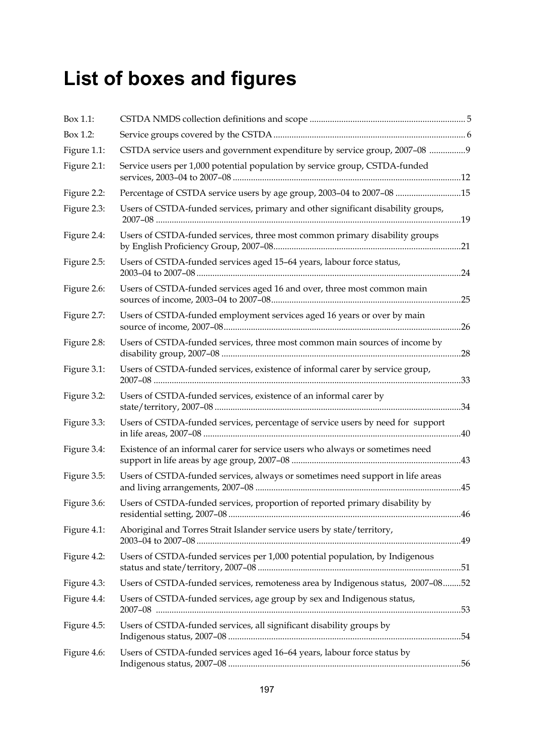# **List of boxes and figures**

| Box 1.1:    |                                                                                  |  |
|-------------|----------------------------------------------------------------------------------|--|
| Box 1.2:    |                                                                                  |  |
| Figure 1.1: | CSTDA service users and government expenditure by service group, 2007-08 9       |  |
| Figure 2.1: | Service users per 1,000 potential population by service group, CSTDA-funded      |  |
| Figure 2.2: | Percentage of CSTDA service users by age group, 2003-04 to 2007-08 15            |  |
| Figure 2.3: | Users of CSTDA-funded services, primary and other significant disability groups, |  |
| Figure 2.4: | Users of CSTDA-funded services, three most common primary disability groups      |  |
| Figure 2.5: | Users of CSTDA-funded services aged 15-64 years, labour force status,            |  |
| Figure 2.6: | Users of CSTDA-funded services aged 16 and over, three most common main          |  |
| Figure 2.7: | Users of CSTDA-funded employment services aged 16 years or over by main          |  |
| Figure 2.8: | Users of CSTDA-funded services, three most common main sources of income by      |  |
| Figure 3.1: | Users of CSTDA-funded services, existence of informal carer by service group,    |  |
| Figure 3.2: | Users of CSTDA-funded services, existence of an informal carer by                |  |
| Figure 3.3: | Users of CSTDA-funded services, percentage of service users by need for support  |  |
| Figure 3.4: | Existence of an informal carer for service users who always or sometimes need    |  |
| Figure 3.5: | Users of CSTDA-funded services, always or sometimes need support in life areas   |  |
| Figure 3.6: | Users of CSTDA-funded services, proportion of reported primary disability by     |  |
| Figure 4.1: | Aboriginal and Torres Strait Islander service users by state/territory,          |  |
| Figure 4.2: | Users of CSTDA-funded services per 1,000 potential population, by Indigenous     |  |
| Figure 4.3: | Users of CSTDA-funded services, remoteness area by Indigenous status, 2007-0852  |  |
| Figure 4.4: | Users of CSTDA-funded services, age group by sex and Indigenous status,          |  |
| Figure 4.5: | Users of CSTDA-funded services, all significant disability groups by             |  |
| Figure 4.6: | Users of CSTDA-funded services aged 16-64 years, labour force status by          |  |